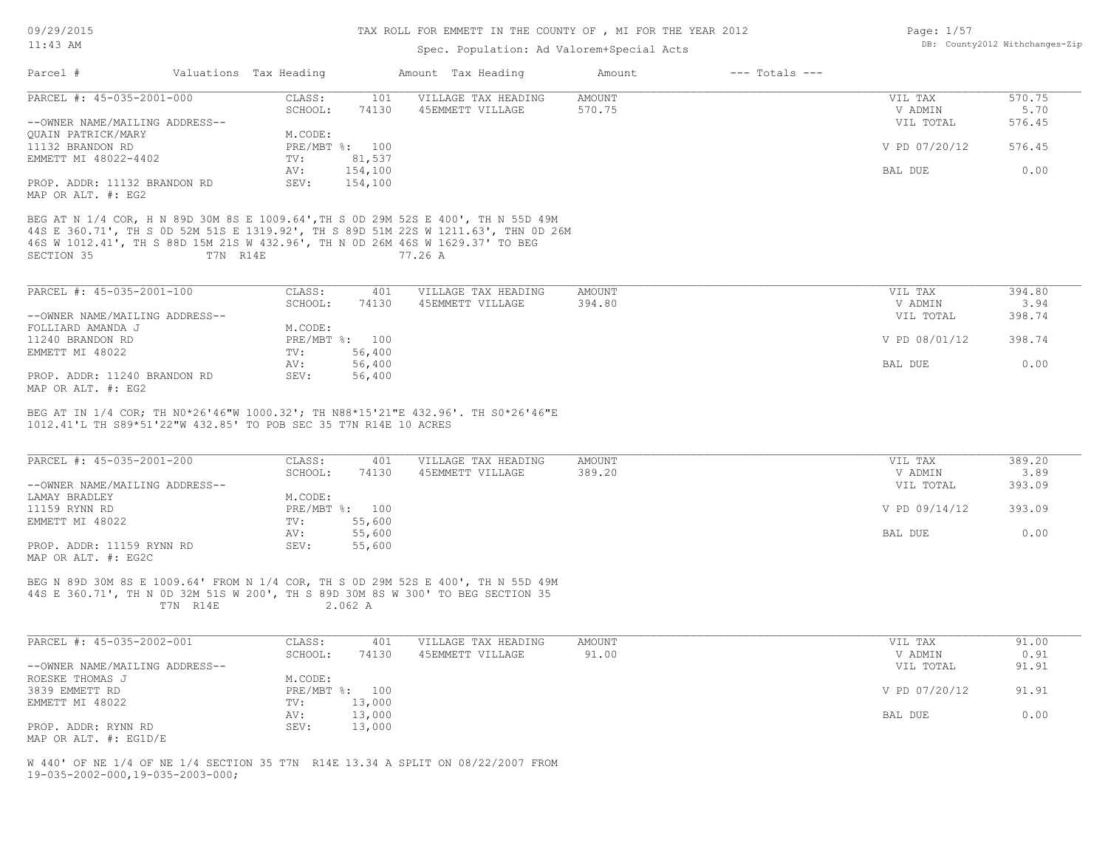### TAX ROLL FOR EMMETT IN THE COUNTY OF , MI FOR THE YEAR 2012

# Spec. Population: Ad Valorem+Special Acts

| Page: $1/57$ |                                |
|--------------|--------------------------------|
|              | DB: County2012 Withchanges-Zip |

| $11:43$ AM                                                                                                                                                                                                                                                             |          |                        |                |                    | Spec. Population: Ad Valorem+Special Acts | DB: County2012 Withchanges-Zip |                    |                    |                |
|------------------------------------------------------------------------------------------------------------------------------------------------------------------------------------------------------------------------------------------------------------------------|----------|------------------------|----------------|--------------------|-------------------------------------------|--------------------------------|--------------------|--------------------|----------------|
| Parcel #                                                                                                                                                                                                                                                               |          | Valuations Tax Heading |                | Amount Tax Heading |                                           | Amount                         | $---$ Totals $---$ |                    |                |
| PARCEL #: 45-035-2001-000                                                                                                                                                                                                                                              |          | CLASS:<br>SCHOOL:      | 101<br>74130   | 45EMMETT VILLAGE   | VILLAGE TAX HEADING                       | AMOUNT<br>570.75               |                    | VIL TAX<br>V ADMIN | 570.75<br>5.70 |
| --OWNER NAME/MAILING ADDRESS--                                                                                                                                                                                                                                         |          |                        |                |                    |                                           |                                |                    | VIL TOTAL          | 576.45         |
| OUAIN PATRICK/MARY<br>11132 BRANDON RD                                                                                                                                                                                                                                 |          | M.CODE:                | PRE/MBT %: 100 |                    |                                           |                                |                    | V PD 07/20/12      | 576.45         |
| EMMETT MI 48022-4402                                                                                                                                                                                                                                                   |          | TV:                    | 81,537         |                    |                                           |                                |                    |                    |                |
|                                                                                                                                                                                                                                                                        |          | AV:                    | 154,100        |                    |                                           |                                |                    | BAL DUE            | 0.00           |
| PROP. ADDR: 11132 BRANDON RD<br>MAP OR ALT. #: EG2                                                                                                                                                                                                                     |          | SEV:                   | 154,100        |                    |                                           |                                |                    |                    |                |
| BEG AT N 1/4 COR, H N 89D 30M 8S E 1009.64', TH S 0D 29M 52S E 400', TH N 55D 49M<br>44S E 360.71', TH S OD 52M 51S E 1319.92', TH S 89D 51M 22S W 1211.63', THN OD 26M<br>46S W 1012.41', TH S 88D 15M 21S W 432.96', TH N OD 26M 46S W 1629.37' TO BEG<br>SECTION 35 | T7N R14E |                        |                | 77.26 A            |                                           |                                |                    |                    |                |
| PARCEL #: 45-035-2001-100                                                                                                                                                                                                                                              |          | CLASS:                 | 401            |                    | VILLAGE TAX HEADING                       | AMOUNT                         |                    | VIL TAX            | 394.80         |
|                                                                                                                                                                                                                                                                        |          | SCHOOL:                | 74130          | 45EMMETT VILLAGE   |                                           | 394.80                         |                    | V ADMIN            | 3.94           |
| --OWNER NAME/MAILING ADDRESS--<br>FOLLIARD AMANDA J                                                                                                                                                                                                                    |          | M.CODE:                |                |                    |                                           |                                |                    | VIL TOTAL          | 398.74         |
| 11240 BRANDON RD                                                                                                                                                                                                                                                       |          |                        | PRE/MBT %: 100 |                    |                                           |                                |                    | V PD 08/01/12      | 398.74         |
| EMMETT MI 48022                                                                                                                                                                                                                                                        |          | TV:                    | 56,400         |                    |                                           |                                |                    |                    |                |
|                                                                                                                                                                                                                                                                        |          | AV:                    | 56,400         |                    |                                           |                                |                    | BAL DUE            | 0.00           |
| PROP. ADDR: 11240 BRANDON RD<br>MAP OR ALT. #: EG2                                                                                                                                                                                                                     |          | SEV:                   | 56,400         |                    |                                           |                                |                    |                    |                |
| 1012.41'L TH S89*51'22"W 432.85' TO POB SEC 35 T7N R14E 10 ACRES<br>PARCEL #: 45-035-2001-200                                                                                                                                                                          |          | CLASS:<br>SCHOOL:      | 401<br>74130   | 45EMMETT VILLAGE   | VILLAGE TAX HEADING                       | AMOUNT<br>389.20               |                    | VIL TAX<br>V ADMIN | 389.20<br>3.89 |
| --OWNER NAME/MAILING ADDRESS--                                                                                                                                                                                                                                         |          |                        |                |                    |                                           |                                |                    | VIL TOTAL          | 393.09         |
| LAMAY BRADLEY<br>11159 RYNN RD                                                                                                                                                                                                                                         |          | M.CODE:                | PRE/MBT %: 100 |                    |                                           |                                |                    | V PD 09/14/12      | 393.09         |
| EMMETT MI 48022                                                                                                                                                                                                                                                        |          | TV:                    | 55,600         |                    |                                           |                                |                    |                    |                |
|                                                                                                                                                                                                                                                                        |          | AV:                    | 55,600         |                    |                                           |                                |                    | BAL DUE            | 0.00           |
| PROP. ADDR: 11159 RYNN RD<br>MAP OR ALT. #: EG2C                                                                                                                                                                                                                       |          | SEV:                   | 55,600         |                    |                                           |                                |                    |                    |                |
| BEG N 89D 30M 8S E 1009.64' FROM N 1/4 COR, TH S 0D 29M 52S E 400', TH N 55D 49M<br>44S E 360.71', TH N OD 32M 51S W 200', TH S 89D 30M 8S W 300' TO BEG SECTION 35                                                                                                    | T7N R14E |                        | 2.062 A        |                    |                                           |                                |                    |                    |                |
| PARCEL #: 45-035-2002-001                                                                                                                                                                                                                                              |          | CLASS:                 | 401            |                    | VILLAGE TAX HEADING                       | AMOUNT                         |                    | VIL TAX            | 91.00          |
|                                                                                                                                                                                                                                                                        |          | SCHOOL:                | 74130          | 45EMMETT VILLAGE   |                                           | 91.00                          |                    | V ADMIN            | 0.91           |
| --OWNER NAME/MAILING ADDRESS--                                                                                                                                                                                                                                         |          |                        |                |                    |                                           |                                |                    | VIL TOTAL          | 91.91          |
| ROESKE THOMAS J<br>3839 EMMETT RD                                                                                                                                                                                                                                      |          | M.CODE:                | PRE/MBT %: 100 |                    |                                           |                                |                    | V PD 07/20/12      | 91.91          |
| EMMETT MI 48022                                                                                                                                                                                                                                                        |          | TV:                    | 13,000         |                    |                                           |                                |                    |                    |                |
|                                                                                                                                                                                                                                                                        |          | AV:                    | 13,000         |                    |                                           |                                |                    | BAL DUE            | 0.00           |
| PROP. ADDR: RYNN RD                                                                                                                                                                                                                                                    |          | SEV:                   | 13,000         |                    |                                           |                                |                    |                    |                |
| MAP OR ALT. #: EG1D/E                                                                                                                                                                                                                                                  |          |                        |                |                    |                                           |                                |                    |                    |                |
| W 440' OF NE 1/4 OF NE 1/4 SECTION 35 T7N R14E 13.34 A SPLIT ON 08/22/2007 FROM<br>19-035-2002-000,19-035-2003-000;                                                                                                                                                    |          |                        |                |                    |                                           |                                |                    |                    |                |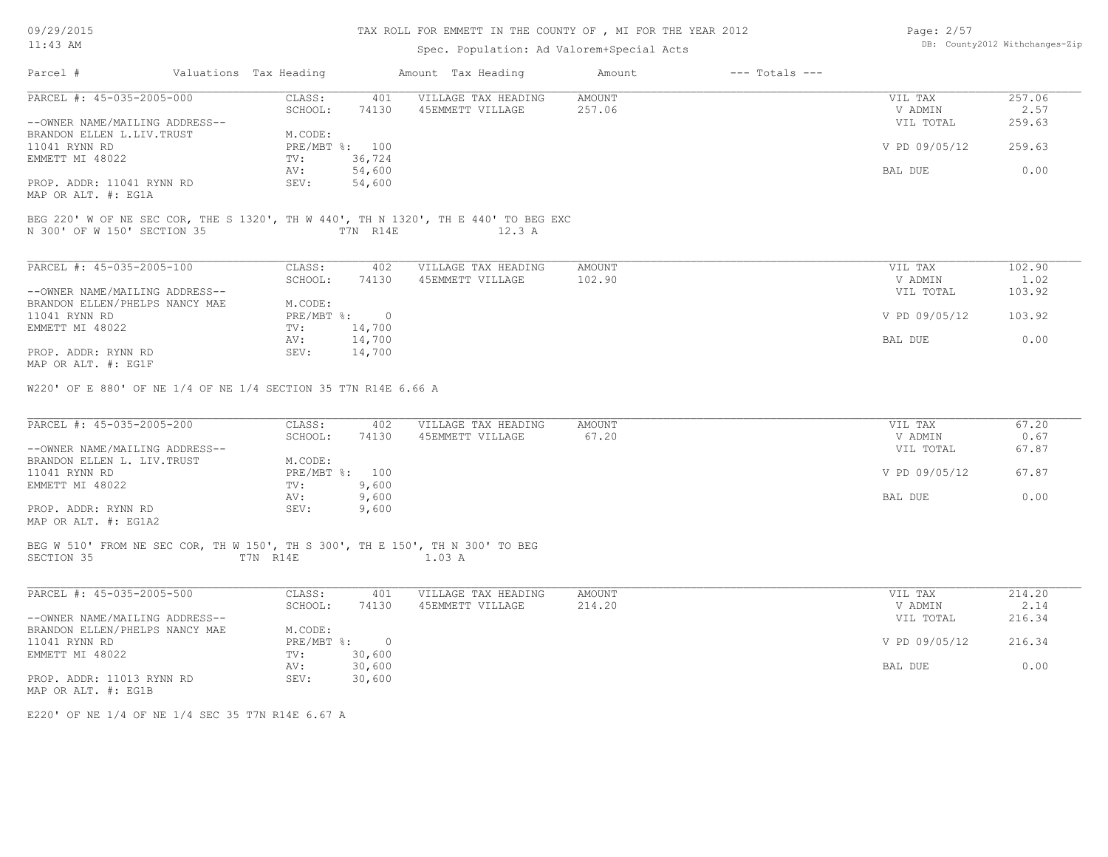# TAX ROLL FOR EMMETT IN THE COUNTY OF , MI FOR THE YEAR 2012

### Spec. Population: Ad Valorem+Special Acts

| Page: $2/57$ |                                |
|--------------|--------------------------------|
|              | DB: County2012 Withchanges-Zip |

| Parcel #                                                                                   | Valuations Tax Heading       |                  | Amount Tax Heading                                                                           | Amount                  | $---$ Totals $---$ |                                 |                          |
|--------------------------------------------------------------------------------------------|------------------------------|------------------|----------------------------------------------------------------------------------------------|-------------------------|--------------------|---------------------------------|--------------------------|
| PARCEL #: 45-035-2005-000<br>--OWNER NAME/MAILING ADDRESS--                                | CLASS:<br>SCHOOL:            | 401<br>74130     | VILLAGE TAX HEADING<br>45EMMETT VILLAGE                                                      | <b>AMOUNT</b><br>257.06 |                    | VIL TAX<br>V ADMIN<br>VIL TOTAL | 257.06<br>2.57<br>259.63 |
| BRANDON ELLEN L.LIV.TRUST<br>11041 RYNN RD                                                 | M.CODE:<br>PRE/MBT %: 100    |                  |                                                                                              |                         |                    | V PD 09/05/12                   | 259.63                   |
| EMMETT MI 48022                                                                            | TV:<br>AV:                   | 36,724<br>54,600 |                                                                                              |                         |                    | BAL DUE                         | 0.00                     |
| PROP. ADDR: 11041 RYNN RD<br>MAP OR ALT. #: EG1A                                           | SEV:                         | 54,600           |                                                                                              |                         |                    |                                 |                          |
| N 300' OF W 150' SECTION 35                                                                | T7N R14E                     |                  | BEG 220' W OF NE SEC COR, THE S 1320', TH W 440', TH N 1320', TH E 440' TO BEG EXC<br>12.3 A |                         |                    |                                 |                          |
|                                                                                            |                              |                  |                                                                                              |                         |                    |                                 |                          |
| PARCEL #: 45-035-2005-100                                                                  | CLASS:                       | 402              | VILLAGE TAX HEADING                                                                          | <b>AMOUNT</b>           |                    | VIL TAX                         | 102.90                   |
| --OWNER NAME/MAILING ADDRESS--                                                             | SCHOOL:                      | 74130            | 45EMMETT VILLAGE                                                                             | 102.90                  |                    | V ADMIN<br>VIL TOTAL            | 1.02<br>103.92           |
| BRANDON ELLEN/PHELPS NANCY MAE<br>11041 RYNN RD                                            | M.CODE:<br>PRE/MBT %: 0      |                  |                                                                                              |                         |                    | V PD 09/05/12                   | 103.92                   |
| EMMETT MI 48022                                                                            | TV: 14,700<br>AV:            | 14,700           |                                                                                              |                         |                    | BAL DUE                         | 0.00                     |
| PROP. ADDR: RYNN RD<br>MAP OR ALT. #: EG1F                                                 | SEV:                         | 14,700           |                                                                                              |                         |                    |                                 |                          |
| PARCEL #: 45-035-2005-200<br>--OWNER NAME/MAILING ADDRESS--<br>BRANDON ELLEN L. LIV. TRUST | CLASS:<br>SCHOOL:<br>M.CODE: | 402<br>74130     | VILLAGE TAX HEADING<br>45EMMETT VILLAGE                                                      | <b>AMOUNT</b><br>67.20  |                    | VIL TAX<br>V ADMIN<br>VIL TOTAL | 67.20<br>0.67<br>67.87   |
| 11041 RYNN RD<br>EMMETT MI 48022                                                           | PRE/MBT %: 100<br>TV:        | 9,600            |                                                                                              |                         |                    | V PD 09/05/12                   | 67.87                    |
|                                                                                            | AV:                          | 9,600            |                                                                                              |                         |                    | BAL DUE                         | 0.00                     |
| PROP. ADDR: RYNN RD<br>MAP OR ALT. #: EG1A2                                                | SEV:                         | 9,600            |                                                                                              |                         |                    |                                 |                          |
| SECTION 35                                                                                 | T 7N R14E 1.03 A             |                  | BEG W 510' FROM NE SEC COR, TH W 150', TH S 300', TH E 150', TH N 300' TO BEG                |                         |                    |                                 |                          |
| PARCEL #: 45-035-2005-500                                                                  | CLASS:                       | 401              | VILLAGE TAX HEADING                                                                          | AMOUNT                  |                    | VIL TAX                         | 214.20                   |
| --OWNER NAME/MAILING ADDRESS--                                                             | SCHOOL:                      | 74130            | 45EMMETT VILLAGE                                                                             | 214.20                  |                    | V ADMIN<br>VIL TOTAL            | 2.14<br>216.34           |
| BRANDON ELLEN/PHELPS NANCY MAE<br>11041 RYNN RD                                            | M.CODE:<br>PRE/MBT %: 0      |                  |                                                                                              |                         |                    | V PD 09/05/12                   | 216.34                   |
| EMMETT MI 48022                                                                            | TV:<br>AV:                   | 30,600<br>30,600 |                                                                                              |                         |                    | BAL DUE                         | 0.00                     |
| PROP. ADDR: 11013 RYNN RD<br>MAP OR ALT. #: EG1B                                           | SEV:                         | 30,600           |                                                                                              |                         |                    |                                 |                          |
| E220' OF NE 1/4 OF NE 1/4 SEC 35 T7N R14E 6.67 A                                           |                              |                  |                                                                                              |                         |                    |                                 |                          |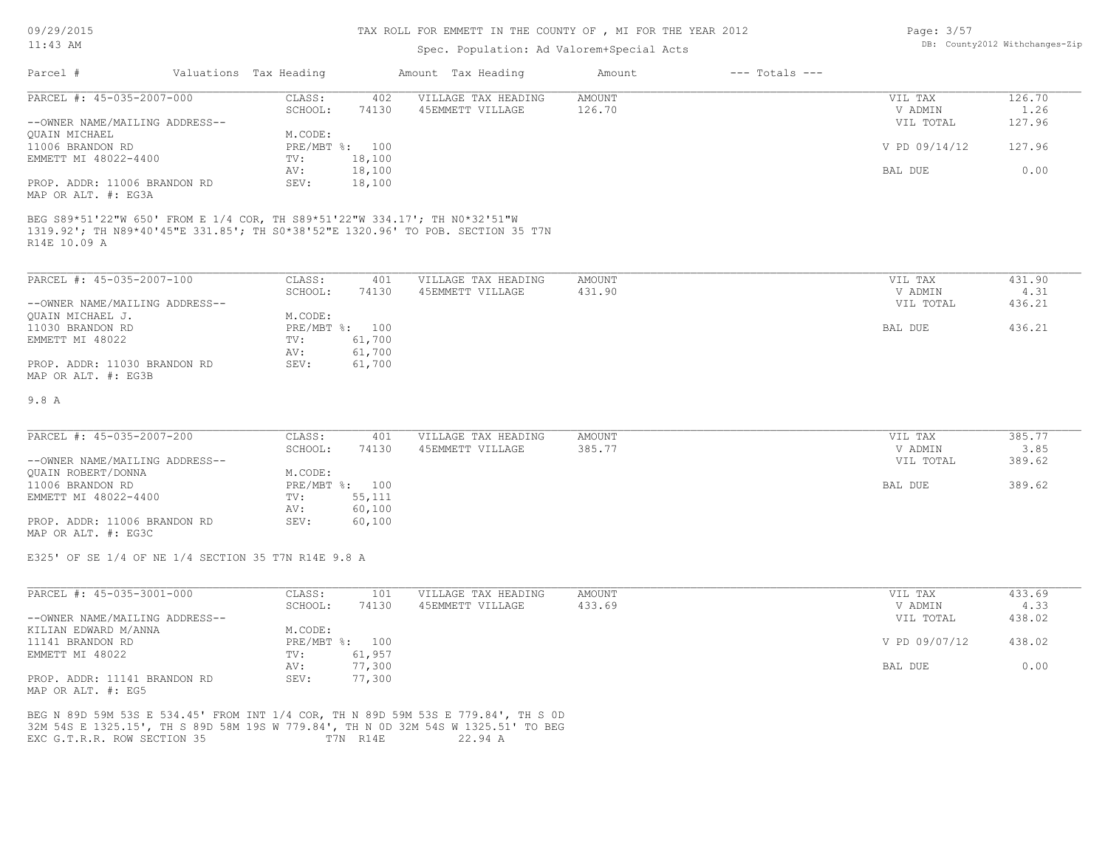#### 11:43 AM

#### TAX ROLL FOR EMMETT IN THE COUNTY OF , MI FOR THE YEAR 2012

### Spec. Population: Ad Valorem+Special Acts

| Page: $3/57$ |                                |
|--------------|--------------------------------|
|              | DB: County2012 Withchanges-Zip |

| Parcel #                       | Valuations Tax Heading |        | Amount Tax Heading  | Amount | $---$ Totals $---$ |               |        |
|--------------------------------|------------------------|--------|---------------------|--------|--------------------|---------------|--------|
| PARCEL #: 45-035-2007-000      | CLASS:                 | 402    | VILLAGE TAX HEADING | AMOUNT |                    | VIL TAX       | 126.70 |
|                                | SCHOOL:                | 74130  | 45EMMETT VILLAGE    | 126.70 |                    | V ADMIN       | 1.26   |
| --OWNER NAME/MAILING ADDRESS-- |                        |        |                     |        |                    | VIL TOTAL     | 127.96 |
| OUAIN MICHAEL                  | M.CODE:                |        |                     |        |                    |               |        |
| 11006 BRANDON RD               | PRE/MBT %: 100         |        |                     |        |                    | V PD 09/14/12 | 127.96 |
| EMMETT MI 48022-4400           | TV:                    | 18,100 |                     |        |                    |               |        |
|                                | AV:                    | 18,100 |                     |        |                    | BAL DUE       | 0.00   |
| PROP. ADDR: 11006 BRANDON RD   | SEV:                   | 18,100 |                     |        |                    |               |        |
| MAP OR ALT. #: EG3A            |                        |        |                     |        |                    |               |        |

R14E 10.09 A 1319.92'; TH N89\*40'45"E 331.85'; TH S0\*38'52"E 1320.96' TO POB. SECTION 35 T7N BEG S89\*51'22"W 650' FROM E 1/4 COR, TH S89\*51'22"W 334.17'; TH N0\*32'51"W

| PARCEL #: 45-035-2007-100      | CLASS:  | 401            | VILLAGE TAX HEADING | AMOUNT | VIL TAX   | 431.90 |
|--------------------------------|---------|----------------|---------------------|--------|-----------|--------|
|                                | SCHOOL: | 74130          | 45EMMETT VILLAGE    | 431.90 | V ADMIN   | 4.31   |
| --OWNER NAME/MAILING ADDRESS-- |         |                |                     |        | VIL TOTAL | 436.21 |
| QUAIN MICHAEL J.               | M.CODE: |                |                     |        |           |        |
| 11030 BRANDON RD               |         | PRE/MBT %: 100 |                     |        | BAL DUE   | 436.21 |
| EMMETT MI 48022                | TV:     | 61,700         |                     |        |           |        |
|                                | AV:     | 61,700         |                     |        |           |        |
| PROP. ADDR: 11030 BRANDON RD   | SEV:    | 61,700         |                     |        |           |        |
| MAP OR ALT. #: EG3B            |         |                |                     |        |           |        |

#### 9.8 A

| PARCEL #: 45-035-2007-200      | CLASS:  | 401            | VILLAGE TAX HEADING | AMOUNT | VIL TAX   | 385.77 |
|--------------------------------|---------|----------------|---------------------|--------|-----------|--------|
|                                | SCHOOL: | 74130          | 45EMMETT VILLAGE    | 385.77 | V ADMIN   | 3.85   |
| --OWNER NAME/MAILING ADDRESS-- |         |                |                     |        | VIL TOTAL | 389.62 |
| OUAIN ROBERT/DONNA             | M.CODE: |                |                     |        |           |        |
| 11006 BRANDON RD               |         | PRE/MBT %: 100 |                     |        | BAL DUE   | 389.62 |
| EMMETT MI 48022-4400           | TV:     | 55,111         |                     |        |           |        |
|                                | AV:     | 60,100         |                     |        |           |        |
| PROP. ADDR: 11006 BRANDON RD   | SEV:    | 60,100         |                     |        |           |        |
|                                |         |                |                     |        |           |        |

MAP OR ALT. #: EG3C

E325' OF SE 1/4 OF NE 1/4 SECTION 35 T7N R14E 9.8 A

| PARCEL #: 45-035-3001-000      | CLASS:     | 101    | VILLAGE TAX HEADING | AMOUNT | 433.69<br>VIL TAX       |  |
|--------------------------------|------------|--------|---------------------|--------|-------------------------|--|
|                                | SCHOOL:    | 74130  | 45EMMETT VILLAGE    | 433.69 | 4.33<br>V ADMIN         |  |
| --OWNER NAME/MAILING ADDRESS-- |            |        |                     |        | 438.02<br>VIL TOTAL     |  |
| KILIAN EDWARD M/ANNA           | M.CODE:    |        |                     |        |                         |  |
| 11141 BRANDON RD               | PRE/MBT %: | 100    |                     |        | V PD 09/07/12<br>438.02 |  |
| EMMETT MI 48022                | TV:        | 61,957 |                     |        |                         |  |
|                                | AV:        | 77,300 |                     |        | 0.00<br>BAL DUE         |  |
| PROP. ADDR: 11141 BRANDON RD   | SEV:       | 77,300 |                     |        |                         |  |
| MAP OR ALT. #: EG5             |            |        |                     |        |                         |  |

EXC G.T.R.R. ROW SECTION 35 TTN R14E 22.94 A 32M 54S E 1325.15', TH S 89D 58M 19S W 779.84', TH N 0D 32M 54S W 1325.51' TO BEG BEG N 89D 59M 53S E 534.45' FROM INT 1/4 COR, TH N 89D 59M 53S E 779.84', TH S 0D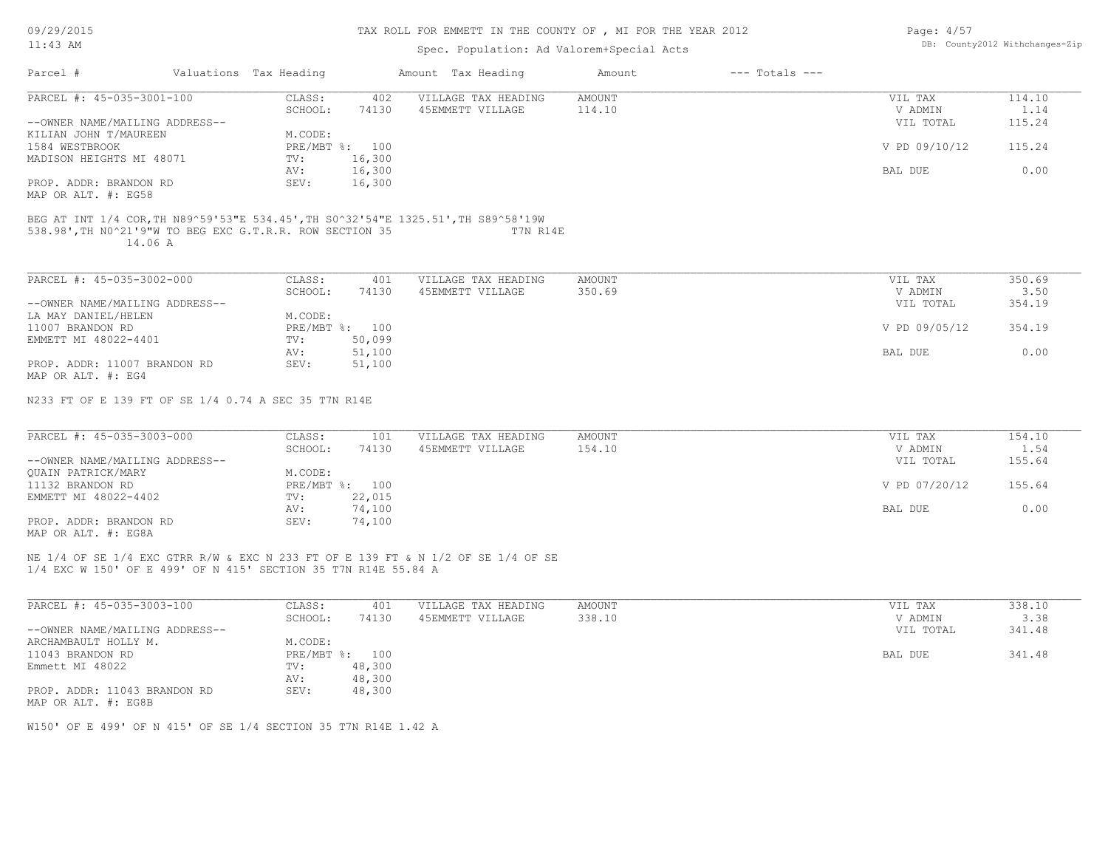# TAX ROLL FOR EMMETT IN THE COUNTY OF , MI FOR THE YEAR 2012

| Page: 4/57 |                               |
|------------|-------------------------------|
|            | DB: County2012 Withchanges-Zi |

| $11:43$ AM                                                                                                                                               |                        | Spec. Population: Ad Valorem+Special Acts | DB: County2012 Withchanges-Zip |                    |               |        |
|----------------------------------------------------------------------------------------------------------------------------------------------------------|------------------------|-------------------------------------------|--------------------------------|--------------------|---------------|--------|
| Parcel #                                                                                                                                                 | Valuations Tax Heading | Amount Tax Heading                        | Amount                         | $---$ Totals $---$ |               |        |
| PARCEL #: 45-035-3001-100                                                                                                                                | CLASS:                 | VILLAGE TAX HEADING<br>402                | <b>AMOUNT</b>                  |                    | VIL TAX       | 114.10 |
|                                                                                                                                                          | SCHOOL:                | 74130<br>45EMMETT VILLAGE                 | 114.10                         |                    | V ADMIN       | 1.14   |
| --OWNER NAME/MAILING ADDRESS--                                                                                                                           |                        |                                           |                                |                    | VIL TOTAL     | 115.24 |
| KILIAN JOHN T/MAUREEN                                                                                                                                    | M.CODE:                |                                           |                                |                    |               |        |
| 1584 WESTBROOK                                                                                                                                           | PRE/MBT %: 100         |                                           |                                |                    | V PD 09/10/12 | 115.24 |
| MADISON HEIGHTS MI 48071                                                                                                                                 | TV:                    | 16,300                                    |                                |                    |               |        |
|                                                                                                                                                          | AV:                    | 16,300                                    |                                |                    | BAL DUE       | 0.00   |
| PROP. ADDR: BRANDON RD<br>MAP OR ALT. #: EG58                                                                                                            | SEV:                   | 16,300                                    |                                |                    |               |        |
| BEG AT INT 1/4 COR, TH N89^59'53"E 534.45', TH S0^32'54"E 1325.51', TH S89^58'19W<br>538.98', TH NO^21'9"W TO BEG EXC G.T.R.R. ROW SECTION 35<br>14.06 A |                        |                                           | T7N R14E                       |                    |               |        |
| PARCEL #: 45-035-3002-000                                                                                                                                | CLASS:                 | VILLAGE TAX HEADING<br>401                | AMOUNT                         |                    | VIL TAX       | 350.69 |
|                                                                                                                                                          | SCHOOL:                | 74130<br>45EMMETT VILLAGE                 | 350.69                         |                    | V ADMIN       | 3.50   |
| --OWNER NAME/MAILING ADDRESS--                                                                                                                           |                        |                                           |                                |                    | VIL TOTAL     | 354.19 |
| LA MAY DANIEL/HELEN                                                                                                                                      | M.CODE:                |                                           |                                |                    |               |        |
| 11007 BRANDON RD                                                                                                                                         | PRE/MBT %: 100         |                                           |                                |                    | V PD 09/05/12 | 354.19 |
| EMMETT MI 48022-4401                                                                                                                                     | TV:                    | 50,099                                    |                                |                    |               |        |
|                                                                                                                                                          | AV:                    | 51,100                                    |                                |                    | BAL DUE       | 0.00   |
| PROP. ADDR: 11007 BRANDON RD                                                                                                                             | SEV:                   | 51,100                                    |                                |                    |               |        |
| MAP OR ALT. #: EG4                                                                                                                                       |                        |                                           |                                |                    |               |        |
| N233 FT OF E 139 FT OF SE 1/4 0.74 A SEC 35 T7N R14E                                                                                                     |                        |                                           |                                |                    |               |        |
| PARCEL #: 45-035-3003-000                                                                                                                                | CLASS:                 | 101<br>VILLAGE TAX HEADING                | <b>AMOUNT</b>                  |                    | VIL TAX       | 154.10 |
|                                                                                                                                                          | SCHOOL:                | 74130<br>45EMMETT VILLAGE                 | 154.10                         |                    | V ADMIN       | 1.54   |
| --OWNER NAME/MAILING ADDRESS--                                                                                                                           |                        |                                           |                                |                    | VIL TOTAL     | 155.64 |
| OUAIN PATRICK/MARY                                                                                                                                       | M.CODE:                |                                           |                                |                    |               |        |
| 11132 BRANDON RD                                                                                                                                         | PRE/MBT %: 100         |                                           |                                |                    | V PD 07/20/12 | 155.64 |
| EMMETT MI 48022-4402                                                                                                                                     | TV:                    | 22,015                                    |                                |                    |               |        |
|                                                                                                                                                          | AV:                    | 74,100                                    |                                |                    | BAL DUE       | 0.00   |
| PROP. ADDR: BRANDON RD                                                                                                                                   | SEV:                   | 74,100                                    |                                |                    |               |        |
| MAP OR ALT. #: EG8A                                                                                                                                      |                        |                                           |                                |                    |               |        |
| NE 1/4 OF SE 1/4 EXC GTRR R/W & EXC N 233 FT OF E 139 FT & N 1/2 OF SE 1/4 OF SE<br>1/4 EXC W 150' OF E 499' OF N 415' SECTION 35 T7N R14E 55.84 A       |                        |                                           |                                |                    |               |        |
|                                                                                                                                                          |                        |                                           |                                |                    |               |        |
| PARCEL #: 45-035-3003-100                                                                                                                                | CLASS:                 | 401<br>VILLAGE TAX HEADING                | AMOUNT                         |                    | VIL TAX       | 338.10 |
|                                                                                                                                                          | SCHOOL:                | 74130<br>45EMMETT VILLAGE                 | 338.10                         |                    | V ADMIN       | 3.38   |
| --OWNER NAME/MAILING ADDRESS--                                                                                                                           |                        |                                           |                                |                    | VIL TOTAL     | 341.48 |
| ARCHAMBAULT HOLLY M.                                                                                                                                     | M.CODE:                |                                           |                                |                    |               |        |
| 11043 BRANDON RD                                                                                                                                         | PRE/MBT %: 100         |                                           |                                |                    | BAL DUE       | 341.48 |
| Emmett MI 48022                                                                                                                                          | TV:                    | 48,300                                    |                                |                    |               |        |
|                                                                                                                                                          | AV:                    | 48,300                                    |                                |                    |               |        |
| PROP. ADDR: 11043 BRANDON RD                                                                                                                             | SEV:                   | 48,300                                    |                                |                    |               |        |
|                                                                                                                                                          |                        |                                           |                                |                    |               |        |

MAP OR ALT. #: EG8B

W150' OF E 499' OF N 415' OF SE 1/4 SECTION 35 T7N R14E 1.42 A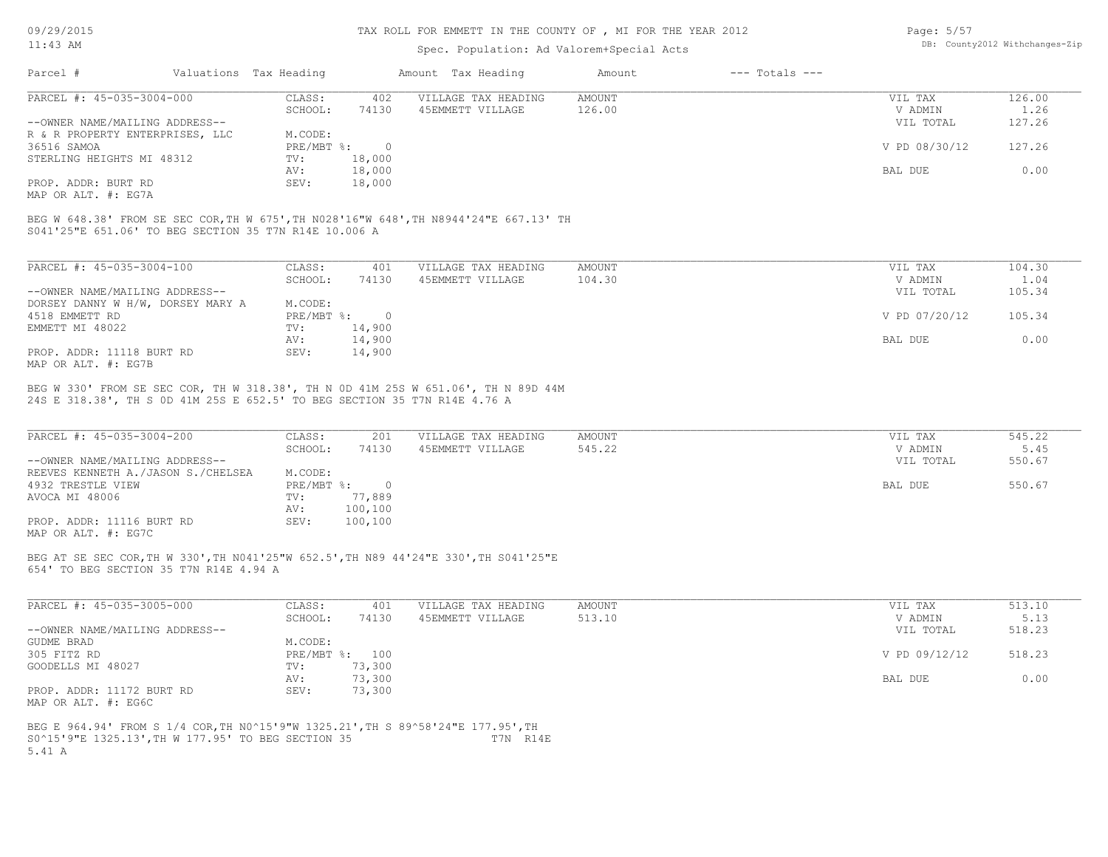#### TAX ROLL FOR EMMETT IN THE COUNTY OF , MI FOR THE YEAR 2012

### Spec. Population: Ad Valorem+Special Acts

| Page: 5/57 |                                |
|------------|--------------------------------|
|            | DB: County2012 Withchanges-Zip |

| Parcel #                        | Valuations Tax Heading |        | Amount Tax Heading  | Amount | $---$ Totals $---$ |               |        |
|---------------------------------|------------------------|--------|---------------------|--------|--------------------|---------------|--------|
| PARCEL #: 45-035-3004-000       | CLASS:                 | 402    | VILLAGE TAX HEADING | AMOUNT |                    | VIL TAX       | 126.00 |
|                                 | SCHOOL:                | 74130  | 45EMMETT VILLAGE    | 126.00 |                    | V ADMIN       | 1.26   |
| --OWNER NAME/MAILING ADDRESS--  |                        |        |                     |        |                    | VIL TOTAL     | 127.26 |
| R & R PROPERTY ENTERPRISES, LLC | M.CODE:                |        |                     |        |                    |               |        |
| 36516 SAMOA                     | PRE/MBT %:             |        |                     |        |                    | V PD 08/30/12 | 127.26 |
| STERLING HEIGHTS MI 48312       | TV:                    | 18,000 |                     |        |                    |               |        |
|                                 | AV:                    | 18,000 |                     |        |                    | BAL DUE       | 0.00   |
| PROP. ADDR: BURT RD             | SEV:                   | 18,000 |                     |        |                    |               |        |
|                                 |                        |        |                     |        |                    |               |        |

MAP OR ALT. #: EG7A

S041'25"E 651.06' TO BEG SECTION 35 T7N R14E 10.006 A BEG W 648.38' FROM SE SEC COR,TH W 675',TH N028'16"W 648',TH N8944'24"E 667.13' TH

| PARCEL #: 45-035-3004-100         | CLASS:     | 401    | VILLAGE TAX HEADING | AMOUNT | 104.30<br>VIL TAX       |
|-----------------------------------|------------|--------|---------------------|--------|-------------------------|
|                                   | SCHOOL:    | 74130  | 45EMMETT VILLAGE    | 104.30 | V ADMIN<br>1.04         |
| --OWNER NAME/MAILING ADDRESS--    |            |        |                     |        | 105.34<br>VIL TOTAL     |
| DORSEY DANNY W H/W, DORSEY MARY A | M.CODE:    |        |                     |        |                         |
| 4518 EMMETT RD                    | PRE/MBT %: |        |                     |        | V PD 07/20/12<br>105.34 |
| EMMETT MI 48022                   | TV:        | 14,900 |                     |        |                         |
|                                   | AV:        | 14,900 |                     |        | 0.00<br>BAL DUE         |
| PROP. ADDR: 11118 BURT RD         | SEV:       | 14,900 |                     |        |                         |
| MAP OR ALT. #: EG7B               |            |        |                     |        |                         |

24S E 318.38', TH S 0D 41M 25S E 652.5' TO BEG SECTION 35 T7N R14E 4.76 A BEG W 330' FROM SE SEC COR, TH W 318.38', TH N 0D 41M 25S W 651.06', TH N 89D 44M

| PARCEL #: 45-035-3004-200              | CLASS:       | 201     | VILLAGE TAX HEADING | AMOUNT | VIL TAX   | 545.22 |
|----------------------------------------|--------------|---------|---------------------|--------|-----------|--------|
|                                        | SCHOOL:      | 74130   | 45EMMETT VILLAGE    | 545.22 | V ADMIN   | 5.45   |
| --OWNER NAME/MAILING ADDRESS--         |              |         |                     |        | VIL TOTAL | 550.67 |
| REEVES KENNETH A. / JASON S. / CHELSEA | M.CODE:      |         |                     |        |           |        |
| 4932 TRESTLE VIEW                      | $PRE/MBT$ %: |         |                     |        | BAL DUE   | 550.67 |
| AVOCA MI 48006                         | TV:          | 77,889  |                     |        |           |        |
|                                        | AV:          | 100,100 |                     |        |           |        |
| PROP. ADDR: 11116 BURT RD              | SEV:         | 100,100 |                     |        |           |        |
| MAP OR ALT. #: EG7C                    |              |         |                     |        |           |        |

654' TO BEG SECTION 35 T7N R14E 4.94 A BEG AT SE SEC COR,TH W 330',TH N041'25"W 652.5',TH N89 44'24"E 330',TH S041'25"E

| PARCEL #: 45-035-3005-000      | CLASS:  | 401            | VILLAGE TAX HEADING | AMOUNT | VIL TAX       | 513.10 |
|--------------------------------|---------|----------------|---------------------|--------|---------------|--------|
|                                | SCHOOL: | 74130          | 45EMMETT VILLAGE    | 513.10 | V ADMIN       | 5.13   |
| --OWNER NAME/MAILING ADDRESS-- |         |                |                     |        | VIL TOTAL     | 518.23 |
| GUDME BRAD                     | M.CODE: |                |                     |        |               |        |
| 305 FITZ RD                    |         | PRE/MBT %: 100 |                     |        | V PD 09/12/12 | 518.23 |
| GOODELLS MI 48027              | TV:     | 73,300         |                     |        |               |        |
|                                | AV:     | 73,300         |                     |        | BAL DUE       | 0.00   |
| PROP. ADDR: 11172 BURT RD      | SEV:    | 73,300         |                     |        |               |        |
| MAP OR ALT. #: EG6C            |         |                |                     |        |               |        |

5.41 A S0^15'9"E 1325.13',TH W 177.95' TO BEG SECTION 35 T7N R14E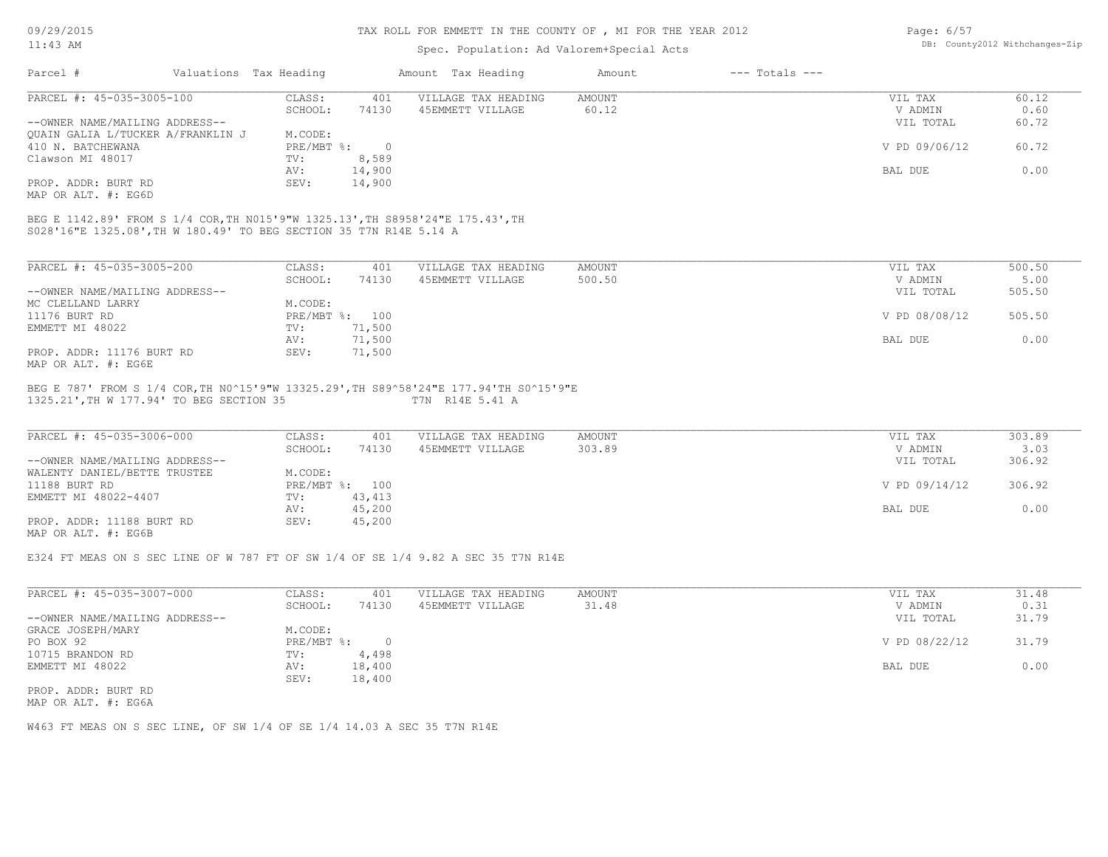#### TAX ROLL FOR EMMETT IN THE COUNTY OF , MI FOR THE YEAR 2012

## Spec. Population: Ad Valorem+Special Acts

| Page: 6/57 |                                |
|------------|--------------------------------|
|            | DB: County2012 Withchanges-Zip |

| Parcel #                                                                                                                                             | Valuations Tax Heading |                | Amount Tax Heading  | Amount        | $---$ Totals $---$ |               |        |
|------------------------------------------------------------------------------------------------------------------------------------------------------|------------------------|----------------|---------------------|---------------|--------------------|---------------|--------|
| PARCEL #: 45-035-3005-100                                                                                                                            | CLASS:                 | 401            | VILLAGE TAX HEADING | <b>AMOUNT</b> |                    | VIL TAX       | 60.12  |
|                                                                                                                                                      | SCHOOL:                | 74130          | 45EMMETT VILLAGE    | 60.12         |                    | V ADMIN       | 0.60   |
| --OWNER NAME/MAILING ADDRESS--                                                                                                                       |                        |                |                     |               |                    | VIL TOTAL     | 60.72  |
| OUAIN GALIA L/TUCKER A/FRANKLIN J                                                                                                                    | M.CODE:                |                |                     |               |                    |               |        |
| 410 N. BATCHEWANA                                                                                                                                    |                        | PRE/MBT %: 0   |                     |               |                    | V PD 09/06/12 | 60.72  |
| Clawson MI 48017                                                                                                                                     | TV:                    | 8,589          |                     |               |                    |               |        |
|                                                                                                                                                      | AV:                    | 14,900         |                     |               |                    | BAL DUE       | 0.00   |
| PROP. ADDR: BURT RD<br>MAP OR ALT. #: EG6D                                                                                                           | SEV:                   | 14,900         |                     |               |                    |               |        |
| BEG E 1142.89' FROM S 1/4 COR, TH N015'9"W 1325.13', TH S8958'24"E 175.43', TH<br>S028'16"E 1325.08', TH W 180.49' TO BEG SECTION 35 T7N R14E 5.14 A |                        |                |                     |               |                    |               |        |
| PARCEL #: 45-035-3005-200                                                                                                                            | CLASS:                 | 401            | VILLAGE TAX HEADING | <b>AMOUNT</b> |                    | VIL TAX       | 500.50 |
|                                                                                                                                                      | SCHOOL:                | 74130          | 45EMMETT VILLAGE    | 500.50        |                    | V ADMIN       | 5.00   |
| --OWNER NAME/MAILING ADDRESS--                                                                                                                       |                        |                |                     |               |                    | VIL TOTAL     | 505.50 |
| MC CLELLAND LARRY                                                                                                                                    | M.CODE:                |                |                     |               |                    |               |        |
| 11176 BURT RD                                                                                                                                        |                        | PRE/MBT %: 100 |                     |               |                    | V PD 08/08/12 | 505.50 |
| EMMETT MI 48022                                                                                                                                      | TV:                    | 71,500         |                     |               |                    |               |        |
|                                                                                                                                                      | AV:                    | 71,500         |                     |               |                    | BAL DUE       | 0.00   |
| PROP. ADDR: 11176 BURT RD                                                                                                                            | SEV:                   | 71,500         |                     |               |                    |               |        |
| MAP OR ALT. #: EG6E                                                                                                                                  |                        |                |                     |               |                    |               |        |
| BEG E 787' FROM S 1/4 COR, TH NO^15'9"W 13325.29', TH S89^58'24"E 177.94'TH SO^15'9"E<br>1325.21', TH W 177.94' TO BEG SECTION 35                    |                        |                | T7N R14E 5.41 A     |               |                    |               |        |
| PARCEL #: 45-035-3006-000                                                                                                                            | CLASS:                 | 401            | VILLAGE TAX HEADING | <b>AMOUNT</b> |                    | VIL TAX       | 303.89 |
|                                                                                                                                                      | SCHOOL:                | 74130          | 45EMMETT VILLAGE    | 303.89        |                    | V ADMIN       | 3.03   |
| --OWNER NAME/MAILING ADDRESS--                                                                                                                       |                        |                |                     |               |                    | VIL TOTAL     | 306.92 |
| WALENTY DANIEL/BETTE TRUSTEE                                                                                                                         | M.CODE:                |                |                     |               |                    |               |        |
| 11188 BURT RD                                                                                                                                        |                        | PRE/MBT %: 100 |                     |               |                    | V PD 09/14/12 | 306.92 |
| EMMETT MI 48022-4407                                                                                                                                 | TV:                    | 43,413         |                     |               |                    |               |        |
|                                                                                                                                                      |                        |                |                     |               |                    |               |        |
|                                                                                                                                                      | AV:                    | 45,200         |                     |               |                    | BAL DUE       | 0.00   |
| PROP. ADDR: 11188 BURT RD                                                                                                                            | SEV:                   | 45,200         |                     |               |                    |               |        |
| MAP OR ALT. #: EG6B                                                                                                                                  |                        |                |                     |               |                    |               |        |
| E324 FT MEAS ON S SEC LINE OF W 787 FT OF SW 1/4 OF SE 1/4 9.82 A SEC 35 T7N R14E                                                                    |                        |                |                     |               |                    |               |        |
| PARCEL #: 45-035-3007-000                                                                                                                            | CLASS:                 | 401            | VILLAGE TAX HEADING | AMOUNT        |                    | VIL TAX       | 31.48  |
|                                                                                                                                                      | SCHOOL:                | 74130          | 45EMMETT VILLAGE    | 31.48         |                    | V ADMIN       | 0.31   |
| --OWNER NAME/MAILING ADDRESS--                                                                                                                       |                        |                |                     |               |                    | VIL TOTAL     | 31.79  |

PROP. ADDR: BURT RD SEV: 18,400 EMMETT MI 48022 AV: 18,400 BAL DUE 0.00 10715 BRANDON RD TV: 4,498<br>
EMMETT MI 48022 AV: 18,400 PO BOX 92 PRE/MBT  $\frac{1}{2}$  PRE/MBT  $\frac{1}{2}$  PRE/MBT  $\frac{1}{2}$  0 GRACE JOSEPH/MARY M.CODE:

MAP OR ALT. #: EG6A

W463 FT MEAS ON S SEC LINE, OF SW 1/4 OF SE 1/4 14.03 A SEC 35 T7N R14E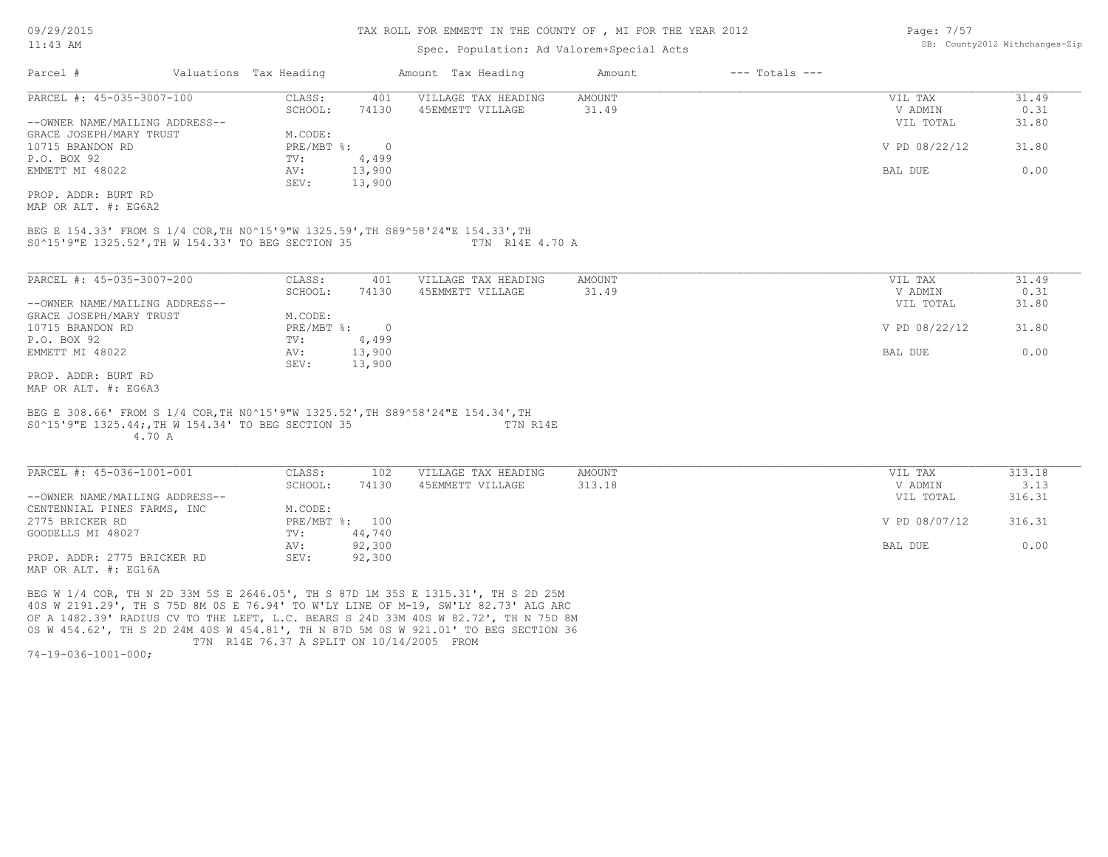| II:43 AM |                        | Spec. Population: Ad Valorem+Special Acts<br>a single and the state of the state of the state of the state of the state of the state of the state of the st |        |                    | DB: COUNCYZUIZ WICHCHANGES-ZIP |
|----------|------------------------|-------------------------------------------------------------------------------------------------------------------------------------------------------------|--------|--------------------|--------------------------------|
| Parcel   | Valuations Tax Heading | Amount Tax Heading                                                                                                                                          | Amount | $---$ Totals $---$ |                                |

| PARCEL #: 45-035-3007-100      | CLASS:     | 401    | VILLAGE TAX HEADING | AMOUNT | VIL TAX       | 31.49 |
|--------------------------------|------------|--------|---------------------|--------|---------------|-------|
|                                | SCHOOL:    | 74130  | 45EMMETT VILLAGE    | 31.49  | V ADMIN       | 0.31  |
| --OWNER NAME/MAILING ADDRESS-- |            |        |                     |        | VIL TOTAL     | 31.80 |
| GRACE JOSEPH/MARY TRUST        | M.CODE:    |        |                     |        |               |       |
| 10715 BRANDON RD               | PRE/MBT %: |        |                     |        | V PD 08/22/12 | 31.80 |
| P.O. BOX 92                    | TV:        | 4,499  |                     |        |               |       |
| EMMETT MI 48022                | AV:        | 13,900 |                     |        | BAL DUE       | 0.00  |
|                                | SEV:       | 13,900 |                     |        |               |       |
| PROP, ADDR: BURT RD            |            |        |                     |        |               |       |

MAP OR ALT. #: EG6A2

S0^15'9"E 1325.52',TH W 154.33' TO BEG SECTION 35 T7N R14E 4.70 A BEG E 154.33' FROM S 1/4 COR,TH N0^15'9"W 1325.59',TH S89^58'24"E 154.33',TH

| PARCEL #: 45-035-3007-200      | CLASS:     | 401    | VILLAGE TAX HEADING | AMOUNT | VIL TAX       | 31.49 |
|--------------------------------|------------|--------|---------------------|--------|---------------|-------|
|                                | SCHOOL:    | 74130  | 45EMMETT VILLAGE    | 31.49  | V ADMIN       | 0.31  |
| --OWNER NAME/MAILING ADDRESS-- |            |        |                     |        | VIL TOTAL     | 31.80 |
| GRACE JOSEPH/MARY TRUST        | M.CODE:    |        |                     |        |               |       |
| 10715 BRANDON RD               | PRE/MBT %: |        |                     |        | V PD 08/22/12 | 31.80 |
| P.O. BOX 92                    | TV:        | 4,499  |                     |        |               |       |
| EMMETT MI 48022                | AV:        | 13,900 |                     |        | BAL DUE       | 0.00  |
|                                | SEV:       | 13,900 |                     |        |               |       |
| PROP. ADDR: BURT RD            |            |        |                     |        |               |       |

MAP OR ALT. #: EG6A3

#### 4.70 A S0^15'9"E 1325.44;,TH W 154.34' TO BEG SECTION 35 T7N R14E BEG E 308.66' FROM S 1/4 COR,TH N0^15'9"W 1325.52',TH S89^58'24"E 154.34',TH

MAP OR ALT. #: EG16A PROP. ADDR: 2775 BRICKER RD SEV: 92,300 AV: 92,300 BAL DUE 0.00 GOODELLS MI 48027 TV: 44,740<br>AV: 92,300 2775 BRICKER RD PRE/MBT %: 100 V PD 08/07/12 316.31 CENTENNIAL PINES FARMS, INC<br>2775 BRICKER RD<br>PRE/MBT %: 100 --OWNER NAME/MAILING ADDRESS-- VIL TOTAL 316.31 SCHOOL: 74130 45EMMETT VILLAGE 313.18 313.18 V ADMIN 3.13 PARCEL #: 45-036-1001-001 CLASS: 102 VILLAGE TAX HEADING AMOUNT VIL TAX 313.18  $\mathcal{L}_\mathcal{L} = \mathcal{L}_\mathcal{L} = \mathcal{L}_\mathcal{L} = \mathcal{L}_\mathcal{L} = \mathcal{L}_\mathcal{L} = \mathcal{L}_\mathcal{L} = \mathcal{L}_\mathcal{L} = \mathcal{L}_\mathcal{L} = \mathcal{L}_\mathcal{L} = \mathcal{L}_\mathcal{L} = \mathcal{L}_\mathcal{L} = \mathcal{L}_\mathcal{L} = \mathcal{L}_\mathcal{L} = \mathcal{L}_\mathcal{L} = \mathcal{L}_\mathcal{L} = \mathcal{L}_\mathcal{L} = \mathcal{L}_\mathcal{L}$ 

 T7N R14E 76.37 A SPLIT ON 10/14/2005 FROM 0S W 454.62', TH S 2D 24M 40S W 454.81', TH N 87D 5M 0S W 921.01' TO BEG SECTION 36 OF A 1482.39' RADIUS CV TO THE LEFT, L.C. BEARS S 24D 33M 40S W 82.72', TH N 75D 8M 40S W 2191.29', TH S 75D 8M 0S E 76.94' TO W'LY LINE OF M-19, SW'LY 82.73' ALG ARC BEG W 1/4 COR, TH N 2D 33M 5S E 2646.05', TH S 87D 1M 35S E 1315.31', TH S 2D 25M

74-19-036-1001-000;

Page: 7/57 DB: County2012 Withchanges-Zip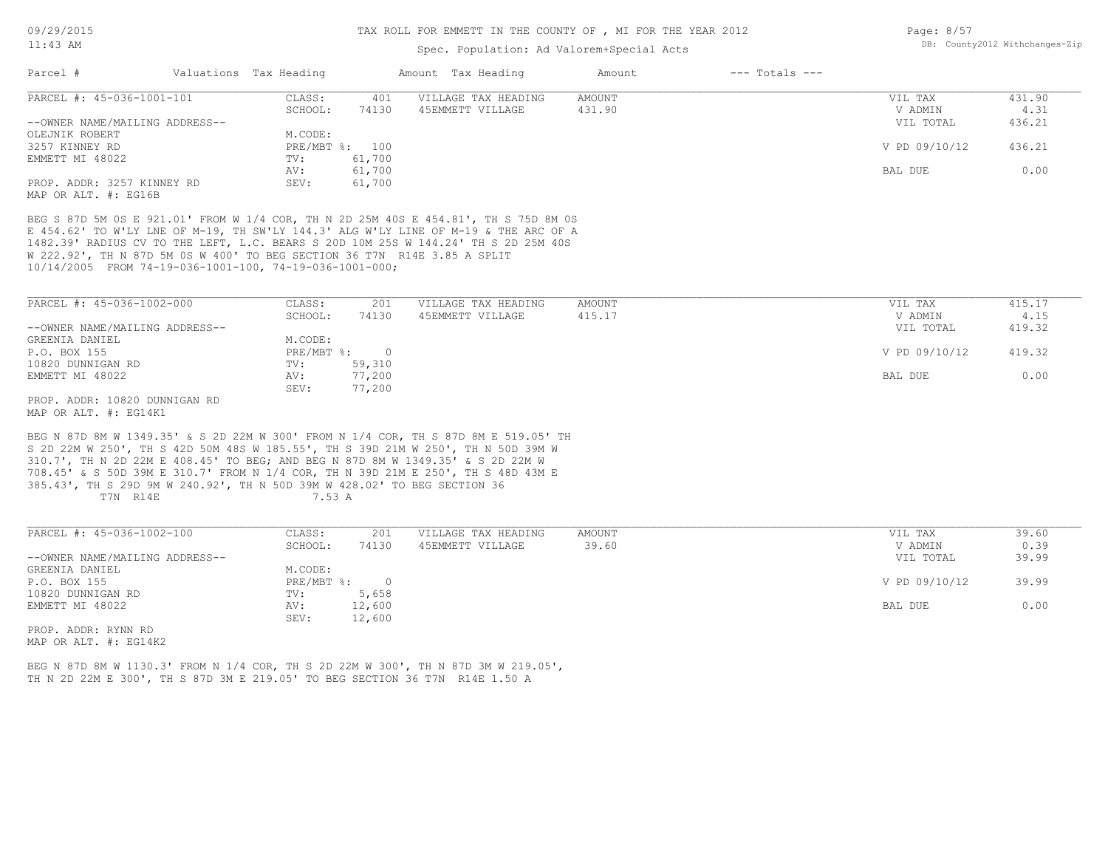#### 11:43 AM

#### TAX ROLL FOR EMMETT IN THE COUNTY OF , MI FOR THE YEAR 2012

### Spec. Population: Ad Valorem+Special Acts

| Page: $8/57$ |                                |
|--------------|--------------------------------|
|              | DB: County2012 Withchanges-Zip |

| Parcel #                       | Valuations Tax Heading |        | Amount Tax Heading  | Amount | $---$ Totals $---$ |               |        |
|--------------------------------|------------------------|--------|---------------------|--------|--------------------|---------------|--------|
| PARCEL #: 45-036-1001-101      | CLASS:                 | 401    | VILLAGE TAX HEADING | AMOUNT |                    | VIL TAX       | 431.90 |
|                                | SCHOOL:                | 74130  | 45EMMETT VILLAGE    | 431.90 |                    | V ADMIN       | 4.31   |
| --OWNER NAME/MAILING ADDRESS-- |                        |        |                     |        |                    | VIL TOTAL     | 436.21 |
| OLEJNIK ROBERT                 | M.CODE:                |        |                     |        |                    |               |        |
| 3257 KINNEY RD                 | PRE/MBT %: 100         |        |                     |        |                    | V PD 09/10/12 | 436.21 |
| EMMETT MI 48022                | TV:                    | 61,700 |                     |        |                    |               |        |
|                                | AV:                    | 61,700 |                     |        |                    | BAL DUE       | 0.00   |
| PROP. ADDR: 3257 KINNEY RD     | SEV:                   | 61,700 |                     |        |                    |               |        |
| MAP OR ALT. #: EG16B           |                        |        |                     |        |                    |               |        |

10/14/2005 FROM 74-19-036-1001-100, 74-19-036-1001-000; W 222.92', TH N 87D 5M 0S W 400' TO BEG SECTION 36 T7N R14E 3.85 A SPLIT 1482.39' RADIUS CV TO THE LEFT, L.C. BEARS S 20D 10M 25S W 144.24' TH S 2D 25M 40S E 454.62' TO W'LY LNE OF M-19, TH SW'LY 144.3' ALG W'LY LINE OF M-19 & THE ARC OF A BEG S 87D 5M 0S E 921.01' FROM W 1/4 COR, TH N 2D 25M 40S E 454.81', TH S 75D 8M 0S

| PARCEL #: 45-036-1002-000      | CLASS:       | 201    | VILLAGE TAX HEADING | AMOUNT | VIL TAX       | 415.17 |
|--------------------------------|--------------|--------|---------------------|--------|---------------|--------|
|                                | SCHOOL:      | 74130  | 45EMMETT VILLAGE    | 415.17 | V ADMIN       | 4.15   |
| --OWNER NAME/MAILING ADDRESS-- |              |        |                     |        | VIL TOTAL     | 419.32 |
| GREENIA DANIEL                 | M.CODE:      |        |                     |        |               |        |
| P.O. BOX 155                   | $PRE/MBT$ %: |        |                     |        | V PD 09/10/12 | 419.32 |
| 10820 DUNNIGAN RD              | TV:          | 59,310 |                     |        |               |        |
| EMMETT MI 48022                | AV:          | 77,200 |                     |        | BAL DUE       | 0.00   |
|                                | SEV:         | 77,200 |                     |        |               |        |
| PROP. ADDR: 10820 DUNNIGAN RD  |              |        |                     |        |               |        |

MAP OR ALT. #: EG14K1

T7N R14E 7.53 A 385.43', TH S 29D 9M W 240.92', TH N 50D 39M W 428.02' TO BEG SECTION 36 708.45' & S 50D 39M E 310.7' FROM N 1/4 COR, TH N 39D 21M E 250', TH S 48D 43M E 310.7', TH N 2D 22M E 408.45' TO BEG; AND BEG N 87D 8M W 1349.35' & S 2D 22M W S 2D 22M W 250', TH S 42D 50M 48S W 185.55', TH S 39D 21M W 250', TH N 50D 39M W BEG N 87D 8M W 1349.35' & S 2D 22M W 300' FROM N 1/4 COR, TH S 87D 8M E 519.05' TH

| PARCEL #: 45-036-1002-100      | CLASS:     | 201    | VILLAGE TAX HEADING | AMOUNT | VIL TAX       | 39.60 |
|--------------------------------|------------|--------|---------------------|--------|---------------|-------|
|                                | SCHOOL:    | 74130  | 45EMMETT VILLAGE    | 39.60  | V ADMIN       | 0.39  |
| --OWNER NAME/MAILING ADDRESS-- |            |        |                     |        | VIL TOTAL     | 39.99 |
| GREENIA DANIEL                 | M.CODE:    |        |                     |        |               |       |
| P.O. BOX 155                   | PRE/MBT %: |        |                     |        | V PD 09/10/12 | 39.99 |
| 10820 DUNNIGAN RD              | TV:        | 5,658  |                     |        |               |       |
| EMMETT MI 48022                | AV:        | 12,600 |                     |        | BAL DUE       | 0.00  |
|                                | SEV:       | 12,600 |                     |        |               |       |
| PROP. ADDR: RYNN RD            |            |        |                     |        |               |       |

MAP OR ALT. #: EG14K2

TH N 2D 22M E 300', TH S 87D 3M E 219.05' TO BEG SECTION 36 T7N R14E 1.50 A BEG N 87D 8M W 1130.3' FROM N 1/4 COR, TH S 2D 22M W 300', TH N 87D 3M W 219.05',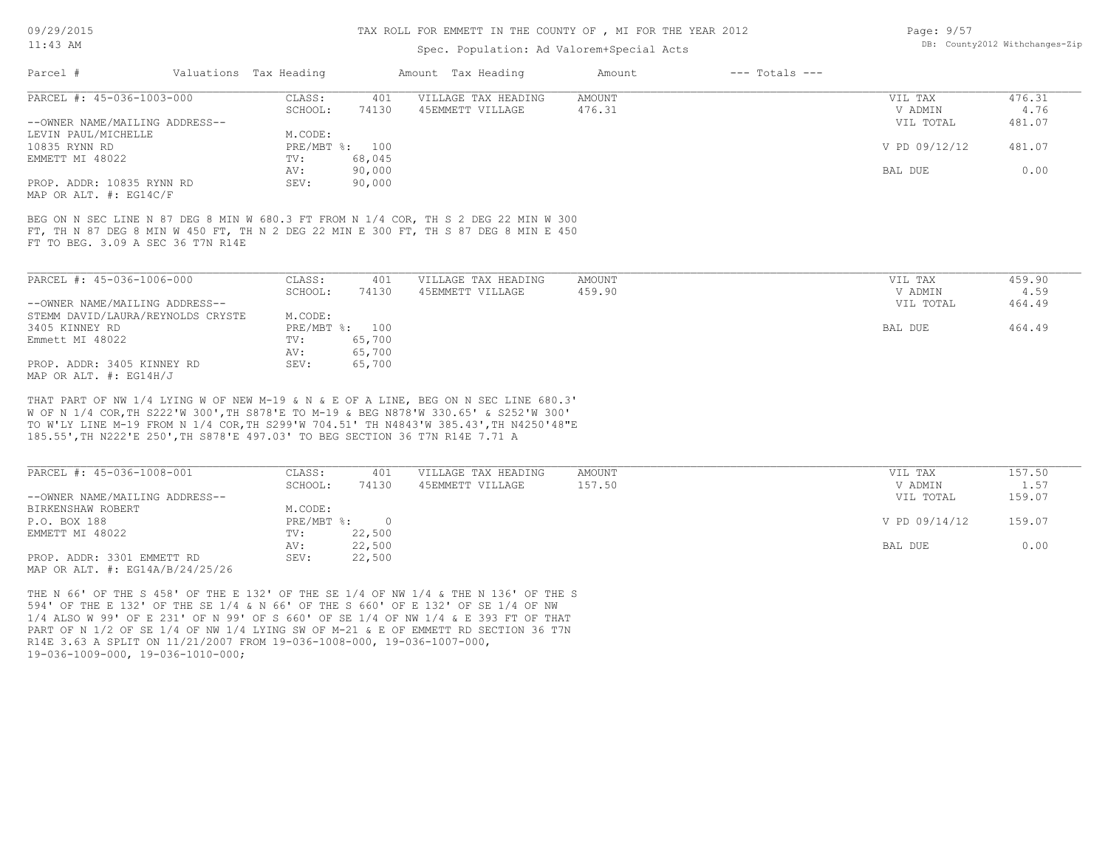#### 11:43 AM

#### TAX ROLL FOR EMMETT IN THE COUNTY OF , MI FOR THE YEAR 2012

### Spec. Population: Ad Valorem+Special Acts

| Page: $9/57$ |                                |
|--------------|--------------------------------|
|              | DB: County2012 Withchanges-Zip |

| Parcel #                       | Valuations Tax Heading |                | Amount Tax Heading  | Amount | $---$ Totals $---$ |               |        |
|--------------------------------|------------------------|----------------|---------------------|--------|--------------------|---------------|--------|
| PARCEL #: 45-036-1003-000      | CLASS:                 | 401            | VILLAGE TAX HEADING | AMOUNT |                    | VIL TAX       | 476.31 |
|                                | SCHOOL:                | 74130          | 45EMMETT VILLAGE    | 476.31 |                    | V ADMIN       | 4.76   |
| --OWNER NAME/MAILING ADDRESS-- |                        |                |                     |        |                    | VIL TOTAL     | 481.07 |
| LEVIN PAUL/MICHELLE            | M.CODE:                |                |                     |        |                    |               |        |
| 10835 RYNN RD                  |                        | PRE/MBT %: 100 |                     |        |                    | V PD 09/12/12 | 481.07 |
| EMMETT MI 48022                | TV:                    | 68,045         |                     |        |                    |               |        |
|                                | AV:                    | 90,000         |                     |        |                    | BAL DUE       | 0.00   |
| PROP. ADDR: 10835 RYNN RD      | SEV:                   | 90,000         |                     |        |                    |               |        |
| MAP OR ALT. #: EG14C/F         |                        |                |                     |        |                    |               |        |
|                                |                        |                |                     |        |                    |               |        |
|                                |                        |                |                     |        |                    |               |        |

FT TO BEG. 3.09 A SEC 36 T7N R14E FT, TH N 87 DEG 8 MIN W 450 FT, TH N 2 DEG 22 MIN E 300 FT, TH S 87 DEG 8 MIN E 450 BEG ON N SEC LINE N 87 DEG 8 MIN W 680.3 FT FROM N 1/4 COR, TH S 2 DEG 22 MIN W 300

| PARCEL #: 45-036-1006-000         | CLASS:  | 401            | VILLAGE TAX HEADING | AMOUNT | VIL TAX   | 459.90 |
|-----------------------------------|---------|----------------|---------------------|--------|-----------|--------|
|                                   | SCHOOL: | 74130          | 45EMMETT VILLAGE    | 459.90 | V ADMIN   | 4.59   |
| --OWNER NAME/MAILING ADDRESS--    |         |                |                     |        | VIL TOTAL | 464.49 |
| STEMM DAVID/LAURA/REYNOLDS CRYSTE | M.CODE: |                |                     |        |           |        |
| 3405 KINNEY RD                    |         | PRE/MBT %: 100 |                     |        | BAL DUE   | 464.49 |
| Emmett MI 48022                   | TV:     | 65,700         |                     |        |           |        |
|                                   | AV:     | 65,700         |                     |        |           |        |
| PROP. ADDR: 3405 KINNEY RD        | SEV:    | 65,700         |                     |        |           |        |
| MAP OR ALT. $\#$ : EG14H/J        |         |                |                     |        |           |        |

185.55',TH N222'E 250',TH S878'E 497.03' TO BEG SECTION 36 T7N R14E 7.71 A TO W'LY LINE M-19 FROM N 1/4 COR,TH S299'W 704.51' TH N4843'W 385.43',TH N4250'48"E W OF N 1/4 COR,TH S222'W 300',TH S878'E TO M-19 & BEG N878'W 330.65' & S252'W 300' THAT PART OF NW 1/4 LYING W OF NEW M-19 & N & E OF A LINE, BEG ON N SEC LINE 680.3'

| PARCEL #: 45-036-1008-001           | CLASS:     | 401    | VILLAGE TAX HEADING | AMOUNT | VIL TAX       | 157.50 |
|-------------------------------------|------------|--------|---------------------|--------|---------------|--------|
|                                     | SCHOOL:    | 74130  | 45EMMETT VILLAGE    | 157.50 | V ADMIN       | 1.57   |
| --OWNER NAME/MAILING ADDRESS--      |            |        |                     |        | VIL TOTAL     | 159.07 |
| BIRKENSHAW ROBERT                   | M.CODE:    |        |                     |        |               |        |
| P.O. BOX 188                        | PRE/MBT %: |        |                     |        | V PD 09/14/12 | 159.07 |
| EMMETT MI 48022                     | TV:        | 22,500 |                     |        |               |        |
|                                     | AV:        | 22,500 |                     |        | BAL DUE       | 0.00   |
| PROP. ADDR: 3301 EMMETT RD          | SEV:       | 22,500 |                     |        |               |        |
| MAP OR ALT. $\#$ : EG14A/B/24/25/26 |            |        |                     |        |               |        |

19-036-1009-000, 19-036-1010-000; R14E 3.63 A SPLIT ON 11/21/2007 FROM 19-036-1008-000, 19-036-1007-000, PART OF N 1/2 OF SE 1/4 OF NW 1/4 LYING SW OF M-21 & E OF EMMETT RD SECTION 36 T7N 1/4 ALSO W 99' OF E 231' OF N 99' OF S 660' OF SE 1/4 OF NW 1/4 & E 393 FT OF THAT 594' OF THE E 132' OF THE SE 1/4 & N 66' OF THE S 660' OF E 132' OF SE 1/4 OF NW THE N 66' OF THE S 458' OF THE E 132' OF THE SE 1/4 OF NW 1/4 & THE N 136' OF THE S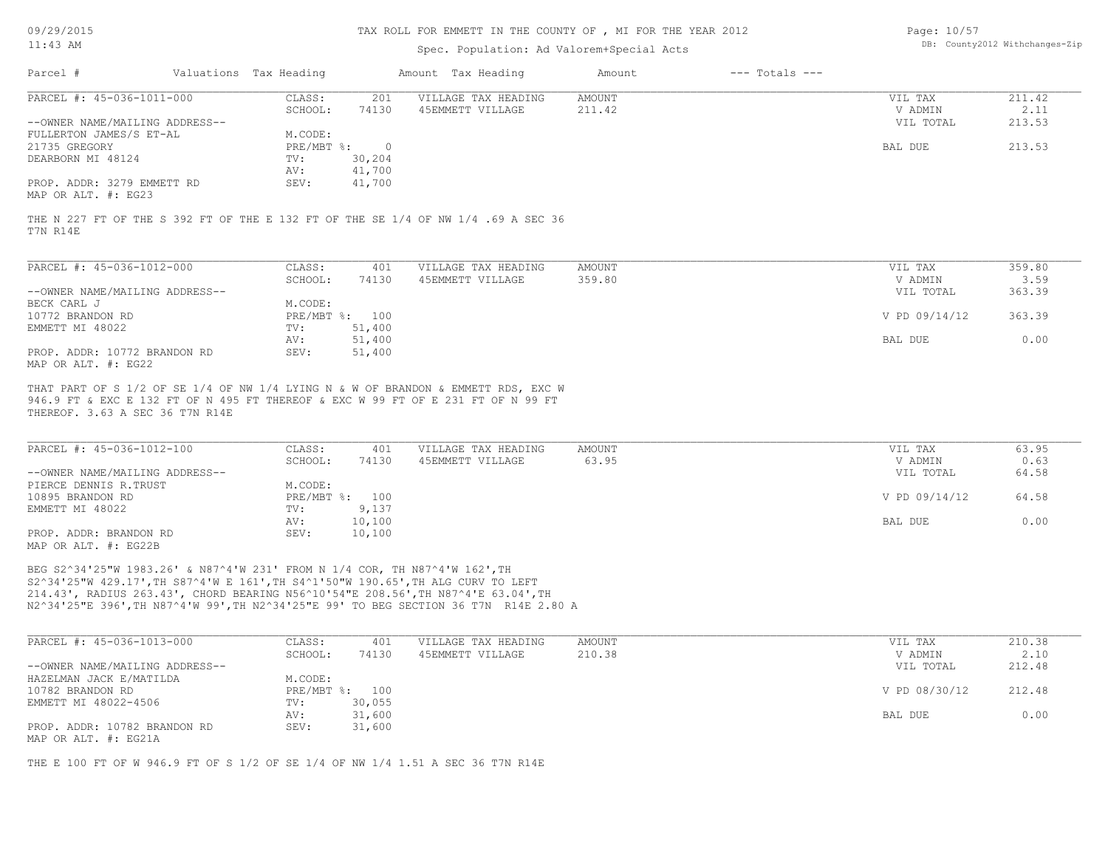#### TAX ROLL FOR EMMETT IN THE COUNTY OF , MI FOR THE YEAR 2012

### Spec. Population: Ad Valorem+Special Acts

Page: 10/57 DB: County2012 Withchanges-Zip

| Parcel #                       | Valuations Tax Heading |        | Amount Tax Heading  | Amount | $---$ Totals $---$ |           |        |
|--------------------------------|------------------------|--------|---------------------|--------|--------------------|-----------|--------|
| PARCEL #: 45-036-1011-000      | CLASS:                 | 201    | VILLAGE TAX HEADING | AMOUNT |                    | VIL TAX   | 211.42 |
|                                | SCHOOL:                | 74130  | 45EMMETT VILLAGE    | 211.42 |                    | V ADMIN   | 2.11   |
| --OWNER NAME/MAILING ADDRESS-- |                        |        |                     |        |                    | VIL TOTAL | 213.53 |
| FULLERTON JAMES/S ET-AL        | M.CODE:                |        |                     |        |                    |           |        |
| 21735 GREGORY                  | PRE/MBT %:             |        |                     |        |                    | BAL DUE   | 213.53 |
| DEARBORN MI 48124              | TV:                    | 30,204 |                     |        |                    |           |        |
|                                | AV:                    | 41,700 |                     |        |                    |           |        |
| PROP. ADDR: 3279 EMMETT RD     | SEV:                   | 41,700 |                     |        |                    |           |        |
| MAP OR ALT. #: EG23            |                        |        |                     |        |                    |           |        |

T7N R14E THE N 227 FT OF THE S 392 FT OF THE E 132 FT OF THE SE 1/4 OF NW 1/4 .69 A SEC 36

| PARCEL #: 45-036-1012-000      | CLASS:  | 401            | VILLAGE TAX HEADING | AMOUNT | VIL TAX       | 359.80 |
|--------------------------------|---------|----------------|---------------------|--------|---------------|--------|
|                                | SCHOOL: | 74130          | 45EMMETT VILLAGE    | 359.80 | V ADMIN       | 3.59   |
| --OWNER NAME/MAILING ADDRESS-- |         |                |                     |        | VIL TOTAL     | 363.39 |
| BECK CARL J                    | M.CODE: |                |                     |        |               |        |
| 10772 BRANDON RD               |         | PRE/MBT %: 100 |                     |        | V PD 09/14/12 | 363.39 |
| EMMETT MI 48022                | TV:     | 51,400         |                     |        |               |        |
|                                | AV:     | 51,400         |                     |        | BAL DUE       | 0.00   |
| PROP. ADDR: 10772 BRANDON RD   | SEV:    | 51,400         |                     |        |               |        |
| MAP OR ALT. #: EG22            |         |                |                     |        |               |        |

THEREOF. 3.63 A SEC 36 T7N R14E 946.9 FT & EXC E 132 FT OF N 495 FT THEREOF & EXC W 99 FT OF E 231 FT OF N 99 FT THAT PART OF S 1/2 OF SE 1/4 OF NW 1/4 LYING N & W OF BRANDON & EMMETT RDS, EXC W

| PARCEL #: 45-036-1012-100      | CLASS:  | 401            | VILLAGE TAX HEADING | AMOUNT | VIL TAX       | 63.95 |
|--------------------------------|---------|----------------|---------------------|--------|---------------|-------|
|                                | SCHOOL: | 74130          | 45EMMETT VILLAGE    | 63.95  | V ADMIN       | 0.63  |
| --OWNER NAME/MAILING ADDRESS-- |         |                |                     |        | VIL TOTAL     | 64.58 |
| PIERCE DENNIS R.TRUST          | M.CODE: |                |                     |        |               |       |
| 10895 BRANDON RD               |         | PRE/MBT %: 100 |                     |        | V PD 09/14/12 | 64.58 |
| EMMETT MI 48022                | TV:     | 9,137          |                     |        |               |       |
|                                | AV:     | 10,100         |                     |        | BAL DUE       | 0.00  |
| PROP. ADDR: BRANDON RD         | SEV:    | 10,100         |                     |        |               |       |
| MAP OR ALT. #: EG22B           |         |                |                     |        |               |       |

N2^34'25"E 396',TH N87^4'W 99',TH N2^34'25"E 99' TO BEG SECTION 36 T7N R14E 2.80 A 214.43', RADIUS 263.43', CHORD BEARING N56^10'54"E 208.56',TH N87^4'E 63.04',TH S2^34'25"W 429.17',TH S87^4'W E 161',TH S4^1'50"W 190.65',TH ALG CURV TO LEFT BEG S2^34'25"W 1983.26' & N87^4'W 231' FROM N 1/4 COR, TH N87^4'W 162',TH

| PARCEL #: 45-036-1013-000      | CLASS:  | 401            | VILLAGE TAX HEADING | AMOUNT | VIL TAX       | 210.38 |
|--------------------------------|---------|----------------|---------------------|--------|---------------|--------|
|                                | SCHOOL: | 74130          | 45EMMETT VILLAGE    | 210.38 | V ADMIN       | 2.10   |
| --OWNER NAME/MAILING ADDRESS-- |         |                |                     |        | VIL TOTAL     | 212.48 |
| HAZELMAN JACK E/MATILDA        | M.CODE: |                |                     |        |               |        |
| 10782 BRANDON RD               |         | PRE/MBT %: 100 |                     |        | V PD 08/30/12 | 212.48 |
| EMMETT MI 48022-4506           | TV:     | 30,055         |                     |        |               |        |
|                                | AV:     | 31,600         |                     |        | BAL DUE       | 0.00   |
| PROP. ADDR: 10782 BRANDON RD   | SEV:    | 31,600         |                     |        |               |        |
| MAP OR ALT. #: EG21A           |         |                |                     |        |               |        |

THE E 100 FT OF W 946.9 FT OF S 1/2 OF SE 1/4 OF NW 1/4 1.51 A SEC 36 T7N R14E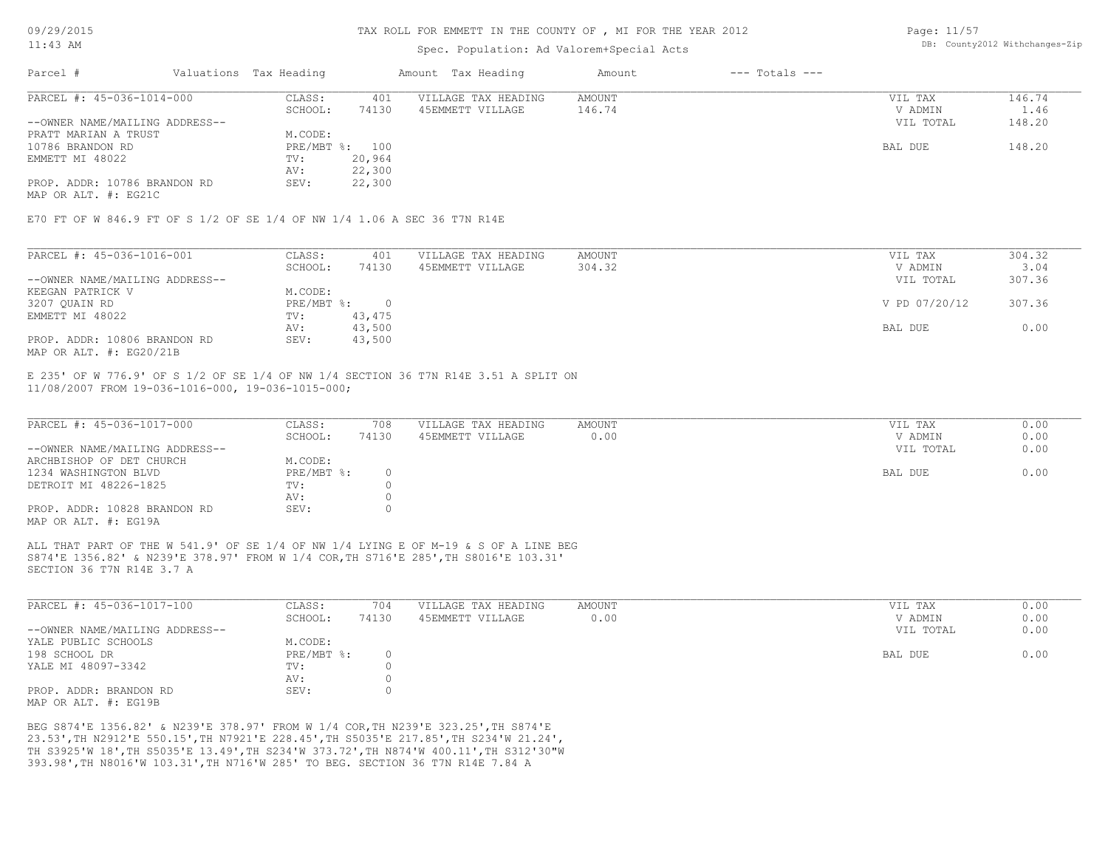#### TAX ROLL FOR EMMETT IN THE COUNTY OF , MI FOR THE YEAR 2012

### Spec. Population: Ad Valorem+Special Acts

Page: 11/57 DB: County2012 Withchanges-Zip

| Parcel #                       | Valuations Tax Heading |        | Amount Tax Heading  | Amount | $---$ Totals $---$ |           |        |
|--------------------------------|------------------------|--------|---------------------|--------|--------------------|-----------|--------|
| PARCEL #: 45-036-1014-000      | CLASS:                 | 401    | VILLAGE TAX HEADING | AMOUNT |                    | VIL TAX   | 146.74 |
|                                | SCHOOL:                | 74130  | 45EMMETT VILLAGE    | 146.74 |                    | V ADMIN   | 1.46   |
| --OWNER NAME/MAILING ADDRESS-- |                        |        |                     |        |                    | VIL TOTAL | 148.20 |
| PRATT MARIAN A TRUST           | M.CODE:                |        |                     |        |                    |           |        |
| 10786 BRANDON RD               | PRE/MBT %: 100         |        |                     |        |                    | BAL DUE   | 148.20 |
| EMMETT MI 48022                | TV:                    | 20,964 |                     |        |                    |           |        |
|                                | AV:                    | 22,300 |                     |        |                    |           |        |
| PROP. ADDR: 10786 BRANDON RD   | SEV:                   | 22,300 |                     |        |                    |           |        |

MAP OR ALT. #: EG21C

E70 FT OF W 846.9 FT OF S 1/2 OF SE 1/4 OF NW 1/4 1.06 A SEC 36 T7N R14E

| PARCEL #: 45-036-1016-001      | CLASS:     | 401    | VILLAGE TAX HEADING | AMOUNT | VIL TAX       | 304.32 |
|--------------------------------|------------|--------|---------------------|--------|---------------|--------|
|                                | SCHOOL:    | 74130  | 45EMMETT VILLAGE    | 304.32 | V ADMIN       | 3.04   |
| --OWNER NAME/MAILING ADDRESS-- |            |        |                     |        | VIL TOTAL     | 307.36 |
| KEEGAN PATRICK V               | M.CODE:    |        |                     |        |               |        |
| 3207 QUAIN RD                  | PRE/MBT %: |        |                     |        | V PD 07/20/12 | 307.36 |
| EMMETT MI 48022                | TV:        | 43,475 |                     |        |               |        |
|                                | AV:        | 43,500 |                     |        | BAL DUE       | 0.00   |
| PROP. ADDR: 10806 BRANDON RD   | SEV:       | 43,500 |                     |        |               |        |
| MAP OR ALT. $\#$ : EG20/21B    |            |        |                     |        |               |        |

11/08/2007 FROM 19-036-1016-000, 19-036-1015-000; E 235' OF W 776.9' OF S 1/2 OF SE 1/4 OF NW 1/4 SECTION 36 T7N R14E 3.51 A SPLIT ON

| PARCEL #: 45-036-1017-000      | CLASS:     | 708   | VILLAGE TAX HEADING | AMOUNT | VIL TAX   | 0.00 |
|--------------------------------|------------|-------|---------------------|--------|-----------|------|
|                                | SCHOOL:    | 74130 | 45EMMETT VILLAGE    | 0.00   | V ADMIN   | 0.00 |
| --OWNER NAME/MAILING ADDRESS-- |            |       |                     |        | VIL TOTAL | 0.00 |
| ARCHBISHOP OF DET CHURCH       | M.CODE:    |       |                     |        |           |      |
| 1234 WASHINGTON BLVD           | PRE/MBT %: |       |                     |        | BAL DUE   | 0.00 |
| DETROIT MI 48226-1825          | TV:        |       |                     |        |           |      |
|                                | AV:        |       |                     |        |           |      |
| PROP. ADDR: 10828 BRANDON RD   | SEV:       |       |                     |        |           |      |
| MAP OR ALT. #: EG19A           |            |       |                     |        |           |      |

SECTION 36 T7N R14E 3.7 A S874'E 1356.82' & N239'E 378.97' FROM W 1/4 COR,TH S716'E 285',TH S8016'E 103.31' ALL THAT PART OF THE W 541.9' OF SE 1/4 OF NW 1/4 LYING E OF M-19 & S OF A LINE BEG

| PARCEL #: 45-036-1017-100      | CLASS:       | 704   | VILLAGE TAX HEADING | AMOUNT | VIL TAX   | 0.00 |
|--------------------------------|--------------|-------|---------------------|--------|-----------|------|
|                                | SCHOOL:      | 74130 | 45EMMETT VILLAGE    | 0.00   | V ADMIN   | 0.00 |
| --OWNER NAME/MAILING ADDRESS-- |              |       |                     |        | VIL TOTAL | 0.00 |
| YALE PUBLIC SCHOOLS            | M.CODE:      |       |                     |        |           |      |
| 198 SCHOOL DR                  | $PRE/MBT$ %: |       |                     |        | BAL DUE   | 0.00 |
| YALE MI 48097-3342             | TV:          |       |                     |        |           |      |
|                                | AV:          |       |                     |        |           |      |
| PROP. ADDR: BRANDON RD         | SEV:         |       |                     |        |           |      |
| MAP OR ALT. #: EG19B           |              |       |                     |        |           |      |

393.98',TH N8016'W 103.31',TH N716'W 285' TO BEG. SECTION 36 T7N R14E 7.84 A TH S3925'W 18',TH S5035'E 13.49',TH S234'W 373.72',TH N874'W 400.11',TH S312'30"W 23.53',TH N2912'E 550.15',TH N7921'E 228.45',TH S5035'E 217.85',TH S234'W 21.24', BEG S874'E 1356.82' & N239'E 378.97' FROM W 1/4 COR,TH N239'E 323.25',TH S874'E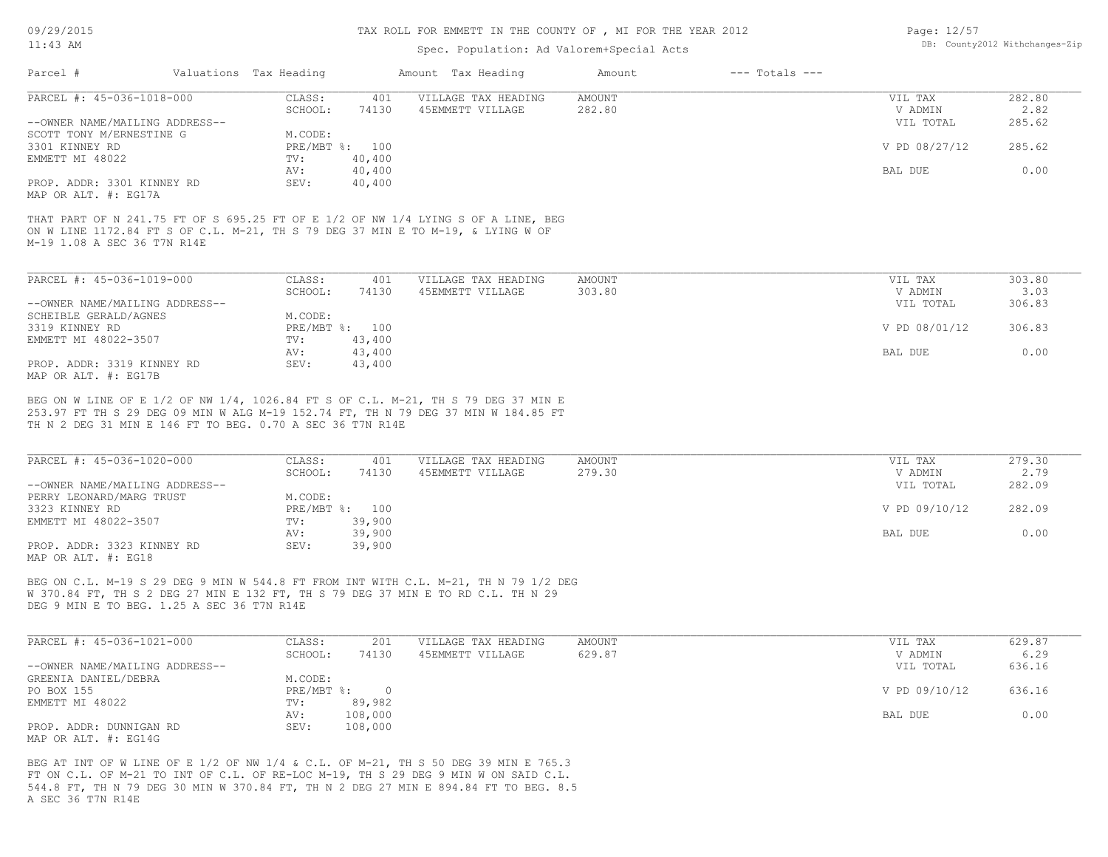#### TAX ROLL FOR EMMETT IN THE COUNTY OF , MI FOR THE YEAR 2012

### Spec. Population: Ad Valorem+Special Acts

| Page: 12/57 |                                |
|-------------|--------------------------------|
|             | DB: County2012 Withchanges-Zip |

| Parcel #                       | Valuations Tax Heading |        | Amount Tax Heading  | Amount | $---$ Totals $---$ |               |        |
|--------------------------------|------------------------|--------|---------------------|--------|--------------------|---------------|--------|
| PARCEL #: 45-036-1018-000      | CLASS:                 | 401    | VILLAGE TAX HEADING | AMOUNT |                    | VIL TAX       | 282.80 |
|                                | SCHOOL:                | 74130  | 45EMMETT VILLAGE    | 282.80 |                    | V ADMIN       | 2.82   |
| --OWNER NAME/MAILING ADDRESS-- |                        |        |                     |        |                    | VIL TOTAL     | 285.62 |
| SCOTT TONY M/ERNESTINE G       | M.CODE:                |        |                     |        |                    |               |        |
| 3301 KINNEY RD                 | PRE/MBT %: 100         |        |                     |        |                    | V PD 08/27/12 | 285.62 |
| EMMETT MI 48022                | TV:                    | 40,400 |                     |        |                    |               |        |
|                                | AV:                    | 40,400 |                     |        |                    | BAL DUE       | 0.00   |
| PROP. ADDR: 3301 KINNEY RD     | SEV:                   | 40,400 |                     |        |                    |               |        |
| MAP OR ALT. #: EG17A           |                        |        |                     |        |                    |               |        |

M-19 1.08 A SEC 36 T7N R14E ON W LINE 1172.84 FT S OF C.L. M-21, TH S 79 DEG 37 MIN E TO M-19, & LYING W OF THAT PART OF N 241.75 FT OF S 695.25 FT OF E 1/2 OF NW 1/4 LYING S OF A LINE, BEG

| PARCEL #: 45-036-1019-000      | CLASS:  | 401            | VILLAGE TAX HEADING | AMOUNT | VIL TAX       | 303.80 |
|--------------------------------|---------|----------------|---------------------|--------|---------------|--------|
|                                | SCHOOL: | 74130          | 45EMMETT VILLAGE    | 303.80 | V ADMIN       | 3.03   |
| --OWNER NAME/MAILING ADDRESS-- |         |                |                     |        | VIL TOTAL     | 306.83 |
| SCHEIBLE GERALD/AGNES          | M.CODE: |                |                     |        |               |        |
| 3319 KINNEY RD                 |         | PRE/MBT %: 100 |                     |        | V PD 08/01/12 | 306.83 |
| EMMETT MI 48022-3507           | TV:     | 43,400         |                     |        |               |        |
|                                | AV:     | 43,400         |                     |        | BAL DUE       | 0.00   |
| PROP. ADDR: 3319 KINNEY RD     | SEV:    | 43,400         |                     |        |               |        |
| MAP OR ALT. #: EG17B           |         |                |                     |        |               |        |

TH N 2 DEG 31 MIN E 146 FT TO BEG. 0.70 A SEC 36 T7N R14E 253.97 FT TH S 29 DEG 09 MIN W ALG M-19 152.74 FT, TH N 79 DEG 37 MIN W 184.85 FT BEG ON W LINE OF E 1/2 OF NW 1/4, 1026.84 FT S OF C.L. M-21, TH S 79 DEG 37 MIN E

| PARCEL #: 45-036-1020-000      | CLASS:  | 401            | VILLAGE TAX HEADING | AMOUNT | VIL TAX       | 279.30 |
|--------------------------------|---------|----------------|---------------------|--------|---------------|--------|
|                                | SCHOOL: | 74130          | 45EMMETT VILLAGE    | 279.30 | V ADMIN       | 2.79   |
| --OWNER NAME/MAILING ADDRESS-- |         |                |                     |        | VIL TOTAL     | 282.09 |
| PERRY LEONARD/MARG TRUST       | M.CODE: |                |                     |        |               |        |
| 3323 KINNEY RD                 |         | PRE/MBT %: 100 |                     |        | V PD 09/10/12 | 282.09 |
| EMMETT MI 48022-3507           | TV:     | 39,900         |                     |        |               |        |
|                                | AV:     | 39,900         |                     |        | BAL DUE       | 0.00   |
| PROP. ADDR: 3323 KINNEY RD     | SEV:    | 39,900         |                     |        |               |        |
| MAP OR ALT. #: EG18            |         |                |                     |        |               |        |

DEG 9 MIN E TO BEG. 1.25 A SEC 36 T7N R14E W 370.84 FT, TH S 2 DEG 27 MIN E 132 FT, TH S 79 DEG 37 MIN E TO RD C.L. TH N 29 BEG ON C.L. M-19 S 29 DEG 9 MIN W 544.8 FT FROM INT WITH C.L. M-21, TH N 79 1/2 DEG

| PARCEL #: 45-036-1021-000      | CLASS:     | 201     | VILLAGE TAX HEADING | AMOUNT | VIL TAX       | 629.87 |
|--------------------------------|------------|---------|---------------------|--------|---------------|--------|
|                                | SCHOOL:    | 74130   | 45EMMETT VILLAGE    | 629.87 | V ADMIN       | 6.29   |
| --OWNER NAME/MAILING ADDRESS-- |            |         |                     |        | VIL TOTAL     | 636.16 |
| GREENIA DANIEL/DEBRA           | M.CODE:    |         |                     |        |               |        |
| PO BOX 155                     | PRE/MBT %: |         |                     |        | V PD 09/10/12 | 636.16 |
| EMMETT MI 48022                | TV:        | 89,982  |                     |        |               |        |
|                                | AV:        | 108,000 |                     |        | BAL DUE       | 0.00   |
| PROP. ADDR: DUNNIGAN RD        | SEV:       | 108,000 |                     |        |               |        |
| MAP OR ALT. $\#$ : EG14G       |            |         |                     |        |               |        |

A SEC 36 T7N R14E 544.8 FT, TH N 79 DEG 30 MIN W 370.84 FT, TH N 2 DEG 27 MIN E 894.84 FT TO BEG. 8.5 FT ON C.L. OF M-21 TO INT OF C.L. OF RE-LOC M-19, TH S 29 DEG 9 MIN W ON SAID C.L. BEG AT INT OF W LINE OF E 1/2 OF NW 1/4 & C.L. OF M-21, TH S 50 DEG 39 MIN E 765.3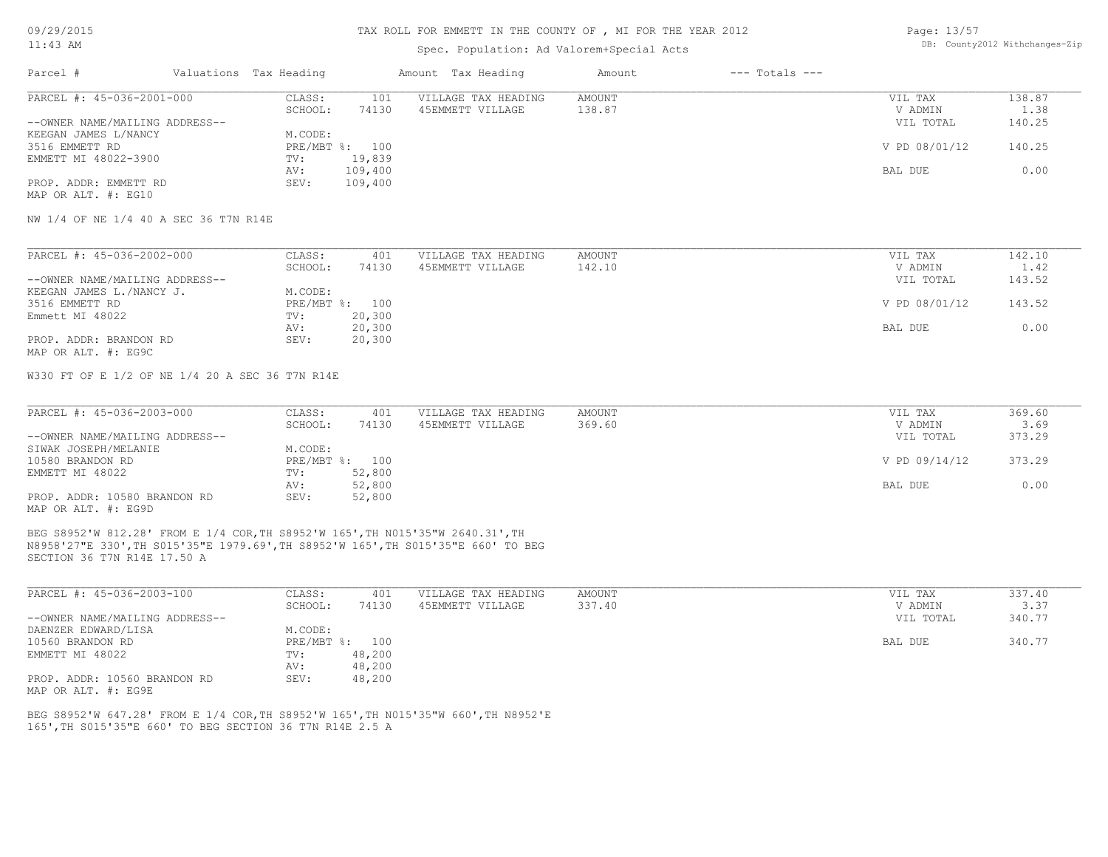#### 11:43 AM

#### TAX ROLL FOR EMMETT IN THE COUNTY OF , MI FOR THE YEAR 2012

### Spec. Population: Ad Valorem+Special Acts

Page: 13/57 DB: County2012 Withchanges-Zip

| Parcel #                       | Valuations Tax Heading |                | Amount Tax Heading  | Amount | $---$ Totals $---$ |               |        |
|--------------------------------|------------------------|----------------|---------------------|--------|--------------------|---------------|--------|
| PARCEL #: 45-036-2001-000      | CLASS:                 | 101            | VILLAGE TAX HEADING | AMOUNT |                    | VIL TAX       | 138.87 |
|                                | SCHOOL:                | 74130          | 45EMMETT VILLAGE    | 138.87 |                    | V ADMIN       | 1.38   |
| --OWNER NAME/MAILING ADDRESS-- |                        |                |                     |        |                    | VIL TOTAL     | 140.25 |
| KEEGAN JAMES L/NANCY           | M.CODE:                |                |                     |        |                    |               |        |
| 3516 EMMETT RD                 |                        | PRE/MBT %: 100 |                     |        |                    | V PD 08/01/12 | 140.25 |
| EMMETT MI 48022-3900           | TV:                    | 19,839         |                     |        |                    |               |        |
|                                | AV:                    | 109,400        |                     |        |                    | BAL DUE       | 0.00   |
| PROP. ADDR: EMMETT RD          | SEV:                   | 109,400        |                     |        |                    |               |        |
| MAP OR ALT. #: EG10            |                        |                |                     |        |                    |               |        |

NW 1/4 OF NE 1/4 40 A SEC 36 T7N R14E

| PARCEL #: 45-036-2002-000      | CLASS:  | 401            | VILLAGE TAX HEADING | AMOUNT | VIL TAX       | 142.10 |
|--------------------------------|---------|----------------|---------------------|--------|---------------|--------|
|                                | SCHOOL: | 74130          | 45EMMETT VILLAGE    | 142.10 | V ADMIN       | 1.42   |
| --OWNER NAME/MAILING ADDRESS-- |         |                |                     |        | VIL TOTAL     | 143.52 |
| KEEGAN JAMES L./NANCY J.       | M.CODE: |                |                     |        |               |        |
| 3516 EMMETT RD                 |         | PRE/MBT %: 100 |                     |        | V PD 08/01/12 | 143.52 |
| Emmett MI 48022                | TV:     | 20,300         |                     |        |               |        |
|                                | AV:     | 20,300         |                     |        | BAL DUE       | 0.00   |
| PROP. ADDR: BRANDON RD         | SEV:    | 20,300         |                     |        |               |        |
| MAP OR ALT. #: EG9C            |         |                |                     |        |               |        |

W330 FT OF E 1/2 OF NE 1/4 20 A SEC 36 T7N R14E

| PARCEL #: 45-036-2003-000      | CLASS:  | 401            | VILLAGE TAX HEADING | AMOUNT | VIL TAX       | 369.60 |
|--------------------------------|---------|----------------|---------------------|--------|---------------|--------|
|                                | SCHOOL: | 74130          | 45EMMETT VILLAGE    | 369.60 | V ADMIN       | 3.69   |
| --OWNER NAME/MAILING ADDRESS-- |         |                |                     |        | VIL TOTAL     | 373.29 |
| SIWAK JOSEPH/MELANIE           | M.CODE: |                |                     |        |               |        |
| 10580 BRANDON RD               |         | PRE/MBT %: 100 |                     |        | V PD 09/14/12 | 373.29 |
| EMMETT MI 48022                | TV:     | 52,800         |                     |        |               |        |
|                                | AV:     | 52,800         |                     |        | BAL DUE       | 0.00   |
| PROP. ADDR: 10580 BRANDON RD   | SEV:    | 52,800         |                     |        |               |        |
| MAP OR ALT. #: EG9D            |         |                |                     |        |               |        |

SECTION 36 T7N R14E 17.50 A N8958'27"E 330',TH S015'35"E 1979.69',TH S8952'W 165',TH S015'35"E 660' TO BEG BEG S8952'W 812.28' FROM E 1/4 COR,TH S8952'W 165',TH N015'35"W 2640.31',TH

| PARCEL #: 45-036-2003-100      | CLASS:                    | 401    | VILLAGE TAX HEADING | AMOUNT | VIL TAX   | 337.40 |
|--------------------------------|---------------------------|--------|---------------------|--------|-----------|--------|
|                                | SCHOOL:                   | 74130  | 45EMMETT VILLAGE    | 337.40 | V ADMIN   | 3.37   |
| --OWNER NAME/MAILING ADDRESS-- |                           |        |                     |        | VIL TOTAL | 340.77 |
| DAENZER EDWARD/LISA            | M.CODE:                   |        |                     |        |           |        |
| 10560 BRANDON RD               | $PRE/MBT$ $\frac{1}{6}$ : | 100    |                     |        | BAL DUE   | 340.77 |
| EMMETT MI 48022                | TV:                       | 48,200 |                     |        |           |        |
|                                | AV:                       | 48,200 |                     |        |           |        |
| PROP. ADDR: 10560 BRANDON RD   | SEV:                      | 48,200 |                     |        |           |        |
| MAP OR ALT. #: EG9E            |                           |        |                     |        |           |        |

165',TH S015'35"E 660' TO BEG SECTION 36 T7N R14E 2.5 A BEG S8952'W 647.28' FROM E 1/4 COR,TH S8952'W 165',TH N015'35"W 660',TH N8952'E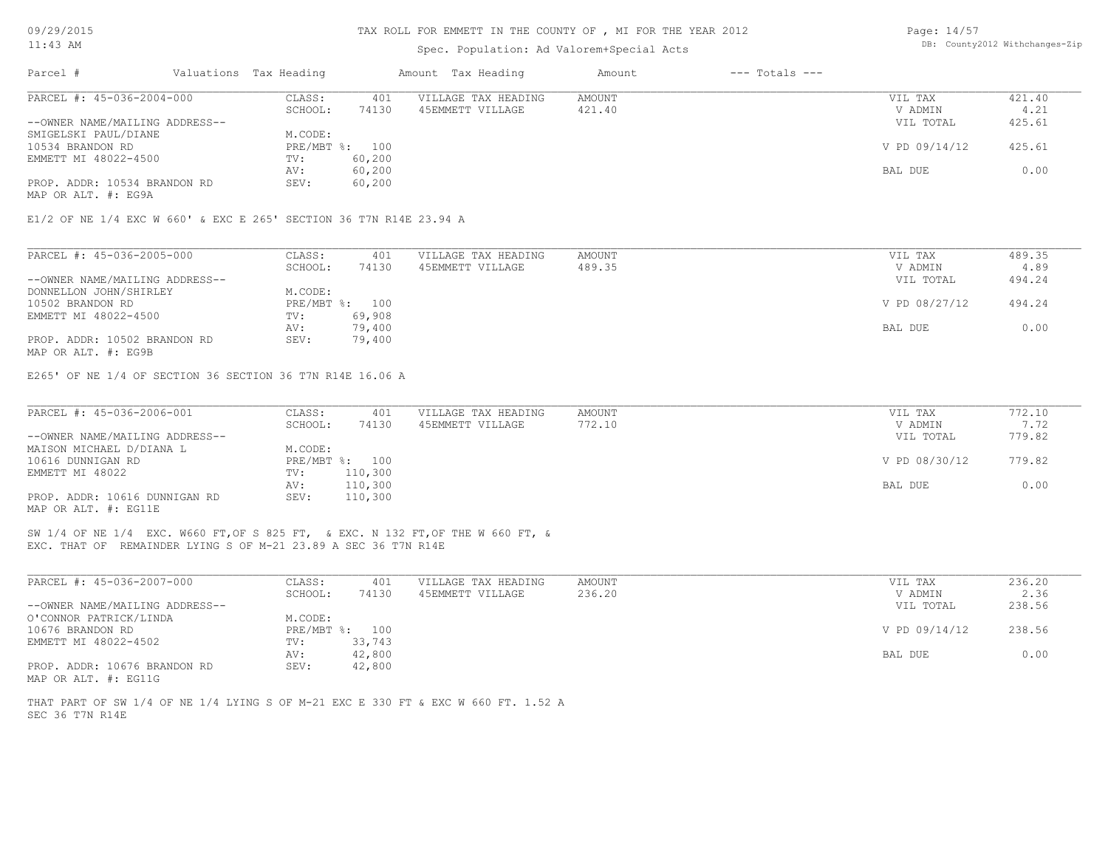#### TAX ROLL FOR EMMETT IN THE COUNTY OF , MI FOR THE YEAR 2012

### Spec. Population: Ad Valorem+Special Acts

Page: 14/57 DB: County2012 Withchanges-Zip

| Parcel #                       | Valuations Tax Heading |                | Amount Tax Heading  | Amount | $---$ Totals $---$ |               |        |
|--------------------------------|------------------------|----------------|---------------------|--------|--------------------|---------------|--------|
| PARCEL #: 45-036-2004-000      | CLASS:                 | 401            | VILLAGE TAX HEADING | AMOUNT |                    | VIL TAX       | 421.40 |
|                                | SCHOOL:                | 74130          | 45EMMETT VILLAGE    | 421.40 |                    | V ADMIN       | 4.21   |
| --OWNER NAME/MAILING ADDRESS-- |                        |                |                     |        |                    | VIL TOTAL     | 425.61 |
| SMIGELSKI PAUL/DIANE           | M.CODE:                |                |                     |        |                    |               |        |
| 10534 BRANDON RD               |                        | PRE/MBT %: 100 |                     |        |                    | V PD 09/14/12 | 425.61 |
| EMMETT MI 48022-4500           | TV:                    | 60,200         |                     |        |                    |               |        |
|                                | AV:                    | 60,200         |                     |        |                    | BAL DUE       | 0.00   |
| PROP. ADDR: 10534 BRANDON RD   | SEV:                   | 60,200         |                     |        |                    |               |        |
| MAP OR ALT. #: EG9A            |                        |                |                     |        |                    |               |        |
|                                |                        |                |                     |        |                    |               |        |

#### E1/2 OF NE 1/4 EXC W 660' & EXC E 265' SECTION 36 T7N R14E 23.94 A

| PARCEL #: 45-036-2005-000      | CLASS:  | 401            | VILLAGE TAX HEADING | AMOUNT | VIL TAX       | 489.35 |
|--------------------------------|---------|----------------|---------------------|--------|---------------|--------|
|                                | SCHOOL: | 74130          | 45EMMETT VILLAGE    | 489.35 | V ADMIN       | 4.89   |
| --OWNER NAME/MAILING ADDRESS-- |         |                |                     |        | VIL TOTAL     | 494.24 |
| DONNELLON JOHN/SHIRLEY         | M.CODE: |                |                     |        |               |        |
| 10502 BRANDON RD               |         | PRE/MBT %: 100 |                     |        | V PD 08/27/12 | 494.24 |
| EMMETT MI 48022-4500           | TV:     | 69,908         |                     |        |               |        |
|                                | AV:     | 79,400         |                     |        | BAL DUE       | 0.00   |
| PROP. ADDR: 10502 BRANDON RD   | SEV:    | 79,400         |                     |        |               |        |
| MAP OR ALT. #: EG9B            |         |                |                     |        |               |        |

E265' OF NE 1/4 OF SECTION 36 SECTION 36 T7N R14E 16.06 A

| PARCEL #: 45-036-2006-001      | CLASS:  | 401            | VILLAGE TAX HEADING | AMOUNT | VIL TAX       | 772.10 |
|--------------------------------|---------|----------------|---------------------|--------|---------------|--------|
|                                | SCHOOL: | 74130          | 45EMMETT VILLAGE    | 772.10 | V ADMIN       | 7.72   |
| --OWNER NAME/MAILING ADDRESS-- |         |                |                     |        | VIL TOTAL     | 779.82 |
| MAISON MICHAEL D/DIANA L       | M.CODE: |                |                     |        |               |        |
| 10616 DUNNIGAN RD              |         | PRE/MBT %: 100 |                     |        | V PD 08/30/12 | 779.82 |
| EMMETT MI 48022                | TV:     | 110,300        |                     |        |               |        |
|                                | AV:     | 110,300        |                     |        | BAL DUE       | 0.00   |
| PROP. ADDR: 10616 DUNNIGAN RD  | SEV:    | 110,300        |                     |        |               |        |
| MAP OR ALT. #: EG11E           |         |                |                     |        |               |        |

EXC. THAT OF REMAINDER LYING S OF M-21 23.89 A SEC 36 T7N R14E SW 1/4 OF NE 1/4 EXC. W660 FT,OF S 825 FT, & EXC. N 132 FT,OF THE W 660 FT, &

| PARCEL #: 45-036-2007-000      | CLASS:  | 401            | VILLAGE TAX HEADING | AMOUNT | VIL TAX       | 236.20 |
|--------------------------------|---------|----------------|---------------------|--------|---------------|--------|
|                                | SCHOOL: | 74130          | 45EMMETT VILLAGE    | 236.20 | V ADMIN       | 2.36   |
| --OWNER NAME/MAILING ADDRESS-- |         |                |                     |        | VIL TOTAL     | 238.56 |
| O'CONNOR PATRICK/LINDA         | M.CODE: |                |                     |        |               |        |
| 10676 BRANDON RD               |         | PRE/MBT %: 100 |                     |        | V PD 09/14/12 | 238.56 |
| EMMETT MI 48022-4502           | TV:     | 33,743         |                     |        |               |        |
|                                | AV:     | 42,800         |                     |        | BAL DUE       | 0.00   |
| PROP. ADDR: 10676 BRANDON RD   | SEV:    | 42,800         |                     |        |               |        |
| MAP OR ALT. #: EG11G           |         |                |                     |        |               |        |

SEC 36 T7N R14E THAT PART OF SW 1/4 OF NE 1/4 LYING S OF M-21 EXC E 330 FT & EXC W 660 FT. 1.52 A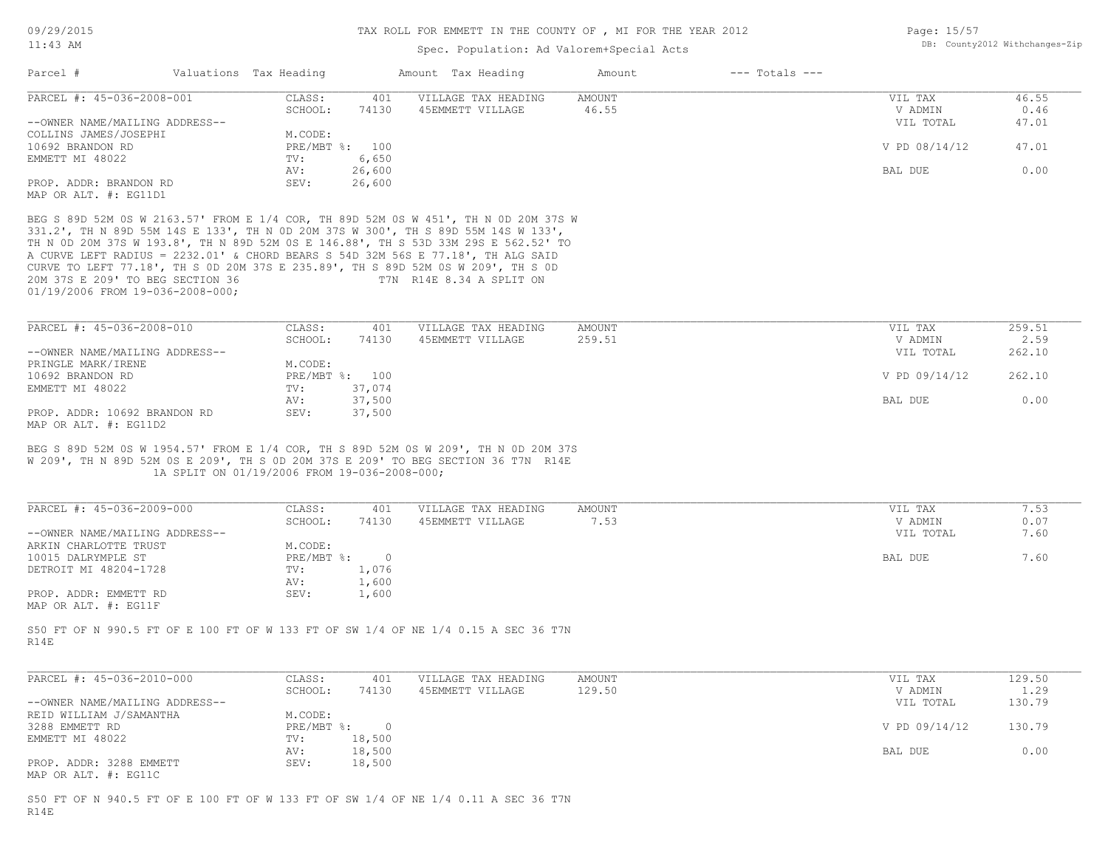### Spec. Population: Ad Valorem+Special Acts

| Page: 15/57 |                                |
|-------------|--------------------------------|
|             | DB: County2012 Withchanges-Zip |

| Parcel #                                                             | Valuations Tax Heading                                 |                  | Amount Tax Heading                                                                                                                                                                                                                                                                                                                                                                                                                                                 | Amount           | $---$ Totals $---$ |                    |                |
|----------------------------------------------------------------------|--------------------------------------------------------|------------------|--------------------------------------------------------------------------------------------------------------------------------------------------------------------------------------------------------------------------------------------------------------------------------------------------------------------------------------------------------------------------------------------------------------------------------------------------------------------|------------------|--------------------|--------------------|----------------|
| PARCEL #: 45-036-2008-001                                            | CLASS:<br>SCHOOL:                                      | 401<br>74130     | VILLAGE TAX HEADING<br>45EMMETT VILLAGE                                                                                                                                                                                                                                                                                                                                                                                                                            | AMOUNT<br>46.55  |                    | VIL TAX<br>V ADMIN | 46.55<br>0.46  |
| --OWNER NAME/MAILING ADDRESS--<br>COLLINS JAMES/JOSEPHI              | M.CODE:                                                |                  |                                                                                                                                                                                                                                                                                                                                                                                                                                                                    |                  |                    | VIL TOTAL          | 47.01          |
| 10692 BRANDON RD                                                     | PRE/MBT %: 100                                         |                  |                                                                                                                                                                                                                                                                                                                                                                                                                                                                    |                  |                    | V PD 08/14/12      | 47.01          |
| EMMETT MI 48022                                                      | TV:<br>AV:                                             | 6,650<br>26,600  |                                                                                                                                                                                                                                                                                                                                                                                                                                                                    |                  |                    | BAL DUE            | 0.00           |
| PROP. ADDR: BRANDON RD<br>MAP OR ALT. #: EG11D1                      | SEV:                                                   | 26,600           |                                                                                                                                                                                                                                                                                                                                                                                                                                                                    |                  |                    |                    |                |
| 20M 37S E 209' TO BEG SECTION 36<br>01/19/2006 FROM 19-036-2008-000; |                                                        |                  | BEG S 89D 52M 0S W 2163.57' FROM E 1/4 COR, TH 89D 52M 0S W 451', TH N 0D 20M 37S W<br>331.2', TH N 89D 55M 14S E 133', TH N 0D 20M 37S W 300', TH S 89D 55M 14S W 133',<br>TH N OD 20M 37S W 193.8', TH N 89D 52M OS E 146.88', TH S 53D 33M 29S E 562.52' TO<br>A CURVE LEFT RADIUS = 2232.01' & CHORD BEARS S 54D 32M 56S E 77.18', TH ALG SAID<br>CURVE TO LEFT 77.18', TH S OD 20M 37S E 235.89', TH S 89D 52M OS W 209', TH S OD<br>T7N R14E 8.34 A SPLIT ON |                  |                    |                    |                |
| PARCEL #: 45-036-2008-010                                            | CLASS:<br>SCHOOL:                                      | 401<br>74130     | VILLAGE TAX HEADING<br>45EMMETT VILLAGE                                                                                                                                                                                                                                                                                                                                                                                                                            | AMOUNT<br>259.51 |                    | VIL TAX<br>V ADMIN | 259.51<br>2.59 |
| --OWNER NAME/MAILING ADDRESS--                                       |                                                        |                  |                                                                                                                                                                                                                                                                                                                                                                                                                                                                    |                  |                    | VIL TOTAL          | 262.10         |
| PRINGLE MARK/IRENE                                                   | M.CODE:                                                |                  |                                                                                                                                                                                                                                                                                                                                                                                                                                                                    |                  |                    |                    |                |
| 10692 BRANDON RD                                                     | PRE/MBT %: 100                                         |                  |                                                                                                                                                                                                                                                                                                                                                                                                                                                                    |                  |                    | V PD 09/14/12      | 262.10         |
| EMMETT MI 48022                                                      | TV:<br>AV:                                             | 37,074<br>37,500 |                                                                                                                                                                                                                                                                                                                                                                                                                                                                    |                  |                    | BAL DUE            | 0.00           |
| PROP. ADDR: 10692 BRANDON RD<br>MAP OR ALT. #: EG11D2                | SEV:                                                   | 37,500           |                                                                                                                                                                                                                                                                                                                                                                                                                                                                    |                  |                    |                    |                |
| PARCEL #: 45-036-2009-000                                            | 1A SPLIT ON 01/19/2006 FROM 19-036-2008-000;<br>CLASS: | 401              | W 209', TH N 89D 52M OS E 209', TH S OD 20M 37S E 209' TO BEG SECTION 36 T7N R14E<br>VILLAGE TAX HEADING                                                                                                                                                                                                                                                                                                                                                           | AMOUNT           |                    | VIL TAX            | 7.53           |
|                                                                      | SCHOOL:                                                | 74130            | 45EMMETT VILLAGE                                                                                                                                                                                                                                                                                                                                                                                                                                                   | 7.53             |                    | V ADMIN            | 0.07           |
| --OWNER NAME/MAILING ADDRESS--                                       |                                                        |                  |                                                                                                                                                                                                                                                                                                                                                                                                                                                                    |                  |                    | VIL TOTAL          | 7.60           |
| ARKIN CHARLOTTE TRUST<br>10015 DALRYMPLE ST                          | M.CODE:<br>$PRE/MBT$ $\div$                            | $\sim$ 0         |                                                                                                                                                                                                                                                                                                                                                                                                                                                                    |                  |                    | BAL DUE            | 7.60           |
| DETROIT MI 48204-1728                                                | TV:                                                    | 1,076            |                                                                                                                                                                                                                                                                                                                                                                                                                                                                    |                  |                    |                    |                |
|                                                                      | AV:                                                    | 1,600            |                                                                                                                                                                                                                                                                                                                                                                                                                                                                    |                  |                    |                    |                |
| PROP. ADDR: EMMETT RD<br>MAP OR ALT. #: EG11F                        | SEV:                                                   | 1,600            |                                                                                                                                                                                                                                                                                                                                                                                                                                                                    |                  |                    |                    |                |
| R14E                                                                 |                                                        |                  | S50 FT OF N 990.5 FT OF E 100 FT OF W 133 FT OF SW 1/4 OF NE 1/4 0.15 A SEC 36 T7N                                                                                                                                                                                                                                                                                                                                                                                 |                  |                    |                    |                |
| PARCEL #: 45-036-2010-000                                            | CLASS:<br>SCHOOL:                                      | 401<br>74130     | VILLAGE TAX HEADING<br>45EMMETT VILLAGE                                                                                                                                                                                                                                                                                                                                                                                                                            | AMOUNT<br>129.50 |                    | VIL TAX<br>V ADMIN | 129.50<br>1.29 |
| --OWNER NAME/MAILING ADDRESS--                                       |                                                        |                  |                                                                                                                                                                                                                                                                                                                                                                                                                                                                    |                  |                    | VIL TOTAL          | 130.79         |
| REID WILLIAM J/SAMANTHA                                              | M.CODE:                                                |                  |                                                                                                                                                                                                                                                                                                                                                                                                                                                                    |                  |                    |                    |                |
| 3288 EMMETT RD                                                       | $PRE/MBT$ $\frac{1}{6}$ : 0                            |                  |                                                                                                                                                                                                                                                                                                                                                                                                                                                                    |                  |                    | V PD 09/14/12      | 130.79         |
| EMMETT MI 48022                                                      | TV:                                                    | 18,500           |                                                                                                                                                                                                                                                                                                                                                                                                                                                                    |                  |                    |                    |                |
| PROP. ADDR: 3288 EMMETT<br>MAP OR ALT. #: EG11C                      | AV:<br>SEV:                                            | 18,500<br>18,500 |                                                                                                                                                                                                                                                                                                                                                                                                                                                                    |                  |                    | BAL DUE            | 0.00           |
| R14E                                                                 |                                                        |                  | S50 FT OF N 940.5 FT OF E 100 FT OF W 133 FT OF SW 1/4 OF NE 1/4 0.11 A SEC 36 T7N                                                                                                                                                                                                                                                                                                                                                                                 |                  |                    |                    |                |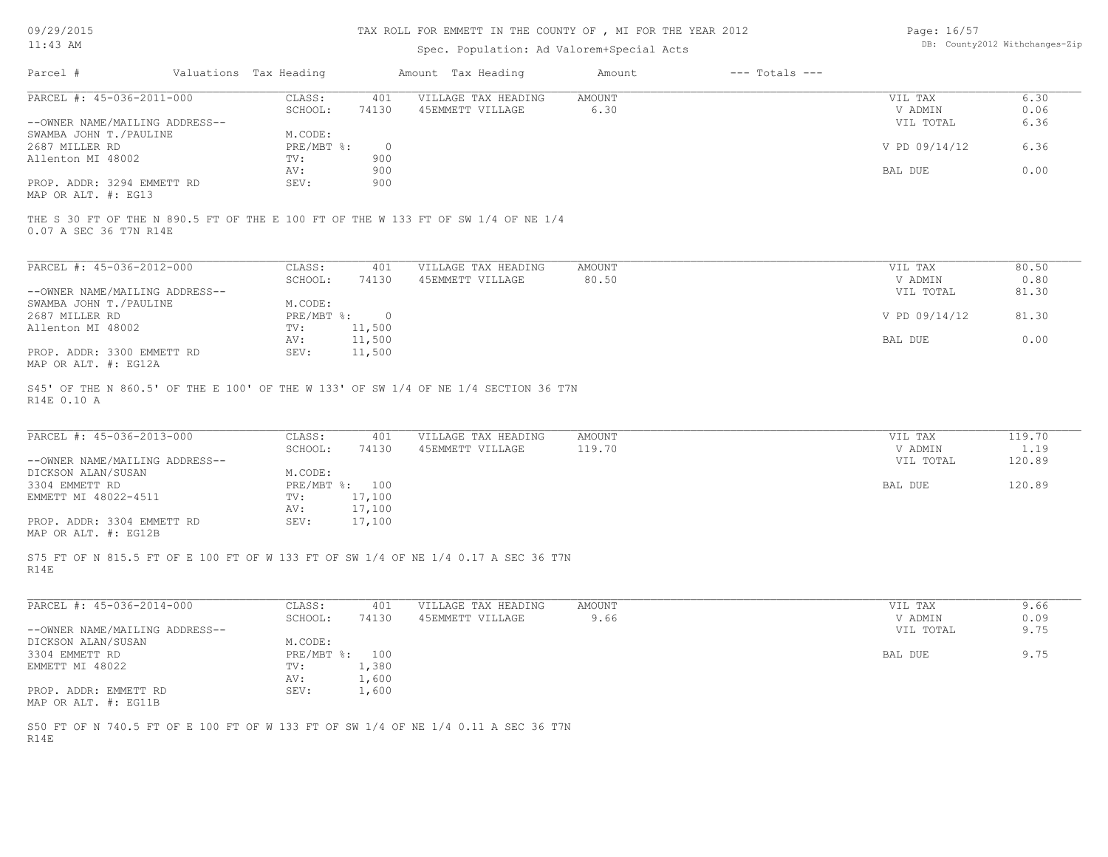#### TAX ROLL FOR EMMETT IN THE COUNTY OF , MI FOR THE YEAR 2012

### Spec. Population: Ad Valorem+Special Acts

| Page: 16/57 |                                |
|-------------|--------------------------------|
|             | DB: County2012 Withchanges-Zip |

| Parcel #                                    | Valuations Tax Heading |       | Amount Tax Heading  | Amount | $---$ Totals $---$ |               |      |
|---------------------------------------------|------------------------|-------|---------------------|--------|--------------------|---------------|------|
| PARCEL #: 45-036-2011-000                   | CLASS:                 | 401   | VILLAGE TAX HEADING | AMOUNT |                    | VIL TAX       | 6.30 |
|                                             | SCHOOL:                | 74130 | 45EMMETT VILLAGE    | 6.30   |                    | V ADMIN       | 0.06 |
| --OWNER NAME/MAILING ADDRESS--              |                        |       |                     |        |                    | VIL TOTAL     | 6.36 |
| SWAMBA JOHN T./PAULINE                      | M.CODE:                |       |                     |        |                    |               |      |
| 2687 MILLER RD                              | $PRE/MBT$ %:           |       |                     |        |                    | V PD 09/14/12 | 6.36 |
| Allenton MI 48002                           | TV:                    | 900   |                     |        |                    |               |      |
|                                             | AV:                    | 900   |                     |        |                    | BAL DUE       | 0.00 |
| PROP. ADDR: 3294 EMMETT RD<br>$\frac{1}{2}$ | SEV:                   | 900   |                     |        |                    |               |      |

MAP OR ALT. #: EG13

0.07 A SEC 36 T7N R14E THE S 30 FT OF THE N 890.5 FT OF THE E 100 FT OF THE W 133 FT OF SW 1/4 OF NE 1/4

| PARCEL #: 45-036-2012-000      | CLASS:     | 401    | VILLAGE TAX HEADING | AMOUNT | VIL TAX       | 80.50 |
|--------------------------------|------------|--------|---------------------|--------|---------------|-------|
|                                | SCHOOL:    | 74130  | 45EMMETT VILLAGE    | 80.50  | V ADMIN       | 0.80  |
| --OWNER NAME/MAILING ADDRESS-- |            |        |                     |        | VIL TOTAL     | 81.30 |
| SWAMBA JOHN T./PAULINE         | M.CODE:    |        |                     |        |               |       |
| 2687 MILLER RD                 | PRE/MBT %: | $\Box$ |                     |        | V PD 09/14/12 | 81.30 |
| Allenton MI 48002              | TV:        | 11,500 |                     |        |               |       |
|                                | AV:        | 11,500 |                     |        | BAL DUE       | 0.00  |
| PROP. ADDR: 3300 EMMETT RD     | SEV:       | 11,500 |                     |        |               |       |
| MAP OR ALT. #: EG12A           |            |        |                     |        |               |       |

R14E 0.10 A S45' OF THE N 860.5' OF THE E 100' OF THE W 133' OF SW 1/4 OF NE 1/4 SECTION 36 T7N

| PARCEL #: 45-036-2013-000      | CLASS:  | 401            | VILLAGE TAX HEADING | AMOUNT | VIL TAX   | 119.70 |
|--------------------------------|---------|----------------|---------------------|--------|-----------|--------|
|                                | SCHOOL: | 74130          | 45EMMETT VILLAGE    | 119.70 | V ADMIN   | 1.19   |
| --OWNER NAME/MAILING ADDRESS-- |         |                |                     |        | VIL TOTAL | 120.89 |
| DICKSON ALAN/SUSAN             | M.CODE: |                |                     |        |           |        |
| 3304 EMMETT RD                 |         | PRE/MBT %: 100 |                     |        | BAL DUE   | 120.89 |
| EMMETT MI 48022-4511           | TV:     | 17,100         |                     |        |           |        |
|                                | AV:     | 17,100         |                     |        |           |        |
| PROP. ADDR: 3304 EMMETT RD     | SEV:    | 17,100         |                     |        |           |        |
| MAP OR ALT. #: EG12B           |         |                |                     |        |           |        |

R14E S75 FT OF N 815.5 FT OF E 100 FT OF W 133 FT OF SW 1/4 OF NE 1/4 0.17 A SEC 36 T7N

| PARCEL #: 45-036-2014-000      | CLASS:       | 401   | VILLAGE TAX HEADING | AMOUNT | VIL TAX   | 9.66 |
|--------------------------------|--------------|-------|---------------------|--------|-----------|------|
|                                | SCHOOL:      | 74130 | 45EMMETT VILLAGE    | 9.66   | V ADMIN   | 0.09 |
| --OWNER NAME/MAILING ADDRESS-- |              |       |                     |        | VIL TOTAL | 9.75 |
| DICKSON ALAN/SUSAN             | M.CODE:      |       |                     |        |           |      |
| 3304 EMMETT RD                 | $PRE/MBT$ %: | 100   |                     |        | BAL DUE   | 9.75 |
| EMMETT MI 48022                | TV:          | 1,380 |                     |        |           |      |
|                                | AV:          | 1,600 |                     |        |           |      |
| PROP. ADDR: EMMETT RD          | SEV:         | 1,600 |                     |        |           |      |
| MAP OR ALT. #: EG11B           |              |       |                     |        |           |      |

R14E S50 FT OF N 740.5 FT OF E 100 FT OF W 133 FT OF SW 1/4 OF NE 1/4 0.11 A SEC 36 T7N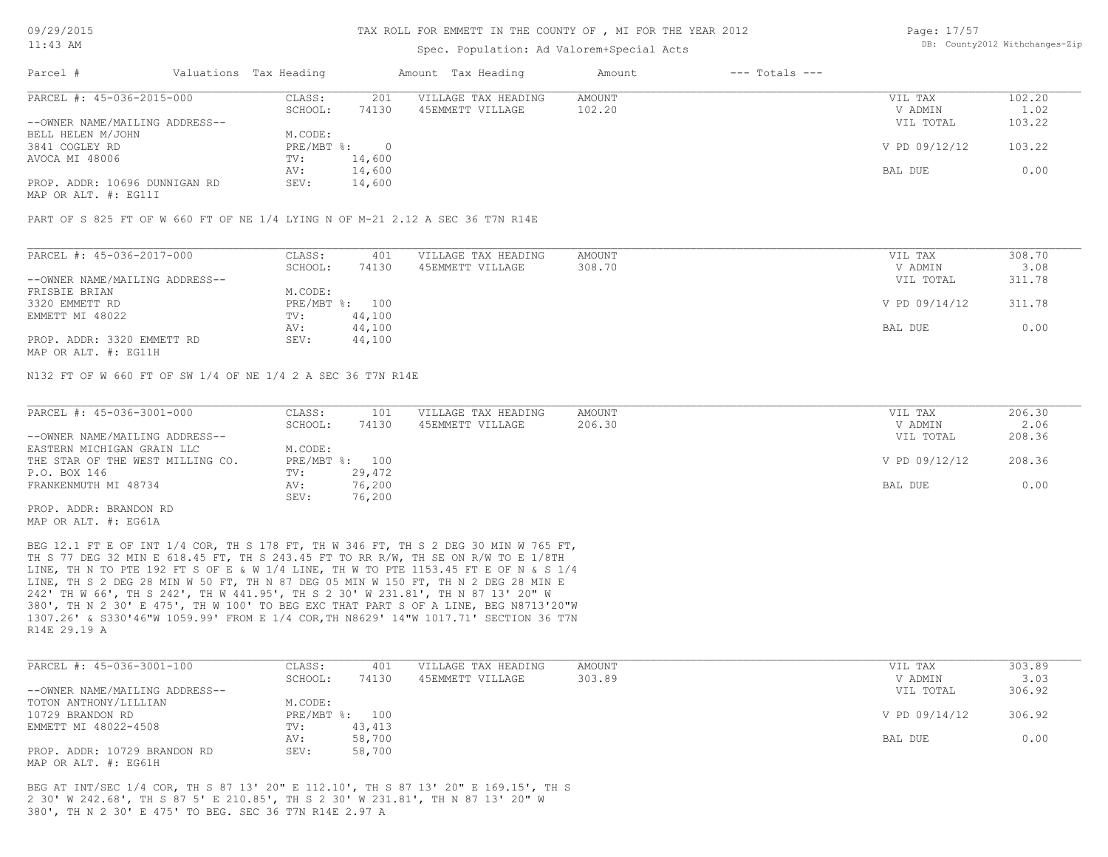#### TAX ROLL FOR EMMETT IN THE COUNTY OF , MI FOR THE YEAR 2012

#### Spec. Population: Ad Valorem+Special Acts

Page: 17/57 DB: County2012 Withchanges-Zip

| Parcel #                       | Valuations Tax Heading |        | Amount Tax Heading  | Amount | $---$ Totals $---$ |               |        |
|--------------------------------|------------------------|--------|---------------------|--------|--------------------|---------------|--------|
| PARCEL #: 45-036-2015-000      | CLASS:                 | 201    | VILLAGE TAX HEADING | AMOUNT |                    | VIL TAX       | 102.20 |
|                                | SCHOOL:                | 74130  | 45EMMETT VILLAGE    | 102.20 |                    | V ADMIN       | 1.02   |
| --OWNER NAME/MAILING ADDRESS-- |                        |        |                     |        |                    | VIL TOTAL     | 103.22 |
| BELL HELEN M/JOHN              | M.CODE:                |        |                     |        |                    |               |        |
| 3841 COGLEY RD                 | $PRE/MBT$ %:           |        |                     |        |                    | V PD 09/12/12 | 103.22 |
| AVOCA MI 48006                 | TV:                    | 14,600 |                     |        |                    |               |        |
|                                | AV:                    | 14,600 |                     |        |                    | BAL DUE       | 0.00   |
| PROP. ADDR: 10696 DUNNIGAN RD  | SEV:                   | 14,600 |                     |        |                    |               |        |
|                                |                        |        |                     |        |                    |               |        |

MAP OR ALT. #: EG11I

PART OF S 825 FT OF W 660 FT OF NE 1/4 LYING N OF M-21 2.12 A SEC 36 T7N R14E

| PARCEL #: 45-036-2017-000      | CLASS:  | 401            | VILLAGE TAX HEADING | AMOUNT | VIL TAX       | 308.70 |
|--------------------------------|---------|----------------|---------------------|--------|---------------|--------|
|                                | SCHOOL: | 74130          | 45EMMETT VILLAGE    | 308.70 | V ADMIN       | 3.08   |
| --OWNER NAME/MAILING ADDRESS-- |         |                |                     |        | VIL TOTAL     | 311.78 |
| FRISBIE BRIAN                  | M.CODE: |                |                     |        |               |        |
| 3320 EMMETT RD                 |         | PRE/MBT %: 100 |                     |        | V PD 09/14/12 | 311.78 |
| EMMETT MI 48022                | TV:     | 44,100         |                     |        |               |        |
|                                | AV:     | 44,100         |                     |        | BAL DUE       | 0.00   |
| PROP. ADDR: 3320 EMMETT RD     | SEV:    | 44,100         |                     |        |               |        |
|                                |         |                |                     |        |               |        |

MAP OR ALT. #: EG11H

N132 FT OF W 660 FT OF SW 1/4 OF NE 1/4 2 A SEC 36 T7N R14E

| PARCEL #: 45-036-3001-000        | CLASS:  | 101            | VILLAGE TAX HEADING | AMOUNT | VIL TAX       | 206.30 |
|----------------------------------|---------|----------------|---------------------|--------|---------------|--------|
|                                  | SCHOOL: | 74130          | 45EMMETT VILLAGE    | 206.30 | V ADMIN       | 2.06   |
| --OWNER NAME/MAILING ADDRESS--   |         |                |                     |        | VIL TOTAL     | 208.36 |
| EASTERN MICHIGAN GRAIN LLC       | M.CODE: |                |                     |        |               |        |
| THE STAR OF THE WEST MILLING CO. |         | PRE/MBT %: 100 |                     |        | V PD 09/12/12 | 208.36 |
| P.O. BOX 146                     | TV:     | 29,472         |                     |        |               |        |
| FRANKENMUTH MI 48734             | AV:     | 76,200         |                     |        | BAL DUE       | 0.00   |
|                                  | SEV:    | 76,200         |                     |        |               |        |
| PROP. ADDR: BRANDON RD           |         |                |                     |        |               |        |

MAP OR ALT. #: EG61A

R14E 29.19 A 1307.26' & S330'46"W 1059.99' FROM E 1/4 COR,TH N8629' 14"W 1017.71' SECTION 36 T7N 380', TH N 2 30' E 475', TH W 100' TO BEG EXC THAT PART S OF A LINE, BEG N8713'20"W 242' TH W 66', TH S 242', TH W 441.95', TH S 2 30' W 231.81', TH N 87 13' 20" W LINE, TH S 2 DEG 28 MIN W 50 FT, TH N 87 DEG 05 MIN W 150 FT, TH N 2 DEG 28 MIN E LINE, TH N TO PTE 192 FT S OF E & W 1/4 LINE, TH W TO PTE 1153.45 FT E OF N & S 1/4 TH S 77 DEG 32 MIN E 618.45 FT, TH S 243.45 FT TO RR R/W, TH SE ON R/W TO E 1/8TH BEG 12.1 FT E OF INT 1/4 COR, TH S 178 FT, TH W 346 FT, TH S 2 DEG 30 MIN W 765 FT,

| PARCEL #: 45-036-3001-100      | CLASS:         | 401    | VILLAGE TAX HEADING | AMOUNT | VIL TAX       | 303.89 |
|--------------------------------|----------------|--------|---------------------|--------|---------------|--------|
|                                | SCHOOL:        | 74130  | 45EMMETT VILLAGE    | 303.89 | V ADMIN       | 3.03   |
| --OWNER NAME/MAILING ADDRESS-- |                |        |                     |        | VIL TOTAL     | 306.92 |
| TOTON ANTHONY/LILLIAN          | M.CODE:        |        |                     |        |               |        |
| 10729 BRANDON RD               | PRE/MBT %: 100 |        |                     |        | V PD 09/14/12 | 306.92 |
| EMMETT MI 48022-4508           | TV:            | 43,413 |                     |        |               |        |
|                                | AV:            | 58,700 |                     |        | BAL DUE       | 0.00   |
| PROP. ADDR: 10729 BRANDON RD   | SEV:           | 58,700 |                     |        |               |        |
| MAP OR ALT. #: EG61H           |                |        |                     |        |               |        |

380', TH N 2 30' E 475' TO BEG. SEC 36 T7N R14E 2.97 A 2 30' W 242.68', TH S 87 5' E 210.85', TH S 2 30' W 231.81', TH N 87 13' 20" W BEG AT INT/SEC 1/4 COR, TH S 87 13' 20" E 112.10', TH S 87 13' 20" E 169.15', TH S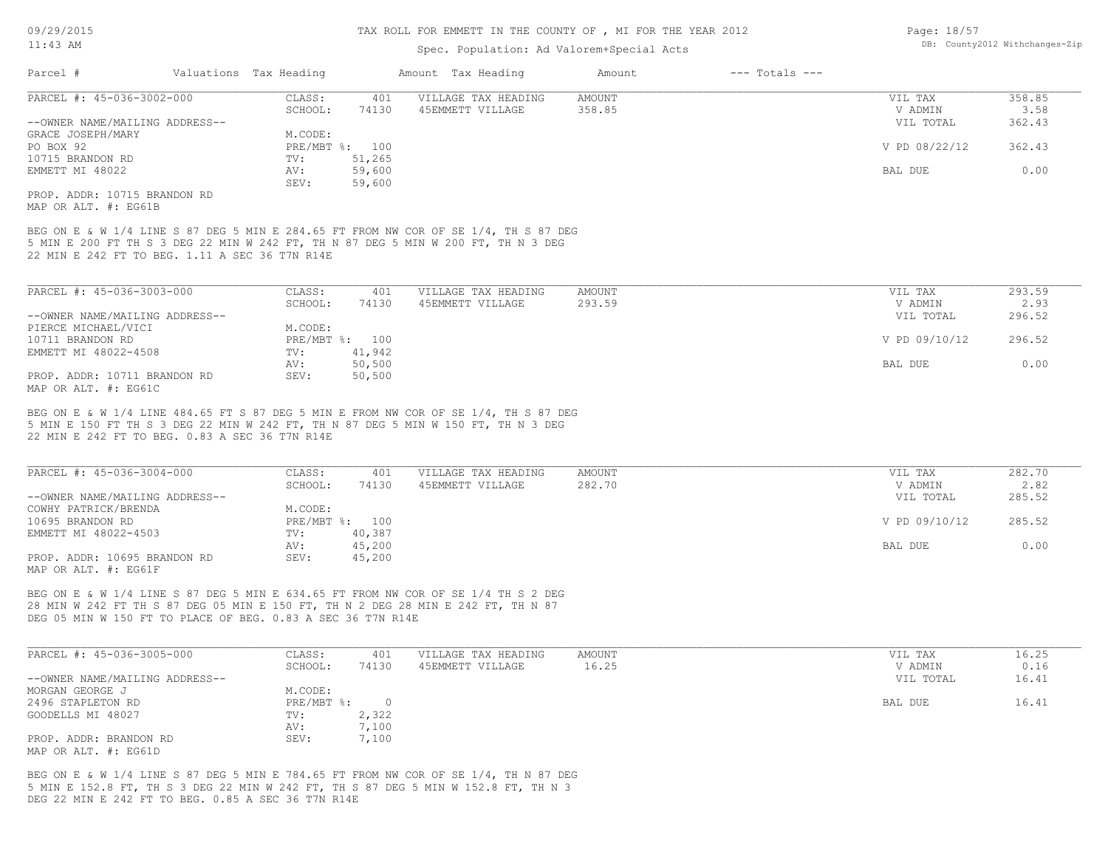#### TAX ROLL FOR EMMETT IN THE COUNTY OF , MI FOR THE YEAR 2012

| Page: 18/57 |                               |
|-------------|-------------------------------|
|             | DB: County2012 Withchanges-Z: |

| Valuations Tax Heading<br>CLASS:<br>SCHOOL:<br>74130<br>M.CODE:<br>PRE/MBT %: 100 | Spec. Population: Ad Valorem+Special Acts<br>Amount Tax Heading<br>VILLAGE TAX HEADING<br>401<br>45EMMETT VILLAGE | Amount                                                                                         | $---$ Totals $---$                                                                                                                                                                                                                                                                                                                                   |                    | DB: County2012 Withchanges-Zip |
|-----------------------------------------------------------------------------------|-------------------------------------------------------------------------------------------------------------------|------------------------------------------------------------------------------------------------|------------------------------------------------------------------------------------------------------------------------------------------------------------------------------------------------------------------------------------------------------------------------------------------------------------------------------------------------------|--------------------|--------------------------------|
|                                                                                   |                                                                                                                   |                                                                                                |                                                                                                                                                                                                                                                                                                                                                      |                    |                                |
|                                                                                   |                                                                                                                   |                                                                                                |                                                                                                                                                                                                                                                                                                                                                      |                    |                                |
|                                                                                   |                                                                                                                   | <b>AMOUNT</b>                                                                                  |                                                                                                                                                                                                                                                                                                                                                      | VIL TAX            | 358.85                         |
|                                                                                   |                                                                                                                   | 358.85                                                                                         |                                                                                                                                                                                                                                                                                                                                                      | V ADMIN            | 3.58                           |
|                                                                                   |                                                                                                                   |                                                                                                |                                                                                                                                                                                                                                                                                                                                                      | VIL TOTAL          | 362.43                         |
|                                                                                   |                                                                                                                   |                                                                                                |                                                                                                                                                                                                                                                                                                                                                      |                    |                                |
|                                                                                   |                                                                                                                   |                                                                                                |                                                                                                                                                                                                                                                                                                                                                      | V PD 08/22/12      | 362.43                         |
| TV:<br>51,265                                                                     |                                                                                                                   |                                                                                                |                                                                                                                                                                                                                                                                                                                                                      |                    |                                |
| 59,600<br>AV:<br>SEV:<br>59,600                                                   |                                                                                                                   |                                                                                                |                                                                                                                                                                                                                                                                                                                                                      | BAL DUE            | 0.00                           |
|                                                                                   |                                                                                                                   |                                                                                                |                                                                                                                                                                                                                                                                                                                                                      |                    |                                |
|                                                                                   |                                                                                                                   |                                                                                                |                                                                                                                                                                                                                                                                                                                                                      |                    |                                |
|                                                                                   |                                                                                                                   |                                                                                                |                                                                                                                                                                                                                                                                                                                                                      |                    |                                |
| 22 MIN E 242 FT TO BEG. 1.11 A SEC 36 T7N R14E                                    |                                                                                                                   |                                                                                                |                                                                                                                                                                                                                                                                                                                                                      |                    |                                |
|                                                                                   |                                                                                                                   |                                                                                                |                                                                                                                                                                                                                                                                                                                                                      |                    |                                |
| CLASS:                                                                            | VILLAGE TAX HEADING                                                                                               | AMOUNT                                                                                         |                                                                                                                                                                                                                                                                                                                                                      | VIL TAX            | 293.59                         |
| SCHOOL:                                                                           | 45EMMETT VILLAGE                                                                                                  | 293.59                                                                                         |                                                                                                                                                                                                                                                                                                                                                      | V ADMIN            | 2.93                           |
|                                                                                   |                                                                                                                   |                                                                                                |                                                                                                                                                                                                                                                                                                                                                      | VIL TOTAL          | 296.52                         |
| M.CODE:                                                                           |                                                                                                                   |                                                                                                |                                                                                                                                                                                                                                                                                                                                                      |                    |                                |
|                                                                                   |                                                                                                                   |                                                                                                |                                                                                                                                                                                                                                                                                                                                                      | V PD 09/10/12      | 296.52                         |
| TV:                                                                               |                                                                                                                   |                                                                                                |                                                                                                                                                                                                                                                                                                                                                      |                    |                                |
| AV:                                                                               |                                                                                                                   |                                                                                                |                                                                                                                                                                                                                                                                                                                                                      | BAL DUE            | 0.00                           |
| SEV:                                                                              |                                                                                                                   |                                                                                                |                                                                                                                                                                                                                                                                                                                                                      |                    |                                |
| 22 MIN E 242 FT TO BEG. 0.83 A SEC 36 T7N R14E<br>CLASS:<br>SCHOOL:               | VILLAGE TAX HEADING<br>45EMMETT VILLAGE                                                                           | <b>AMOUNT</b><br>282.70                                                                        |                                                                                                                                                                                                                                                                                                                                                      | VIL TAX<br>V ADMIN | 282.70<br>2.82                 |
|                                                                                   |                                                                                                                   |                                                                                                |                                                                                                                                                                                                                                                                                                                                                      | VIL TOTAL          | 285.52                         |
| M.CODE:                                                                           |                                                                                                                   |                                                                                                |                                                                                                                                                                                                                                                                                                                                                      |                    |                                |
|                                                                                   |                                                                                                                   |                                                                                                |                                                                                                                                                                                                                                                                                                                                                      | V PD 09/10/12      | 285.52                         |
|                                                                                   |                                                                                                                   |                                                                                                |                                                                                                                                                                                                                                                                                                                                                      |                    |                                |
| 40,387<br>TV:<br>45,200<br>AV:                                                    |                                                                                                                   |                                                                                                |                                                                                                                                                                                                                                                                                                                                                      | BAL DUE            | 0.00                           |
|                                                                                   |                                                                                                                   | 401<br>74130<br>PRE/MBT %: 100<br>41,942<br>50,500<br>50,500<br>401<br>74130<br>PRE/MBT %: 100 | BEG ON E & W 1/4 LINE S 87 DEG 5 MIN E 284.65 FT FROM NW COR OF SE 1/4, TH S 87 DEG<br>5 MIN E 200 FT TH S 3 DEG 22 MIN W 242 FT, TH N 87 DEG 5 MIN W 200 FT, TH N 3 DEG<br>BEG ON E & W 1/4 LINE 484.65 FT S 87 DEG 5 MIN E FROM NW COR OF SE 1/4, TH S 87 DEG<br>5 MIN E 150 FT TH S 3 DEG 22 MIN W 242 FT, TH N 87 DEG 5 MIN W 150 FT, TH N 3 DEG |                    |                                |

MAP OR ALT. #: EG61D PROP. ADDR: BRANDON RD SEV: 7,100

DEG 22 MIN E 242 FT TO BEG. 0.85 A SEC 36 T7N R14E 5 MIN E 152.8 FT, TH S 3 DEG 22 MIN W 242 FT, TH S 87 DEG 5 MIN W 152.8 FT, TH N 3 BEG ON E & W 1/4 LINE S 87 DEG 5 MIN E 784.65 FT FROM NW COR OF SE 1/4, TH N 87 DEG

AV: 7,100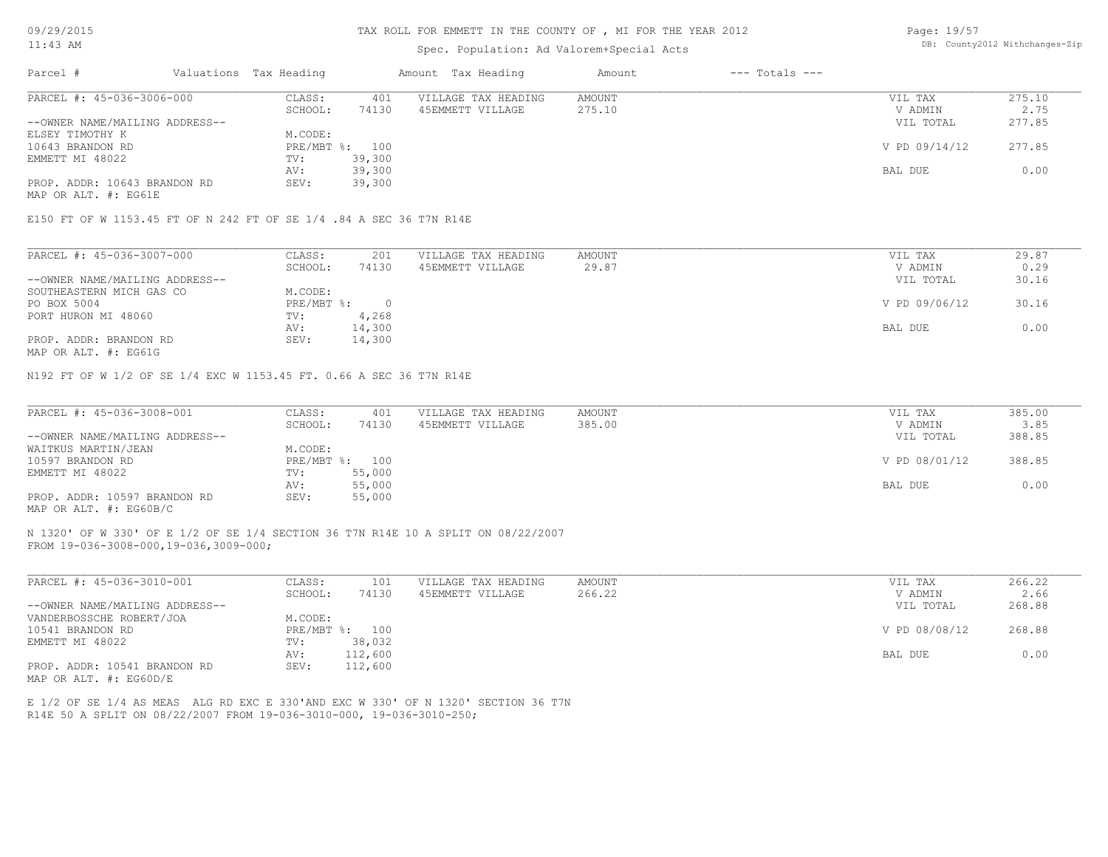#### TAX ROLL FOR EMMETT IN THE COUNTY OF , MI FOR THE YEAR 2012

### Spec. Population: Ad Valorem+Special Acts

Page: 19/57 DB: County2012 Withchanges-Zip

| Parcel #                       | Valuations Tax Heading |        | Amount Tax Heading  | Amount | $---$ Totals $---$ |               |        |
|--------------------------------|------------------------|--------|---------------------|--------|--------------------|---------------|--------|
| PARCEL #: 45-036-3006-000      | CLASS:                 | 401    | VILLAGE TAX HEADING | AMOUNT |                    | VIL TAX       | 275.10 |
|                                | SCHOOL:                | 74130  | 45EMMETT VILLAGE    | 275.10 |                    | V ADMIN       | 2.75   |
| --OWNER NAME/MAILING ADDRESS-- |                        |        |                     |        |                    | VIL TOTAL     | 277.85 |
| ELSEY TIMOTHY K                | M.CODE:                |        |                     |        |                    |               |        |
| 10643 BRANDON RD               | PRE/MBT %: 100         |        |                     |        |                    | V PD 09/14/12 | 277.85 |
| EMMETT MI 48022                | TV:                    | 39,300 |                     |        |                    |               |        |
|                                | AV:                    | 39,300 |                     |        |                    | BAL DUE       | 0.00   |
| PROP. ADDR: 10643 BRANDON RD   | SEV:                   | 39,300 |                     |        |                    |               |        |
|                                |                        |        |                     |        |                    |               |        |

MAP OR ALT. #: EG61E

#### E150 FT OF W 1153.45 FT OF N 242 FT OF SE 1/4 .84 A SEC 36 T7N R14E

| PARCEL #: 45-036-3007-000      | CLASS:     | 201    | VILLAGE TAX HEADING | AMOUNT | VIL TAX       | 29.87 |
|--------------------------------|------------|--------|---------------------|--------|---------------|-------|
|                                | SCHOOL:    | 74130  | 45EMMETT VILLAGE    | 29.87  | V ADMIN       | 0.29  |
| --OWNER NAME/MAILING ADDRESS-- |            |        |                     |        | VIL TOTAL     | 30.16 |
| SOUTHEASTERN MICH GAS CO       | M.CODE:    |        |                     |        |               |       |
| PO BOX 5004                    | PRE/MBT %: |        |                     |        | V PD 09/06/12 | 30.16 |
| PORT HURON MI 48060            | TV:        | 4,268  |                     |        |               |       |
|                                | AV:        | 14,300 |                     |        | BAL DUE       | 0.00  |
| PROP. ADDR: BRANDON RD         | SEV:       | 14,300 |                     |        |               |       |
|                                |            |        |                     |        |               |       |

MAP OR ALT. #: EG61G

N192 FT OF W 1/2 OF SE 1/4 EXC W 1153.45 FT. 0.66 A SEC 36 T7N R14E

| PARCEL #: 45-036-3008-001      | CLASS:  | 401            | VILLAGE TAX HEADING | AMOUNT | VIL TAX       | 385.00 |
|--------------------------------|---------|----------------|---------------------|--------|---------------|--------|
|                                | SCHOOL: | 74130          | 45EMMETT VILLAGE    | 385.00 | V ADMIN       | 3.85   |
| --OWNER NAME/MAILING ADDRESS-- |         |                |                     |        | VIL TOTAL     | 388.85 |
| WAITKUS MARTIN/JEAN            | M.CODE: |                |                     |        |               |        |
| 10597 BRANDON RD               |         | PRE/MBT %: 100 |                     |        | V PD 08/01/12 | 388.85 |
| EMMETT MI 48022                | TV:     | 55,000         |                     |        |               |        |
|                                | AV:     | 55,000         |                     |        | BAL DUE       | 0.00   |
| PROP. ADDR: 10597 BRANDON RD   | SEV:    | 55,000         |                     |        |               |        |
| MAP OR ALT. #: EG60B/C         |         |                |                     |        |               |        |

FROM 19-036-3008-000,19-036,3009-000; N 1320' OF W 330' OF E 1/2 OF SE 1/4 SECTION 36 T7N R14E 10 A SPLIT ON 08/22/2007

| PARCEL #: 45-036-3010-001      | CLASS:       | 101     | VILLAGE TAX HEADING | AMOUNT | VIL TAX       | 266.22 |
|--------------------------------|--------------|---------|---------------------|--------|---------------|--------|
|                                | SCHOOL:      | 74130   | 45EMMETT VILLAGE    | 266.22 | V ADMIN       | 2.66   |
| --OWNER NAME/MAILING ADDRESS-- |              |         |                     |        | VIL TOTAL     | 268.88 |
| VANDERBOSSCHE ROBERT/JOA       | M.CODE:      |         |                     |        |               |        |
| 10541 BRANDON RD               | $PRE/MBT$ %: | 100     |                     |        | V PD 08/08/12 | 268.88 |
| EMMETT MI 48022                | TV:          | 38,032  |                     |        |               |        |
|                                | AV:          | 112,600 |                     |        | BAL DUE       | 0.00   |
| PROP. ADDR: 10541 BRANDON RD   | SEV:         | 112,600 |                     |        |               |        |
| MAP OR ALT. #: EG60D/E         |              |         |                     |        |               |        |

 $\mathcal{L}_\mathcal{L} = \mathcal{L}_\mathcal{L} = \mathcal{L}_\mathcal{L} = \mathcal{L}_\mathcal{L} = \mathcal{L}_\mathcal{L} = \mathcal{L}_\mathcal{L} = \mathcal{L}_\mathcal{L} = \mathcal{L}_\mathcal{L} = \mathcal{L}_\mathcal{L} = \mathcal{L}_\mathcal{L} = \mathcal{L}_\mathcal{L} = \mathcal{L}_\mathcal{L} = \mathcal{L}_\mathcal{L} = \mathcal{L}_\mathcal{L} = \mathcal{L}_\mathcal{L} = \mathcal{L}_\mathcal{L} = \mathcal{L}_\mathcal{L}$ 

R14E 50 A SPLIT ON 08/22/2007 FROM 19-036-3010-000, 19-036-3010-250; E 1/2 OF SE 1/4 AS MEAS ALG RD EXC E 330'AND EXC W 330' OF N 1320' SECTION 36 T7N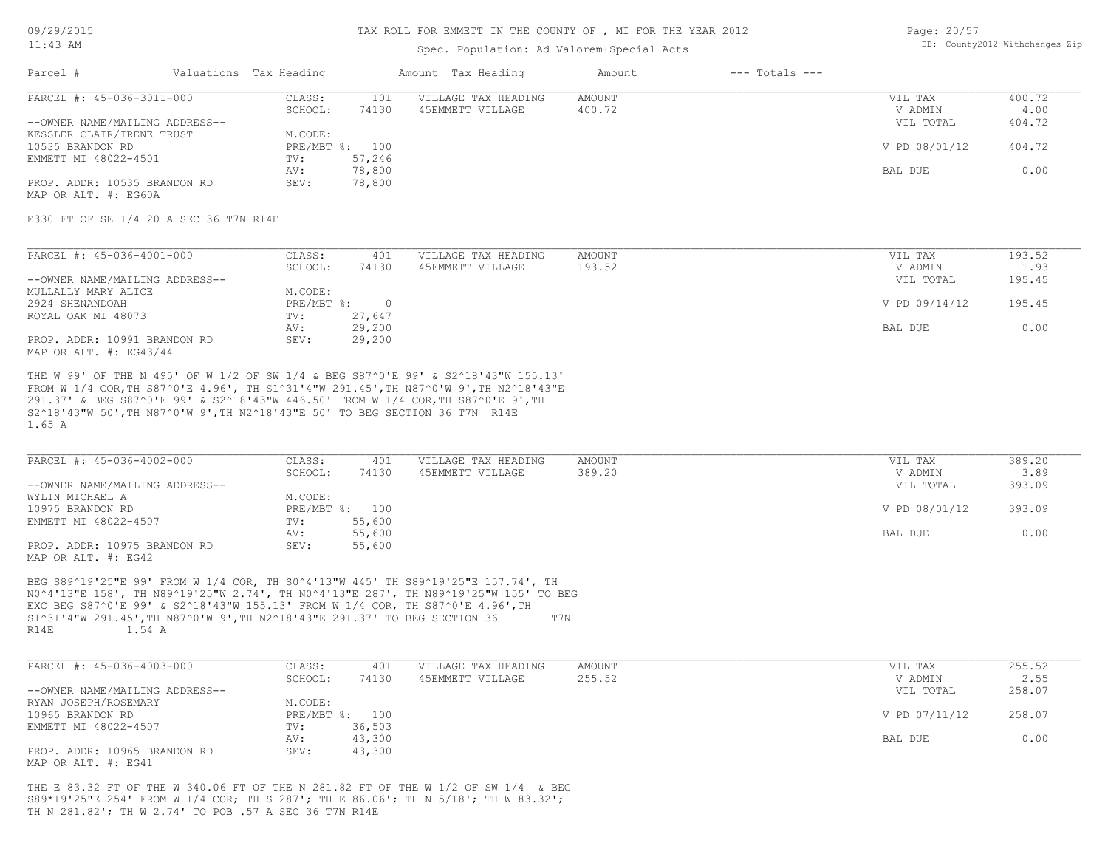#### 11:43 AM

#### TAX ROLL FOR EMMETT IN THE COUNTY OF , MI FOR THE YEAR 2012

### Spec. Population: Ad Valorem+Special Acts

Page: 20/57 DB: County2012 Withchanges-Zip

| Parcel #                       | Valuations Tax Heading |        | Amount Tax Heading  | Amount | $---$ Totals $---$ |               |        |
|--------------------------------|------------------------|--------|---------------------|--------|--------------------|---------------|--------|
| PARCEL #: 45-036-3011-000      | CLASS:                 | 101    | VILLAGE TAX HEADING | AMOUNT |                    | VIL TAX       | 400.72 |
|                                | SCHOOL:                | 74130  | 45EMMETT VILLAGE    | 400.72 |                    | V ADMIN       | 4.00   |
| --OWNER NAME/MAILING ADDRESS-- |                        |        |                     |        |                    | VIL TOTAL     | 404.72 |
| KESSLER CLAIR/IRENE TRUST      | M.CODE:                |        |                     |        |                    |               |        |
| 10535 BRANDON RD               | PRE/MBT %:             | 100    |                     |        |                    | V PD 08/01/12 | 404.72 |
| EMMETT MI 48022-4501           | TV:                    | 57,246 |                     |        |                    |               |        |
|                                | AV:                    | 78,800 |                     |        |                    | BAL DUE       | 0.00   |
| PROP. ADDR: 10535 BRANDON RD   | SEV:                   | 78,800 |                     |        |                    |               |        |
|                                |                        |        |                     |        |                    |               |        |

MAP OR ALT. #: EG60A

E330 FT OF SE 1/4 20 A SEC 36 T7N R14E

| PARCEL #: 45-036-4001-000      | CLASS:     | 401    | VILLAGE TAX HEADING | AMOUNT | VIL TAX       | 193.52 |
|--------------------------------|------------|--------|---------------------|--------|---------------|--------|
|                                | SCHOOL:    | 74130  | 45EMMETT VILLAGE    | 193.52 | V ADMIN       | 1.93   |
| --OWNER NAME/MAILING ADDRESS-- |            |        |                     |        | VIL TOTAL     | 195.45 |
| MULLALLY MARY ALICE            | M.CODE:    |        |                     |        |               |        |
| 2924 SHENANDOAH                | PRE/MBT %: |        |                     |        | V PD 09/14/12 | 195.45 |
| ROYAL OAK MI 48073             | TV:        | 27,647 |                     |        |               |        |
|                                | AV:        | 29,200 |                     |        | BAL DUE       | 0.00   |
| PROP. ADDR: 10991 BRANDON RD   | SEV:       | 29,200 |                     |        |               |        |
| MAP OR ALT. $\#$ : EG43/44     |            |        |                     |        |               |        |

1.65 A S2^18'43"W 50',TH N87^0'W 9',TH N2^18'43"E 50' TO BEG SECTION 36 T7N R14E 291.37' & BEG S87^0'E 99' & S2^18'43"W 446.50' FROM W 1/4 COR,TH S87^0'E 9',TH FROM W 1/4 COR,TH S87^0'E 4.96', TH S1^31'4"W 291.45',TH N87^0'W 9',TH N2^18'43"E THE W 99' OF THE N 495' OF W 1/2 OF SW 1/4 & BEG S87^0'E 99' & S2^18'43"W 155.13'

| PARCEL #: 45-036-4002-000      | CLASS:  | 401            | VILLAGE TAX HEADING | AMOUNT | VIL TAX       | 389.20 |
|--------------------------------|---------|----------------|---------------------|--------|---------------|--------|
|                                | SCHOOL: | 74130          | 45EMMETT VILLAGE    | 389.20 | V ADMIN       | 3.89   |
| --OWNER NAME/MAILING ADDRESS-- |         |                |                     |        | VIL TOTAL     | 393.09 |
| WYLIN MICHAEL A                | M.CODE: |                |                     |        |               |        |
| 10975 BRANDON RD               |         | PRE/MBT %: 100 |                     |        | V PD 08/01/12 | 393.09 |
| EMMETT MI 48022-4507           | TV:     | 55,600         |                     |        |               |        |
|                                | AV:     | 55,600         |                     |        | BAL DUE       | 0.00   |
| PROP. ADDR: 10975 BRANDON RD   | SEV:    | 55,600         |                     |        |               |        |
| MAP OR ALT. #: EG42            |         |                |                     |        |               |        |

R14E 1.54 A S1^31'4"W 291.45',TH N87^0'W 9',TH N2^18'43"E 291.37' TO BEG SECTION 36 T7N EXC BEG S87^0'E 99' & S2^18'43"W 155.13' FROM W 1/4 COR, TH S87^0'E 4.96',TH N0^4'13"E 158', TH N89^19'25"W 2.74', TH N0^4'13"E 287', TH N89^19'25"W 155' TO BEG BEG S89^19'25"E 99' FROM W 1/4 COR, TH S0^4'13"W 445' TH S89^19'25"E 157.74', TH

| PARCEL #: 45-036-4003-000      | CLASS:  | 401            | VILLAGE TAX HEADING | AMOUNT | VIL TAX       | 255.52 |
|--------------------------------|---------|----------------|---------------------|--------|---------------|--------|
|                                | SCHOOL: | 74130          | 45EMMETT VILLAGE    | 255.52 | V ADMIN       | 2.55   |
| --OWNER NAME/MAILING ADDRESS-- |         |                |                     |        | VIL TOTAL     | 258.07 |
| RYAN JOSEPH/ROSEMARY           | M.CODE: |                |                     |        |               |        |
| 10965 BRANDON RD               |         | PRE/MBT %: 100 |                     |        | V PD 07/11/12 | 258.07 |
| EMMETT MI 48022-4507           | TV:     | 36,503         |                     |        |               |        |
|                                | AV:     | 43,300         |                     |        | BAL DUE       | 0.00   |
| PROP. ADDR: 10965 BRANDON RD   | SEV:    | 43,300         |                     |        |               |        |
| MAP OR ALT. #: EG41            |         |                |                     |        |               |        |

TH N 281.82'; TH W 2.74' TO POB .57 A SEC 36 T7N R14E S89\*19'25"E 254' FROM W 1/4 COR; TH S 287'; TH E 86.06'; TH N 5/18'; TH W 83.32'; THE E 83.32 FT OF THE W 340.06 FT OF THE N 281.82 FT OF THE W 1/2 OF SW 1/4 & BEG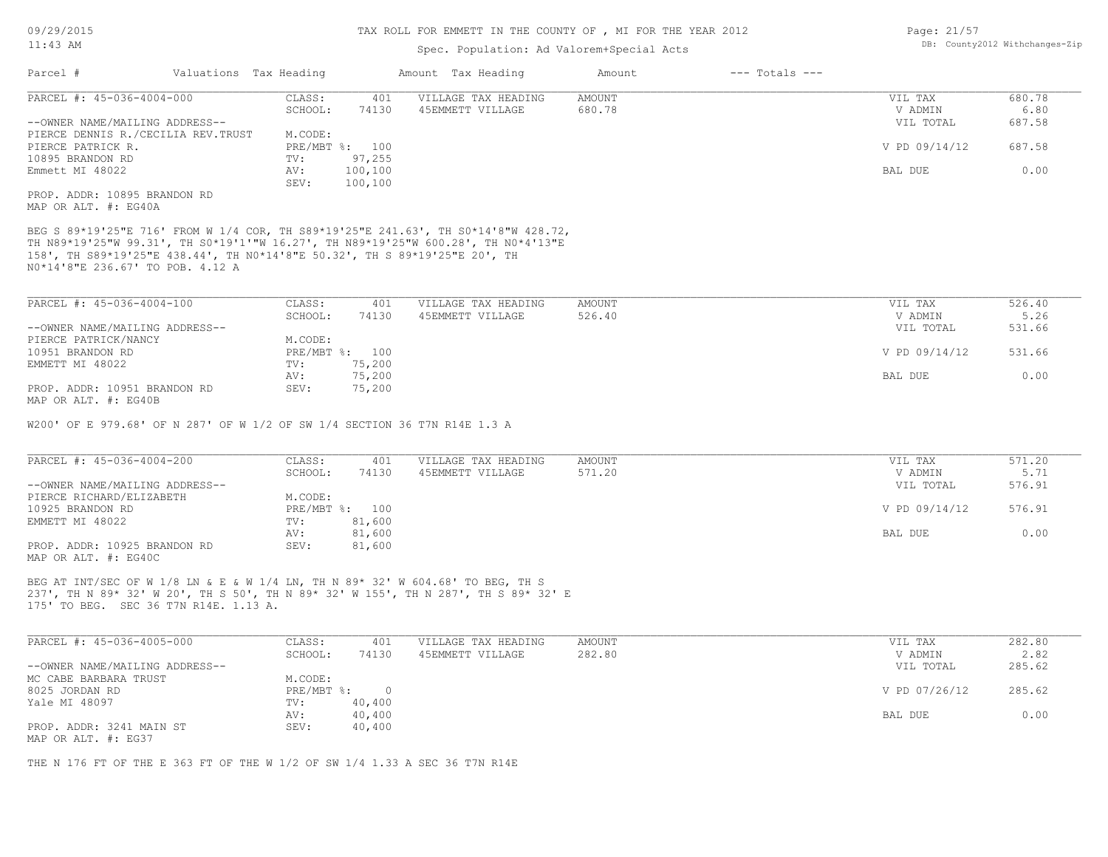### Spec. Population: Ad Valorem+Special Acts

| Page: 21/57 |                                |
|-------------|--------------------------------|
|             | DB: County2012 Withchanges-Zip |

| Parcel #                            | Valuations Tax Heading |                | Amount Tax Heading  | Amount | $---$ Totals $---$ |               |        |
|-------------------------------------|------------------------|----------------|---------------------|--------|--------------------|---------------|--------|
| PARCEL #: 45-036-4004-000           | CLASS:                 | 401            | VILLAGE TAX HEADING | AMOUNT |                    | VIL TAX       | 680.78 |
|                                     | SCHOOL:                | 74130          | 45EMMETT VILLAGE    | 680.78 |                    | V ADMIN       | 6.80   |
| --OWNER NAME/MAILING ADDRESS--      |                        |                |                     |        |                    | VIL TOTAL     | 687.58 |
| PIERCE DENNIS R./CECILIA REV. TRUST | M.CODE:                |                |                     |        |                    |               |        |
| PIERCE PATRICK R.                   |                        | PRE/MBT %: 100 |                     |        |                    | V PD 09/14/12 | 687.58 |
| 10895 BRANDON RD                    | TV:                    | 97,255         |                     |        |                    |               |        |
| Emmett MI 48022                     | AV:                    | 100,100        |                     |        |                    | BAL DUE       | 0.00   |
|                                     | SEV:                   | 100,100        |                     |        |                    |               |        |
| PROP. ADDR: 10895 BRANDON RD        |                        |                |                     |        |                    |               |        |

MAP OR ALT. #: EG40A

N0\*14'8"E 236.67' TO POB. 4.12 A 158', TH S89\*19'25"E 438.44', TH N0\*14'8"E 50.32', TH S 89\*19'25"E 20', TH TH N89\*19'25"W 99.31', TH S0\*19'1'"W 16.27', TH N89\*19'25"W 600.28', TH N0\*4'13"E BEG S 89\*19'25"E 716' FROM W 1/4 COR, TH S89\*19'25"E 241.63', TH S0\*14'8"W 428.72,

| PARCEL #: 45-036-4004-100      | CLASS:  | 401            | VILLAGE TAX HEADING | AMOUNT | VIL TAX       | 526.40 |
|--------------------------------|---------|----------------|---------------------|--------|---------------|--------|
|                                | SCHOOL: | 74130          | 45EMMETT VILLAGE    | 526.40 | V ADMIN       | 5.26   |
| --OWNER NAME/MAILING ADDRESS-- |         |                |                     |        | VIL TOTAL     | 531.66 |
| PIERCE PATRICK/NANCY           | M.CODE: |                |                     |        |               |        |
| 10951 BRANDON RD               |         | PRE/MBT %: 100 |                     |        | V PD 09/14/12 | 531.66 |
| EMMETT MI 48022                | TV:     | 75,200         |                     |        |               |        |
|                                | AV:     | 75,200         |                     |        | BAL DUE       | 0.00   |
| PROP. ADDR: 10951 BRANDON RD   | SEV:    | 75,200         |                     |        |               |        |
| MAP OR ALT. #: EG40B           |         |                |                     |        |               |        |

W200' OF E 979.68' OF N 287' OF W 1/2 OF SW 1/4 SECTION 36 T7N R14E 1.3 A

| PARCEL #: 45-036-4004-200      | CLASS:         | 401    | VILLAGE TAX HEADING | AMOUNT | VIL TAX       | 571.20 |
|--------------------------------|----------------|--------|---------------------|--------|---------------|--------|
|                                | SCHOOL:        | 74130  | 45EMMETT VILLAGE    | 571.20 | V ADMIN       | 5.71   |
| --OWNER NAME/MAILING ADDRESS-- |                |        |                     |        | VIL TOTAL     | 576.91 |
| PIERCE RICHARD/ELIZABETH       | M.CODE:        |        |                     |        |               |        |
| 10925 BRANDON RD               | PRE/MBT %: 100 |        |                     |        | V PD 09/14/12 | 576.91 |
| EMMETT MI 48022                | TV:            | 81,600 |                     |        |               |        |
|                                | AV:            | 81,600 |                     |        | BAL DUE       | 0.00   |
| PROP. ADDR: 10925 BRANDON RD   | SEV:           | 81,600 |                     |        |               |        |
| MAP OR ALT. #: EG40C           |                |        |                     |        |               |        |

175' TO BEG. SEC 36 T7N R14E. 1.13 A. 237', TH N 89\* 32' W 20', TH S 50', TH N 89\* 32' W 155', TH N 287', TH S 89\* 32' E BEG AT INT/SEC OF W 1/8 LN & E & W 1/4 LN, TH N 89\* 32' W 604.68' TO BEG, TH S

| PARCEL #: 45-036-4005-000      | CLASS:       | 401    | VILLAGE TAX HEADING | AMOUNT | VIL TAX       | 282.80 |
|--------------------------------|--------------|--------|---------------------|--------|---------------|--------|
|                                | SCHOOL:      | 74130  | 45EMMETT VILLAGE    | 282.80 | V ADMIN       | 2.82   |
| --OWNER NAME/MAILING ADDRESS-- |              |        |                     |        | VIL TOTAL     | 285.62 |
| MC CABE BARBARA TRUST          | M.CODE:      |        |                     |        |               |        |
| 8025 JORDAN RD                 | $PRE/MBT$ %: |        |                     |        | V PD 07/26/12 | 285.62 |
| Yale MI 48097                  | TV:          | 40,400 |                     |        |               |        |
|                                | AV:          | 40,400 |                     |        | BAL DUE       | 0.00   |
| PROP. ADDR: 3241 MAIN ST       | SEV:         | 40,400 |                     |        |               |        |
| MAP OR ALT. #: EG37            |              |        |                     |        |               |        |

THE N 176 FT OF THE E 363 FT OF THE W 1/2 OF SW 1/4 1.33 A SEC 36 T7N R14E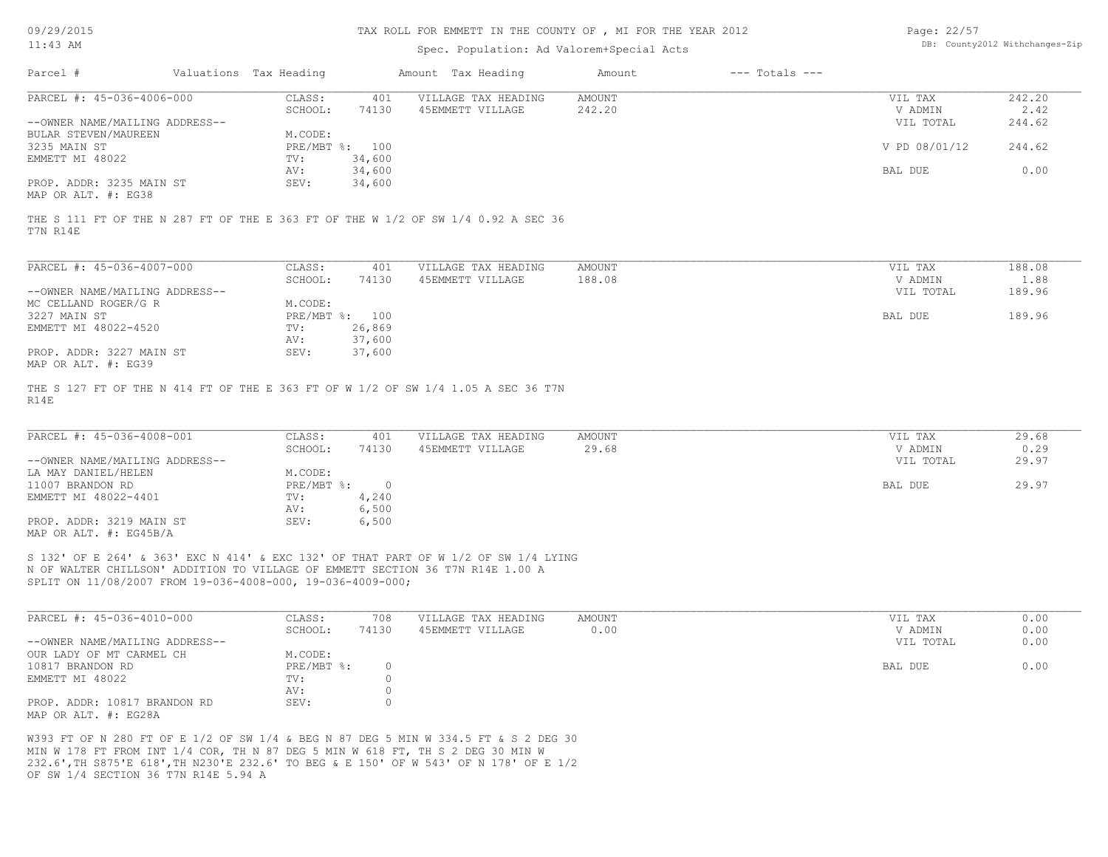#### TAX ROLL FOR EMMETT IN THE COUNTY OF , MI FOR THE YEAR 2012

### Spec. Population: Ad Valorem+Special Acts

Page: 22/57 DB: County2012 Withchanges-Zip

| Parcel #                       | Valuations Tax Heading |        | Amount Tax Heading  | Amount | $---$ Totals $---$ |               |        |
|--------------------------------|------------------------|--------|---------------------|--------|--------------------|---------------|--------|
| PARCEL #: 45-036-4006-000      | CLASS:                 | 401    | VILLAGE TAX HEADING | AMOUNT |                    | VIL TAX       | 242.20 |
|                                | SCHOOL:                | 74130  | 45EMMETT VILLAGE    | 242.20 |                    | V ADMIN       | 2.42   |
| --OWNER NAME/MAILING ADDRESS-- |                        |        |                     |        |                    | VIL TOTAL     | 244.62 |
| BULAR STEVEN/MAUREEN           | M.CODE:                |        |                     |        |                    |               |        |
| 3235 MAIN ST                   | PRE/MBT %: 100         |        |                     |        |                    | V PD 08/01/12 | 244.62 |
| EMMETT MI 48022                | TV:                    | 34,600 |                     |        |                    |               |        |
|                                | AV:                    | 34,600 |                     |        |                    | BAL DUE       | 0.00   |
| PROP. ADDR: 3235 MAIN ST       | SEV:                   | 34,600 |                     |        |                    |               |        |
| $\frac{1}{2}$                  |                        |        |                     |        |                    |               |        |

MAP OR ALT. #: EG38

T7N R14E THE S 111 FT OF THE N 287 FT OF THE E 363 FT OF THE W 1/2 OF SW 1/4 0.92 A SEC 36

| PARCEL #: 45-036-4007-000      | CLASS:     | 401    | VILLAGE TAX HEADING | AMOUNT | VIL TAX   | 188.08 |
|--------------------------------|------------|--------|---------------------|--------|-----------|--------|
|                                | SCHOOL:    | 74130  | 45EMMETT VILLAGE    | 188.08 | V ADMIN   | 1.88   |
| --OWNER NAME/MAILING ADDRESS-- |            |        |                     |        | VIL TOTAL | 189.96 |
| MC CELLAND ROGER/G R           | M.CODE:    |        |                     |        |           |        |
| 3227 MAIN ST                   | PRE/MBT %: | 100    |                     |        | BAL DUE   | 189.96 |
| EMMETT MI 48022-4520           | TV:        | 26,869 |                     |        |           |        |
|                                | AV:        | 37,600 |                     |        |           |        |
| PROP. ADDR: 3227 MAIN ST       | SEV:       | 37,600 |                     |        |           |        |
| MAP OR ALT. #: EG39            |            |        |                     |        |           |        |

R14E THE S 127 FT OF THE N 414 FT OF THE E 363 FT OF W 1/2 OF SW 1/4 1.05 A SEC 36 T7N

| PARCEL #: 45-036-4008-001      | CLASS:       | 401   | VILLAGE TAX HEADING | AMOUNT | VIL TAX   | 29.68 |
|--------------------------------|--------------|-------|---------------------|--------|-----------|-------|
|                                | SCHOOL:      | 74130 | 45EMMETT VILLAGE    | 29.68  | V ADMIN   | 0.29  |
| --OWNER NAME/MAILING ADDRESS-- |              |       |                     |        | VIL TOTAL | 29.97 |
| LA MAY DANIEL/HELEN            | M.CODE:      |       |                     |        |           |       |
| 11007 BRANDON RD               | $PRE/MBT$ %: |       |                     |        | BAL DUE   | 29.97 |
| EMMETT MI 48022-4401           | TV:          | 4,240 |                     |        |           |       |
|                                | AV:          | 6,500 |                     |        |           |       |
| PROP. ADDR: 3219 MAIN ST       | SEV:         | 6,500 |                     |        |           |       |
| MAP OR ALT. $\#$ : EG45B/A     |              |       |                     |        |           |       |

SPLIT ON 11/08/2007 FROM 19-036-4008-000, 19-036-4009-000; N OF WALTER CHILLSON' ADDITION TO VILLAGE OF EMMETT SECTION 36 T7N R14E 1.00 A S 132' OF E 264' & 363' EXC N 414' & EXC 132' OF THAT PART OF W 1/2 OF SW 1/4 LYING

| PARCEL #: 45-036-4010-000      | CLASS:       | 708   | VILLAGE TAX HEADING | AMOUNT | VIL TAX   | 0.00 |
|--------------------------------|--------------|-------|---------------------|--------|-----------|------|
|                                | SCHOOL:      | 74130 | 45EMMETT VILLAGE    | 0.00   | V ADMIN   | 0.00 |
| --OWNER NAME/MAILING ADDRESS-- |              |       |                     |        | VIL TOTAL | 0.00 |
| OUR LADY OF MT CARMEL CH       | M.CODE:      |       |                     |        |           |      |
| 10817 BRANDON RD               | $PRE/MBT$ %: |       |                     |        | BAL DUE   | 0.00 |
| EMMETT MI 48022                | TV:          |       |                     |        |           |      |
|                                | AV:          |       |                     |        |           |      |
| PROP. ADDR: 10817 BRANDON RD   | SEV:         |       |                     |        |           |      |
| MAP OR ALT. #: EG28A           |              |       |                     |        |           |      |

OF SW 1/4 SECTION 36 T7N R14E 5.94 A 232.6',TH S875'E 618',TH N230'E 232.6' TO BEG & E 150' OF W 543' OF N 178' OF E 1/2 MIN W 178 FT FROM INT 1/4 COR, TH N 87 DEG 5 MIN W 618 FT, TH S 2 DEG 30 MIN W W393 FT OF N 280 FT OF E 1/2 OF SW 1/4 & BEG N 87 DEG 5 MIN W 334.5 FT & S 2 DEG 30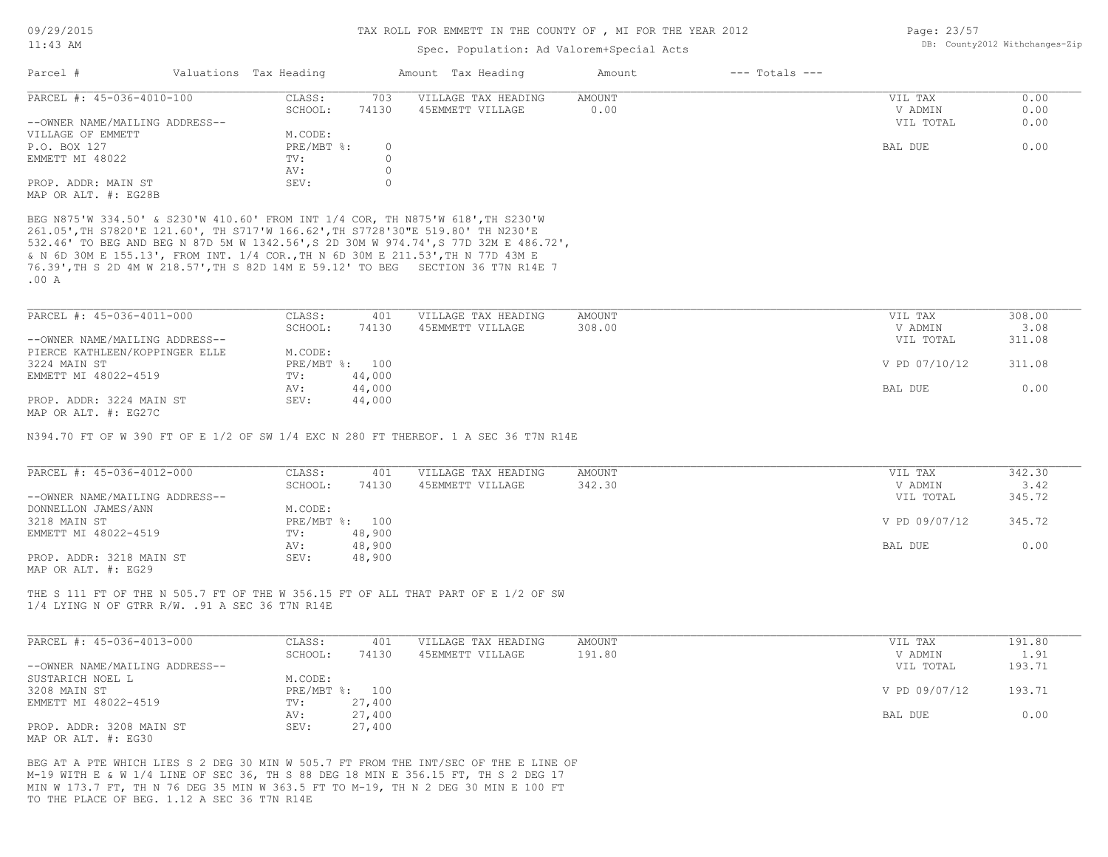#### 11:43 AM

#### TAX ROLL FOR EMMETT IN THE COUNTY OF , MI FOR THE YEAR 2012

### Spec. Population: Ad Valorem+Special Acts

| Page: 23/57 |                                |
|-------------|--------------------------------|
|             | DB: County2012 Withchanges-Zip |

| Parcel #                       | Valuations Tax Heading |       | Amount Tax Heading  | Amount | $---$ Totals $---$ |           |      |
|--------------------------------|------------------------|-------|---------------------|--------|--------------------|-----------|------|
| PARCEL #: 45-036-4010-100      | CLASS:                 | 703   | VILLAGE TAX HEADING | AMOUNT |                    | VIL TAX   | 0.00 |
|                                | SCHOOL:                | 74130 | 45EMMETT VILLAGE    | 0.00   |                    | V ADMIN   | 0.00 |
| --OWNER NAME/MAILING ADDRESS-- |                        |       |                     |        |                    | VIL TOTAL | 0.00 |
| VILLAGE OF EMMETT              | M.CODE:                |       |                     |        |                    |           |      |
| P.O. BOX 127                   | $PRE/MBT$ %:           |       |                     |        |                    | BAL DUE   | 0.00 |
| EMMETT MI 48022                | TV:                    |       |                     |        |                    |           |      |
|                                | AV:                    |       |                     |        |                    |           |      |
| PROP. ADDR: MAIN ST            | SEV:                   |       |                     |        |                    |           |      |
| MAP OR ALT. #: EG28B           |                        |       |                     |        |                    |           |      |

.00 A 76.39',TH S 2D 4M W 218.57',TH S 82D 14M E 59.12' TO BEG SECTION 36 T7N R14E 7 & N 6D 30M E 155.13', FROM INT. 1/4 COR.,TH N 6D 30M E 211.53',TH N 77D 43M E 532.46' TO BEG AND BEG N 87D 5M W 1342.56',S 2D 30M W 974.74',S 77D 32M E 486.72', 261.05',TH S7820'E 121.60', TH S717'W 166.62',TH S7728'30"E 519.80' TH N230'E BEG N875'W 334.50' & S230'W 410.60' FROM INT 1/4 COR, TH N875'W 618',TH S230'W

| PARCEL #: 45-036-4011-000      | CLASS:  | 401            | VILLAGE TAX HEADING | AMOUNT | VIL TAX       | 308.00 |
|--------------------------------|---------|----------------|---------------------|--------|---------------|--------|
|                                | SCHOOL: | 74130          | 45EMMETT VILLAGE    | 308.00 | V ADMIN       | 3.08   |
| --OWNER NAME/MAILING ADDRESS-- |         |                |                     |        | VIL TOTAL     | 311.08 |
| PIERCE KATHLEEN/KOPPINGER ELLE | M.CODE: |                |                     |        |               |        |
| 3224 MAIN ST                   |         | PRE/MBT %: 100 |                     |        | V PD 07/10/12 | 311.08 |
| EMMETT MI 48022-4519           | TV:     | 44,000         |                     |        |               |        |
|                                | AV:     | 44,000         |                     |        | BAL DUE       | 0.00   |
| PROP. ADDR: 3224 MAIN ST       | SEV:    | 44,000         |                     |        |               |        |
| MAP OR ALT. #: EG27C           |         |                |                     |        |               |        |

N394.70 FT OF W 390 FT OF E 1/2 OF SW 1/4 EXC N 280 FT THEREOF. 1 A SEC 36 T7N R14E

| PARCEL #: 45-036-4012-000      | CLASS:  | 401            | VILLAGE TAX HEADING | AMOUNT | VIL TAX       | 342.30 |
|--------------------------------|---------|----------------|---------------------|--------|---------------|--------|
|                                | SCHOOL: | 74130          | 45EMMETT VILLAGE    | 342.30 | V ADMIN       | 3.42   |
| --OWNER NAME/MAILING ADDRESS-- |         |                |                     |        | VIL TOTAL     | 345.72 |
| DONNELLON JAMES/ANN            | M.CODE: |                |                     |        |               |        |
| 3218 MAIN ST                   |         | PRE/MBT %: 100 |                     |        | V PD 09/07/12 | 345.72 |
| EMMETT MI 48022-4519           | TV:     | 48,900         |                     |        |               |        |
|                                | AV:     | 48,900         |                     |        | BAL DUE       | 0.00   |
| PROP. ADDR: 3218 MAIN ST       | SEV:    | 48,900         |                     |        |               |        |
| MAP OR ALT. #: EG29            |         |                |                     |        |               |        |

1/4 LYING N OF GTRR R/W. .91 A SEC 36 T7N R14E THE S 111 FT OF THE N 505.7 FT OF THE W 356.15 FT OF ALL THAT PART OF E 1/2 OF SW

| PARCEL #: 45-036-4013-000      | CLASS:  | 401            | VILLAGE TAX HEADING | AMOUNT | VIL TAX       | 191.80 |
|--------------------------------|---------|----------------|---------------------|--------|---------------|--------|
|                                | SCHOOL: | 74130          | 45EMMETT VILLAGE    | 191.80 | V ADMIN       | 1.91   |
| --OWNER NAME/MAILING ADDRESS-- |         |                |                     |        | VIL TOTAL     | 193.71 |
| SUSTARICH NOEL L               | M.CODE: |                |                     |        |               |        |
| 3208 MAIN ST                   |         | PRE/MBT %: 100 |                     |        | V PD 09/07/12 | 193.71 |
| EMMETT MI 48022-4519           | TV:     | 27,400         |                     |        |               |        |
|                                | AV:     | 27,400         |                     |        | BAL DUE       | 0.00   |
| PROP. ADDR: 3208 MAIN ST       | SEV:    | 27,400         |                     |        |               |        |
| MAP OR ALT. #: EG30            |         |                |                     |        |               |        |

TO THE PLACE OF BEG. 1.12 A SEC 36 T7N R14E MIN W 173.7 FT, TH N 76 DEG 35 MIN W 363.5 FT TO M-19, TH N 2 DEG 30 MIN E 100 FT M-19 WITH E & W 1/4 LINE OF SEC 36, TH S 88 DEG 18 MIN E 356.15 FT, TH S 2 DEG 17 BEG AT A PTE WHICH LIES S 2 DEG 30 MIN W 505.7 FT FROM THE INT/SEC OF THE E LINE OF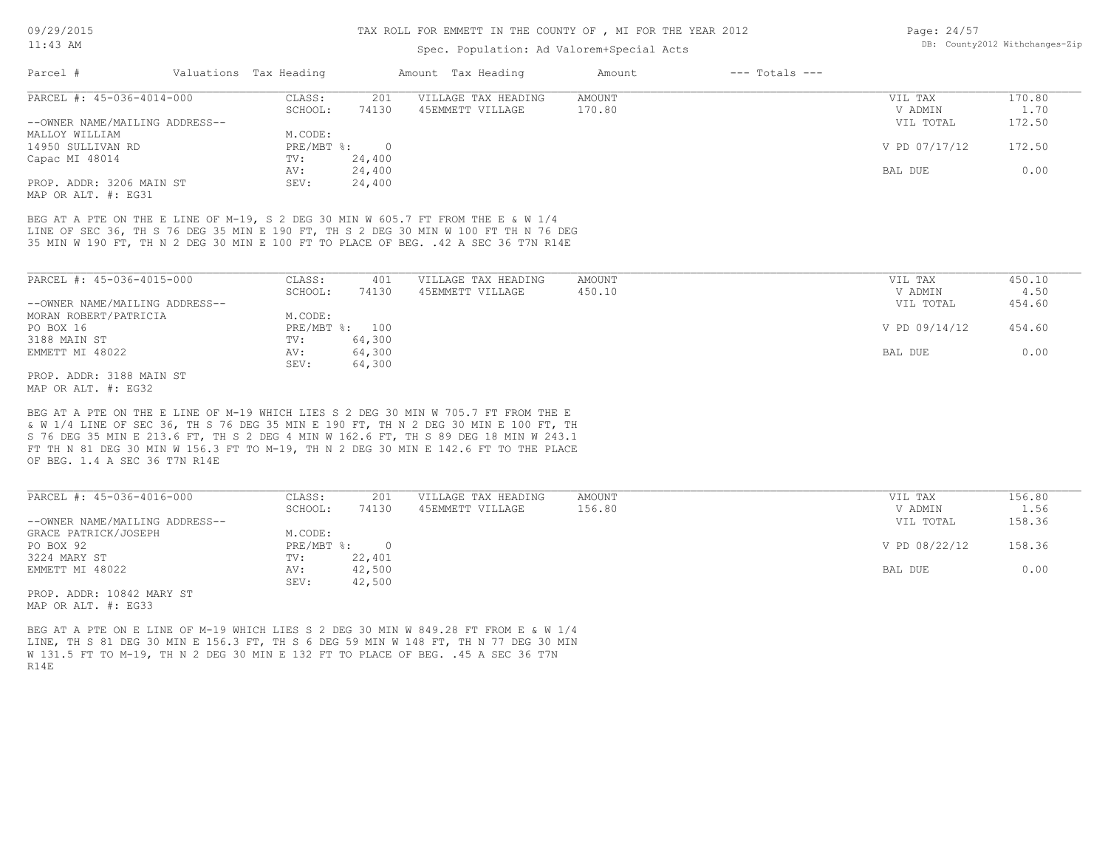### Spec. Population: Ad Valorem+Special Acts

| Page: 24/57 |                                |
|-------------|--------------------------------|
|             | DB: County2012 Withchanges-Zip |

| Parcel #                       | Valuations Tax Heading |        | Amount Tax Heading  | Amount | $---$ Totals $---$ |               |        |
|--------------------------------|------------------------|--------|---------------------|--------|--------------------|---------------|--------|
| PARCEL #: 45-036-4014-000      | CLASS:                 | 201    | VILLAGE TAX HEADING | AMOUNT |                    | VIL TAX       | 170.80 |
|                                | SCHOOL:                | 74130  | 45EMMETT VILLAGE    | 170.80 |                    | V ADMIN       | 1.70   |
| --OWNER NAME/MAILING ADDRESS-- |                        |        |                     |        |                    | VIL TOTAL     | 172.50 |
| MALLOY WILLIAM                 | M.CODE:                |        |                     |        |                    |               |        |
| 14950 SULLIVAN RD              | $PRE/MBT$ %:           |        |                     |        |                    | V PD 07/17/12 | 172.50 |
| Capac MI 48014                 | TV:                    | 24,400 |                     |        |                    |               |        |
|                                | AV:                    | 24,400 |                     |        |                    | BAL DUE       | 0.00   |
| PROP. ADDR: 3206 MAIN ST       | SEV:                   | 24,400 |                     |        |                    |               |        |
|                                |                        |        |                     |        |                    |               |        |

MAP OR ALT. #: EG31

35 MIN W 190 FT, TH N 2 DEG 30 MIN E 100 FT TO PLACE OF BEG. .42 A SEC 36 T7N R14E LINE OF SEC 36, TH S 76 DEG 35 MIN E 190 FT, TH S 2 DEG 30 MIN W 100 FT TH N 76 DEG BEG AT A PTE ON THE E LINE OF M-19, S 2 DEG 30 MIN W 605.7 FT FROM THE E & W 1/4

| PARCEL #: 45-036-4015-000      | CLASS:  | 401            | VILLAGE TAX HEADING | AMOUNT | VIL TAX       | 450.10 |
|--------------------------------|---------|----------------|---------------------|--------|---------------|--------|
|                                | SCHOOL: | 74130          | 45EMMETT VILLAGE    | 450.10 | V ADMIN       | 4.50   |
| --OWNER NAME/MAILING ADDRESS-- |         |                |                     |        | VIL TOTAL     | 454.60 |
| MORAN ROBERT/PATRICIA          | M.CODE: |                |                     |        |               |        |
| PO BOX 16                      |         | PRE/MBT %: 100 |                     |        | V PD 09/14/12 | 454.60 |
| 3188 MAIN ST                   | TV:     | 64,300         |                     |        |               |        |
| EMMETT MI 48022                | AV:     | 64,300         |                     |        | BAL DUE       | 0.00   |
|                                | SEV:    | 64,300         |                     |        |               |        |
| PROP. ADDR: 3188 MAIN ST       |         |                |                     |        |               |        |

MAP OR ALT. #: EG32

OF BEG. 1.4 A SEC 36 T7N R14E FT TH N 81 DEG 30 MIN W 156.3 FT TO M-19, TH N 2 DEG 30 MIN E 142.6 FT TO THE PLACE S 76 DEG 35 MIN E 213.6 FT, TH S 2 DEG 4 MIN W 162.6 FT, TH S 89 DEG 18 MIN W 243.1 & W 1/4 LINE OF SEC 36, TH S 76 DEG 35 MIN E 190 FT, TH N 2 DEG 30 MIN E 100 FT, TH BEG AT A PTE ON THE E LINE OF M-19 WHICH LIES S 2 DEG 30 MIN W 705.7 FT FROM THE E

| PARCEL #: 45-036-4016-000      | CLASS:     | 201    | VILLAGE TAX HEADING | AMOUNT | VIL TAX       | 156.80 |
|--------------------------------|------------|--------|---------------------|--------|---------------|--------|
|                                | SCHOOL:    | 74130  | 45EMMETT VILLAGE    | 156.80 | V ADMIN       | 1.56   |
| --OWNER NAME/MAILING ADDRESS-- |            |        |                     |        | VIL TOTAL     | 158.36 |
| GRACE PATRICK/JOSEPH           | M.CODE:    |        |                     |        |               |        |
| PO BOX 92                      | PRE/MBT %: | - 0    |                     |        | V PD 08/22/12 | 158.36 |
| 3224 MARY ST                   | TV:        | 22,401 |                     |        |               |        |
| EMMETT MI 48022                | AV:        | 42,500 |                     |        | BAL DUE       | 0.00   |
|                                | SEV:       | 42,500 |                     |        |               |        |
| PROP. ADDR: 10842 MARY ST      |            |        |                     |        |               |        |

MAP OR ALT. #: EG33

R14E W 131.5 FT TO M-19, TH N 2 DEG 30 MIN E 132 FT TO PLACE OF BEG. .45 A SEC 36 T7N LINE, TH S 81 DEG 30 MIN E 156.3 FT, TH S 6 DEG 59 MIN W 148 FT, TH N 77 DEG 30 MIN BEG AT A PTE ON E LINE OF M-19 WHICH LIES S 2 DEG 30 MIN W 849.28 FT FROM E & W 1/4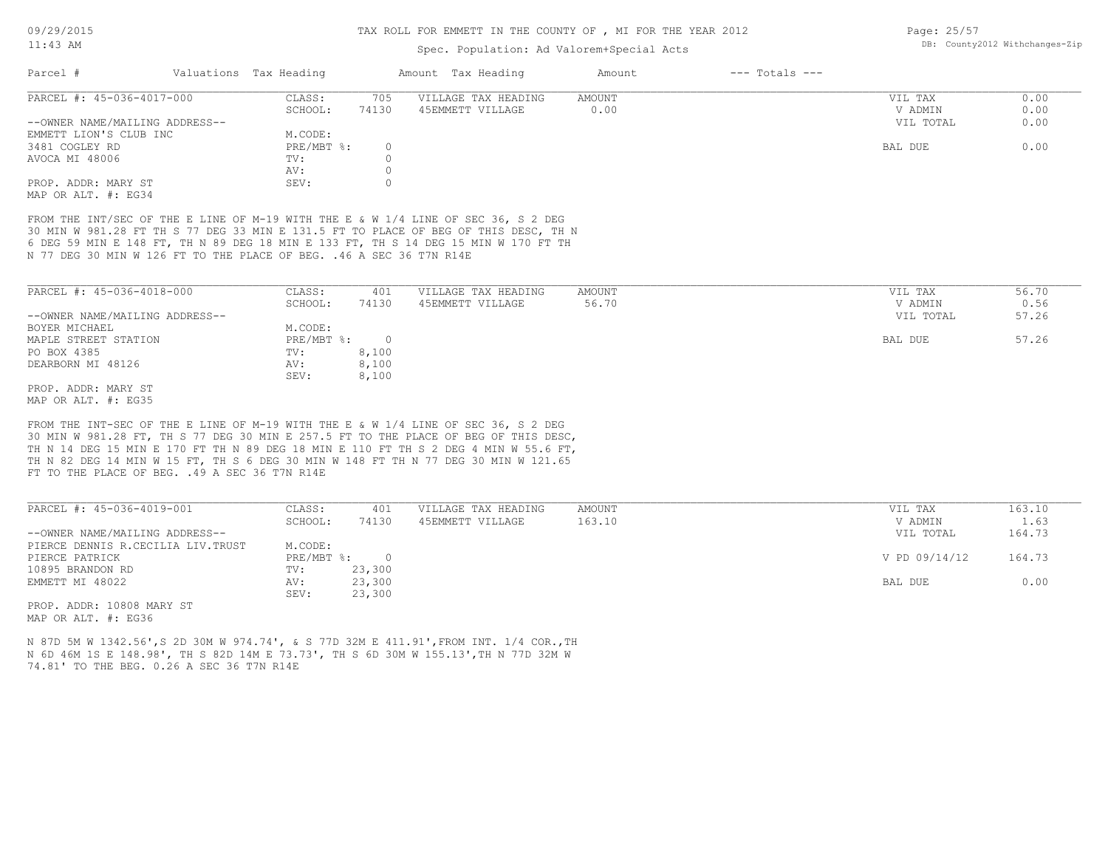### Spec. Population: Ad Valorem+Special Acts

| Page: 25/57 |                                |
|-------------|--------------------------------|
|             | DB: County2012 Withchanges-Zip |

| Parcel #                       | Valuations Tax Heading |       | Amount Tax Heading  | Amount | $---$ Totals $---$ |           |      |
|--------------------------------|------------------------|-------|---------------------|--------|--------------------|-----------|------|
| PARCEL #: 45-036-4017-000      | CLASS:                 | 705   | VILLAGE TAX HEADING | AMOUNT |                    | VIL TAX   | 0.00 |
|                                | SCHOOL:                | 74130 | 45EMMETT VILLAGE    | 0.00   |                    | V ADMIN   | 0.00 |
| --OWNER NAME/MAILING ADDRESS-- |                        |       |                     |        |                    | VIL TOTAL | 0.00 |
| EMMETT LION'S CLUB INC         | M.CODE:                |       |                     |        |                    |           |      |
| 3481 COGLEY RD                 | PRE/MBT %:             |       |                     |        |                    | BAL DUE   | 0.00 |
| AVOCA MI 48006                 | TV:                    |       |                     |        |                    |           |      |
|                                | AV:                    |       |                     |        |                    |           |      |
| PROP. ADDR: MARY ST            | SEV:                   |       |                     |        |                    |           |      |
| MAP OR ALT. #: EG34            |                        |       |                     |        |                    |           |      |

N 77 DEG 30 MIN W 126 FT TO THE PLACE OF BEG. .46 A SEC 36 T7N R14E 6 DEG 59 MIN E 148 FT, TH N 89 DEG 18 MIN E 133 FT, TH S 14 DEG 15 MIN W 170 FT TH 30 MIN W 981.28 FT TH S 77 DEG 33 MIN E 131.5 FT TO PLACE OF BEG OF THIS DESC, TH N FROM THE INT/SEC OF THE E LINE OF M-19 WITH THE E & W 1/4 LINE OF SEC 36, S 2 DEG

| PARCEL #: 45-036-4018-000                                                                                       | CLASS:     | 401   | VILLAGE TAX HEADING | AMOUNT | 56.70<br>VIL TAX   |
|-----------------------------------------------------------------------------------------------------------------|------------|-------|---------------------|--------|--------------------|
|                                                                                                                 | SCHOOL:    | 74130 | 45EMMETT VILLAGE    | 56.70  | 0.56<br>V ADMIN    |
| --OWNER NAME/MAILING ADDRESS--                                                                                  |            |       |                     |        | 57.26<br>VIL TOTAL |
| BOYER MICHAEL                                                                                                   | M.CODE:    |       |                     |        |                    |
| MAPLE STREET STATION                                                                                            | PRE/MBT %: | 0     |                     |        | 57.26<br>BAL DUE   |
| PO BOX 4385                                                                                                     | TV:        | 8,100 |                     |        |                    |
| DEARBORN MI 48126                                                                                               | AV:        | 8,100 |                     |        |                    |
|                                                                                                                 | SEV:       | 8,100 |                     |        |                    |
| PROP. ADDR: MARY ST                                                                                             |            |       |                     |        |                    |
| the contract of the contract of the contract of the contract of the contract of the contract of the contract of |            |       |                     |        |                    |

MAP OR ALT. #: EG35

FT TO THE PLACE OF BEG. .49 A SEC 36 T7N R14E TH N 82 DEG 14 MIN W 15 FT, TH S 6 DEG 30 MIN W 148 FT TH N 77 DEG 30 MIN W 121.65 TH N 14 DEG 15 MIN E 170 FT TH N 89 DEG 18 MIN E 110 FT TH S 2 DEG 4 MIN W 55.6 FT, 30 MIN W 981.28 FT, TH S 77 DEG 30 MIN E 257.5 FT TO THE PLACE OF BEG OF THIS DESC, FROM THE INT-SEC OF THE E LINE OF M-19 WITH THE E & W 1/4 LINE OF SEC 36, S 2 DEG

| PARCEL #: 45-036-4019-001         | CLASS:     | 401    | VILLAGE TAX HEADING | AMOUNT | VIL TAX       | 163.10 |
|-----------------------------------|------------|--------|---------------------|--------|---------------|--------|
|                                   | SCHOOL:    | 74130  | 45EMMETT VILLAGE    | 163.10 | V ADMIN       | 1.63   |
| --OWNER NAME/MAILING ADDRESS--    |            |        |                     |        | VIL TOTAL     | 164.73 |
| PIERCE DENNIS R.CECILIA LIV.TRUST | M.CODE:    |        |                     |        |               |        |
| PIERCE PATRICK                    | PRE/MBT %: |        |                     |        | V PD 09/14/12 | 164.73 |
| 10895 BRANDON RD                  | TV:        | 23,300 |                     |        |               |        |
| EMMETT MI 48022                   | AV:        | 23,300 |                     |        | BAL DUE       | 0.00   |
|                                   | SEV:       | 23,300 |                     |        |               |        |
| DDOD JDDD, 10000 MJDV CH          |            |        |                     |        |               |        |

MAP OR ALT. #: EG36 PROP. ADDR: 10808 MARY ST

74.81' TO THE BEG. 0.26 A SEC 36 T7N R14E N 6D 46M 1S E 148.98', TH S 82D 14M E 73.73', TH S 6D 30M W 155.13',TH N 77D 32M W N 87D 5M W 1342.56',S 2D 30M W 974.74', & S 77D 32M E 411.91',FROM INT. 1/4 COR.,TH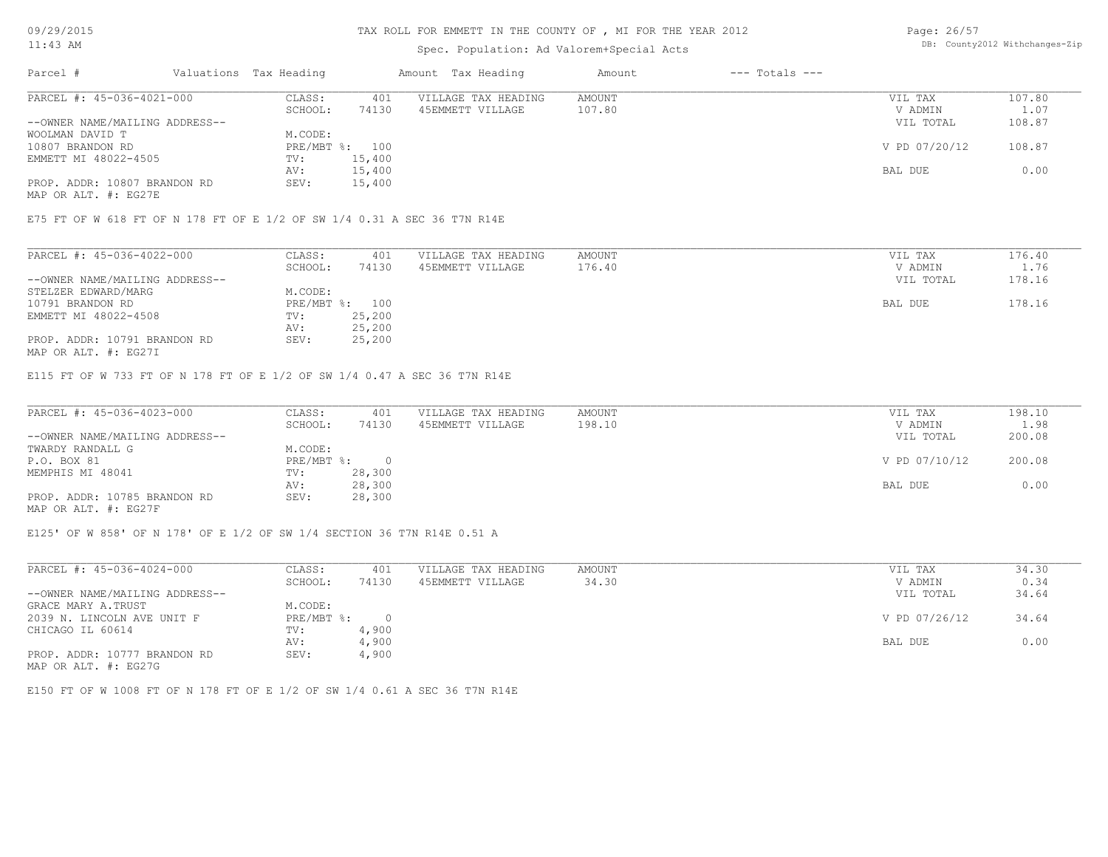### TAX ROLL FOR EMMETT IN THE COUNTY OF , MI FOR THE YEAR 2012

### Spec. Population: Ad Valorem+Special Acts

Page: 26/57 DB: County2012 Withchanges-Zip

| Parcel #                       | Valuations Tax Heading |        | Amount Tax Heading  | Amount | $---$ Totals $---$ |               |        |
|--------------------------------|------------------------|--------|---------------------|--------|--------------------|---------------|--------|
| PARCEL #: 45-036-4021-000      | CLASS:                 | 401    | VILLAGE TAX HEADING | AMOUNT |                    | VIL TAX       | 107.80 |
|                                | SCHOOL:                | 74130  | 45EMMETT VILLAGE    | 107.80 |                    | V ADMIN       | 1.07   |
| --OWNER NAME/MAILING ADDRESS-- |                        |        |                     |        |                    | VIL TOTAL     | 108.87 |
| WOOLMAN DAVID T                | M.CODE:                |        |                     |        |                    |               |        |
| 10807 BRANDON RD               | PRE/MBT %: 100         |        |                     |        |                    | V PD 07/20/12 | 108.87 |
| EMMETT MI 48022-4505           | TV:                    | 15,400 |                     |        |                    |               |        |
|                                | AV:                    | 15,400 |                     |        |                    | BAL DUE       | 0.00   |
| PROP. ADDR: 10807 BRANDON RD   | SEV:                   | 15,400 |                     |        |                    |               |        |
| MAP OR ALT. #: EG27E           |                        |        |                     |        |                    |               |        |

E75 FT OF W 618 FT OF N 178 FT OF E 1/2 OF SW 1/4 0.31 A SEC 36 T7N R14E

| PARCEL #: 45-036-4022-000      | CLASS:         | 401    | VILLAGE TAX HEADING | AMOUNT | VIL TAX   | 176.40 |
|--------------------------------|----------------|--------|---------------------|--------|-----------|--------|
|                                | SCHOOL:        | 74130  | 45EMMETT VILLAGE    | 176.40 | V ADMIN   | 1.76   |
| --OWNER NAME/MAILING ADDRESS-- |                |        |                     |        | VIL TOTAL | 178.16 |
| STELZER EDWARD/MARG            | M.CODE:        |        |                     |        |           |        |
| 10791 BRANDON RD               | PRE/MBT %: 100 |        |                     |        | BAL DUE   | 178.16 |
| EMMETT MI 48022-4508           | TV:            | 25,200 |                     |        |           |        |
|                                | AV:            | 25,200 |                     |        |           |        |
| PROP. ADDR: 10791 BRANDON RD   | SEV:           | 25,200 |                     |        |           |        |

MAP OR ALT. #: EG27I

E115 FT OF W 733 FT OF N 178 FT OF E 1/2 OF SW 1/4 0.47 A SEC 36 T7N R14E

| PARCEL #: 45-036-4023-000      | CLASS:       | 401    | VILLAGE TAX HEADING | AMOUNT | VIL TAX       | 198.10 |
|--------------------------------|--------------|--------|---------------------|--------|---------------|--------|
|                                | SCHOOL:      | 74130  | 45EMMETT VILLAGE    | 198.10 | V ADMIN       | 1.98   |
| --OWNER NAME/MAILING ADDRESS-- |              |        |                     |        | VIL TOTAL     | 200.08 |
| TWARDY RANDALL G               | M.CODE:      |        |                     |        |               |        |
| P.O. BOX 81                    | $PRE/MBT$ %: |        |                     |        | V PD 07/10/12 | 200.08 |
| MEMPHIS MI 48041               | TV:          | 28,300 |                     |        |               |        |
|                                | AV:          | 28,300 |                     |        | BAL DUE       | 0.00   |
| PROP. ADDR: 10785 BRANDON RD   | SEV:         | 28,300 |                     |        |               |        |
| MAP OR ALT. #: EG27F           |              |        |                     |        |               |        |

E125' OF W 858' OF N 178' OF E 1/2 OF SW 1/4 SECTION 36 T7N R14E 0.51 A

| PARCEL #: 45-036-4024-000      | CLASS:     | 401   | VILLAGE TAX HEADING | AMOUNT | VIL TAX       | 34.30 |
|--------------------------------|------------|-------|---------------------|--------|---------------|-------|
|                                | SCHOOL:    | 74130 | 45EMMETT VILLAGE    | 34.30  | V ADMIN       | 0.34  |
| --OWNER NAME/MAILING ADDRESS-- |            |       |                     |        | VIL TOTAL     | 34.64 |
| GRACE MARY A.TRUST             | M.CODE:    |       |                     |        |               |       |
| 2039 N. LINCOLN AVE UNIT F     | PRE/MBT %: |       |                     |        | V PD 07/26/12 | 34.64 |
| CHICAGO IL 60614               | TV:        | 4,900 |                     |        |               |       |
|                                | AV:        | 4,900 |                     |        | BAL DUE       | 0.00  |
| PROP. ADDR: 10777 BRANDON RD   | SEV:       | 4,900 |                     |        |               |       |
| MAP OR ALT. #: EG27G           |            |       |                     |        |               |       |

E150 FT OF W 1008 FT OF N 178 FT OF E 1/2 OF SW 1/4 0.61 A SEC 36 T7N R14E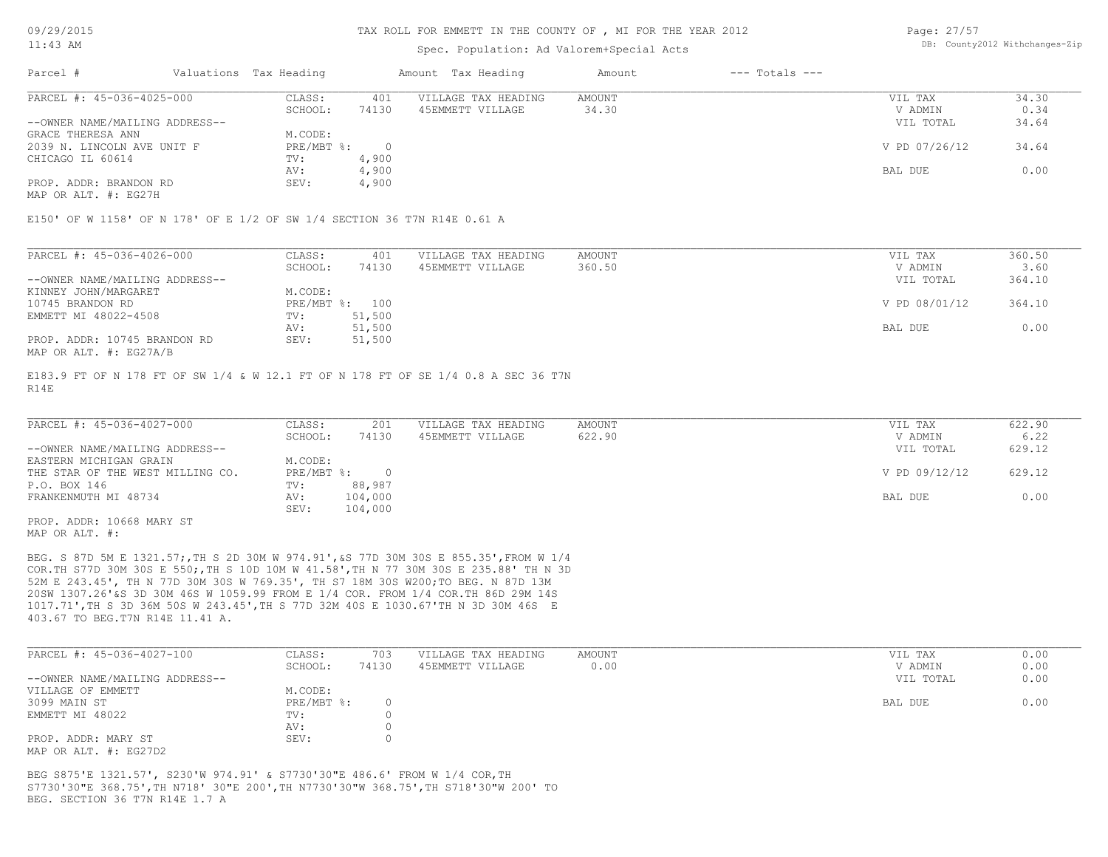#### TAX ROLL FOR EMMETT IN THE COUNTY OF , MI FOR THE YEAR 2012

#### Spec. Population: Ad Valorem+Special Acts

Page: 27/57 DB: County2012 Withchanges-Zip

| Parcel #                       | Valuations Tax Heading |       | Amount Tax Heading  | Amount | $---$ Totals $---$ |               |       |
|--------------------------------|------------------------|-------|---------------------|--------|--------------------|---------------|-------|
| PARCEL #: 45-036-4025-000      | CLASS:                 | 401   | VILLAGE TAX HEADING | AMOUNT |                    | VIL TAX       | 34.30 |
|                                | SCHOOL:                | 74130 | 45EMMETT VILLAGE    | 34.30  |                    | V ADMIN       | 0.34  |
| --OWNER NAME/MAILING ADDRESS-- |                        |       |                     |        |                    | VIL TOTAL     | 34.64 |
| GRACE THERESA ANN              | M.CODE:                |       |                     |        |                    |               |       |
| 2039 N. LINCOLN AVE UNIT F     | PRE/MBT %:             |       |                     |        |                    | V PD 07/26/12 | 34.64 |
| CHICAGO IL 60614               | TV:                    | 4,900 |                     |        |                    |               |       |
|                                | AV:                    | 4,900 |                     |        |                    | BAL DUE       | 0.00  |
| PROP. ADDR: BRANDON RD         | SEV:                   | 4,900 |                     |        |                    |               |       |
|                                |                        |       |                     |        |                    |               |       |

MAP OR ALT. #: EG27H

E150' OF W 1158' OF N 178' OF E 1/2 OF SW 1/4 SECTION 36 T7N R14E 0.61 A

| PARCEL #: 45-036-4026-000      | CLASS:  | 401            | VILLAGE TAX HEADING | AMOUNT | VIL TAX       | 360.50 |
|--------------------------------|---------|----------------|---------------------|--------|---------------|--------|
|                                | SCHOOL: | 74130          | 45EMMETT VILLAGE    | 360.50 | V ADMIN       | 3.60   |
| --OWNER NAME/MAILING ADDRESS-- |         |                |                     |        | VIL TOTAL     | 364.10 |
| KINNEY JOHN/MARGARET           | M.CODE: |                |                     |        |               |        |
| 10745 BRANDON RD               |         | PRE/MBT %: 100 |                     |        | V PD 08/01/12 | 364.10 |
| EMMETT MI 48022-4508           | TV:     | 51,500         |                     |        |               |        |
|                                | AV:     | 51,500         |                     |        | BAL DUE       | 0.00   |
| PROP. ADDR: 10745 BRANDON RD   | SEV:    | 51,500         |                     |        |               |        |
| MAP OR ALT. #: EG27A/B         |         |                |                     |        |               |        |

R14E E183.9 FT OF N 178 FT OF SW 1/4 & W 12.1 FT OF N 178 FT OF SE 1/4 0.8 A SEC 36 T7N

| PARCEL #: 45-036-4027-000        | CLASS:     | 201     | VILLAGE TAX HEADING | AMOUNT | VIL TAX       | 622.90 |
|----------------------------------|------------|---------|---------------------|--------|---------------|--------|
|                                  | SCHOOL:    | 74130   | 45EMMETT VILLAGE    | 622.90 | V ADMIN       | 6.22   |
| --OWNER NAME/MAILING ADDRESS--   |            |         |                     |        | VIL TOTAL     | 629.12 |
| EASTERN MICHIGAN GRAIN           | M.CODE:    |         |                     |        |               |        |
| THE STAR OF THE WEST MILLING CO. | PRE/MBT %: |         |                     |        | V PD 09/12/12 | 629.12 |
| P.O. BOX 146                     | TV:        | 88,987  |                     |        |               |        |
| FRANKENMUTH MI 48734             | AV:        | 104,000 |                     |        | BAL DUE       | 0.00   |
|                                  | SEV:       | 104,000 |                     |        |               |        |
| PROP. ADDR: 10668 MARY ST        |            |         |                     |        |               |        |

MAP OR ALT. #:

403.67 TO BEG.T7N R14E 11.41 A. 1017.71',TH S 3D 36M 50S W 243.45',TH S 77D 32M 40S E 1030.67'TH N 3D 30M 46S E 20SW 1307.26'&S 3D 30M 46S W 1059.99 FROM E 1/4 COR. FROM 1/4 COR.TH 86D 29M 14S 52M E 243.45', TH N 77D 30M 30S W 769.35', TH S7 18M 30S W200;TO BEG. N 87D 13M COR.TH S77D 30M 30S E 550;,TH S 10D 10M W 41.58',TH N 77 30M 30S E 235.88' TH N 3D BEG. S 87D 5M E 1321.57;,TH S 2D 30M W 974.91',&S 77D 30M 30S E 855.35',FROM W 1/4

| PARCEL #: 45-036-4027-100      | CLASS:       | 703   | VILLAGE TAX HEADING | AMOUNT | VIL TAX   | 0.00 |
|--------------------------------|--------------|-------|---------------------|--------|-----------|------|
|                                | SCHOOL:      | 74130 | 45EMMETT VILLAGE    | 0.00   | V ADMIN   | 0.00 |
| --OWNER NAME/MAILING ADDRESS-- |              |       |                     |        | VIL TOTAL | 0.00 |
| VILLAGE OF EMMETT              | M.CODE:      |       |                     |        |           |      |
| 3099 MAIN ST                   | $PRE/MBT$ %: |       |                     |        | BAL DUE   | 0.00 |
| EMMETT MI 48022                | TV:          |       |                     |        |           |      |
|                                | AV:          |       |                     |        |           |      |
| PROP. ADDR: MARY ST            | SEV:         |       |                     |        |           |      |
| MAP OR ALT. #: EG27D2          |              |       |                     |        |           |      |

BEG. SECTION 36 T7N R14E 1.7 A S7730'30"E 368.75',TH N718' 30"E 200',TH N7730'30"W 368.75',TH S718'30"W 200' TO BEG S875'E 1321.57', S230'W 974.91' & S7730'30"E 486.6' FROM W 1/4 COR,TH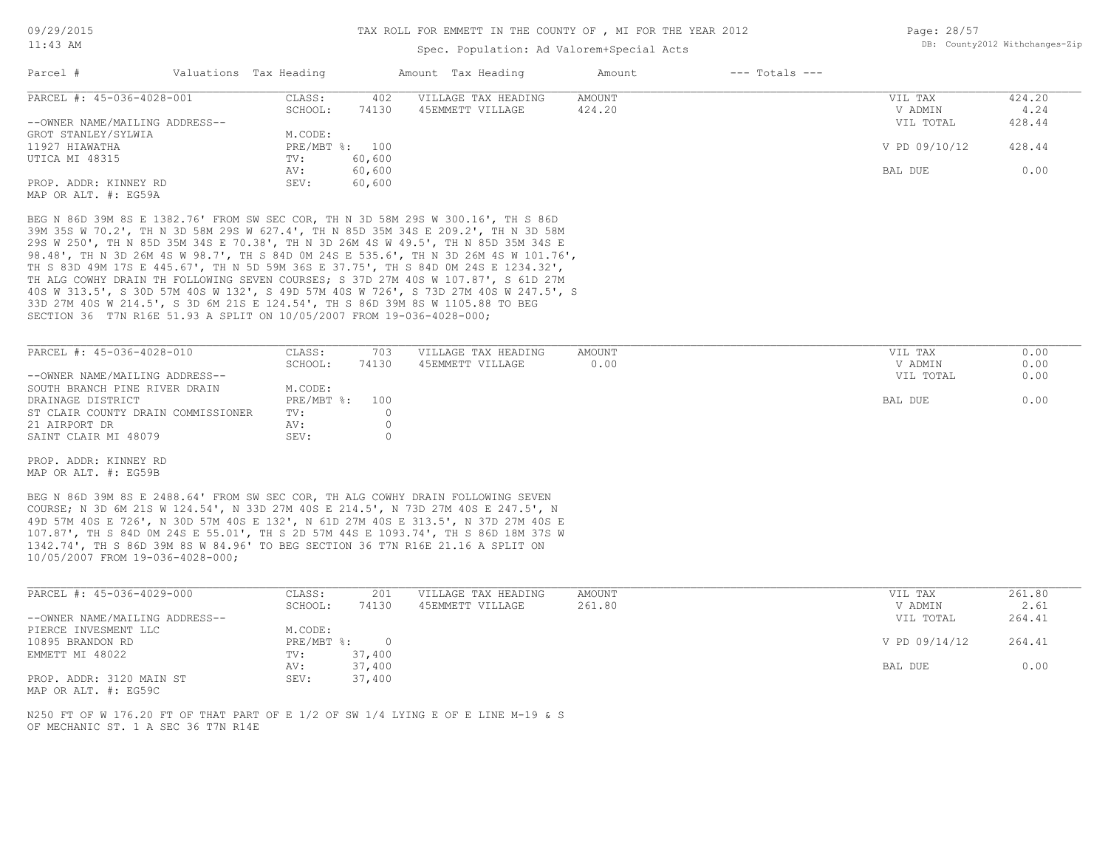#### 11:43 AM

#### TAX ROLL FOR EMMETT IN THE COUNTY OF , MI FOR THE YEAR 2012

### Spec. Population: Ad Valorem+Special Acts

| Page: 28/57 |                                |
|-------------|--------------------------------|
|             | DB: County2012 Withchanges-Zip |

| Parcel #                       | Valuations Tax Heading |        | Amount Tax Heading  | Amount | $---$ Totals $---$ |               |        |
|--------------------------------|------------------------|--------|---------------------|--------|--------------------|---------------|--------|
| PARCEL #: 45-036-4028-001      | CLASS:                 | 402    | VILLAGE TAX HEADING | AMOUNT |                    | VIL TAX       | 424.20 |
|                                | SCHOOL:                | 74130  | 45EMMETT VILLAGE    | 424.20 |                    | V ADMIN       | 4.24   |
| --OWNER NAME/MAILING ADDRESS-- |                        |        |                     |        |                    | VIL TOTAL     | 428.44 |
| GROT STANLEY/SYLWIA            | M.CODE:                |        |                     |        |                    |               |        |
| 11927 HIAWATHA                 | PRE/MBT %: 100         |        |                     |        |                    | V PD 09/10/12 | 428.44 |
| UTICA MI 48315                 | TV:                    | 60,600 |                     |        |                    |               |        |
|                                | AV:                    | 60,600 |                     |        |                    | BAL DUE       | 0.00   |
| PROP. ADDR: KINNEY RD          | SEV:                   | 60,600 |                     |        |                    |               |        |
| MAP OR ALT. #: EG59A           |                        |        |                     |        |                    |               |        |

SECTION 36 T7N R16E 51.93 A SPLIT ON 10/05/2007 FROM 19-036-4028-000; 33D 27M 40S W 214.5', S 3D 6M 21S E 124.54', TH S 86D 39M 8S W 1105.88 TO BEG 40S W 313.5', S 30D 57M 40S W 132', S 49D 57M 40S W 726', S 73D 27M 40S W 247.5', S TH ALG COWHY DRAIN TH FOLLOWING SEVEN COURSES; S 37D 27M 40S W 107.87', S 61D 27M TH S 83D 49M 17S E 445.67', TH N 5D 59M 36S E 37.75', TH S 84D 0M 24S E 1234.32', 98.48', TH N 3D 26M 4S W 98.7', TH S 84D 0M 24S E 535.6', TH N 3D 26M 4S W 101.76', 29S W 250', TH N 85D 35M 34S E 70.38', TH N 3D 26M 4S W 49.5', TH N 85D 35M 34S E 39M 35S W 70.2', TH N 3D 58M 29S W 627.4', TH N 85D 35M 34S E 209.2', TH N 3D 58M BEG N 86D 39M 8S E 1382.76' FROM SW SEC COR, TH N 3D 58M 29S W 300.16', TH S 86D

| PARCEL #: 45-036-4028-010          | CLASS:         | 703   | VILLAGE TAX HEADING | AMOUNT | VIL TAX   | 0.00 |
|------------------------------------|----------------|-------|---------------------|--------|-----------|------|
|                                    | SCHOOL:        | 74130 | 45EMMETT VILLAGE    | 0.00   | V ADMIN   | 0.00 |
| --OWNER NAME/MAILING ADDRESS--     |                |       |                     |        | VIL TOTAL | 0.00 |
| SOUTH BRANCH PINE RIVER DRAIN      | M.CODE:        |       |                     |        |           |      |
| DRAINAGE DISTRICT                  | PRE/MBT %: 100 |       |                     |        | BAL DUE   | 0.00 |
| ST CLAIR COUNTY DRAIN COMMISSIONER | TV:            |       |                     |        |           |      |
| 21 AIRPORT DR                      | AV:            |       |                     |        |           |      |
| SAINT CLAIR MI 48079               | SEV:           |       |                     |        |           |      |

MAP OR ALT. #: EG59B PROP. ADDR: KINNEY RD

10/05/2007 FROM 19-036-4028-000; 1342.74', TH S 86D 39M 8S W 84.96' TO BEG SECTION 36 T7N R16E 21.16 A SPLIT ON 107.87', TH S 84D 0M 24S E 55.01', TH S 2D 57M 44S E 1093.74', TH S 86D 18M 37S W 49D 57M 40S E 726', N 30D 57M 40S E 132', N 61D 27M 40S E 313.5', N 37D 27M 40S E COURSE; N 3D 6M 21S W 124.54', N 33D 27M 40S E 214.5', N 73D 27M 40S E 247.5', N BEG N 86D 39M 8S E 2488.64' FROM SW SEC COR, TH ALG COWHY DRAIN FOLLOWING SEVEN

| PARCEL #: 45-036-4029-000      | CLASS:     | 201    | VILLAGE TAX HEADING | AMOUNT | VIL TAX       | 261.80 |
|--------------------------------|------------|--------|---------------------|--------|---------------|--------|
|                                | SCHOOL:    | 74130  | 45EMMETT VILLAGE    | 261.80 | V ADMIN       | 2.61   |
| --OWNER NAME/MAILING ADDRESS-- |            |        |                     |        | VIL TOTAL     | 264.41 |
| PIERCE INVESMENT LLC           | M.CODE:    |        |                     |        |               |        |
| 10895 BRANDON RD               | PRE/MBT %: |        |                     |        | V PD 09/14/12 | 264.41 |
| EMMETT MI 48022                | TV:        | 37,400 |                     |        |               |        |
|                                | AV:        | 37,400 |                     |        | BAL DUE       | 0.00   |
| PROP. ADDR: 3120 MAIN ST       | SEV:       | 37,400 |                     |        |               |        |

MAP OR ALT. #: EG59C

OF MECHANIC ST. 1 A SEC 36 T7N R14E N250 FT OF W 176.20 FT OF THAT PART OF E 1/2 OF SW 1/4 LYING E OF E LINE M-19 & S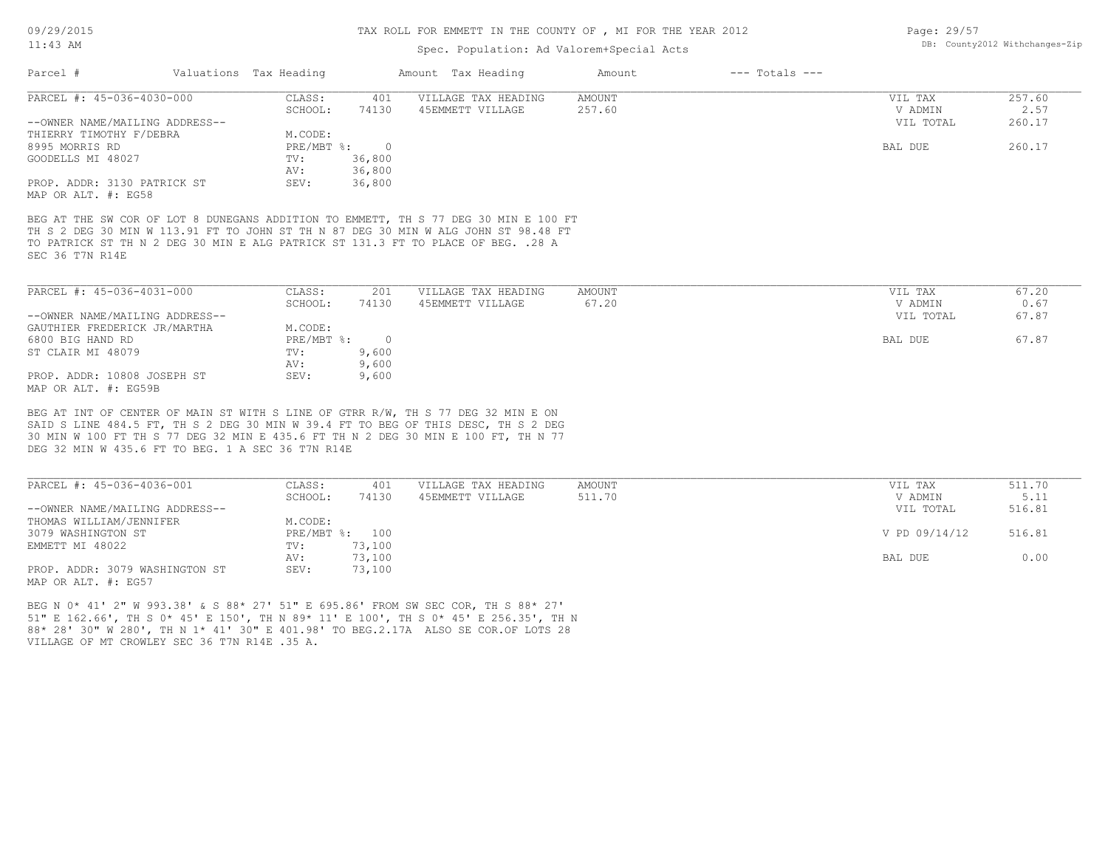#### 11:43 AM

#### TAX ROLL FOR EMMETT IN THE COUNTY OF , MI FOR THE YEAR 2012

| THE CEILL                      | DD. COUNCYZUIZ WICHCHANGS AIP<br>Spec. Population: Ad Valorem+Special Acts<br>$---$ Totals $---$<br>Valuations Tax Heading<br>Amount Tax Heading<br>Amount |          |                     |        |           |        |
|--------------------------------|------------------------------------------------------------------------------------------------------------------------------------------------------------|----------|---------------------|--------|-----------|--------|
| Parcel #                       |                                                                                                                                                            |          |                     |        |           |        |
| PARCEL #: 45-036-4030-000      | CLASS:                                                                                                                                                     | 401      | VILLAGE TAX HEADING | AMOUNT | VIL TAX   | 257.60 |
|                                | SCHOOL:                                                                                                                                                    | 74130    | 45EMMETT VILLAGE    | 257.60 | V ADMIN   | 2.57   |
| --OWNER NAME/MAILING ADDRESS-- |                                                                                                                                                            |          |                     |        | VIL TOTAL | 260.17 |
| THIERRY TIMOTHY F/DEBRA        | M.CODE:                                                                                                                                                    |          |                     |        |           |        |
| 8995 MORRIS RD                 | PRE/MBT %:                                                                                                                                                 | $\Omega$ |                     |        | BAL DUE   | 260.17 |
| GOODELLS MI 48027              | TV:                                                                                                                                                        | 36,800   |                     |        |           |        |
|                                | AV:                                                                                                                                                        | 36,800   |                     |        |           |        |
| PROP. ADDR: 3130 PATRICK ST    | SEV:                                                                                                                                                       | 36,800   |                     |        |           |        |
| MAP OR ALT. #: EG58            |                                                                                                                                                            |          |                     |        |           |        |

SEC 36 T7N R14E TO PATRICK ST TH N 2 DEG 30 MIN E ALG PATRICK ST 131.3 FT TO PLACE OF BEG. .28 A TH S 2 DEG 30 MIN W 113.91 FT TO JOHN ST TH N 87 DEG 30 MIN W ALG JOHN ST 98.48 FT BEG AT THE SW COR OF LOT 8 DUNEGANS ADDITION TO EMMETT, TH S 77 DEG 30 MIN E 100 FT

| PARCEL #: 45-036-4031-000      | CLASS:     | 201   | VILLAGE TAX HEADING | AMOUNT | 67.20<br>VIL TAX   |
|--------------------------------|------------|-------|---------------------|--------|--------------------|
|                                | SCHOOL:    | 74130 | 45EMMETT VILLAGE    | 67.20  | 0.67<br>V ADMIN    |
| --OWNER NAME/MAILING ADDRESS-- |            |       |                     |        | 67.87<br>VIL TOTAL |
| GAUTHIER FREDERICK JR/MARTHA   | M.CODE:    |       |                     |        |                    |
| 6800 BIG HAND RD               | PRE/MBT %: |       |                     |        | 67.87<br>BAL DUE   |
| ST CLAIR MI 48079              | TV:        | 9,600 |                     |        |                    |
|                                | AV:        | 9,600 |                     |        |                    |
| PROP. ADDR: 10808 JOSEPH ST    | SEV:       | 9,600 |                     |        |                    |
| MAP OR ALT. #: EG59B           |            |       |                     |        |                    |

DEG 32 MIN W 435.6 FT TO BEG. 1 A SEC 36 T7N R14E 30 MIN W 100 FT TH S 77 DEG 32 MIN E 435.6 FT TH N 2 DEG 30 MIN E 100 FT, TH N 77 SAID S LINE 484.5 FT, TH S 2 DEG 30 MIN W 39.4 FT TO BEG OF THIS DESC, TH S 2 DEG BEG AT INT OF CENTER OF MAIN ST WITH S LINE OF GTRR R/W, TH S 77 DEG 32 MIN E ON

| PARCEL #: 45-036-4036-001      | CLASS:  | 401            | VILLAGE TAX HEADING | AMOUNT | VIL TAX       | 511.70 |
|--------------------------------|---------|----------------|---------------------|--------|---------------|--------|
|                                | SCHOOL: | 74130          | 45EMMETT VILLAGE    | 511.70 | V ADMIN       | 5.11   |
| --OWNER NAME/MAILING ADDRESS-- |         |                |                     |        | VIL TOTAL     | 516.81 |
| THOMAS WILLIAM/JENNIFER        | M.CODE: |                |                     |        |               |        |
| 3079 WASHINGTON ST             |         | PRE/MBT %: 100 |                     |        | V PD 09/14/12 | 516.81 |
| EMMETT MI 48022                | TV:     | 73,100         |                     |        |               |        |
|                                | AV:     | 73,100         |                     |        | BAL DUE       | 0.00   |
| PROP. ADDR: 3079 WASHINGTON ST | SEV:    | 73,100         |                     |        |               |        |
| MAP OR ALT. #: EG57            |         |                |                     |        |               |        |

VILLAGE OF MT CROWLEY SEC 36 T7N R14E .35 A. 88\* 28' 30" W 280', TH N 1\* 41' 30" E 401.98' TO BEG.2.17A ALSO SE COR.OF LOTS 28 51" E 162.66', TH S 0\* 45' E 150', TH N 89\* 11' E 100', TH S 0\* 45' E 256.35', TH N BEG N 0\* 41' 2" W 993.38' & S 88\* 27' 51" E 695.86' FROM SW SEC COR, TH S 88\* 27'

Page: 29/57 DB: County2012 Withchanges-Zip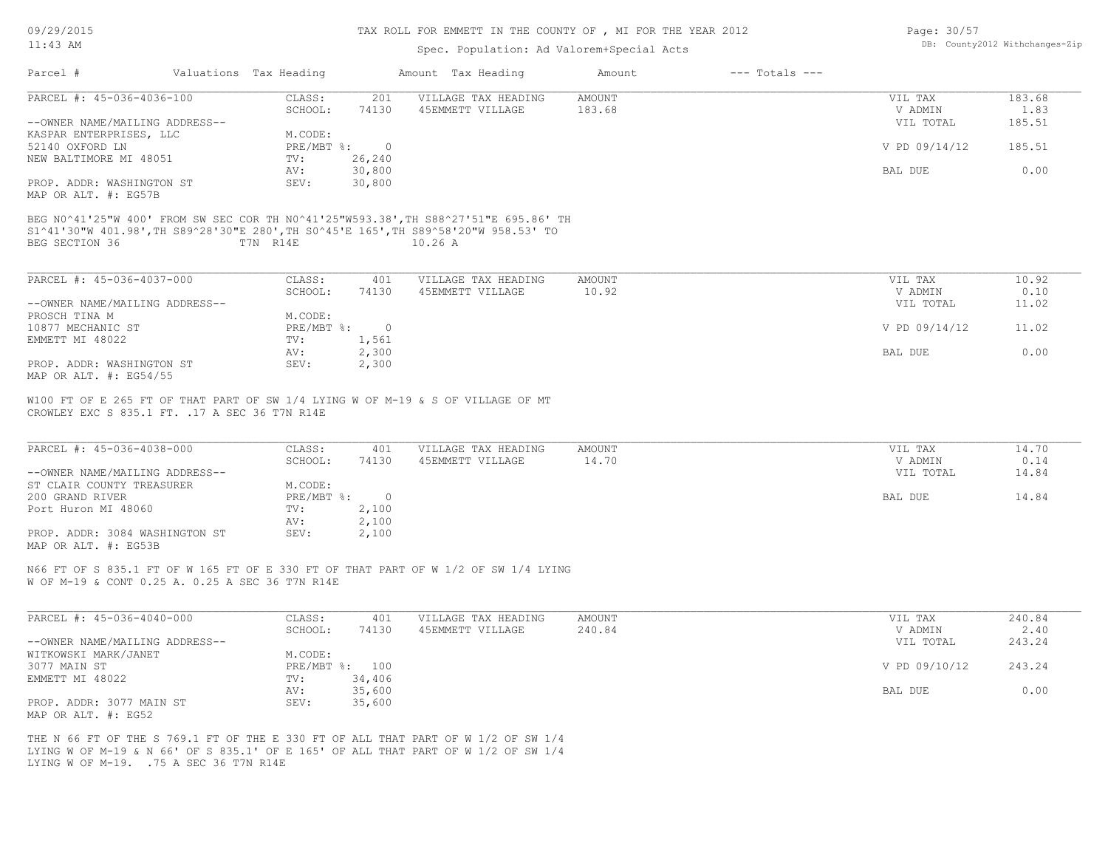#### TAX ROLL FOR EMMETT IN THE COUNTY OF , MI FOR THE YEAR 2012

### Spec. Population: Ad Valorem+Special Acts

| Page: 30/57 |                                |
|-------------|--------------------------------|
|             | DB: County2012 Withchanges-Zip |

|                                                                                                                                                                                                                        | Valuations Tax Heading |                | Amount Tax Heading  | Amount        | $---$ Totals $---$ |               |        |
|------------------------------------------------------------------------------------------------------------------------------------------------------------------------------------------------------------------------|------------------------|----------------|---------------------|---------------|--------------------|---------------|--------|
| PARCEL #: 45-036-4036-100                                                                                                                                                                                              | CLASS:                 | 201            | VILLAGE TAX HEADING | AMOUNT        |                    | VIL TAX       | 183.68 |
|                                                                                                                                                                                                                        | SCHOOL:                | 74130          | 45EMMETT VILLAGE    | 183.68        |                    | V ADMIN       | 1.83   |
| --OWNER NAME/MAILING ADDRESS--                                                                                                                                                                                         |                        |                |                     |               |                    | VIL TOTAL     | 185.51 |
| KASPAR ENTERPRISES, LLC                                                                                                                                                                                                | M.CODE:                |                |                     |               |                    |               |        |
| 52140 OXFORD LN                                                                                                                                                                                                        | PRE/MBT %:             | $\overline{0}$ |                     |               |                    | V PD 09/14/12 | 185.51 |
| NEW BALTIMORE MI 48051                                                                                                                                                                                                 | TV:                    | 26,240         |                     |               |                    |               |        |
|                                                                                                                                                                                                                        | AV:                    | 30,800         |                     |               |                    | BAL DUE       | 0.00   |
| PROP. ADDR: WASHINGTON ST                                                                                                                                                                                              | SEV:                   | 30,800         |                     |               |                    |               |        |
| MAP OR ALT. #: EG57B                                                                                                                                                                                                   |                        |                |                     |               |                    |               |        |
|                                                                                                                                                                                                                        | T7N R14E               |                | 10.26A              |               |                    |               |        |
| BEG N0^41'25"W 400' FROM SW SEC COR TH N0^41'25"W593.38', TH S88^27'51"E 695.86' TH<br>S1^41'30"W 401.98',TH S89^28'30"E 280',TH S0^45'E 165',TH S89^58'20"W 958.53' TO<br>BEG SECTION 36<br>PARCEL #: 45-036-4037-000 | CLASS:                 | 401            | VILLAGE TAX HEADING | <b>AMOUNT</b> |                    | VIL TAX       | 10.92  |
|                                                                                                                                                                                                                        | SCHOOL:                | 74130          | 45EMMETT VILLAGE    | 10.92         |                    | V ADMIN       | 0.10   |
| --OWNER NAME/MAILING ADDRESS--                                                                                                                                                                                         |                        |                |                     |               |                    | VIL TOTAL     | 11.02  |
|                                                                                                                                                                                                                        | M.CODE:                |                |                     |               |                    |               |        |
| PROSCH TINA M<br>10877 MECHANIC ST                                                                                                                                                                                     | PRE/MBT %:             | $\overline{0}$ |                     |               |                    | V PD 09/14/12 | 11.02  |
| EMMETT MI 48022                                                                                                                                                                                                        | TV:                    | 1,561          |                     |               |                    |               |        |
| PROP. ADDR: WASHINGTON ST                                                                                                                                                                                              | AV:<br>SEV:            | 2,300<br>2,300 |                     |               |                    | BAL DUE       | 0.00   |

| PARCEL #: 45-036-4038-000      | CLASS:     | 401   | VILLAGE TAX HEADING | AMOUNT | VIL TAX   | 14.70 |
|--------------------------------|------------|-------|---------------------|--------|-----------|-------|
|                                | SCHOOL:    | 74130 | 45EMMETT VILLAGE    | 14.70  | V ADMIN   | 0.14  |
| --OWNER NAME/MAILING ADDRESS-- |            |       |                     |        | VIL TOTAL | 14.84 |
| ST CLAIR COUNTY TREASURER      | M.CODE:    |       |                     |        |           |       |
| 200 GRAND RIVER                | PRE/MBT %: |       |                     |        | BAL DUE   | 14.84 |
| Port Huron MI 48060            | TV:        | 2,100 |                     |        |           |       |
|                                | AV:        | 2,100 |                     |        |           |       |
| PROP. ADDR: 3084 WASHINGTON ST | SEV:       | 2,100 |                     |        |           |       |
| MAP OR ALT. #: EG53B           |            |       |                     |        |           |       |

W OF M-19 & CONT 0.25 A. 0.25 A SEC 36 T7N R14E N66 FT OF S 835.1 FT OF W 165 FT OF E 330 FT OF THAT PART OF W 1/2 OF SW 1/4 LYING

| PARCEL #: 45-036-4040-000      | CLASS:  | 401            | VILLAGE TAX HEADING | AMOUNT | VIL TAX       | 240.84 |
|--------------------------------|---------|----------------|---------------------|--------|---------------|--------|
|                                | SCHOOL: | 74130          | 45EMMETT VILLAGE    | 240.84 | V ADMIN       | 2.40   |
| --OWNER NAME/MAILING ADDRESS-- |         |                |                     |        | VIL TOTAL     | 243.24 |
| WITKOWSKI MARK/JANET           | M.CODE: |                |                     |        |               |        |
| 3077 MAIN ST                   |         | PRE/MBT %: 100 |                     |        | V PD 09/10/12 | 243.24 |
| EMMETT MI 48022                | TV:     | 34,406         |                     |        |               |        |
|                                | AV:     | 35,600         |                     |        | BAL DUE       | 0.00   |
| PROP. ADDR: 3077 MAIN ST       | SEV:    | 35,600         |                     |        |               |        |
| MAP OR ALT. #: EG52            |         |                |                     |        |               |        |

LYING W OF M-19. .75 A SEC 36 T7N R14E LYING W OF M-19 & N 66' OF S 835.1' OF E 165' OF ALL THAT PART OF W 1/2 OF SW 1/4 THE N 66 FT OF THE S 769.1 FT OF THE E 330 FT OF ALL THAT PART OF W 1/2 OF SW 1/4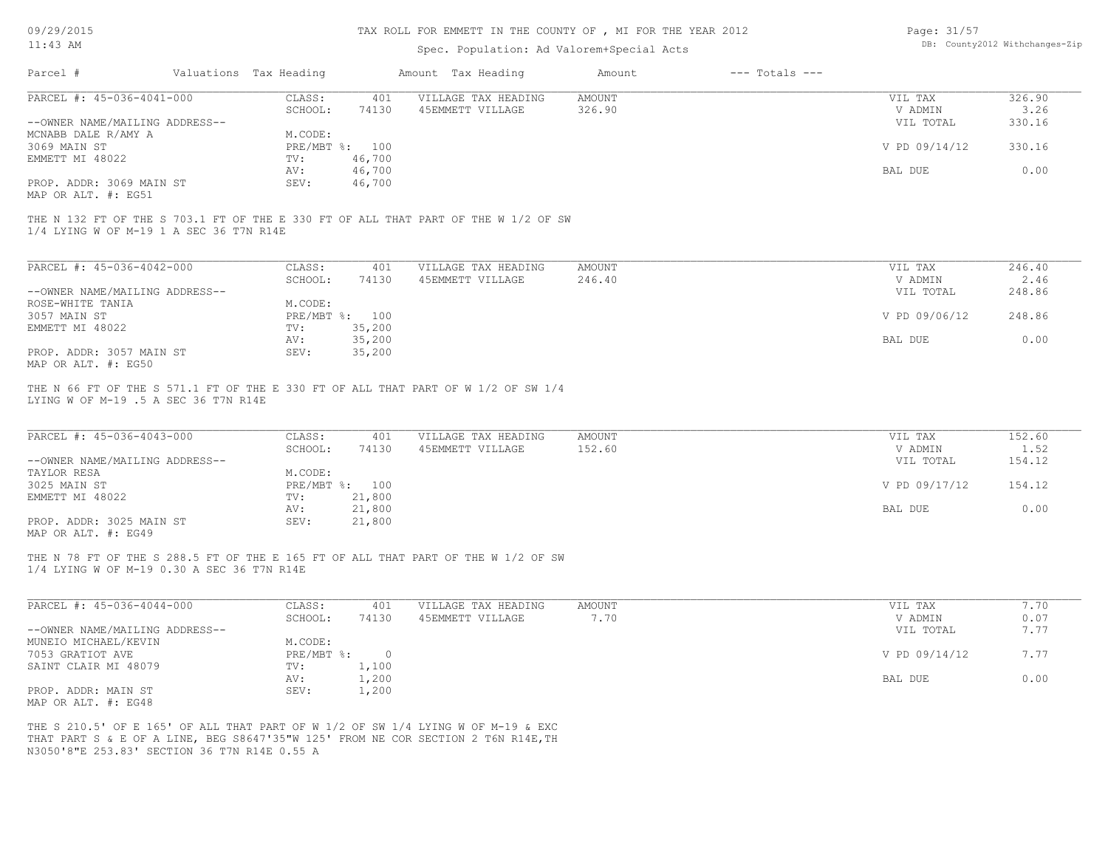# TAX ROLL FOR EMMETT IN THE COUNTY OF , MI FOR THE YEAR 2012

### Spec. Population: Ad Valorem+Special Acts

| Page: 31/57 |                                |
|-------------|--------------------------------|
|             | DB: County2012 Withchanges-Zip |

| Parcel #                                                                                                      | Valuations Tax Heading                                       |                                  | Amount Tax Heading                                                                                                                                                    | Amount                  | $---$ Totals $---$ |                                                             |                                            |
|---------------------------------------------------------------------------------------------------------------|--------------------------------------------------------------|----------------------------------|-----------------------------------------------------------------------------------------------------------------------------------------------------------------------|-------------------------|--------------------|-------------------------------------------------------------|--------------------------------------------|
| PARCEL #: 45-036-4041-000                                                                                     | CLASS:                                                       | 401                              | VILLAGE TAX HEADING                                                                                                                                                   | <b>AMOUNT</b>           |                    | VIL TAX                                                     | 326.90                                     |
|                                                                                                               | SCHOOL:                                                      | 74130                            | 45EMMETT VILLAGE                                                                                                                                                      | 326.90                  |                    | V ADMIN                                                     | 3.26                                       |
| --OWNER NAME/MAILING ADDRESS--                                                                                |                                                              |                                  |                                                                                                                                                                       |                         |                    | VIL TOTAL                                                   | 330.16                                     |
| MCNABB DALE R/AMY A                                                                                           | M.CODE:                                                      |                                  |                                                                                                                                                                       |                         |                    |                                                             |                                            |
| 3069 MAIN ST                                                                                                  | PRE/MBT %: 100                                               |                                  |                                                                                                                                                                       |                         |                    | V PD 09/14/12                                               | 330.16                                     |
| EMMETT MI 48022                                                                                               | TV:                                                          | 46,700                           |                                                                                                                                                                       |                         |                    |                                                             |                                            |
|                                                                                                               | AV:                                                          | 46,700                           |                                                                                                                                                                       |                         |                    | BAL DUE                                                     | 0.00                                       |
| PROP. ADDR: 3069 MAIN ST<br>MAP OR ALT. #: EG51                                                               | SEV:                                                         | 46,700                           |                                                                                                                                                                       |                         |                    |                                                             |                                            |
| 1/4 LYING W OF M-19 1 A SEC 36 T7N R14E                                                                       |                                                              |                                  | THE N 132 FT OF THE S 703.1 FT OF THE E 330 FT OF ALL THAT PART OF THE W 1/2 OF SW                                                                                    |                         |                    |                                                             |                                            |
| PARCEL #: 45-036-4042-000                                                                                     | CLASS:                                                       | 401                              | VILLAGE TAX HEADING                                                                                                                                                   | <b>AMOUNT</b>           |                    | VIL TAX                                                     | 246.40                                     |
|                                                                                                               | SCHOOL:                                                      | 74130                            | 45EMMETT VILLAGE                                                                                                                                                      | 246.40                  |                    | V ADMIN                                                     | 2.46                                       |
| --OWNER NAME/MAILING ADDRESS--                                                                                |                                                              |                                  |                                                                                                                                                                       |                         |                    | VIL TOTAL                                                   | 248.86                                     |
| ROSE-WHITE TANIA                                                                                              | M.CODE:                                                      |                                  |                                                                                                                                                                       |                         |                    |                                                             |                                            |
| 3057 MAIN ST                                                                                                  | PRE/MBT %: 100                                               |                                  |                                                                                                                                                                       |                         |                    | V PD 09/06/12                                               | 248.86                                     |
| EMMETT MI 48022                                                                                               | TV:                                                          | 35,200                           |                                                                                                                                                                       |                         |                    |                                                             |                                            |
|                                                                                                               | AV:                                                          | 35,200                           |                                                                                                                                                                       |                         |                    | BAL DUE                                                     | 0.00                                       |
| PROP. ADDR: 3057 MAIN ST<br>MAP OR ALT. #: EG50                                                               | SEV:                                                         | 35,200                           |                                                                                                                                                                       |                         |                    |                                                             |                                            |
| PARCEL #: 45-036-4043-000<br>--OWNER NAME/MAILING ADDRESS--<br>TAYLOR RESA<br>3025 MAIN ST<br>EMMETT MI 48022 | CLASS:<br>SCHOOL:<br>M.CODE:<br>PRE/MBT %: 100<br>TV:<br>AV: | 401<br>74130<br>21,800<br>21,800 | VILLAGE TAX HEADING<br>45EMMETT VILLAGE                                                                                                                               | <b>AMOUNT</b><br>152.60 |                    | VIL TAX<br>V ADMIN<br>VIL TOTAL<br>V PD 09/17/12<br>BAL DUE | 152.60<br>1.52<br>154.12<br>154.12<br>0.00 |
| PROP. ADDR: 3025 MAIN ST<br>MAP OR ALT. #: EG49                                                               | SEV:                                                         | 21,800                           |                                                                                                                                                                       |                         |                    |                                                             |                                            |
| 1/4 LYING W OF M-19 0.30 A SEC 36 T7N R14E                                                                    |                                                              |                                  | THE N 78 FT OF THE S 288.5 FT OF THE E 165 FT OF ALL THAT PART OF THE W 1/2 OF SW                                                                                     |                         |                    |                                                             |                                            |
| PARCEL #: 45-036-4044-000                                                                                     | CLASS:<br>SCHOOL:                                            | 401<br>74130                     | VILLAGE TAX HEADING<br>45EMMETT VILLAGE                                                                                                                               | <b>AMOUNT</b><br>7.70   |                    | VIL TAX<br>V ADMIN                                          | 7.70<br>0.07                               |
| --OWNER NAME/MAILING ADDRESS--                                                                                |                                                              |                                  |                                                                                                                                                                       |                         |                    | VIL TOTAL                                                   | 7.77                                       |
| MUNEIO MICHAEL/KEVIN                                                                                          | M.CODE:                                                      |                                  |                                                                                                                                                                       |                         |                    |                                                             |                                            |
| 7053 GRATIOT AVE                                                                                              | PRE/MBT %:                                                   | $\overline{0}$                   |                                                                                                                                                                       |                         |                    | V PD 09/14/12                                               | 7.77                                       |
| SAINT CLAIR MI 48079                                                                                          | TV:                                                          | 1,100                            |                                                                                                                                                                       |                         |                    |                                                             |                                            |
|                                                                                                               | AV:                                                          | 1,200                            |                                                                                                                                                                       |                         |                    | BAL DUE                                                     | 0.00                                       |
| PROP. ADDR: MAIN ST                                                                                           | SEV:                                                         | 1,200                            |                                                                                                                                                                       |                         |                    |                                                             |                                            |
| MAP OR ALT. #: EG48                                                                                           |                                                              |                                  |                                                                                                                                                                       |                         |                    |                                                             |                                            |
| N3050'8"E 253.83' SECTION 36 T7N R14E 0.55 A                                                                  |                                                              |                                  | THE S 210.5' OF E 165' OF ALL THAT PART OF W 1/2 OF SW 1/4 LYING W OF M-19 & EXC<br>THAT PART S & E OF A LINE, BEG S8647'35"W 125' FROM NE COR SECTION 2 T6N R14E, TH |                         |                    |                                                             |                                            |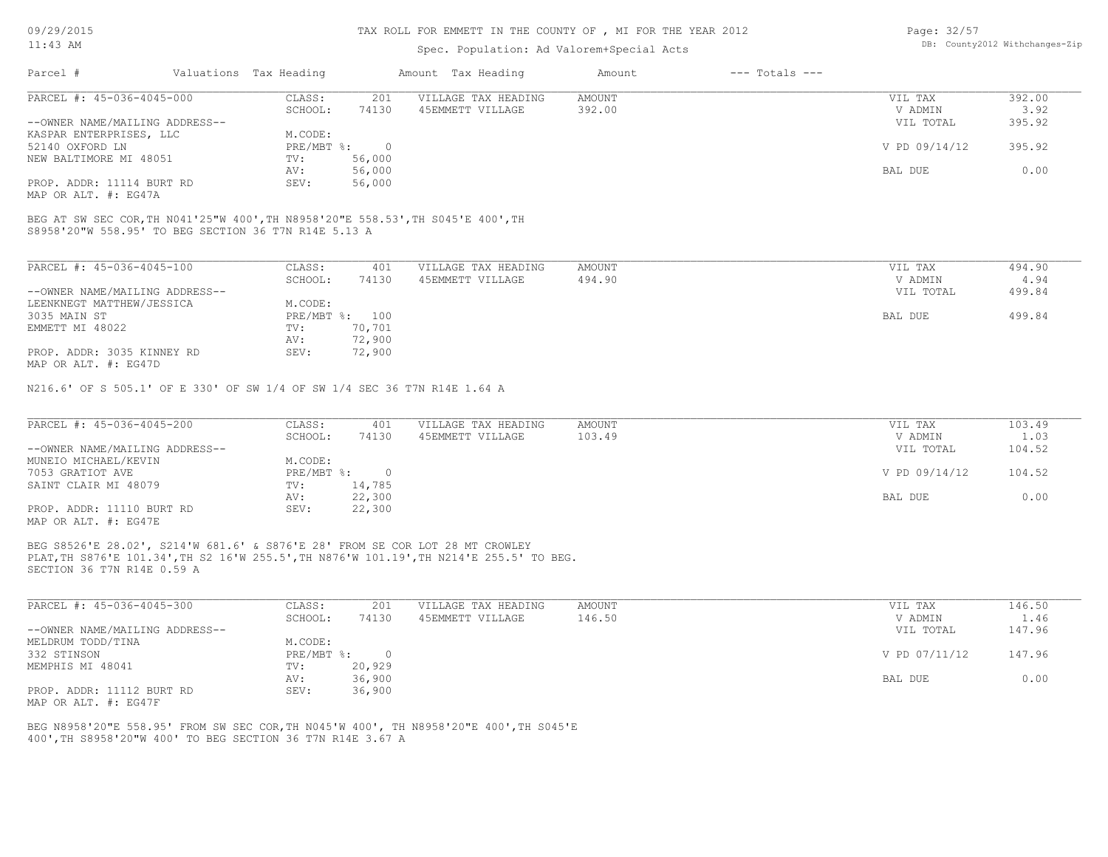### Spec. Population: Ad Valorem+Special Acts

| Page: 32/57 |                                |
|-------------|--------------------------------|
|             | DB: County2012 Withchanges-Zip |

| Parcel #                       | Valuations Tax Heading |        | Amount Tax Heading  | Amount | $---$ Totals $---$ |               |        |
|--------------------------------|------------------------|--------|---------------------|--------|--------------------|---------------|--------|
| PARCEL #: 45-036-4045-000      | CLASS:                 | 201    | VILLAGE TAX HEADING | AMOUNT |                    | VIL TAX       | 392.00 |
|                                | SCHOOL:                | 74130  | 45EMMETT VILLAGE    | 392.00 |                    | V ADMIN       | 3.92   |
| --OWNER NAME/MAILING ADDRESS-- |                        |        |                     |        |                    | VIL TOTAL     | 395.92 |
| KASPAR ENTERPRISES, LLC        | M.CODE:                |        |                     |        |                    |               |        |
| 52140 OXFORD LN                | PRE/MBT %:             |        |                     |        |                    | V PD 09/14/12 | 395.92 |
| NEW BALTIMORE MI 48051         | TV:                    | 56,000 |                     |        |                    |               |        |
|                                | AV:                    | 56,000 |                     |        |                    | BAL DUE       | 0.00   |
| PROP. ADDR: 11114 BURT RD      | SEV:                   | 56,000 |                     |        |                    |               |        |
|                                |                        |        |                     |        |                    |               |        |

MAP OR ALT. #: EG47A

S8958'20"W 558.95' TO BEG SECTION 36 T7N R14E 5.13 A BEG AT SW SEC COR,TH N041'25"W 400',TH N8958'20"E 558.53',TH S045'E 400',TH

| PARCEL #: 45-036-4045-100      | CLASS:     | 401    | VILLAGE TAX HEADING | AMOUNT | VIL TAX   | 494.90 |
|--------------------------------|------------|--------|---------------------|--------|-----------|--------|
|                                | SCHOOL:    | 74130  | 45EMMETT VILLAGE    | 494.90 | V ADMIN   | 4.94   |
| --OWNER NAME/MAILING ADDRESS-- |            |        |                     |        | VIL TOTAL | 499.84 |
| LEENKNEGT MATTHEW/JESSICA      | M.CODE:    |        |                     |        |           |        |
| 3035 MAIN ST                   | PRE/MBT %: | 100    |                     |        | BAL DUE   | 499.84 |
| EMMETT MI 48022                | TV:        | 70,701 |                     |        |           |        |
|                                | AV:        | 72,900 |                     |        |           |        |
| PROP. ADDR: 3035 KINNEY RD     | SEV:       | 72,900 |                     |        |           |        |
| MAP OR ALT. #: EG47D           |            |        |                     |        |           |        |

N216.6' OF S 505.1' OF E 330' OF SW 1/4 OF SW 1/4 SEC 36 T7N R14E 1.64 A

| PARCEL #: 45-036-4045-200      | CLASS:     | 401    | VILLAGE TAX HEADING | AMOUNT | VIL TAX       | 103.49 |
|--------------------------------|------------|--------|---------------------|--------|---------------|--------|
|                                | SCHOOL:    | 74130  | 45EMMETT VILLAGE    | 103.49 | V ADMIN       | 1.03   |
| --OWNER NAME/MAILING ADDRESS-- |            |        |                     |        | VIL TOTAL     | 104.52 |
| MUNEIO MICHAEL/KEVIN           | M.CODE:    |        |                     |        |               |        |
| 7053 GRATIOT AVE               | PRE/MBT %: |        |                     |        | V PD 09/14/12 | 104.52 |
| SAINT CLAIR MI 48079           | TV:        | 14,785 |                     |        |               |        |
|                                | AV:        | 22,300 |                     |        | BAL DUE       | 0.00   |
| PROP. ADDR: 11110 BURT RD      | SEV:       | 22,300 |                     |        |               |        |
| MAP OR ALT. #: EG47E           |            |        |                     |        |               |        |

SECTION 36 T7N R14E 0.59 A PLAT,TH S876'E 101.34',TH S2 16'W 255.5',TH N876'W 101.19',TH N214'E 255.5' TO BEG. BEG S8526'E 28.02', S214'W 681.6' & S876'E 28' FROM SE COR LOT 28 MT CROWLEY

| PARCEL #: 45-036-4045-300      | CLASS:       | 201    | VILLAGE TAX HEADING | AMOUNT | VIL TAX       | 146.50 |
|--------------------------------|--------------|--------|---------------------|--------|---------------|--------|
|                                | SCHOOL:      | 74130  | 45EMMETT VILLAGE    | 146.50 | V ADMIN       | 1.46   |
| --OWNER NAME/MAILING ADDRESS-- |              |        |                     |        | VIL TOTAL     | 147.96 |
| MELDRUM TODD/TINA              | M.CODE:      |        |                     |        |               |        |
| 332 STINSON                    | $PRE/MBT$ %: |        |                     |        | V PD 07/11/12 | 147.96 |
| MEMPHIS MI 48041               | TV:          | 20,929 |                     |        |               |        |
|                                | AV:          | 36,900 |                     |        | BAL DUE       | 0.00   |
| PROP. ADDR: 11112 BURT RD      | SEV:         | 36,900 |                     |        |               |        |
| MAP OR ALT. #: EG47F           |              |        |                     |        |               |        |

400',TH S8958'20"W 400' TO BEG SECTION 36 T7N R14E 3.67 A BEG N8958'20"E 558.95' FROM SW SEC COR,TH N045'W 400', TH N8958'20"E 400',TH S045'E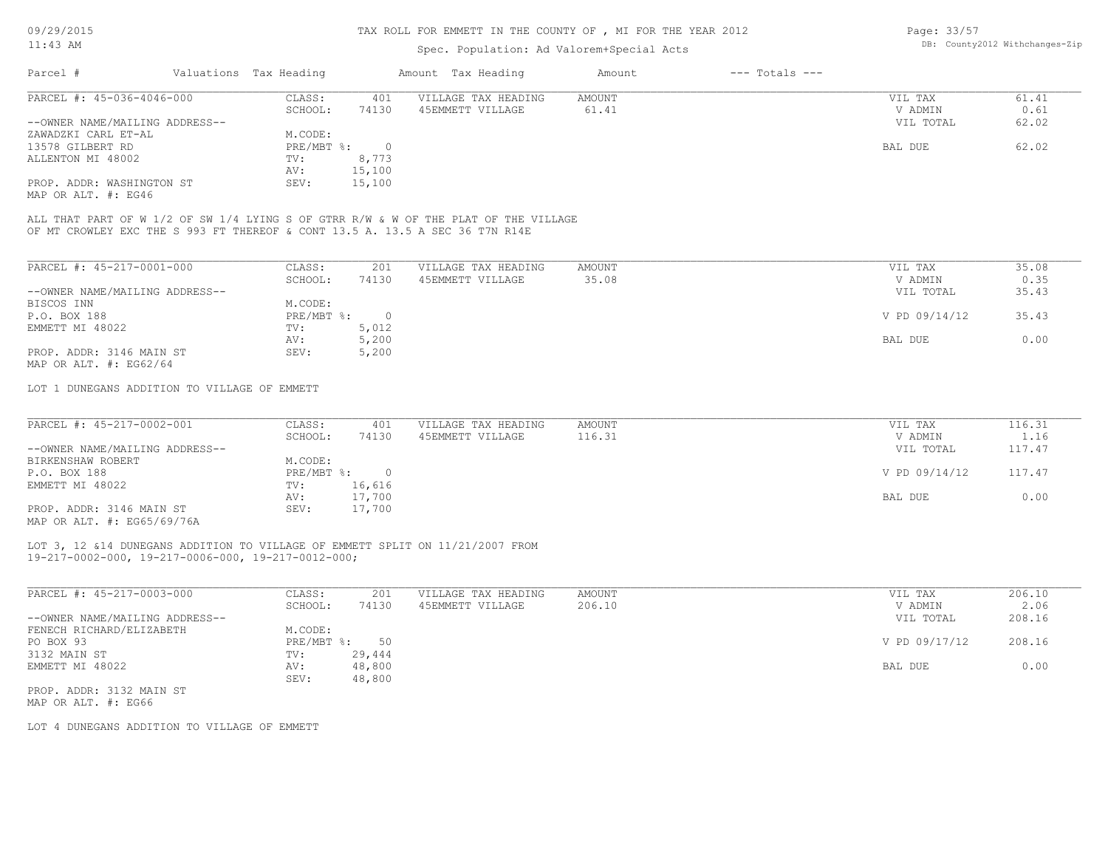### Spec. Population: Ad Valorem+Special Acts

Page: 33/57 DB: County2012 Withchanges-Zip

| Parcel #                       | Valuations Tax Heading |        | Amount Tax Heading  | Amount | $---$ Totals $---$ |           |       |
|--------------------------------|------------------------|--------|---------------------|--------|--------------------|-----------|-------|
| PARCEL #: 45-036-4046-000      | CLASS:                 | 401    | VILLAGE TAX HEADING | AMOUNT |                    | VIL TAX   | 61.41 |
|                                | SCHOOL:                | 74130  | 45EMMETT VILLAGE    | 61.41  |                    | V ADMIN   | 0.61  |
| --OWNER NAME/MAILING ADDRESS-- |                        |        |                     |        |                    | VIL TOTAL | 62.02 |
| ZAWADZKI CARL ET-AL            | M.CODE:                |        |                     |        |                    |           |       |
| 13578 GILBERT RD               | PRE/MBT %:             |        |                     |        |                    | BAL DUE   | 62.02 |
| ALLENTON MI 48002              | TV:                    | 8,773  |                     |        |                    |           |       |
|                                | AV:                    | 15,100 |                     |        |                    |           |       |
| PROP. ADDR: WASHINGTON ST      | SEV:                   | 15,100 |                     |        |                    |           |       |
|                                |                        |        |                     |        |                    |           |       |

MAP OR ALT. #: EG46

OF MT CROWLEY EXC THE S 993 FT THEREOF & CONT 13.5 A. 13.5 A SEC 36 T7N R14E ALL THAT PART OF W 1/2 OF SW 1/4 LYING S OF GTRR R/W & W OF THE PLAT OF THE VILLAGE

| PARCEL #: 45-217-0001-000      | CLASS:     | 201      | VILLAGE TAX HEADING | AMOUNT | 35.08<br>VIL TAX       |  |
|--------------------------------|------------|----------|---------------------|--------|------------------------|--|
|                                | SCHOOL:    | 74130    | 45EMMETT VILLAGE    | 35.08  | 0.35<br>V ADMIN        |  |
| --OWNER NAME/MAILING ADDRESS-- |            |          |                     |        | 35.43<br>VIL TOTAL     |  |
| BISCOS INN                     | M.CODE:    |          |                     |        |                        |  |
| P.O. BOX 188                   | PRE/MBT %: | $\Omega$ |                     |        | V PD 09/14/12<br>35.43 |  |
| EMMETT MI 48022                | TV:        | 5,012    |                     |        |                        |  |
|                                | AV:        | 5,200    |                     |        | 0.00<br>BAL DUE        |  |
| PROP. ADDR: 3146 MAIN ST       | SEV:       | 5,200    |                     |        |                        |  |
| MAP OR ALT. $\#$ : EG62/64     |            |          |                     |        |                        |  |

LOT 1 DUNEGANS ADDITION TO VILLAGE OF EMMETT

| PARCEL #: 45-217-0002-001      | CLASS:     | 401    | VILLAGE TAX HEADING | AMOUNT | VIL TAX       | 116.31 |
|--------------------------------|------------|--------|---------------------|--------|---------------|--------|
|                                | SCHOOL:    | 74130  | 45EMMETT VILLAGE    | 116.31 | V ADMIN       | 1.16   |
| --OWNER NAME/MAILING ADDRESS-- |            |        |                     |        | VIL TOTAL     | 117.47 |
| BIRKENSHAW ROBERT              | M.CODE:    |        |                     |        |               |        |
| P.O. BOX 188                   | PRE/MBT %: |        |                     |        | V PD 09/14/12 | 117.47 |
| EMMETT MI 48022                | TV:        | 16,616 |                     |        |               |        |
|                                | AV:        | 17,700 |                     |        | BAL DUE       | 0.00   |
| PROP. ADDR: 3146 MAIN ST       | SEV:       | 17,700 |                     |        |               |        |
| $\frac{1}{2}$                  |            |        |                     |        |               |        |

MAP OR ALT. #: EG65/69/76A

#### 19-217-0002-000, 19-217-0006-000, 19-217-0012-000; LOT 3, 12 &14 DUNEGANS ADDITION TO VILLAGE OF EMMETT SPLIT ON 11/21/2007 FROM

| PARCEL #: 45-217-0003-000      | CLASS:     | 201    | VILLAGE TAX HEADING | AMOUNT | VIL TAX       | 206.10 |
|--------------------------------|------------|--------|---------------------|--------|---------------|--------|
|                                | SCHOOL:    | 74130  | 45EMMETT VILLAGE    | 206.10 | V ADMIN       | 2.06   |
| --OWNER NAME/MAILING ADDRESS-- |            |        |                     |        | VIL TOTAL     | 208.16 |
| FENECH RICHARD/ELIZABETH       | M.CODE:    |        |                     |        |               |        |
| PO BOX 93                      | PRE/MBT %: | 50     |                     |        | V PD 09/17/12 | 208.16 |
| 3132 MAIN ST                   | TV:        | 29,444 |                     |        |               |        |
| EMMETT MI 48022                | AV:        | 48,800 |                     |        | BAL DUE       | 0.00   |
|                                | SEV:       | 48,800 |                     |        |               |        |
| PROP. ADDR: 3132 MAIN ST       |            |        |                     |        |               |        |

MAP OR ALT. #: EG66

LOT 4 DUNEGANS ADDITION TO VILLAGE OF EMMETT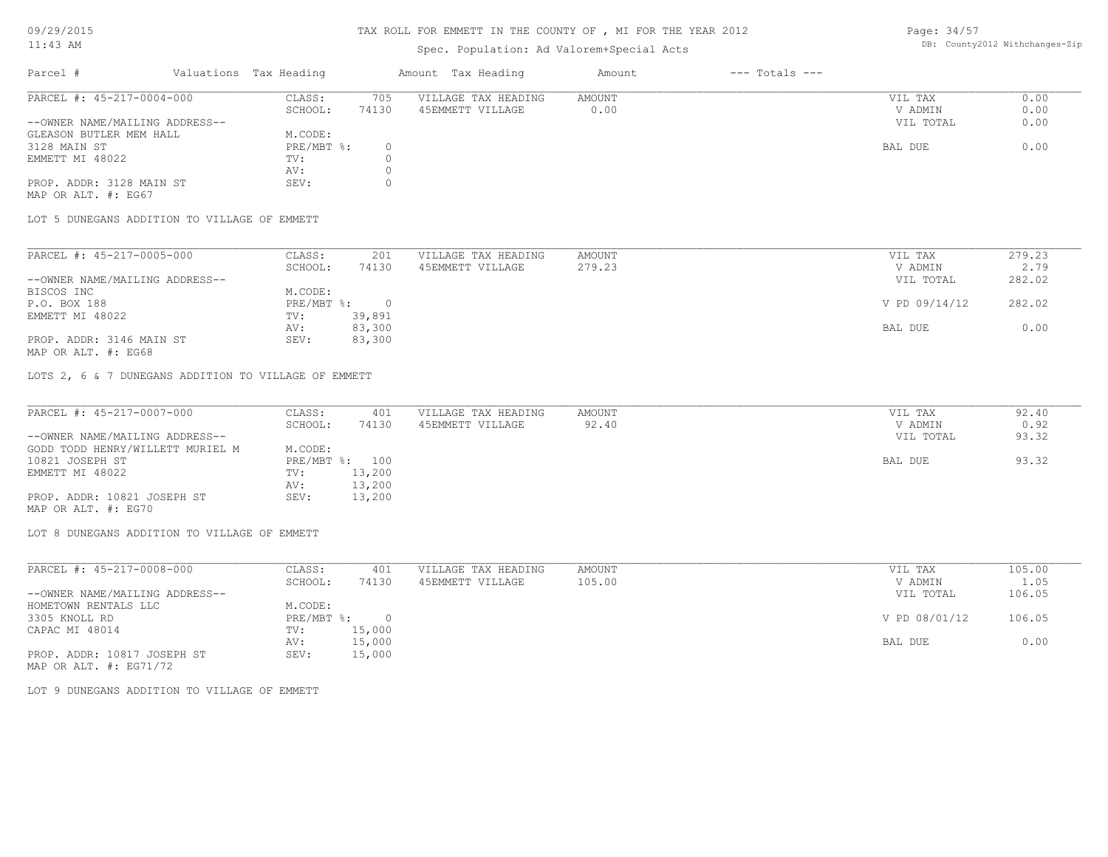### Spec. Population: Ad Valorem+Special Acts

Page: 34/57 DB: County2012 Withchanges-Zip

| Parcel #                       | Valuations Tax Heading |       | Amount Tax Heading  | Amount | $---$ Totals $---$ |           |      |
|--------------------------------|------------------------|-------|---------------------|--------|--------------------|-----------|------|
| PARCEL #: 45-217-0004-000      | CLASS:                 | 705   | VILLAGE TAX HEADING | AMOUNT |                    | VIL TAX   | 0.00 |
|                                | SCHOOL:                | 74130 | 45EMMETT VILLAGE    | 0.00   |                    | V ADMIN   | 0.00 |
| --OWNER NAME/MAILING ADDRESS-- |                        |       |                     |        |                    | VIL TOTAL | 0.00 |
| GLEASON BUTLER MEM HALL        | M.CODE:                |       |                     |        |                    |           |      |
| 3128 MAIN ST                   | $PRE/MBT$ %:           |       |                     |        |                    | BAL DUE   | 0.00 |
| EMMETT MI 48022                | TV:                    |       |                     |        |                    |           |      |
|                                | AV:                    |       |                     |        |                    |           |      |
| PROP. ADDR: 3128 MAIN ST       | SEV:                   |       |                     |        |                    |           |      |
| MAP OR ALT. #: EG67            |                        |       |                     |        |                    |           |      |

LOT 5 DUNEGANS ADDITION TO VILLAGE OF EMMETT

| PARCEL #: 45-217-0005-000      | CLASS:     | 201    | VILLAGE TAX HEADING | AMOUNT | VIL TAX       | 279.23 |
|--------------------------------|------------|--------|---------------------|--------|---------------|--------|
|                                | SCHOOL:    | 74130  | 45EMMETT VILLAGE    | 279.23 | V ADMIN       | 2.79   |
| --OWNER NAME/MAILING ADDRESS-- |            |        |                     |        | VIL TOTAL     | 282.02 |
| BISCOS INC                     | M.CODE:    |        |                     |        |               |        |
| P.O. BOX 188                   | PRE/MBT %: |        |                     |        | V PD 09/14/12 | 282.02 |
| EMMETT MI 48022                | TV:        | 39,891 |                     |        |               |        |
|                                | AV:        | 83,300 |                     |        | BAL DUE       | 0.00   |
| PROP. ADDR: 3146 MAIN ST       | SEV:       | 83,300 |                     |        |               |        |
|                                |            |        |                     |        |               |        |

MAP OR ALT. #: EG68

LOTS 2, 6 & 7 DUNEGANS ADDITION TO VILLAGE OF EMMETT

| PARCEL #: 45-217-0007-000        | CLASS:  | 401            | VILLAGE TAX HEADING | AMOUNT | VIL TAX   | 92.40 |
|----------------------------------|---------|----------------|---------------------|--------|-----------|-------|
|                                  | SCHOOL: | 74130          | 45EMMETT VILLAGE    | 92.40  | V ADMIN   | 0.92  |
| --OWNER NAME/MAILING ADDRESS--   |         |                |                     |        | VIL TOTAL | 93.32 |
| GODD TODD HENRY/WILLETT MURIEL M | M.CODE: |                |                     |        |           |       |
| 10821 JOSEPH ST                  |         | PRE/MBT %: 100 |                     |        | BAL DUE   | 93.32 |
| EMMETT MI 48022                  | TV:     | 13,200         |                     |        |           |       |
|                                  | AV:     | 13,200         |                     |        |           |       |
| PROP. ADDR: 10821 JOSEPH ST      | SEV:    | 13,200         |                     |        |           |       |
| MAP OR ALT. #: EG70              |         |                |                     |        |           |       |

LOT 8 DUNEGANS ADDITION TO VILLAGE OF EMMETT

| PARCEL #: 45-217-0008-000      | CLASS:     | 401    | VILLAGE TAX HEADING | AMOUNT | 105.00<br>VIL TAX       |  |
|--------------------------------|------------|--------|---------------------|--------|-------------------------|--|
|                                | SCHOOL:    | 74130  | 45EMMETT VILLAGE    | 105.00 | 1.05<br>V ADMIN         |  |
| --OWNER NAME/MAILING ADDRESS-- |            |        |                     |        | 106.05<br>VIL TOTAL     |  |
| HOMETOWN RENTALS LLC           | M.CODE:    |        |                     |        |                         |  |
| 3305 KNOLL RD                  | PRE/MBT %: |        |                     |        | 106.05<br>V PD 08/01/12 |  |
| CAPAC MI 48014                 | TV:        | 15,000 |                     |        |                         |  |
|                                | AV:        | 15,000 |                     |        | 0.00<br>BAL DUE         |  |
| PROP. ADDR: 10817 JOSEPH ST    | SEV:       | 15,000 |                     |        |                         |  |
| MAP OR ALT. #: EG71/72         |            |        |                     |        |                         |  |

LOT 9 DUNEGANS ADDITION TO VILLAGE OF EMMETT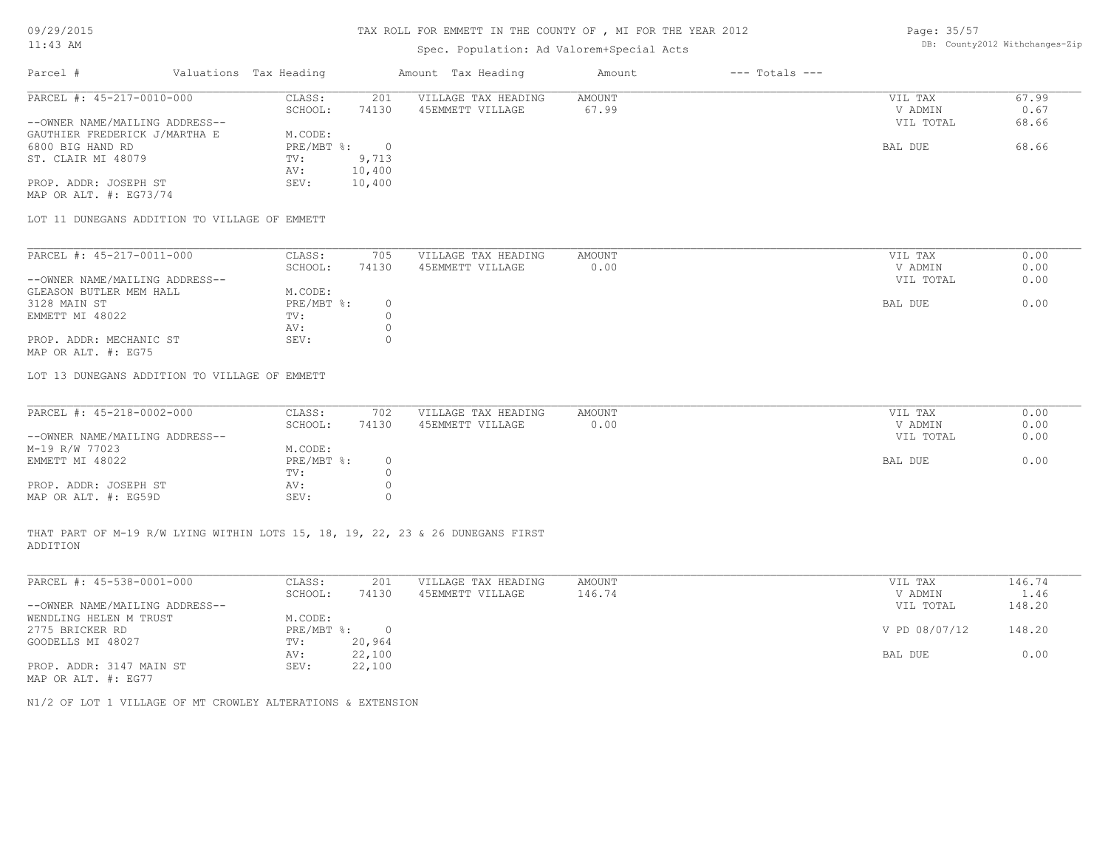### Spec. Population: Ad Valorem+Special Acts

Page: 35/57 DB: County2012 Withchanges-Zip

| Parcel #                       | Valuations Tax Heading |        | Amount Tax Heading  | Amount | $---$ Totals $---$ |           |       |
|--------------------------------|------------------------|--------|---------------------|--------|--------------------|-----------|-------|
| PARCEL #: 45-217-0010-000      | CLASS:                 | 201    | VILLAGE TAX HEADING | AMOUNT |                    | VIL TAX   | 67.99 |
|                                | SCHOOL:                | 74130  | 45EMMETT VILLAGE    | 67.99  |                    | V ADMIN   | 0.67  |
| --OWNER NAME/MAILING ADDRESS-- |                        |        |                     |        |                    | VIL TOTAL | 68.66 |
| GAUTHIER FREDERICK J/MARTHA E  | M.CODE:                |        |                     |        |                    |           |       |
| 6800 BIG HAND RD               | $PRE/MBT$ %:           |        |                     |        |                    | BAL DUE   | 68.66 |
| ST. CLAIR MI 48079             | TV:                    | 9,713  |                     |        |                    |           |       |
|                                | AV:                    | 10,400 |                     |        |                    |           |       |
| PROP. ADDR: JOSEPH ST          | SEV:                   | 10,400 |                     |        |                    |           |       |
| MAP OR ALT. $\#$ : EG73/74     |                        |        |                     |        |                    |           |       |

LOT 11 DUNEGANS ADDITION TO VILLAGE OF EMMETT

| PARCEL #: 45-217-0011-000      | CLASS:     | 705   | VILLAGE TAX HEADING | AMOUNT | VIL TAX   | 0.00 |
|--------------------------------|------------|-------|---------------------|--------|-----------|------|
|                                | SCHOOL:    | 74130 | 45EMMETT VILLAGE    | 0.00   | V ADMIN   | 0.00 |
| --OWNER NAME/MAILING ADDRESS-- |            |       |                     |        | VIL TOTAL | 0.00 |
| GLEASON BUTLER MEM HALL        | M.CODE:    |       |                     |        |           |      |
| 3128 MAIN ST                   | PRE/MBT %: |       |                     |        | BAL DUE   | 0.00 |
| EMMETT MI 48022                | TV:        |       |                     |        |           |      |
|                                | AV:        |       |                     |        |           |      |
| PROP. ADDR: MECHANIC ST        | SEV:       |       |                     |        |           |      |
| MAP OR ALT. #: EG75            |            |       |                     |        |           |      |

LOT 13 DUNEGANS ADDITION TO VILLAGE OF EMMETT

| PARCEL #: 45-218-0002-000      | CLASS:       | 702   | VILLAGE TAX HEADING | AMOUNT | VIL TAX |           | 0.00 |
|--------------------------------|--------------|-------|---------------------|--------|---------|-----------|------|
|                                | SCHOOL:      | 74130 | 45EMMETT VILLAGE    | 0.00   | V ADMIN |           | 0.00 |
| --OWNER NAME/MAILING ADDRESS-- |              |       |                     |        |         | VIL TOTAL | 0.00 |
| M-19 R/W 77023                 | M.CODE:      |       |                     |        |         |           |      |
| EMMETT MI 48022                | $PRE/MBT$ %: |       |                     |        | BAL DUE |           | 0.00 |
|                                | TV:          |       |                     |        |         |           |      |
| PROP. ADDR: JOSEPH ST          | AV:          |       |                     |        |         |           |      |
| MAP OR ALT. #: EG59D           | SEV:         |       |                     |        |         |           |      |

ADDITION THAT PART OF M-19 R/W LYING WITHIN LOTS 15, 18, 19, 22, 23 & 26 DUNEGANS FIRST

| PARCEL #: 45-538-0001-000      | CLASS:     | 201    | VILLAGE TAX HEADING | AMOUNT | VIL TAX       | 146.74 |
|--------------------------------|------------|--------|---------------------|--------|---------------|--------|
|                                | SCHOOL:    | 74130  | 45EMMETT VILLAGE    | 146.74 | V ADMIN       | 1.46   |
| --OWNER NAME/MAILING ADDRESS-- |            |        |                     |        | VIL TOTAL     | 148.20 |
| WENDLING HELEN M TRUST         | M.CODE:    |        |                     |        |               |        |
| 2775 BRICKER RD                | PRE/MBT %: | $\Box$ |                     |        | V PD 08/07/12 | 148.20 |
| GOODELLS MI 48027              | TV:        | 20,964 |                     |        |               |        |
|                                | AV:        | 22,100 |                     |        | BAL DUE       | 0.00   |
| PROP. ADDR: 3147 MAIN ST       | SEV:       | 22,100 |                     |        |               |        |
| MAP OR ALT. #: EG77            |            |        |                     |        |               |        |

 $\mathcal{L}_\mathcal{L} = \mathcal{L}_\mathcal{L} = \mathcal{L}_\mathcal{L} = \mathcal{L}_\mathcal{L} = \mathcal{L}_\mathcal{L} = \mathcal{L}_\mathcal{L} = \mathcal{L}_\mathcal{L} = \mathcal{L}_\mathcal{L} = \mathcal{L}_\mathcal{L} = \mathcal{L}_\mathcal{L} = \mathcal{L}_\mathcal{L} = \mathcal{L}_\mathcal{L} = \mathcal{L}_\mathcal{L} = \mathcal{L}_\mathcal{L} = \mathcal{L}_\mathcal{L} = \mathcal{L}_\mathcal{L} = \mathcal{L}_\mathcal{L}$ 

N1/2 OF LOT 1 VILLAGE OF MT CROWLEY ALTERATIONS & EXTENSION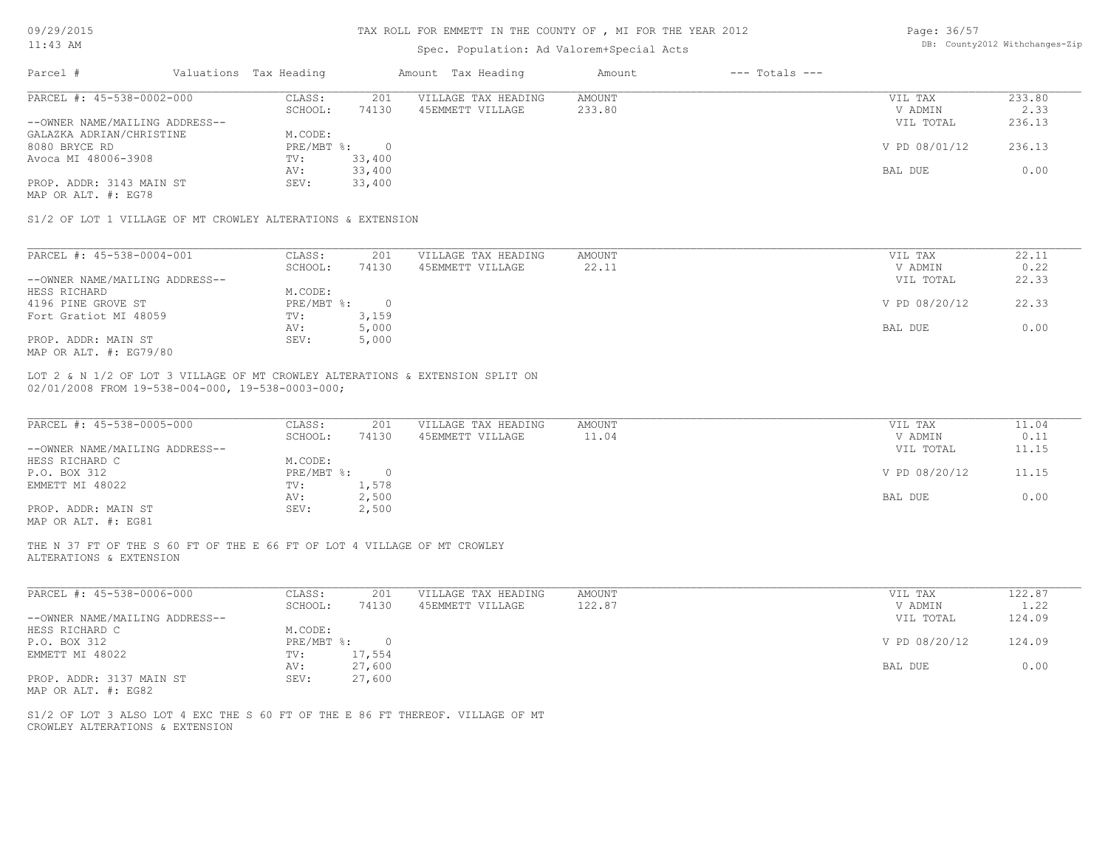| DB: County2012 Withchanges-Zip<br>Spec. Population: Ad Valorem+Special Acts<br>$---$ Totals $---$<br>Parcel #<br>Valuations Tax Heading<br>Amount Tax Heading<br>Amount<br>PARCEL #: 45-538-0002-000<br>CLASS:<br>VILLAGE TAX HEADING<br>AMOUNT<br>VIL TAX<br>233.80<br>201<br>233.80<br>2.33<br>SCHOOL:<br>74130<br>45EMMETT VILLAGE<br>V ADMIN<br>236.13<br>--OWNER NAME/MAILING ADDRESS--<br>VIL TOTAL<br>M.CODE:<br>GALAZKA ADRIAN/CHRISTINE<br>8080 BRYCE RD<br>$PRE/MBT$ $\div$<br>$\overline{0}$<br>V PD 08/01/12<br>236.13<br>33,400<br>Avoca MI 48006-3908<br>TV:<br>0.00<br>33,400<br>BAL DUE<br>AV:<br>33,400<br>PROP. ADDR: 3143 MAIN ST<br>SEV:<br>MAP OR ALT. #: EG78<br>S1/2 OF LOT 1 VILLAGE OF MT CROWLEY ALTERATIONS & EXTENSION<br>PARCEL #: 45-538-0004-001<br>CLASS:<br>201<br>VILLAGE TAX HEADING<br>AMOUNT<br>VIL TAX<br>22.11<br>22.11<br>0.22<br>SCHOOL:<br>74130<br>45EMMETT VILLAGE<br>V ADMIN<br>--OWNER NAME/MAILING ADDRESS--<br>VIL TOTAL<br>22.33<br>HESS RICHARD<br>M.CODE:<br>22.33<br>4196 PINE GROVE ST<br>PRE/MBT %:<br>$\circ$<br>V PD 08/20/12<br>3,159<br>Fort Gratiot MI 48059<br>TV:<br>5,000<br>BAL DUE<br>0.00<br>AV:<br>PROP. ADDR: MAIN ST<br>5,000<br>SEV:<br>MAP OR ALT. #: EG79/80<br>LOT 2 & N 1/2 OF LOT 3 VILLAGE OF MT CROWLEY ALTERATIONS & EXTENSION SPLIT ON<br>02/01/2008 FROM 19-538-004-000, 19-538-0003-000;<br>PARCEL #: 45-538-0005-000<br>201<br>11.04<br>CLASS:<br>VILLAGE TAX HEADING<br>AMOUNT<br>VIL TAX<br>11.04<br>SCHOOL:<br>74130<br>45EMMETT VILLAGE<br>V ADMIN<br>0.11<br>--OWNER NAME/MAILING ADDRESS--<br>11.15<br>VIL TOTAL<br>HESS RICHARD C<br>M.CODE:<br>P.O. BOX 312<br>PRE/MBT %:<br>$\overline{0}$<br>V PD 08/20/12<br>11.15<br>EMMETT MI 48022<br>1,578<br>TV:<br>0.00<br>2,500<br>BAL DUE<br>AV:<br>PROP. ADDR: MAIN ST<br>SEV:<br>2,500<br>MAP OR ALT. #: EG81<br>THE N 37 FT OF THE S 60 FT OF THE E 66 FT OF LOT 4 VILLAGE OF MT CROWLEY<br>ALTERATIONS & EXTENSION<br>PARCEL #: 45-538-0006-000<br>CLASS:<br>VILLAGE TAX HEADING<br><b>AMOUNT</b><br>VIL TAX<br>122.87<br>201<br>SCHOOL:<br>74130<br>45EMMETT VILLAGE<br>122.87<br>V ADMIN<br>1.22 | 09/29/2015 | TAX ROLL FOR EMMETT IN THE COUNTY OF, MI FOR THE YEAR 2012 |  |  |  |  |  |  |           | Page: 36/57 |  |  |
|--------------------------------------------------------------------------------------------------------------------------------------------------------------------------------------------------------------------------------------------------------------------------------------------------------------------------------------------------------------------------------------------------------------------------------------------------------------------------------------------------------------------------------------------------------------------------------------------------------------------------------------------------------------------------------------------------------------------------------------------------------------------------------------------------------------------------------------------------------------------------------------------------------------------------------------------------------------------------------------------------------------------------------------------------------------------------------------------------------------------------------------------------------------------------------------------------------------------------------------------------------------------------------------------------------------------------------------------------------------------------------------------------------------------------------------------------------------------------------------------------------------------------------------------------------------------------------------------------------------------------------------------------------------------------------------------------------------------------------------------------------------------------------------------------------------------------------------------------------------------------------------------------------------------------------------------------------------------------------------------------------------------------------------------------------------------------------------------------------------------------------------------|------------|------------------------------------------------------------|--|--|--|--|--|--|-----------|-------------|--|--|
|                                                                                                                                                                                                                                                                                                                                                                                                                                                                                                                                                                                                                                                                                                                                                                                                                                                                                                                                                                                                                                                                                                                                                                                                                                                                                                                                                                                                                                                                                                                                                                                                                                                                                                                                                                                                                                                                                                                                                                                                                                                                                                                                            | $11:43$ AM |                                                            |  |  |  |  |  |  |           |             |  |  |
|                                                                                                                                                                                                                                                                                                                                                                                                                                                                                                                                                                                                                                                                                                                                                                                                                                                                                                                                                                                                                                                                                                                                                                                                                                                                                                                                                                                                                                                                                                                                                                                                                                                                                                                                                                                                                                                                                                                                                                                                                                                                                                                                            |            |                                                            |  |  |  |  |  |  |           |             |  |  |
|                                                                                                                                                                                                                                                                                                                                                                                                                                                                                                                                                                                                                                                                                                                                                                                                                                                                                                                                                                                                                                                                                                                                                                                                                                                                                                                                                                                                                                                                                                                                                                                                                                                                                                                                                                                                                                                                                                                                                                                                                                                                                                                                            |            |                                                            |  |  |  |  |  |  |           |             |  |  |
|                                                                                                                                                                                                                                                                                                                                                                                                                                                                                                                                                                                                                                                                                                                                                                                                                                                                                                                                                                                                                                                                                                                                                                                                                                                                                                                                                                                                                                                                                                                                                                                                                                                                                                                                                                                                                                                                                                                                                                                                                                                                                                                                            |            |                                                            |  |  |  |  |  |  |           |             |  |  |
|                                                                                                                                                                                                                                                                                                                                                                                                                                                                                                                                                                                                                                                                                                                                                                                                                                                                                                                                                                                                                                                                                                                                                                                                                                                                                                                                                                                                                                                                                                                                                                                                                                                                                                                                                                                                                                                                                                                                                                                                                                                                                                                                            |            |                                                            |  |  |  |  |  |  |           |             |  |  |
|                                                                                                                                                                                                                                                                                                                                                                                                                                                                                                                                                                                                                                                                                                                                                                                                                                                                                                                                                                                                                                                                                                                                                                                                                                                                                                                                                                                                                                                                                                                                                                                                                                                                                                                                                                                                                                                                                                                                                                                                                                                                                                                                            |            |                                                            |  |  |  |  |  |  |           |             |  |  |
|                                                                                                                                                                                                                                                                                                                                                                                                                                                                                                                                                                                                                                                                                                                                                                                                                                                                                                                                                                                                                                                                                                                                                                                                                                                                                                                                                                                                                                                                                                                                                                                                                                                                                                                                                                                                                                                                                                                                                                                                                                                                                                                                            |            |                                                            |  |  |  |  |  |  |           |             |  |  |
|                                                                                                                                                                                                                                                                                                                                                                                                                                                                                                                                                                                                                                                                                                                                                                                                                                                                                                                                                                                                                                                                                                                                                                                                                                                                                                                                                                                                                                                                                                                                                                                                                                                                                                                                                                                                                                                                                                                                                                                                                                                                                                                                            |            |                                                            |  |  |  |  |  |  |           |             |  |  |
|                                                                                                                                                                                                                                                                                                                                                                                                                                                                                                                                                                                                                                                                                                                                                                                                                                                                                                                                                                                                                                                                                                                                                                                                                                                                                                                                                                                                                                                                                                                                                                                                                                                                                                                                                                                                                                                                                                                                                                                                                                                                                                                                            |            |                                                            |  |  |  |  |  |  |           |             |  |  |
|                                                                                                                                                                                                                                                                                                                                                                                                                                                                                                                                                                                                                                                                                                                                                                                                                                                                                                                                                                                                                                                                                                                                                                                                                                                                                                                                                                                                                                                                                                                                                                                                                                                                                                                                                                                                                                                                                                                                                                                                                                                                                                                                            |            |                                                            |  |  |  |  |  |  |           |             |  |  |
|                                                                                                                                                                                                                                                                                                                                                                                                                                                                                                                                                                                                                                                                                                                                                                                                                                                                                                                                                                                                                                                                                                                                                                                                                                                                                                                                                                                                                                                                                                                                                                                                                                                                                                                                                                                                                                                                                                                                                                                                                                                                                                                                            |            |                                                            |  |  |  |  |  |  |           |             |  |  |
|                                                                                                                                                                                                                                                                                                                                                                                                                                                                                                                                                                                                                                                                                                                                                                                                                                                                                                                                                                                                                                                                                                                                                                                                                                                                                                                                                                                                                                                                                                                                                                                                                                                                                                                                                                                                                                                                                                                                                                                                                                                                                                                                            |            |                                                            |  |  |  |  |  |  |           |             |  |  |
|                                                                                                                                                                                                                                                                                                                                                                                                                                                                                                                                                                                                                                                                                                                                                                                                                                                                                                                                                                                                                                                                                                                                                                                                                                                                                                                                                                                                                                                                                                                                                                                                                                                                                                                                                                                                                                                                                                                                                                                                                                                                                                                                            |            |                                                            |  |  |  |  |  |  |           |             |  |  |
|                                                                                                                                                                                                                                                                                                                                                                                                                                                                                                                                                                                                                                                                                                                                                                                                                                                                                                                                                                                                                                                                                                                                                                                                                                                                                                                                                                                                                                                                                                                                                                                                                                                                                                                                                                                                                                                                                                                                                                                                                                                                                                                                            |            |                                                            |  |  |  |  |  |  |           |             |  |  |
|                                                                                                                                                                                                                                                                                                                                                                                                                                                                                                                                                                                                                                                                                                                                                                                                                                                                                                                                                                                                                                                                                                                                                                                                                                                                                                                                                                                                                                                                                                                                                                                                                                                                                                                                                                                                                                                                                                                                                                                                                                                                                                                                            |            |                                                            |  |  |  |  |  |  |           |             |  |  |
|                                                                                                                                                                                                                                                                                                                                                                                                                                                                                                                                                                                                                                                                                                                                                                                                                                                                                                                                                                                                                                                                                                                                                                                                                                                                                                                                                                                                                                                                                                                                                                                                                                                                                                                                                                                                                                                                                                                                                                                                                                                                                                                                            |            |                                                            |  |  |  |  |  |  |           |             |  |  |
|                                                                                                                                                                                                                                                                                                                                                                                                                                                                                                                                                                                                                                                                                                                                                                                                                                                                                                                                                                                                                                                                                                                                                                                                                                                                                                                                                                                                                                                                                                                                                                                                                                                                                                                                                                                                                                                                                                                                                                                                                                                                                                                                            |            |                                                            |  |  |  |  |  |  |           |             |  |  |
|                                                                                                                                                                                                                                                                                                                                                                                                                                                                                                                                                                                                                                                                                                                                                                                                                                                                                                                                                                                                                                                                                                                                                                                                                                                                                                                                                                                                                                                                                                                                                                                                                                                                                                                                                                                                                                                                                                                                                                                                                                                                                                                                            |            |                                                            |  |  |  |  |  |  |           |             |  |  |
|                                                                                                                                                                                                                                                                                                                                                                                                                                                                                                                                                                                                                                                                                                                                                                                                                                                                                                                                                                                                                                                                                                                                                                                                                                                                                                                                                                                                                                                                                                                                                                                                                                                                                                                                                                                                                                                                                                                                                                                                                                                                                                                                            |            |                                                            |  |  |  |  |  |  |           |             |  |  |
|                                                                                                                                                                                                                                                                                                                                                                                                                                                                                                                                                                                                                                                                                                                                                                                                                                                                                                                                                                                                                                                                                                                                                                                                                                                                                                                                                                                                                                                                                                                                                                                                                                                                                                                                                                                                                                                                                                                                                                                                                                                                                                                                            |            |                                                            |  |  |  |  |  |  |           |             |  |  |
|                                                                                                                                                                                                                                                                                                                                                                                                                                                                                                                                                                                                                                                                                                                                                                                                                                                                                                                                                                                                                                                                                                                                                                                                                                                                                                                                                                                                                                                                                                                                                                                                                                                                                                                                                                                                                                                                                                                                                                                                                                                                                                                                            |            |                                                            |  |  |  |  |  |  |           |             |  |  |
|                                                                                                                                                                                                                                                                                                                                                                                                                                                                                                                                                                                                                                                                                                                                                                                                                                                                                                                                                                                                                                                                                                                                                                                                                                                                                                                                                                                                                                                                                                                                                                                                                                                                                                                                                                                                                                                                                                                                                                                                                                                                                                                                            |            |                                                            |  |  |  |  |  |  |           |             |  |  |
|                                                                                                                                                                                                                                                                                                                                                                                                                                                                                                                                                                                                                                                                                                                                                                                                                                                                                                                                                                                                                                                                                                                                                                                                                                                                                                                                                                                                                                                                                                                                                                                                                                                                                                                                                                                                                                                                                                                                                                                                                                                                                                                                            |            |                                                            |  |  |  |  |  |  |           |             |  |  |
|                                                                                                                                                                                                                                                                                                                                                                                                                                                                                                                                                                                                                                                                                                                                                                                                                                                                                                                                                                                                                                                                                                                                                                                                                                                                                                                                                                                                                                                                                                                                                                                                                                                                                                                                                                                                                                                                                                                                                                                                                                                                                                                                            |            |                                                            |  |  |  |  |  |  |           |             |  |  |
|                                                                                                                                                                                                                                                                                                                                                                                                                                                                                                                                                                                                                                                                                                                                                                                                                                                                                                                                                                                                                                                                                                                                                                                                                                                                                                                                                                                                                                                                                                                                                                                                                                                                                                                                                                                                                                                                                                                                                                                                                                                                                                                                            |            |                                                            |  |  |  |  |  |  |           |             |  |  |
|                                                                                                                                                                                                                                                                                                                                                                                                                                                                                                                                                                                                                                                                                                                                                                                                                                                                                                                                                                                                                                                                                                                                                                                                                                                                                                                                                                                                                                                                                                                                                                                                                                                                                                                                                                                                                                                                                                                                                                                                                                                                                                                                            |            |                                                            |  |  |  |  |  |  |           |             |  |  |
|                                                                                                                                                                                                                                                                                                                                                                                                                                                                                                                                                                                                                                                                                                                                                                                                                                                                                                                                                                                                                                                                                                                                                                                                                                                                                                                                                                                                                                                                                                                                                                                                                                                                                                                                                                                                                                                                                                                                                                                                                                                                                                                                            |            |                                                            |  |  |  |  |  |  |           |             |  |  |
|                                                                                                                                                                                                                                                                                                                                                                                                                                                                                                                                                                                                                                                                                                                                                                                                                                                                                                                                                                                                                                                                                                                                                                                                                                                                                                                                                                                                                                                                                                                                                                                                                                                                                                                                                                                                                                                                                                                                                                                                                                                                                                                                            |            |                                                            |  |  |  |  |  |  |           |             |  |  |
|                                                                                                                                                                                                                                                                                                                                                                                                                                                                                                                                                                                                                                                                                                                                                                                                                                                                                                                                                                                                                                                                                                                                                                                                                                                                                                                                                                                                                                                                                                                                                                                                                                                                                                                                                                                                                                                                                                                                                                                                                                                                                                                                            |            |                                                            |  |  |  |  |  |  |           |             |  |  |
|                                                                                                                                                                                                                                                                                                                                                                                                                                                                                                                                                                                                                                                                                                                                                                                                                                                                                                                                                                                                                                                                                                                                                                                                                                                                                                                                                                                                                                                                                                                                                                                                                                                                                                                                                                                                                                                                                                                                                                                                                                                                                                                                            |            |                                                            |  |  |  |  |  |  |           |             |  |  |
| --OWNER NAME/MAILING ADDRESS--                                                                                                                                                                                                                                                                                                                                                                                                                                                                                                                                                                                                                                                                                                                                                                                                                                                                                                                                                                                                                                                                                                                                                                                                                                                                                                                                                                                                                                                                                                                                                                                                                                                                                                                                                                                                                                                                                                                                                                                                                                                                                                             |            |                                                            |  |  |  |  |  |  | VIL TOTAL | 124.09      |  |  |
| M.CODE:<br>HESS RICHARD C<br>.<br>.                                                                                                                                                                                                                                                                                                                                                                                                                                                                                                                                                                                                                                                                                                                                                                                                                                                                                                                                                                                                                                                                                                                                                                                                                                                                                                                                                                                                                                                                                                                                                                                                                                                                                                                                                                                                                                                                                                                                                                                                                                                                                                        |            |                                                            |  |  |  |  |  |  |           |             |  |  |

MAP OR ALT. #: EG82 PROP. ADDR: 3137 MAIN ST SEV: 27,600 AV: 17,554<br>
AV: 27,600 BAL DUE 0.00 EMMETT MI 48022 TV: 17,554 P.O. BOX 312 PRE/MBT %: 0 V PD 08/20/12 124.09

CROWLEY ALTERATIONS & EXTENSION S1/2 OF LOT 3 ALSO LOT 4 EXC THE S 60 FT OF THE E 86 FT THEREOF. VILLAGE OF MT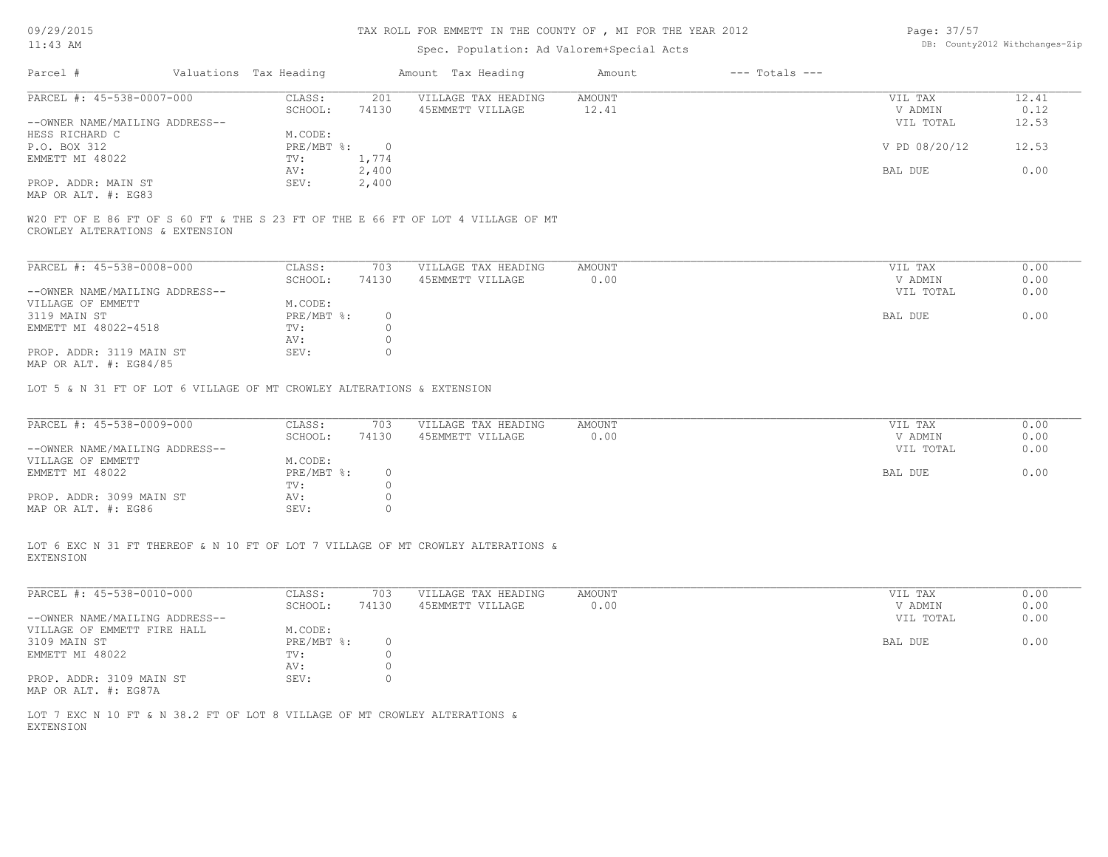### TAX ROLL FOR EMMETT IN THE COUNTY OF , MI FOR THE YEAR 2012

### Spec. Population: Ad Valorem+Special Acts

Page: 37/57 DB: County2012 Withchanges-Zip

| Parcel #                       |  | Valuations Tax Heading |       | Amount Tax Heading  | Amount | $---$ Totals $---$ |               |       |
|--------------------------------|--|------------------------|-------|---------------------|--------|--------------------|---------------|-------|
| PARCEL #: 45-538-0007-000      |  | CLASS:                 | 201   | VILLAGE TAX HEADING | AMOUNT |                    | VIL TAX       | 12.41 |
|                                |  | SCHOOL:                | 74130 | 45EMMETT VILLAGE    | 12.41  |                    | V ADMIN       | 0.12  |
| --OWNER NAME/MAILING ADDRESS-- |  |                        |       |                     |        |                    | VIL TOTAL     | 12.53 |
| HESS RICHARD C                 |  | M.CODE:                |       |                     |        |                    |               |       |
| P.O. BOX 312                   |  | PRE/MBT %:             |       |                     |        |                    | V PD 08/20/12 | 12.53 |
| EMMETT MI 48022                |  | TV:                    | 1,774 |                     |        |                    |               |       |
|                                |  | AV:                    | 2,400 |                     |        |                    | BAL DUE       | 0.00  |
| PROP. ADDR: MAIN ST            |  | SEV:                   | 2,400 |                     |        |                    |               |       |
| MAP OR ALT. #: EG83            |  |                        |       |                     |        |                    |               |       |
|                                |  |                        |       |                     |        |                    |               |       |

CROWLEY ALTERATIONS & EXTENSION W20 FT OF E 86 FT OF S 60 FT & THE S 23 FT OF THE E 66 FT OF LOT 4 VILLAGE OF MT

| PARCEL #: 45-538-0008-000                                                          | CLASS:     | 703   | VILLAGE TAX HEADING | AMOUNT | 0.00<br>VIL TAX   |
|------------------------------------------------------------------------------------|------------|-------|---------------------|--------|-------------------|
|                                                                                    | SCHOOL:    | 74130 | 45EMMETT VILLAGE    | 0.00   | 0.00<br>V ADMIN   |
| --OWNER NAME/MAILING ADDRESS--                                                     |            |       |                     |        | 0.00<br>VIL TOTAL |
| VILLAGE OF EMMETT                                                                  | M.CODE:    |       |                     |        |                   |
| 3119 MAIN ST                                                                       | PRE/MBT %: |       |                     |        | 0.00<br>BAL DUE   |
| EMMETT MI 48022-4518                                                               | TV:        |       |                     |        |                   |
|                                                                                    | AV:        |       |                     |        |                   |
| PROP. ADDR: 3119 MAIN ST<br>$MAD$ $CD$ $\lambda T$ $T$ $+$ $+$ $D$ $CO$ $A$ $/$ 05 | SEV:       |       |                     |        |                   |

MAP OR ALT. #: EG84/85

LOT 5 & N 31 FT OF LOT 6 VILLAGE OF MT CROWLEY ALTERATIONS & EXTENSION

| PARCEL #: 45-538-0009-000      | CLASS:     | 703   | VILLAGE TAX HEADING | AMOUNT | VIL TAX   | 0.00 |
|--------------------------------|------------|-------|---------------------|--------|-----------|------|
|                                | SCHOOL:    | 74130 | 45EMMETT VILLAGE    | 0.00   | V ADMIN   | 0.00 |
| --OWNER NAME/MAILING ADDRESS-- |            |       |                     |        | VIL TOTAL | 0.00 |
| VILLAGE OF EMMETT              | M.CODE:    |       |                     |        |           |      |
| EMMETT MI 48022                | PRE/MBT %: |       |                     |        | BAL DUE   | 0.00 |
|                                | TV:        |       |                     |        |           |      |
| PROP. ADDR: 3099 MAIN ST       | AV:        |       |                     |        |           |      |
| MAP OR ALT. #: EG86            | SEV:       |       |                     |        |           |      |

EXTENSION LOT 6 EXC N 31 FT THEREOF & N 10 FT OF LOT 7 VILLAGE OF MT CROWLEY ALTERATIONS &

| PARCEL #: 45-538-0010-000      | CLASS:     | 703   | VILLAGE TAX HEADING | AMOUNT | 0.00<br>VIL TAX   |
|--------------------------------|------------|-------|---------------------|--------|-------------------|
|                                | SCHOOL:    | 74130 | 45EMMETT VILLAGE    | 0.00   | 0.00<br>V ADMIN   |
| --OWNER NAME/MAILING ADDRESS-- |            |       |                     |        | 0.00<br>VIL TOTAL |
| VILLAGE OF EMMETT FIRE HALL    | M.CODE:    |       |                     |        |                   |
| 3109 MAIN ST                   | PRE/MBT %: |       |                     |        | 0.00<br>BAL DUE   |
| EMMETT MI 48022                | TV:        |       |                     |        |                   |
|                                | AV:        |       |                     |        |                   |
| PROP. ADDR: 3109 MAIN ST       | SEV:       |       |                     |        |                   |
| MAP OR ALT. #: EG87A           |            |       |                     |        |                   |

EXTENSION LOT 7 EXC N 10 FT & N 38.2 FT OF LOT 8 VILLAGE OF MT CROWLEY ALTERATIONS &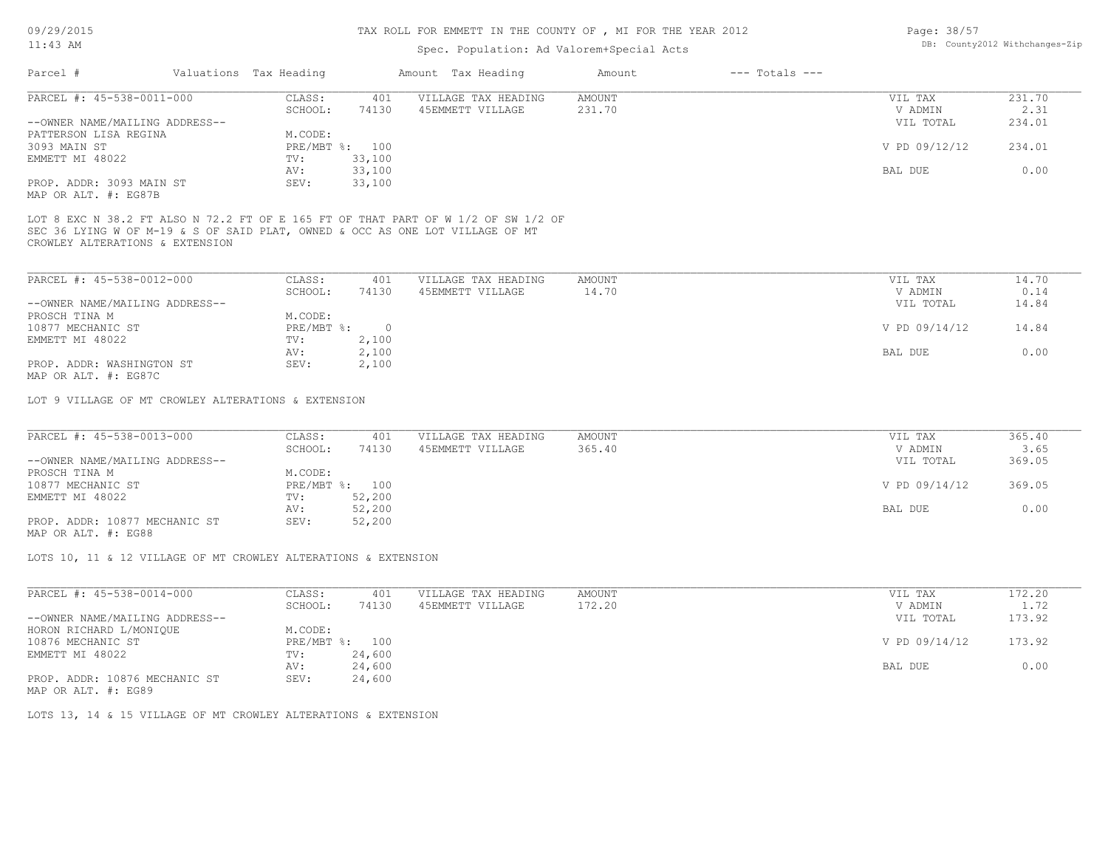### TAX ROLL FOR EMMETT IN THE COUNTY OF , MI FOR THE YEAR 2012

### Spec. Population: Ad Valorem+Special Acts

| Page: 38/57 |                                |
|-------------|--------------------------------|
|             | DB: County2012 Withchanges-Zip |

| Parcel #                       | Valuations Tax Heading |        | Amount Tax Heading  | Amount | $---$ Totals $---$ |               |        |
|--------------------------------|------------------------|--------|---------------------|--------|--------------------|---------------|--------|
| PARCEL #: 45-538-0011-000      | CLASS:                 | 401    | VILLAGE TAX HEADING | AMOUNT |                    | VIL TAX       | 231.70 |
|                                | SCHOOL:                | 74130  | 45EMMETT VILLAGE    | 231.70 |                    | V ADMIN       | 2.31   |
| --OWNER NAME/MAILING ADDRESS-- |                        |        |                     |        |                    | VIL TOTAL     | 234.01 |
| PATTERSON LISA REGINA          | M.CODE:                |        |                     |        |                    |               |        |
| 3093 MAIN ST                   | PRE/MBT %: 100         |        |                     |        |                    | V PD 09/12/12 | 234.01 |
| EMMETT MI 48022                | TV:                    | 33,100 |                     |        |                    |               |        |
|                                | AV:                    | 33,100 |                     |        |                    | BAL DUE       | 0.00   |
| PROP. ADDR: 3093 MAIN ST       | SEV:                   | 33,100 |                     |        |                    |               |        |
| MAP OR ALT. #: EG87B           |                        |        |                     |        |                    |               |        |

SEC 36 LYING W OF M-19 & S OF SAID PLAT, OWNED & OCC AS ONE LOT VILLAGE OF MT LOT 8 EXC N 38.2 FT ALSO N 72.2 FT OF E 165 FT OF THAT PART OF W 1/2 OF SW 1/2 OF

CROWLEY ALTERATIONS & EXTENSION

| PARCEL #: 45-538-0012-000      | CLASS:       | 401   | VILLAGE TAX HEADING | AMOUNT | VIL TAX       | 14.70 |
|--------------------------------|--------------|-------|---------------------|--------|---------------|-------|
|                                | SCHOOL:      | 74130 | 45EMMETT VILLAGE    | 14.70  | V ADMIN       | 0.14  |
| --OWNER NAME/MAILING ADDRESS-- |              |       |                     |        | VIL TOTAL     | 14.84 |
| PROSCH TINA M                  | M.CODE:      |       |                     |        |               |       |
| 10877 MECHANIC ST              | $PRE/MBT$ %: |       |                     |        | V PD 09/14/12 | 14.84 |
| EMMETT MI 48022                | TV:          | 2,100 |                     |        |               |       |
|                                | AV:          | 2,100 |                     |        | BAL DUE       | 0.00  |
| PROP. ADDR: WASHINGTON ST      | SEV:         | 2,100 |                     |        |               |       |
| MAP OR ALT. #: EG87C           |              |       |                     |        |               |       |

LOT 9 VILLAGE OF MT CROWLEY ALTERATIONS & EXTENSION

| PARCEL #: 45-538-0013-000      | CLASS:  | 401            | VILLAGE TAX HEADING | AMOUNT | VIL TAX       | 365.40 |
|--------------------------------|---------|----------------|---------------------|--------|---------------|--------|
|                                | SCHOOL: | 74130          | 45EMMETT VILLAGE    | 365.40 | V ADMIN       | 3.65   |
| --OWNER NAME/MAILING ADDRESS-- |         |                |                     |        | VIL TOTAL     | 369.05 |
| PROSCH TINA M                  | M.CODE: |                |                     |        |               |        |
| 10877 MECHANIC ST              |         | PRE/MBT %: 100 |                     |        | V PD 09/14/12 | 369.05 |
| EMMETT MI 48022                | TV:     | 52,200         |                     |        |               |        |
|                                | AV:     | 52,200         |                     |        | BAL DUE       | 0.00   |
| PROP. ADDR: 10877 MECHANIC ST  | SEV:    | 52,200         |                     |        |               |        |

MAP OR ALT. #: EG88

LOTS 10, 11 & 12 VILLAGE OF MT CROWLEY ALTERATIONS & EXTENSION

| PARCEL #: 45-538-0014-000      | CLASS:     | 401    | VILLAGE TAX HEADING | AMOUNT | VIL TAX       | 172.20 |
|--------------------------------|------------|--------|---------------------|--------|---------------|--------|
|                                | SCHOOL:    | 74130  | 45EMMETT VILLAGE    | 172.20 | V ADMIN       | 1.72   |
| --OWNER NAME/MAILING ADDRESS-- |            |        |                     |        | VIL TOTAL     | 173.92 |
| HORON RICHARD L/MONIQUE        | M.CODE:    |        |                     |        |               |        |
| 10876 MECHANIC ST              | PRE/MBT %: | 100    |                     |        | V PD 09/14/12 | 173.92 |
| EMMETT MI 48022                | TV:        | 24,600 |                     |        |               |        |
|                                | AV:        | 24,600 |                     |        | BAL DUE       | 0.00   |
| PROP. ADDR: 10876 MECHANIC ST  | SEV:       | 24,600 |                     |        |               |        |

MAP OR ALT. #: EG89

LOTS 13, 14 & 15 VILLAGE OF MT CROWLEY ALTERATIONS & EXTENSION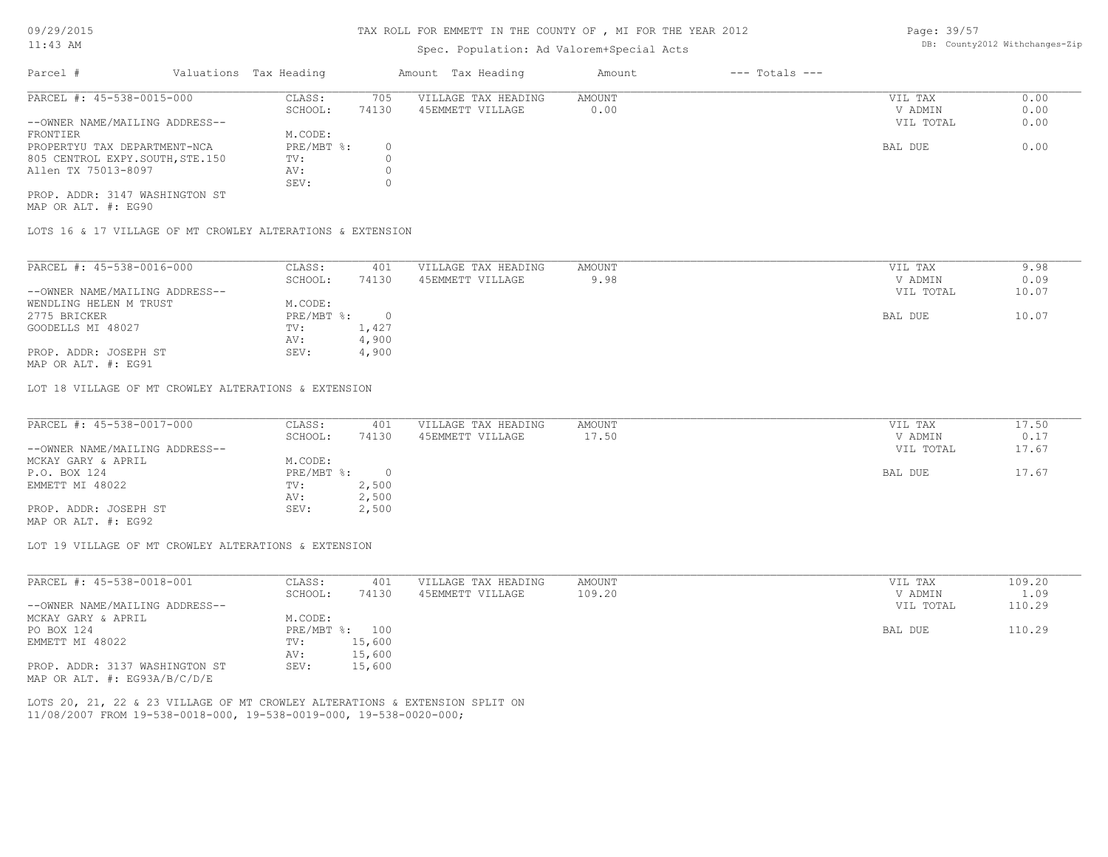## Spec. Population: Ad Valorem+Special Acts

Page: 39/57 DB: County2012 Withchanges-Zip

| Parcel #                        |  | Valuations Tax Heading |       | Amount Tax Heading  | Amount | $---$ Totals $---$ |           |      |
|---------------------------------|--|------------------------|-------|---------------------|--------|--------------------|-----------|------|
| PARCEL #: 45-538-0015-000       |  | CLASS:                 | 705   | VILLAGE TAX HEADING | AMOUNT |                    | VIL TAX   | 0.00 |
|                                 |  | SCHOOL:                | 74130 | 45EMMETT VILLAGE    | 0.00   |                    | V ADMIN   | 0.00 |
| --OWNER NAME/MAILING ADDRESS--  |  |                        |       |                     |        |                    | VIL TOTAL | 0.00 |
| FRONTIER                        |  | M.CODE:                |       |                     |        |                    |           |      |
| PROPERTYU TAX DEPARTMENT-NCA    |  | PRE/MBT %:             |       |                     |        |                    | BAL DUE   | 0.00 |
| 805 CENTROL EXPY.SOUTH, STE.150 |  | TV:                    |       |                     |        |                    |           |      |
| Allen TX 75013-8097             |  | AV:                    |       |                     |        |                    |           |      |
|                                 |  | SEV:                   |       |                     |        |                    |           |      |
| PROP. ADDR: 3147 WASHINGTON ST  |  |                        |       |                     |        |                    |           |      |

MAP OR ALT. #: EG90

LOTS 16 & 17 VILLAGE OF MT CROWLEY ALTERATIONS & EXTENSION

| PARCEL #: 45-538-0016-000      | CLASS:     | 401   | VILLAGE TAX HEADING | AMOUNT | 9.98<br>VIL TAX    |
|--------------------------------|------------|-------|---------------------|--------|--------------------|
|                                | SCHOOL:    | 74130 | 45EMMETT VILLAGE    | 9.98   | 0.09<br>V ADMIN    |
| --OWNER NAME/MAILING ADDRESS-- |            |       |                     |        | 10.07<br>VIL TOTAL |
| WENDLING HELEN M TRUST         | M.CODE:    |       |                     |        |                    |
| 2775 BRICKER                   | PRE/MBT %: |       |                     |        | 10.07<br>BAL DUE   |
| GOODELLS MI 48027              | TV:        | 1,427 |                     |        |                    |
|                                | AV:        | 4,900 |                     |        |                    |
| PROP. ADDR: JOSEPH ST          | SEV:       | 4,900 |                     |        |                    |
| MAP OR ALT. #: EG91            |            |       |                     |        |                    |

LOT 18 VILLAGE OF MT CROWLEY ALTERATIONS & EXTENSION

| PARCEL #: 45-538-0017-000      | CLASS:     | 401   | VILLAGE TAX HEADING | AMOUNT | VIL TAX   | 17.50 |
|--------------------------------|------------|-------|---------------------|--------|-----------|-------|
|                                | SCHOOL:    | 74130 | 45EMMETT VILLAGE    | 17.50  | V ADMIN   | 0.17  |
| --OWNER NAME/MAILING ADDRESS-- |            |       |                     |        | VIL TOTAL | 17.67 |
| MCKAY GARY & APRIL             | M.CODE:    |       |                     |        |           |       |
| P.O. BOX 124                   | PRE/MBT %: |       |                     |        | BAL DUE   | 17.67 |
| EMMETT MI 48022                | TV:        | 2,500 |                     |        |           |       |
|                                | AV:        | 2,500 |                     |        |           |       |
| PROP. ADDR: JOSEPH ST          | SEV:       | 2,500 |                     |        |           |       |
| MAP OR ALT. #: EG92            |            |       |                     |        |           |       |

LOT 19 VILLAGE OF MT CROWLEY ALTERATIONS & EXTENSION

| PARCEL #: 45-538-0018-001        | CLASS:  | 401            | VILLAGE TAX HEADING | AMOUNT | VIL TAX   | 109.20 |
|----------------------------------|---------|----------------|---------------------|--------|-----------|--------|
|                                  | SCHOOL: | 74130          | 45EMMETT VILLAGE    | 109.20 | V ADMIN   | 1.09   |
| --OWNER NAME/MAILING ADDRESS--   |         |                |                     |        | VIL TOTAL | 110.29 |
| MCKAY GARY & APRIL               | M.CODE: |                |                     |        |           |        |
| PO BOX 124                       |         | PRE/MBT %: 100 |                     |        | BAL DUE   | 110.29 |
| EMMETT MI 48022                  | TV:     | 15,600         |                     |        |           |        |
|                                  | AV:     | 15,600         |                     |        |           |        |
| PROP. ADDR: 3137 WASHINGTON ST   | SEV:    | 15,600         |                     |        |           |        |
| MAP OR ALT. $\#$ : EG93A/B/C/D/E |         |                |                     |        |           |        |

11/08/2007 FROM 19-538-0018-000, 19-538-0019-000, 19-538-0020-000; LOTS 20, 21, 22 & 23 VILLAGE OF MT CROWLEY ALTERATIONS & EXTENSION SPLIT ON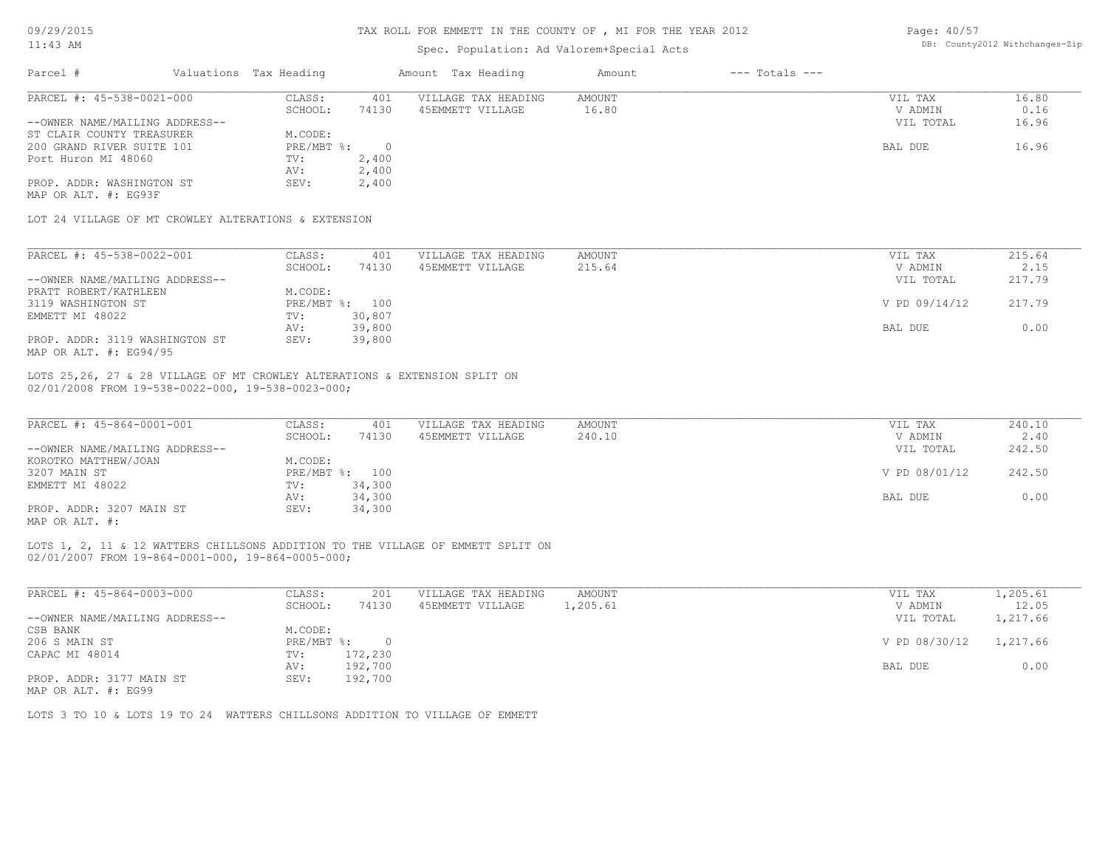### TAX ROLL FOR EMMETT IN THE COUNTY OF , MI FOR THE YEAR 2012

# Spec. Population: Ad Valorem+Special Acts

Page: 40/57 DB: County2012 Withchanges-Zip

| Parcel #                                                                        | Valuations Tax Heading      |         | Amount Tax Heading  | Amount   | $---$ Totals $---$ |               |          |
|---------------------------------------------------------------------------------|-----------------------------|---------|---------------------|----------|--------------------|---------------|----------|
| PARCEL #: 45-538-0021-000                                                       | CLASS:                      | 401     | VILLAGE TAX HEADING | AMOUNT   |                    | VIL TAX       | 16.80    |
|                                                                                 | SCHOOL:                     | 74130   | 45EMMETT VILLAGE    | 16.80    |                    | V ADMIN       | 0.16     |
| --OWNER NAME/MAILING ADDRESS--                                                  |                             |         |                     |          |                    | VIL TOTAL     | 16.96    |
| ST CLAIR COUNTY TREASURER                                                       | M.CODE:                     |         |                     |          |                    |               |          |
| 200 GRAND RIVER SUITE 101                                                       | PRE/MBT %: 0                |         |                     |          |                    | BAL DUE       | 16.96    |
| Port Huron MI 48060                                                             | $\text{TV}$ :               | 2,400   |                     |          |                    |               |          |
|                                                                                 | AV:                         | 2,400   |                     |          |                    |               |          |
| PROP. ADDR: WASHINGTON ST                                                       | SEV:                        | 2,400   |                     |          |                    |               |          |
| MAP OR ALT. #: EG93F                                                            |                             |         |                     |          |                    |               |          |
| LOT 24 VILLAGE OF MT CROWLEY ALTERATIONS & EXTENSION                            |                             |         |                     |          |                    |               |          |
| PARCEL #: 45-538-0022-001                                                       | CLASS:                      | 401     | VILLAGE TAX HEADING | AMOUNT   |                    | VIL TAX       | 215.64   |
|                                                                                 |                             | 74130   |                     | 215.64   |                    |               | 2.15     |
|                                                                                 | SCHOOL:                     |         | 45EMMETT VILLAGE    |          |                    | V ADMIN       |          |
| --OWNER NAME/MAILING ADDRESS--                                                  |                             |         |                     |          |                    | VIL TOTAL     | 217.79   |
| PRATT ROBERT/KATHLEEN                                                           | M.CODE:                     |         |                     |          |                    |               |          |
| 3119 WASHINGTON ST                                                              | PRE/MBT %: 100              |         |                     |          |                    | V PD 09/14/12 | 217.79   |
| EMMETT MI 48022                                                                 | $\texttt{TV}$ :             | 30,807  |                     |          |                    |               |          |
|                                                                                 | AV:                         | 39,800  |                     |          |                    | BAL DUE       | 0.00     |
| PROP. ADDR: 3119 WASHINGTON ST<br>MAP OR ALT. #: EG94/95                        | SEV:                        | 39,800  |                     |          |                    |               |          |
| LOTS 25,26, 27 & 28 VILLAGE OF MT CROWLEY ALTERATIONS & EXTENSION SPLIT ON      |                             |         |                     |          |                    |               |          |
| 02/01/2008 FROM 19-538-0022-000, 19-538-0023-000;                               |                             |         |                     |          |                    |               |          |
|                                                                                 |                             |         |                     |          |                    |               |          |
| PARCEL #: 45-864-0001-001                                                       | CLASS:                      | 401     | VILLAGE TAX HEADING | AMOUNT   |                    | VIL TAX       | 240.10   |
|                                                                                 | SCHOOL:                     | 74130   | 45EMMETT VILLAGE    | 240.10   |                    | V ADMIN       | 2.40     |
| --OWNER NAME/MAILING ADDRESS--                                                  |                             |         |                     |          |                    | VIL TOTAL     | 242.50   |
| KOROTKO MATTHEW/JOAN                                                            | M.CODE:                     |         |                     |          |                    |               |          |
| 3207 MAIN ST                                                                    | PRE/MBT %: 100              |         |                     |          |                    | V PD 08/01/12 | 242.50   |
| EMMETT MI 48022                                                                 | $\texttt{TV}$ :             | 34,300  |                     |          |                    |               |          |
|                                                                                 |                             |         |                     |          |                    |               |          |
|                                                                                 | AV:                         | 34,300  |                     |          |                    | BAL DUE       | 0.00     |
| PROP. ADDR: 3207 MAIN ST<br>MAP OR ALT. #:                                      | SEV:                        | 34,300  |                     |          |                    |               |          |
| LOTS 1, 2, 11 & 12 WATTERS CHILLSONS ADDITION TO THE VILLAGE OF EMMETT SPLIT ON |                             |         |                     |          |                    |               |          |
| 02/01/2007 FROM 19-864-0001-000, 19-864-0005-000;                               |                             |         |                     |          |                    |               |          |
| PARCEL #: 45-864-0003-000                                                       | CLASS:                      | 201     | VILLAGE TAX HEADING | AMOUNT   |                    | VIL TAX       | 1,205.61 |
|                                                                                 | SCHOOL:                     | 74130   | 45EMMETT VILLAGE    | 1,205.61 |                    | V ADMIN       | 12.05    |
| --OWNER NAME/MAILING ADDRESS--                                                  |                             |         |                     |          |                    | VIL TOTAL     | 1,217.66 |
| CSB BANK                                                                        | M.CODE:                     |         |                     |          |                    |               |          |
| 206 S MAIN ST                                                                   | $PRE/MBT$ $\textdegree$ : 0 |         |                     |          |                    | V PD 08/30/12 | 1,217.66 |
| CAPAC MI 48014                                                                  | TV: 172,230                 |         |                     |          |                    |               |          |
|                                                                                 | AV:                         | 192,700 |                     |          |                    | BAL DUE       | 0.00     |
| PROP. ADDR: 3177 MAIN ST                                                        | SEV: 192,700                |         |                     |          |                    |               |          |
| MAP OR ALT. #: EG99                                                             |                             |         |                     |          |                    |               |          |
|                                                                                 |                             |         |                     |          |                    |               |          |
| LOTS 3 TO 10 & LOTS 19 TO 24 WATTERS CHILLSONS ADDITION TO VILLAGE OF EMMETT    |                             |         |                     |          |                    |               |          |
|                                                                                 |                             |         |                     |          |                    |               |          |
|                                                                                 |                             |         |                     |          |                    |               |          |
|                                                                                 |                             |         |                     |          |                    |               |          |
|                                                                                 |                             |         |                     |          |                    |               |          |
|                                                                                 |                             |         |                     |          |                    |               |          |
|                                                                                 |                             |         |                     |          |                    |               |          |
|                                                                                 |                             |         |                     |          |                    |               |          |
|                                                                                 |                             |         |                     |          |                    |               |          |
|                                                                                 |                             |         |                     |          |                    |               |          |
|                                                                                 |                             |         |                     |          |                    |               |          |
|                                                                                 |                             |         |                     |          |                    |               |          |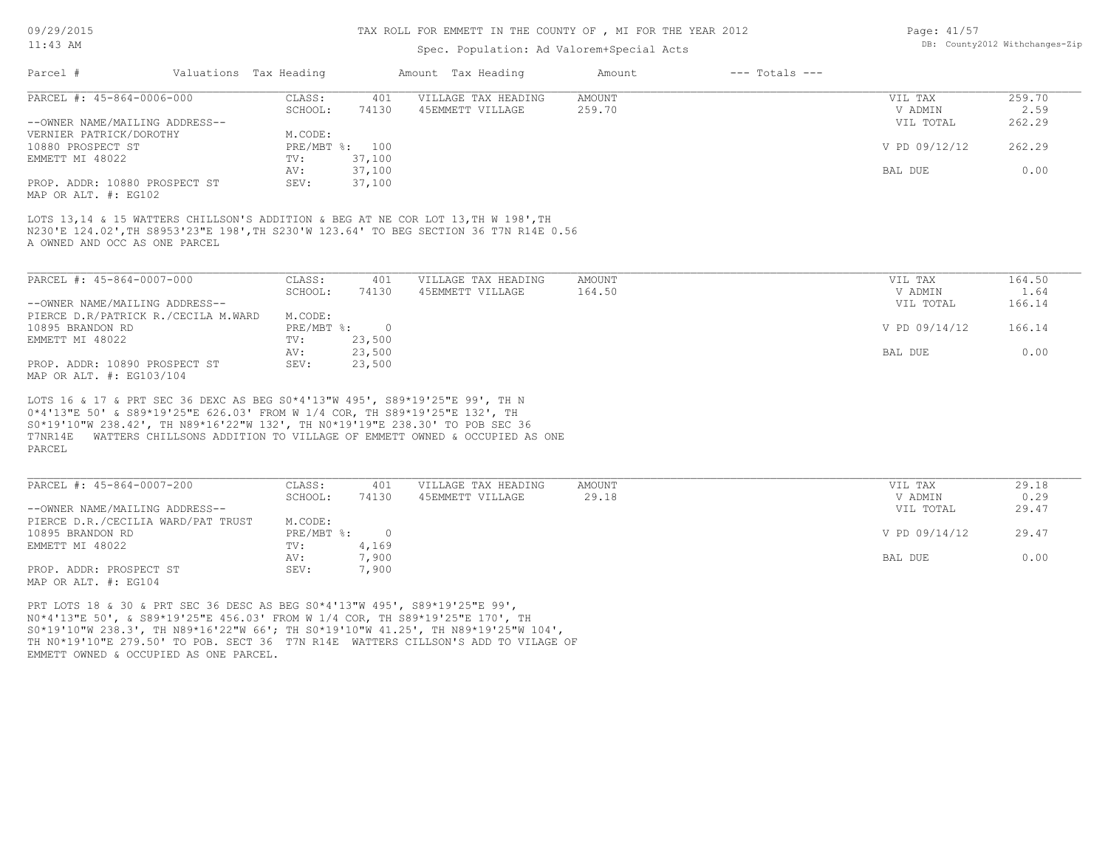#### TAX ROLL FOR EMMETT IN THE COUNTY OF , MI FOR THE YEAR 2012

### Spec. Population: Ad Valorem+Special Acts

| Page: 41/57 |                                |
|-------------|--------------------------------|
|             | DB: County2012 Withchanges-Zip |

| Parcel #                                                                                                                                                                                                                                             | Valuations Tax Heading      | Amount Tax Heading                                                      | Amount        | $---$ Totals $---$ |                |        |
|------------------------------------------------------------------------------------------------------------------------------------------------------------------------------------------------------------------------------------------------------|-----------------------------|-------------------------------------------------------------------------|---------------|--------------------|----------------|--------|
| PARCEL #: 45-864-0006-000                                                                                                                                                                                                                            | CLASS:                      | VILLAGE TAX HEADING<br>401                                              | <b>AMOUNT</b> |                    | VIL TAX        | 259.70 |
|                                                                                                                                                                                                                                                      | 74130<br>SCHOOL:            | 45EMMETT VILLAGE                                                        | 259.70        |                    | V ADMIN        | 2.59   |
| --OWNER NAME/MAILING ADDRESS--<br>VERNIER PATRICK/DOROTHY                                                                                                                                                                                            | M.CODE:                     |                                                                         |               |                    | VIL TOTAL      | 262.29 |
| 10880 PROSPECT ST                                                                                                                                                                                                                                    | PRE/MBT %: 100              |                                                                         |               |                    | V PD 09/12/12  | 262.29 |
| EMMETT MI 48022                                                                                                                                                                                                                                      | 37,100<br>TV:               |                                                                         |               |                    |                |        |
|                                                                                                                                                                                                                                                      | 37,100<br>AV:               |                                                                         |               |                    | BAL DUE        | 0.00   |
| PROP. ADDR: 10880 PROSPECT ST<br>MAP OR ALT. #: EG102                                                                                                                                                                                                | 37,100<br>SEV:              |                                                                         |               |                    |                |        |
| PARCEL #: 45-864-0007-000                                                                                                                                                                                                                            | CLASS:                      | VILLAGE TAX HEADING<br>401                                              | AMOUNT        |                    | VIL TAX        | 164.50 |
|                                                                                                                                                                                                                                                      |                             |                                                                         |               |                    |                |        |
|                                                                                                                                                                                                                                                      | 74130<br>SCHOOL:            | 45EMMETT VILLAGE                                                        | 164.50        |                    | V ADMIN        | 1.64   |
| --OWNER NAME/MAILING ADDRESS--                                                                                                                                                                                                                       |                             |                                                                         |               |                    | VIL TOTAL      | 166.14 |
| PIERCE D.R/PATRICK R./CECILA M.WARD                                                                                                                                                                                                                  | M.CODE:                     |                                                                         |               |                    |                |        |
| 10895 BRANDON RD<br>EMMETT MI 48022                                                                                                                                                                                                                  | PRE/MBT %:<br>23,500<br>TV: | $\overline{0}$                                                          |               |                    | V PD 09/14/12  | 166.14 |
|                                                                                                                                                                                                                                                      | 23,500<br>AV:               |                                                                         |               |                    | <b>BAL DUE</b> | 0.00   |
| PROP. ADDR: 10890 PROSPECT ST<br>MAP OR ALT. #: EG103/104                                                                                                                                                                                            | SEV:<br>23,500              |                                                                         |               |                    |                |        |
| LOTS 16 & 17 & PRT SEC 36 DEXC AS BEG S0*4'13"W 495', S89*19'25"E 99', TH N<br>0*4'13"E 50' & S89*19'25"E 626.03' FROM W 1/4 COR, TH S89*19'25"E 132', TH<br>S0*19'10"W 238.42', TH N89*16'22"W 132', TH N0*19'19"E 238.30' TO POB SEC 36<br>T7NR14E |                             | WATTERS CHILLSONS ADDITION TO VILLAGE OF EMMETT OWNED & OCCUPIED AS ONE |               |                    |                |        |
| PARCEL                                                                                                                                                                                                                                               |                             |                                                                         |               |                    |                |        |
| PARCEL #: 45-864-0007-200                                                                                                                                                                                                                            | CLASS:                      | 401<br>VILLAGE TAX HEADING                                              | AMOUNT        |                    | VIL TAX        | 29.18  |
|                                                                                                                                                                                                                                                      | 74130<br>SCHOOL:            | 45EMMETT VILLAGE                                                        | 29.18         |                    | V ADMIN        | 0.29   |

|                                    | SUNUUI:      | 74 L J U | A SEMMETT A TIMAGE | 49.10 | V ADMIN       | ∪∙∠⊅  |
|------------------------------------|--------------|----------|--------------------|-------|---------------|-------|
| --OWNER NAME/MAILING ADDRESS--     |              |          |                    |       | VIL TOTAL     | 29.47 |
| PIERCE D.R./CECILIA WARD/PAT TRUST | M.CODE:      |          |                    |       |               |       |
| 10895 BRANDON RD                   | $PRE/MBT$ %: | $\cap$   |                    |       | V PD 09/14/12 | 29.47 |
| EMMETT MI 48022                    | TV:          | 4,169    |                    |       |               |       |
|                                    | AV:          | ,900     |                    |       | BAL DUE       | 0.00  |
| PROP. ADDR: PROSPECT ST            | SEV:         | 7,900    |                    |       |               |       |
| MAP OR ALT. #: EG104               |              |          |                    |       |               |       |

EMMETT OWNED & OCCUPIED AS ONE PARCEL. TH N0\*19'10"E 279.50' TO POB. SECT 36 T7N R14E WATTERS CILLSON'S ADD TO VILAGE OF S0\*19'10"W 238.3', TH N89\*16'22"W 66'; TH S0\*19'10"W 41.25', TH N89\*19'25"W 104', N0\*4'13"E 50', & S89\*19'25"E 456.03' FROM W 1/4 COR, TH S89\*19'25"E 170', TH PRT LOTS 18 & 30 & PRT SEC 36 DESC AS BEG S0\*4'13"W 495', S89\*19'25"E 99',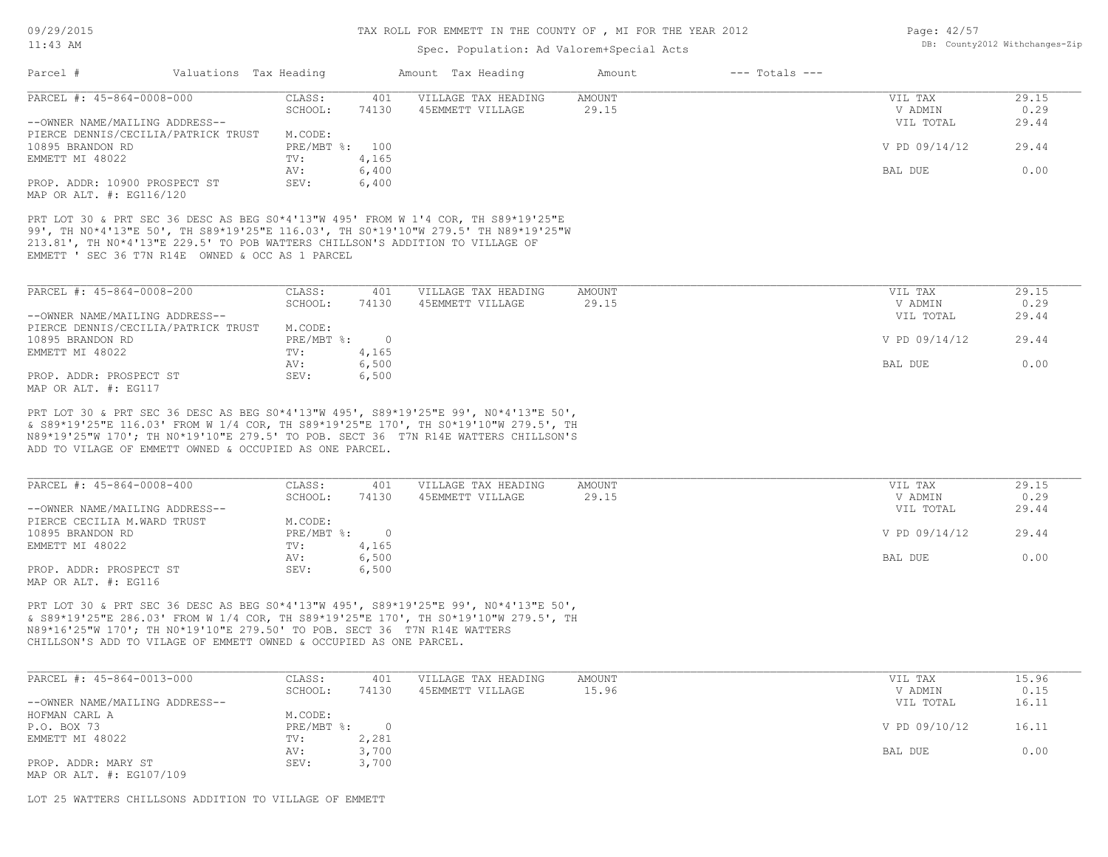### Spec. Population: Ad Valorem+Special Acts

| Page: 42/57 |                                |
|-------------|--------------------------------|
|             | DB: County2012 Withchanges-Zip |

|                                                                                                                                                                                                                             | Valuations Tax Heading |                | Amount Tax Heading                                                            | Amount        | $---$ Totals $---$ |               |       |
|-----------------------------------------------------------------------------------------------------------------------------------------------------------------------------------------------------------------------------|------------------------|----------------|-------------------------------------------------------------------------------|---------------|--------------------|---------------|-------|
| PARCEL #: 45-864-0008-000                                                                                                                                                                                                   | CLASS:                 | 401            | VILLAGE TAX HEADING                                                           | <b>AMOUNT</b> |                    | VIL TAX       | 29.15 |
|                                                                                                                                                                                                                             | SCHOOL:                | 74130          | 45EMMETT VILLAGE                                                              | 29.15         |                    | V ADMIN       | 0.29  |
| --OWNER NAME/MAILING ADDRESS--                                                                                                                                                                                              |                        |                |                                                                               |               |                    | VIL TOTAL     | 29.44 |
| PIERCE DENNIS/CECILIA/PATRICK TRUST                                                                                                                                                                                         | M.CODE:                |                |                                                                               |               |                    |               |       |
| 10895 BRANDON RD                                                                                                                                                                                                            | PRE/MBT %:             | 100            |                                                                               |               |                    | V PD 09/14/12 | 29.44 |
| EMMETT MI 48022                                                                                                                                                                                                             | TV:                    | 4,165          |                                                                               |               |                    |               |       |
|                                                                                                                                                                                                                             | AV:                    | 6,400          |                                                                               |               |                    | BAL DUE       | 0.00  |
| PROP. ADDR: 10900 PROSPECT ST                                                                                                                                                                                               | SEV:                   | 6,400          |                                                                               |               |                    |               |       |
| MAP OR ALT. #: EG116/120                                                                                                                                                                                                    |                        |                |                                                                               |               |                    |               |       |
| PRT LOT 30 & PRT SEC 36 DESC AS BEG S0*4'13"W 495' FROM W 1'4 COR, TH S89*19'25"E<br>99', TH NO*4'13"E 50', TH S89*19'25"E 116.03', TH S0*19'10"W 279.5' TH N89*19'25"W<br>EMMETT ' SEC 36 T7N R14E OWNED & OCC AS 1 PARCEL |                        |                | 213.81', TH NO*4'13"E 229.5' TO POB WATTERS CHILLSON'S ADDITION TO VILLAGE OF |               |                    |               |       |
| PARCEL #: 45-864-0008-200                                                                                                                                                                                                   | CLASS:                 | 401            | VILLAGE TAX HEADING                                                           | <b>AMOUNT</b> |                    | VIL TAX       | 29.15 |
|                                                                                                                                                                                                                             | SCHOOL:                | 74130          | 45EMMETT VILLAGE                                                              | 29.15         |                    | V ADMIN       | 0.29  |
| --OWNER NAME/MAILING ADDRESS--                                                                                                                                                                                              |                        |                |                                                                               |               |                    | VIL TOTAL     | 29.44 |
| PIERCE DENNIS/CECILIA/PATRICK TRUST<br>10895 BRANDON RD                                                                                                                                                                     | M.CODE:<br>PRE/MBT %:  | $\overline{0}$ |                                                                               |               |                    | V PD 09/14/12 |       |
| EMMETT MI 48022                                                                                                                                                                                                             | TV:                    | 4,165          |                                                                               |               |                    |               | 29.44 |
|                                                                                                                                                                                                                             | AV:                    | 6,500          |                                                                               |               |                    | BAL DUE       | 0.00  |
| PROP. ADDR: PROSPECT ST                                                                                                                                                                                                     | SEV:                   | 6,500          |                                                                               |               |                    |               |       |

ADD TO VILAGE OF EMMETT OWNED & OCCUPIED AS ONE PARCEL.

| PARCEL #: 45-864-0008-400      | CLASS:     | 401   | VILLAGE TAX HEADING | AMOUNT | VIL TAX       | 29.15 |
|--------------------------------|------------|-------|---------------------|--------|---------------|-------|
|                                | SCHOOL:    | 74130 | 45EMMETT VILLAGE    | 29.15  | V ADMIN       | 0.29  |
| --OWNER NAME/MAILING ADDRESS-- |            |       |                     |        | VIL TOTAL     | 29.44 |
| PIERCE CECILIA M.WARD TRUST    | M.CODE:    |       |                     |        |               |       |
| 10895 BRANDON RD               | PRE/MBT %: |       |                     |        | V PD 09/14/12 | 29.44 |
| EMMETT MI 48022                | TV:        | 4,165 |                     |        |               |       |
|                                | AV:        | 6,500 |                     |        | BAL DUE       | 0.00  |
| PROP. ADDR: PROSPECT ST        | SEV:       | 6,500 |                     |        |               |       |
| MAP OR ALT. #: EG116           |            |       |                     |        |               |       |

CHILLSON'S ADD TO VILAGE OF EMMETT OWNED & OCCUPIED AS ONE PARCEL. N89\*16'25"W 170'; TH N0\*19'10"E 279.50' TO POB. SECT 36 T7N R14E WATTERS & S89\*19'25"E 286.03' FROM W 1/4 COR, TH S89\*19'25"E 170', TH S0\*19'10"W 279.5', TH PRT LOT 30 & PRT SEC 36 DESC AS BEG S0\*4'13"W 495', S89\*19'25"E 99', N0\*4'13"E 50',

| PARCEL #: 45-864-0013-000      | CLASS:     | 401   | VILLAGE TAX HEADING | AMOUNT | VIL TAX       | 15.96 |
|--------------------------------|------------|-------|---------------------|--------|---------------|-------|
|                                | SCHOOL:    | 74130 | 45EMMETT VILLAGE    | 15.96  | V ADMIN       | 0.15  |
| --OWNER NAME/MAILING ADDRESS-- |            |       |                     |        | VIL TOTAL     | 16.11 |
| HOFMAN CARL A                  | M.CODE:    |       |                     |        |               |       |
| P.O. BOX 73                    | PRE/MBT %: |       |                     |        | V PD 09/10/12 | 16.11 |
| EMMETT MI 48022                | TV:        | 2,281 |                     |        |               |       |
|                                | AV:        | 3,700 |                     |        | BAL DUE       | 0.00  |
| PROP. ADDR: MARY ST            | SEV:       | 3,700 |                     |        |               |       |
| MAP OR ALT. #: EG107/109       |            |       |                     |        |               |       |

LOT 25 WATTERS CHILLSONS ADDITION TO VILLAGE OF EMMETT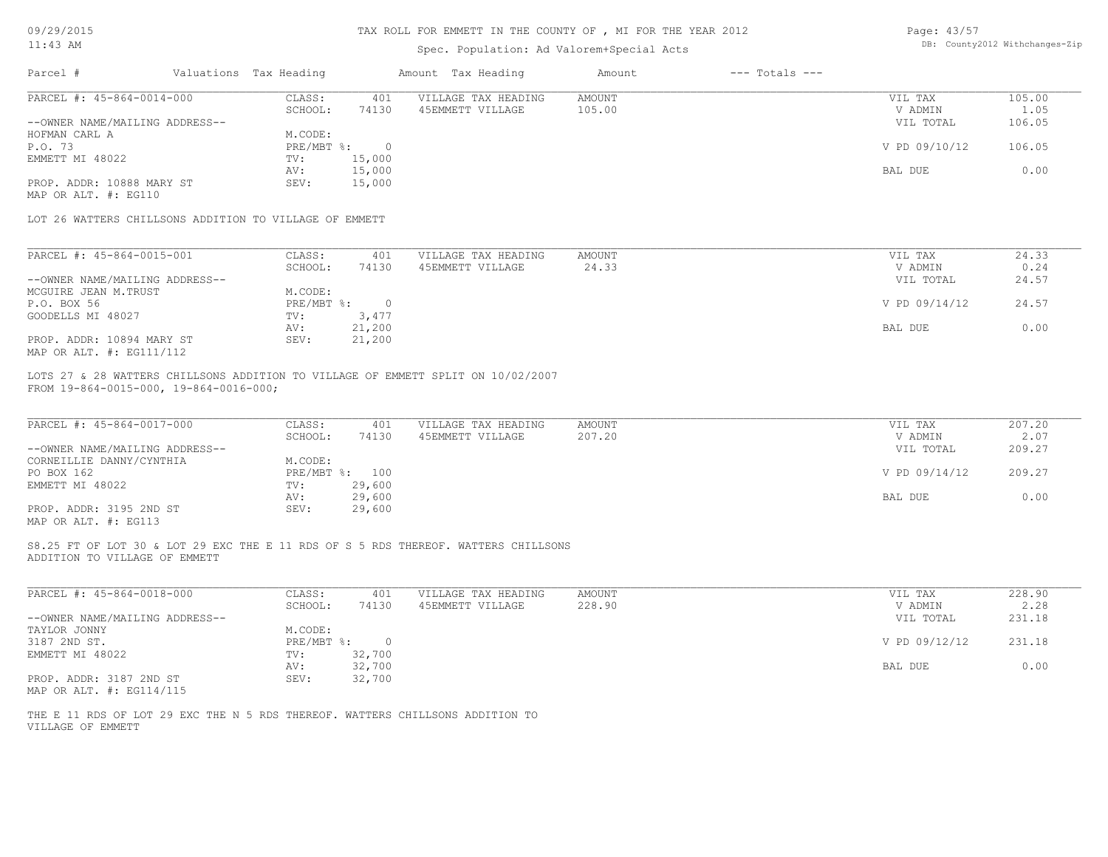### TAX ROLL FOR EMMETT IN THE COUNTY OF , MI FOR THE YEAR 2012

# Spec. Population: Ad Valorem+Special Acts

| Page: 43/57 |                                |
|-------------|--------------------------------|
|             | DB: County2012 Withchanges-Zip |

|                                                                     |                                                                                            | Spec. Population: Ad Valorem+Special Acts      |                  |                    |                      |                |
|---------------------------------------------------------------------|--------------------------------------------------------------------------------------------|------------------------------------------------|------------------|--------------------|----------------------|----------------|
| Parcel #                                                            | Valuations Tax Heading                                                                     | Amount Tax Heading                             | Amount           | $---$ Totals $---$ |                      |                |
| PARCEL #: 45-864-0014-000                                           | CLASS:<br>SCHOOL:<br>74130                                                                 | VILLAGE TAX HEADING<br>401<br>45EMMETT VILLAGE | AMOUNT<br>105.00 |                    | VIL TAX<br>V ADMIN   | 105.00<br>1.05 |
| --OWNER NAME/MAILING ADDRESS--<br>HOFMAN CARL A                     | M.CODE:                                                                                    |                                                |                  |                    | VIL TOTAL            | 106.05         |
| P.O. 73<br>EMMETT MI 48022                                          | $PRE/MBT$ $\div$ 0<br>15,000<br>TV:                                                        |                                                |                  |                    | V PD 09/10/12        | 106.05         |
|                                                                     | 15,000<br>AV:                                                                              |                                                |                  |                    | BAL DUE              | 0.00           |
| PROP. ADDR: 10888 MARY ST<br>MAP OR ALT. #: EG110                   | SEV:<br>15,000                                                                             |                                                |                  |                    |                      |                |
|                                                                     | LOT 26 WATTERS CHILLSONS ADDITION TO VILLAGE OF EMMETT                                     |                                                |                  |                    |                      |                |
| PARCEL #: 45-864-0015-001                                           | CLASS:                                                                                     | 401<br>VILLAGE TAX HEADING                     | AMOUNT           |                    | VIL TAX              | 24.33          |
|                                                                     | SCHOOL:<br>74130                                                                           | 45EMMETT VILLAGE                               | 24.33            |                    | V ADMIN              | 0.24           |
| --OWNER NAME/MAILING ADDRESS--<br>MCGUIRE JEAN M.TRUST              | M.CODE:                                                                                    |                                                |                  |                    | VIL TOTAL            | 24.57          |
| P.O. BOX 56                                                         | $PRE/MBT$ $\div$ 0                                                                         |                                                |                  |                    | V PD 09/14/12        | 24.57          |
| GOODELLS MI 48027                                                   | 3,477<br>TV:<br>21,200<br>AV:                                                              |                                                |                  |                    | BAL DUE              | 0.00           |
| PROP. ADDR: 10894 MARY ST<br>MAP OR ALT. #: EG111/112               | SEV:<br>21,200                                                                             |                                                |                  |                    |                      |                |
| FROM 19-864-0015-000, 19-864-0016-000;<br>PARCEL #: 45-864-0017-000 | LOTS 27 & 28 WATTERS CHILLSONS ADDITION TO VILLAGE OF EMMETT SPLIT ON 10/02/2007<br>CLASS: | 401<br>VILLAGE TAX HEADING                     | <b>AMOUNT</b>    |                    | VIL TAX              | 207.20         |
|                                                                     | SCHOOL:<br>74130                                                                           | 45EMMETT VILLAGE                               | 207.20           |                    | V ADMIN              | 2.07           |
| --OWNER NAME/MAILING ADDRESS--<br>CORNEILLIE DANNY/CYNTHIA          | M.CODE:                                                                                    |                                                |                  |                    | VIL TOTAL            | 209.27         |
| PO BOX 162                                                          | PRE/MBT %: 100                                                                             |                                                |                  |                    | V PD 09/14/12        | 209.27         |
| EMMETT MI 48022                                                     | 29,600<br>TV:<br>29,600<br>AV:                                                             |                                                |                  |                    | BAL DUE              | 0.00           |
| PROP. ADDR: 3195 2ND ST<br>MAP OR ALT. #: EG113                     | SEV:<br>29,600                                                                             |                                                |                  |                    |                      |                |
| ADDITION TO VILLAGE OF EMMETT                                       | S8.25 FT OF LOT 30 & LOT 29 EXC THE E 11 RDS OF S 5 RDS THEREOF. WATTERS CHILLSONS         |                                                |                  |                    |                      |                |
| PARCEL #: 45-864-0018-000                                           | CLASS:                                                                                     | VILLAGE TAX HEADING<br>401                     | AMOUNT           |                    | VIL TAX              | 228.90         |
| --OWNER NAME/MAILING ADDRESS--                                      | SCHOOL:<br>74130                                                                           | 45EMMETT VILLAGE                               | 228.90           |                    | V ADMIN<br>VIL TOTAL | 2.28<br>231.18 |
| TAYLOR JONNY                                                        | M.CODE:                                                                                    |                                                |                  |                    |                      |                |
| 3187 2ND ST.<br>EMMETT MI 48022                                     | $PRE/MBT$ %:<br>32,700<br>TV:                                                              | $\overline{0}$                                 |                  |                    | V PD 09/12/12        | 231.18         |
|                                                                     | AV:<br>32,700                                                                              |                                                |                  |                    | BAL DUE              | 0.00           |
| PROP. ADDR: 3187 2ND ST<br>MAP OR ALT. #: EG114/115                 | SEV:<br>32,700                                                                             |                                                |                  |                    |                      |                |
| VILLAGE OF EMMETT                                                   | THE E 11 RDS OF LOT 29 EXC THE N 5 RDS THEREOF. WATTERS CHILLSONS ADDITION TO              |                                                |                  |                    |                      |                |
|                                                                     |                                                                                            |                                                |                  |                    |                      |                |
|                                                                     |                                                                                            |                                                |                  |                    |                      |                |
|                                                                     |                                                                                            |                                                |                  |                    |                      |                |
|                                                                     |                                                                                            |                                                |                  |                    |                      |                |
|                                                                     |                                                                                            |                                                |                  |                    |                      |                |
|                                                                     |                                                                                            |                                                |                  |                    |                      |                |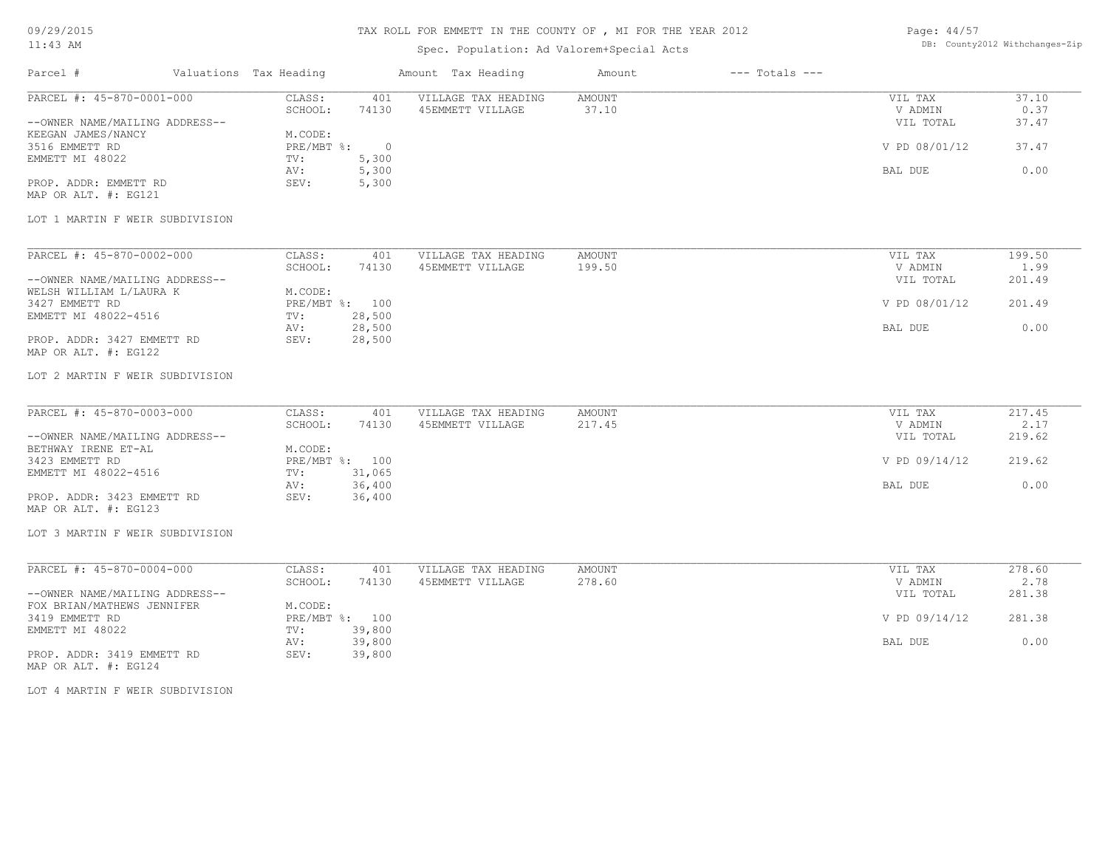# 11:43 AM

# TAX ROLL FOR EMMETT IN THE COUNTY OF , MI FOR THE YEAR 2012

# Spec. Population: Ad Valorem+Special Acts

Page: 44/57 DB: County2012 Withchanges-Zip

| Parcel #                                                               | Valuations Tax Heading                     | Amount Tax Heading                      | Amount           | $---$ Totals $---$ |                            |                |
|------------------------------------------------------------------------|--------------------------------------------|-----------------------------------------|------------------|--------------------|----------------------------|----------------|
| PARCEL #: 45-870-0001-000                                              | CLASS:<br>401<br>SCHOOL:<br>74130          | VILLAGE TAX HEADING<br>45EMMETT VILLAGE | AMOUNT<br>37.10  |                    | VIL TAX<br>V ADMIN         | 37.10<br>0.37  |
| --OWNER NAME/MAILING ADDRESS--<br>KEEGAN JAMES/NANCY<br>3516 EMMETT RD | M.CODE:<br>PRE/MBT %: 0                    |                                         |                  |                    | VIL TOTAL<br>V PD 08/01/12 | 37.47<br>37.47 |
| EMMETT MI 48022                                                        | 5,300<br>TV:<br>AV:<br>5,300               |                                         |                  |                    | BAL DUE                    | 0.00           |
| PROP. ADDR: EMMETT RD<br>MAP OR ALT. #: EG121                          | SEV:<br>5,300                              |                                         |                  |                    |                            |                |
| LOT 1 MARTIN F WEIR SUBDIVISION                                        |                                            |                                         |                  |                    |                            |                |
| PARCEL #: 45-870-0002-000                                              | CLASS:<br>401<br>SCHOOL:<br>74130          | VILLAGE TAX HEADING<br>45EMMETT VILLAGE | AMOUNT<br>199.50 |                    | VIL TAX<br>V ADMIN         | 199.50<br>1.99 |
| --OWNER NAME/MAILING ADDRESS--                                         |                                            |                                         |                  |                    | VIL TOTAL                  | 201.49         |
| WELSH WILLIAM L/LAURA K<br>3427 EMMETT RD                              | M.CODE:<br>PRE/MBT %: 100                  |                                         |                  |                    | V PD 08/01/12              | 201.49         |
| EMMETT MI 48022-4516                                                   | 28,500<br>$\texttt{TV}$ :<br>28,500<br>AV: |                                         |                  |                    | BAL DUE                    | 0.00           |
| PROP. ADDR: 3427 EMMETT RD<br>MAP OR ALT. #: EG122                     | 28,500<br>SEV:                             |                                         |                  |                    |                            |                |
| LOT 2 MARTIN F WEIR SUBDIVISION                                        |                                            |                                         |                  |                    |                            |                |
| PARCEL #: 45-870-0003-000                                              | CLASS:<br>401                              | VILLAGE TAX HEADING                     | AMOUNT           |                    | VIL TAX                    | 217.45         |
| --OWNER NAME/MAILING ADDRESS--                                         | SCHOOL:<br>74130                           | 45EMMETT VILLAGE                        | 217.45           |                    | V ADMIN<br>VIL TOTAL       | 2.17<br>219.62 |
| BETHWAY IRENE ET-AL<br>3423 EMMETT RD                                  | M.CODE:<br>PRE/MBT %: 100                  |                                         |                  |                    | V PD 09/14/12              | 219.62         |
| EMMETT MI 48022-4516                                                   | 31,065<br>TV:                              |                                         |                  |                    |                            |                |
| PROP. ADDR: 3423 EMMETT RD<br>MAP OR ALT. #: EG123                     | 36,400<br>AV:<br>36,400<br>SEV:            |                                         |                  |                    | BAL DUE                    | 0.00           |
| LOT 3 MARTIN F WEIR SUBDIVISION                                        |                                            |                                         |                  |                    |                            |                |
|                                                                        |                                            |                                         |                  |                    |                            |                |
| PARCEL #: 45-870-0004-000                                              | CLASS:<br>401<br>SCHOOL:<br>74130          | VILLAGE TAX HEADING<br>45EMMETT VILLAGE | AMOUNT<br>278.60 |                    | VIL TAX<br>V ADMIN         | 278.60<br>2.78 |
| --OWNER NAME/MAILING ADDRESS--<br>FOX BRIAN/MATHEWS JENNIFER           | M.CODE:                                    |                                         |                  |                    | VIL TOTAL                  | 281.38         |
| 3419 EMMETT RD<br>EMMETT MI 48022                                      | PRE/MBT %: 100<br>39,800<br>TV:            |                                         |                  |                    | V PD 09/14/12              | 281.38         |
| PROP. ADDR: 3419 EMMETT RD                                             | 39,800<br>AV:<br>SEV:                      |                                         |                  |                    | BAL DUE                    | 0.00           |
| MAP OR ALT. #: EG124                                                   | 39,800                                     |                                         |                  |                    |                            |                |
| LOT 4 MARTIN F WEIR SUBDIVISION                                        |                                            |                                         |                  |                    |                            |                |
|                                                                        |                                            |                                         |                  |                    |                            |                |
|                                                                        |                                            |                                         |                  |                    |                            |                |
|                                                                        |                                            |                                         |                  |                    |                            |                |
|                                                                        |                                            |                                         |                  |                    |                            |                |
|                                                                        |                                            |                                         |                  |                    |                            |                |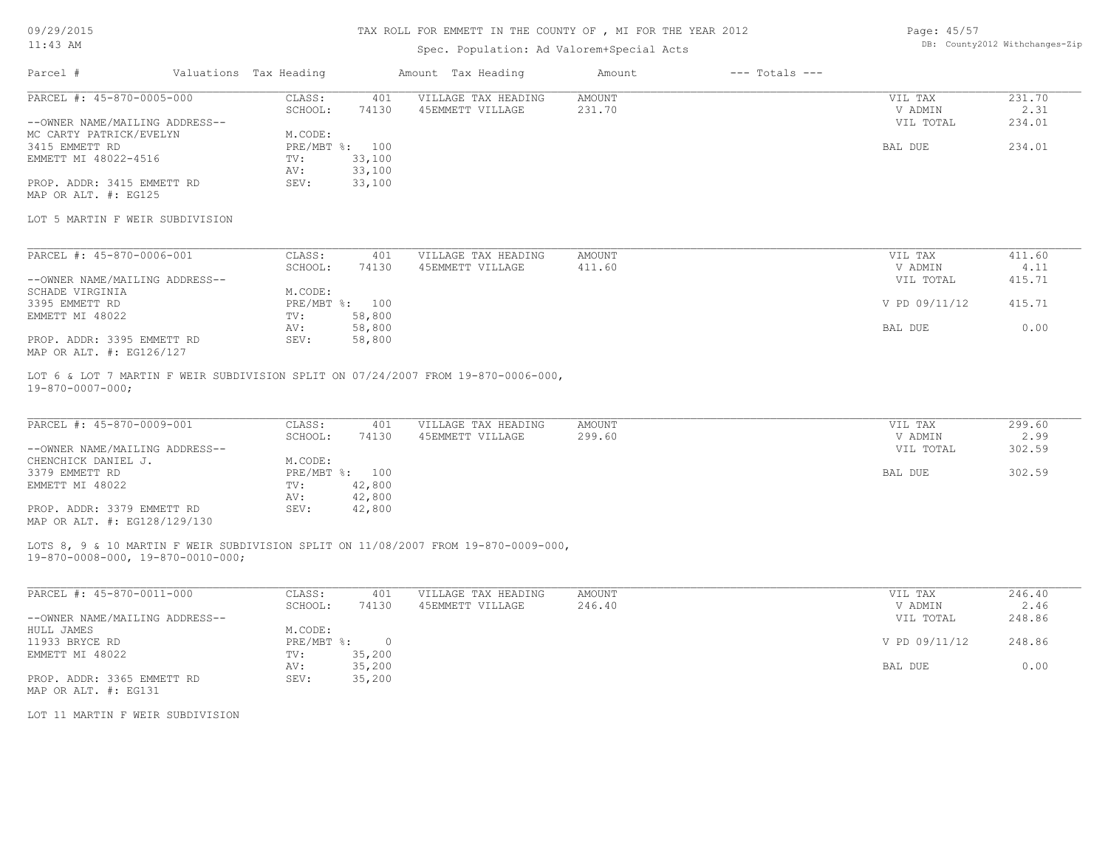### TAX ROLL FOR EMMETT IN THE COUNTY OF , MI FOR THE YEAR 2012

## Spec. Population: Ad Valorem+Special Acts

Page: 45/57 DB: County2012 Withchanges-Zip

| Parcel #                       | Valuations Tax Heading |        | Amount Tax Heading  | Amount | $---$ Totals $---$ |           |        |
|--------------------------------|------------------------|--------|---------------------|--------|--------------------|-----------|--------|
| PARCEL #: 45-870-0005-000      | CLASS:                 | 401    | VILLAGE TAX HEADING | AMOUNT |                    | VIL TAX   | 231.70 |
|                                | SCHOOL:                | 74130  | 45EMMETT VILLAGE    | 231.70 |                    | V ADMIN   | 2.31   |
| --OWNER NAME/MAILING ADDRESS-- |                        |        |                     |        |                    | VIL TOTAL | 234.01 |
| MC CARTY PATRICK/EVELYN        | M.CODE:                |        |                     |        |                    |           |        |
| 3415 EMMETT RD                 | PRE/MBT %: 100         |        |                     |        |                    | BAL DUE   | 234.01 |
| EMMETT MI 48022-4516           | TV:                    | 33,100 |                     |        |                    |           |        |
|                                | AV:                    | 33,100 |                     |        |                    |           |        |
| PROP. ADDR: 3415 EMMETT RD     | SEV:                   | 33,100 |                     |        |                    |           |        |
| MAP OR ALT. #: EG125           |                        |        |                     |        |                    |           |        |

#### LOT 5 MARTIN F WEIR SUBDIVISION

| PARCEL #: 45-870-0006-001      | CLASS:  | 401            | VILLAGE TAX HEADING | AMOUNT | VIL TAX       | 411.60 |
|--------------------------------|---------|----------------|---------------------|--------|---------------|--------|
|                                | SCHOOL: | 74130          | 45EMMETT VILLAGE    | 411.60 | V ADMIN       | 4.11   |
| --OWNER NAME/MAILING ADDRESS-- |         |                |                     |        | VIL TOTAL     | 415.71 |
| SCHADE VIRGINIA                | M.CODE: |                |                     |        |               |        |
| 3395 EMMETT RD                 |         | PRE/MBT %: 100 |                     |        | V PD 09/11/12 | 415.71 |
| EMMETT MI 48022                | TV:     | 58,800         |                     |        |               |        |
|                                | AV:     | 58,800         |                     |        | BAL DUE       | 0.00   |
| PROP. ADDR: 3395 EMMETT RD     | SEV:    | 58,800         |                     |        |               |        |
| MAP OR ALT. #: EG126/127       |         |                |                     |        |               |        |

19-870-0007-000; LOT 6 & LOT 7 MARTIN F WEIR SUBDIVISION SPLIT ON 07/24/2007 FROM 19-870-0006-000,

| PARCEL #: 45-870-0009-001      | CLASS:         | 401    | VILLAGE TAX HEADING | AMOUNT | VIL TAX   | 299.60 |
|--------------------------------|----------------|--------|---------------------|--------|-----------|--------|
|                                | SCHOOL:        | 74130  | 45EMMETT VILLAGE    | 299.60 | V ADMIN   | 2.99   |
| --OWNER NAME/MAILING ADDRESS-- |                |        |                     |        | VIL TOTAL | 302.59 |
| CHENCHICK DANIEL J.            | M.CODE:        |        |                     |        |           |        |
| 3379 EMMETT RD                 | PRE/MBT %: 100 |        |                     |        | BAL DUE   | 302.59 |
| EMMETT MI 48022                | TV:            | 42,800 |                     |        |           |        |
|                                | AV:            | 42,800 |                     |        |           |        |
| PROP. ADDR: 3379 EMMETT RD     | SEV:           | 42,800 |                     |        |           |        |
| MAP OR ALT. #: EG128/129/130   |                |        |                     |        |           |        |

19-870-0008-000, 19-870-0010-000; LOTS 8, 9 & 10 MARTIN F WEIR SUBDIVISION SPLIT ON 11/08/2007 FROM 19-870-0009-000,

| PARCEL #: 45-870-0011-000      | CLASS:     | 401    | VILLAGE TAX HEADING | AMOUNT | VIL TAX       | 246.40 |
|--------------------------------|------------|--------|---------------------|--------|---------------|--------|
|                                | SCHOOL:    | 74130  | 45EMMETT VILLAGE    | 246.40 | V ADMIN       | 2.46   |
| --OWNER NAME/MAILING ADDRESS-- |            |        |                     |        | VIL TOTAL     | 248.86 |
| HULL JAMES                     | M.CODE:    |        |                     |        |               |        |
| 11933 BRYCE RD                 | PRE/MBT %: |        |                     |        | V PD 09/11/12 | 248.86 |
| EMMETT MI 48022                | TV:        | 35,200 |                     |        |               |        |
|                                | AV:        | 35,200 |                     |        | BAL DUE       | 0.00   |
| PROP. ADDR: 3365 EMMETT RD     | SEV:       | 35,200 |                     |        |               |        |
| MAP OR ALT. #: EG131           |            |        |                     |        |               |        |

LOT 11 MARTIN F WEIR SUBDIVISION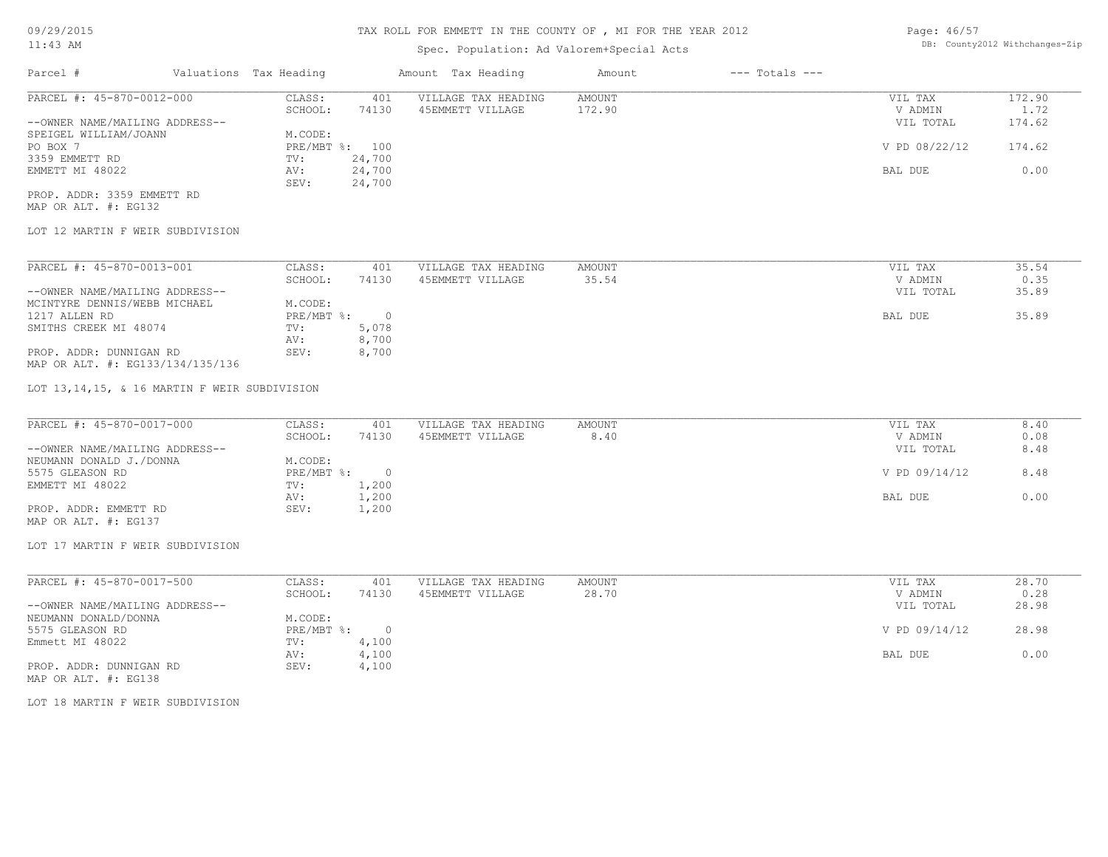### Spec. Population: Ad Valorem+Special Acts

| Page: 46/57 |                                |
|-------------|--------------------------------|
|             | DB: County2012 Withchanges-Zip |

| Parcel #                       | Valuations Tax Heading |        | Amount Tax Heading  | Amount | $---$ Totals $---$ |               |        |
|--------------------------------|------------------------|--------|---------------------|--------|--------------------|---------------|--------|
| PARCEL #: 45-870-0012-000      | CLASS:                 | 401    | VILLAGE TAX HEADING | AMOUNT |                    | VIL TAX       | 172.90 |
|                                | SCHOOL:                | 74130  | 45EMMETT VILLAGE    | 172.90 |                    | V ADMIN       | 1.72   |
| --OWNER NAME/MAILING ADDRESS-- |                        |        |                     |        |                    | VIL TOTAL     | 174.62 |
| SPEIGEL WILLIAM/JOANN          | M.CODE:                |        |                     |        |                    |               |        |
| PO BOX 7                       | PRE/MBT %: 100         |        |                     |        |                    | V PD 08/22/12 | 174.62 |
| 3359 EMMETT RD                 | TV:                    | 24,700 |                     |        |                    |               |        |
| EMMETT MI 48022                | AV:                    | 24,700 |                     |        |                    | BAL DUE       | 0.00   |
|                                | SEV:                   | 24,700 |                     |        |                    |               |        |
| PROP. ADDR: 3359 EMMETT RD     |                        |        |                     |        |                    |               |        |

MAP OR ALT. #: EG132

#### LOT 12 MARTIN F WEIR SUBDIVISION

| PARCEL #: 45-870-0013-001        | CLASS:     | 401    | VILLAGE TAX HEADING | AMOUNT | VIL TAX   | 35.54 |
|----------------------------------|------------|--------|---------------------|--------|-----------|-------|
|                                  | SCHOOL:    | 74130  | 45EMMETT VILLAGE    | 35.54  | V ADMIN   | 0.35  |
| --OWNER NAME/MAILING ADDRESS--   |            |        |                     |        | VIL TOTAL | 35.89 |
| MCINTYRE DENNIS/WEBB MICHAEL     | M.CODE:    |        |                     |        |           |       |
| 1217 ALLEN RD                    | PRE/MBT %: | $\Box$ |                     |        | BAL DUE   | 35.89 |
| SMITHS CREEK MI 48074            | TV:        | 5,078  |                     |        |           |       |
|                                  | AV:        | 8,700  |                     |        |           |       |
| PROP. ADDR: DUNNIGAN RD          | SEV:       | 8,700  |                     |        |           |       |
| MAP OR ALT. #: EG133/134/135/136 |            |        |                     |        |           |       |

LOT 13,14,15, & 16 MARTIN F WEIR SUBDIVISION

| PARCEL #: 45-870-0017-000      | CLASS:     | 401   | VILLAGE TAX HEADING | AMOUNT | VIL TAX       | 8.40 |
|--------------------------------|------------|-------|---------------------|--------|---------------|------|
|                                | SCHOOL:    | 74130 | 45EMMETT VILLAGE    | 8.40   | V ADMIN       | 0.08 |
| --OWNER NAME/MAILING ADDRESS-- |            |       |                     |        | VIL TOTAL     | 8.48 |
| NEUMANN DONALD J./DONNA        | M.CODE:    |       |                     |        |               |      |
| 5575 GLEASON RD                | PRE/MBT %: |       |                     |        | V PD 09/14/12 | 8.48 |
| EMMETT MI 48022                | TV:        | 1,200 |                     |        |               |      |
|                                | AV:        | 1,200 |                     |        | BAL DUE       | 0.00 |
| PROP. ADDR: EMMETT RD          | SEV:       | 1,200 |                     |        |               |      |
| MAP OR ALT. #: EG137           |            |       |                     |        |               |      |

LOT 17 MARTIN F WEIR SUBDIVISION

| PARCEL #: 45-870-0017-500      | CLASS:     | 401   | VILLAGE TAX HEADING | AMOUNT | VIL TAX       | 28.70 |
|--------------------------------|------------|-------|---------------------|--------|---------------|-------|
|                                | SCHOOL:    | 74130 | 45EMMETT VILLAGE    | 28.70  | V ADMIN       | 0.28  |
| --OWNER NAME/MAILING ADDRESS-- |            |       |                     |        | VIL TOTAL     | 28.98 |
| NEUMANN DONALD/DONNA           | M.CODE:    |       |                     |        |               |       |
| 5575 GLEASON RD                | PRE/MBT %: |       |                     |        | V PD 09/14/12 | 28.98 |
| Emmett MI 48022                | TV:        | 4,100 |                     |        |               |       |
|                                | AV:        | 4,100 |                     |        | BAL DUE       | 0.00  |
| PROP. ADDR: DUNNIGAN RD        | SEV:       | 4,100 |                     |        |               |       |
| MAP OR ALT. #: EG138           |            |       |                     |        |               |       |

LOT 18 MARTIN F WEIR SUBDIVISION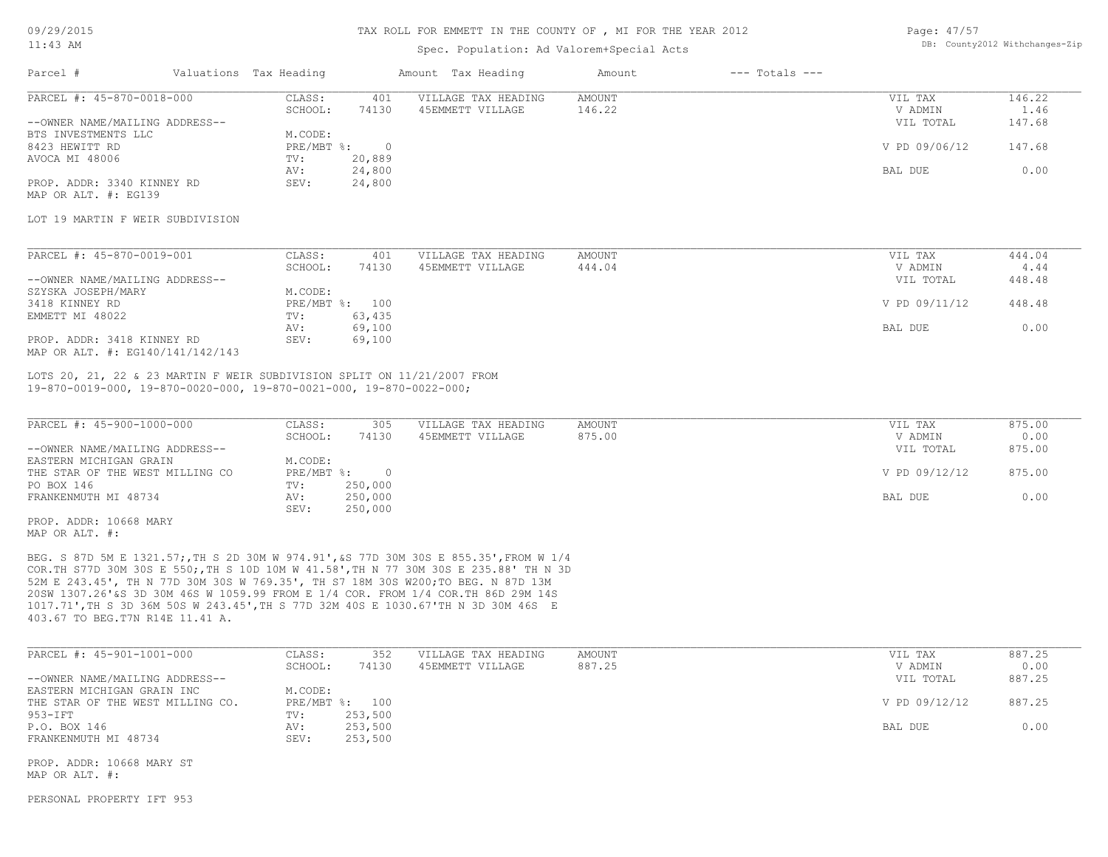#### 11:43 AM

#### TAX ROLL FOR EMMETT IN THE COUNTY OF , MI FOR THE YEAR 2012

### Spec. Population: Ad Valorem+Special Acts

| Page: 47/57 |                                |
|-------------|--------------------------------|
|             | DB: County2012 Withchanges-Zip |

|                                |         |                        | Amount Tax Heading  | Amount | $---$ Totals $---$ |               |        |
|--------------------------------|---------|------------------------|---------------------|--------|--------------------|---------------|--------|
| PARCEL #: 45-870-0018-000      | CLASS:  | 401                    | VILLAGE TAX HEADING | AMOUNT |                    | VIL TAX       | 146.22 |
|                                | SCHOOL: | 74130                  | 45EMMETT VILLAGE    | 146.22 |                    | V ADMIN       | 1.46   |
| --OWNER NAME/MAILING ADDRESS-- |         |                        |                     |        |                    | VIL TOTAL     | 147.68 |
| BTS INVESTMENTS LLC            | M.CODE: |                        |                     |        |                    |               |        |
|                                |         |                        |                     |        |                    | V PD 09/06/12 | 147.68 |
|                                | TV:     | 20,889                 |                     |        |                    |               |        |
|                                | AV:     | 24,800                 |                     |        |                    | BAL DUE       | 0.00   |
| PROP. ADDR: 3340 KINNEY RD     | SEV:    | 24,800                 |                     |        |                    |               |        |
| MAP OR ALT. #: EG139           |         |                        |                     |        |                    |               |        |
|                                |         | Valuations Tax Heading | PRE/MBT %:          |        |                    |               |        |

#### LOT 19 MARTIN F WEIR SUBDIVISION

| PARCEL #: 45-870-0019-001        | CLASS:  | 401            | VILLAGE TAX HEADING | AMOUNT | VIL TAX       | 444.04 |
|----------------------------------|---------|----------------|---------------------|--------|---------------|--------|
|                                  | SCHOOL: | 74130          | 45EMMETT VILLAGE    | 444.04 | V ADMIN       | 4.44   |
| --OWNER NAME/MAILING ADDRESS--   |         |                |                     |        | VIL TOTAL     | 448.48 |
| SZYSKA JOSEPH/MARY               | M.CODE: |                |                     |        |               |        |
| 3418 KINNEY RD                   |         | PRE/MBT %: 100 |                     |        | V PD 09/11/12 | 448.48 |
| EMMETT MI 48022                  | TV:     | 63,435         |                     |        |               |        |
|                                  | AV:     | 69,100         |                     |        | BAL DUE       | 0.00   |
| PROP. ADDR: 3418 KINNEY RD       | SEV:    | 69,100         |                     |        |               |        |
| MAP OR ALT. #: EG140/141/142/143 |         |                |                     |        |               |        |

19-870-0019-000, 19-870-0020-000, 19-870-0021-000, 19-870-0022-000; LOTS 20, 21, 22 & 23 MARTIN F WEIR SUBDIVISION SPLIT ON 11/21/2007 FROM

| PARCEL #: 45-900-1000-000       | CLASS:       | 305     | VILLAGE TAX HEADING | AMOUNT | VIL TAX       | 875.00 |
|---------------------------------|--------------|---------|---------------------|--------|---------------|--------|
|                                 | SCHOOL:      | 74130   | 45EMMETT VILLAGE    | 875.00 | V ADMIN       | 0.00   |
| --OWNER NAME/MAILING ADDRESS--  |              |         |                     |        | VIL TOTAL     | 875.00 |
| EASTERN MICHIGAN GRAIN          | M.CODE:      |         |                     |        |               |        |
| THE STAR OF THE WEST MILLING CO | $PRE/MBT$ %: |         |                     |        | V PD 09/12/12 | 875.00 |
| PO BOX 146                      | TV:          | 250,000 |                     |        |               |        |
| FRANKENMUTH MI 48734            | AV:          | 250,000 |                     |        | BAL DUE       | 0.00   |
|                                 | SEV:         | 250,000 |                     |        |               |        |
| PROP. ADDR: 10668 MARY          |              |         |                     |        |               |        |

MAP OR ALT. #:

403.67 TO BEG.T7N R14E 11.41 A. 1017.71',TH S 3D 36M 50S W 243.45',TH S 77D 32M 40S E 1030.67'TH N 3D 30M 46S E 20SW 1307.26'&S 3D 30M 46S W 1059.99 FROM E 1/4 COR. FROM 1/4 COR.TH 86D 29M 14S 52M E 243.45', TH N 77D 30M 30S W 769.35', TH S7 18M 30S W200;TO BEG. N 87D 13M COR.TH S77D 30M 30S E 550;,TH S 10D 10M W 41.58',TH N 77 30M 30S E 235.88' TH N 3D BEG. S 87D 5M E 1321.57;,TH S 2D 30M W 974.91',&S 77D 30M 30S E 855.35',FROM W 1/4

| PARCEL #: 45-901-1001-000        | CLASS:  | 352            | VILLAGE TAX HEADING | AMOUNT | VIL TAX       | 887.25 |
|----------------------------------|---------|----------------|---------------------|--------|---------------|--------|
|                                  | SCHOOL: | 74130          | 45EMMETT VILLAGE    | 887.25 | V ADMIN       | 0.00   |
| --OWNER NAME/MAILING ADDRESS--   |         |                |                     |        | VIL TOTAL     | 887.25 |
| EASTERN MICHIGAN GRAIN INC       | M.CODE: |                |                     |        |               |        |
| THE STAR OF THE WEST MILLING CO. |         | PRE/MBT %: 100 |                     |        | V PD 09/12/12 | 887.25 |
| 953-IFT                          | TV:     | 253,500        |                     |        |               |        |
| P.O. BOX 146                     | AV:     | 253,500        |                     |        | BAL DUE       | 0.00   |
| FRANKENMUTH MI 48734             | SEV:    | 253,500        |                     |        |               |        |

MAP OR ALT. #: PROP. ADDR: 10668 MARY ST

PERSONAL PROPERTY IFT 953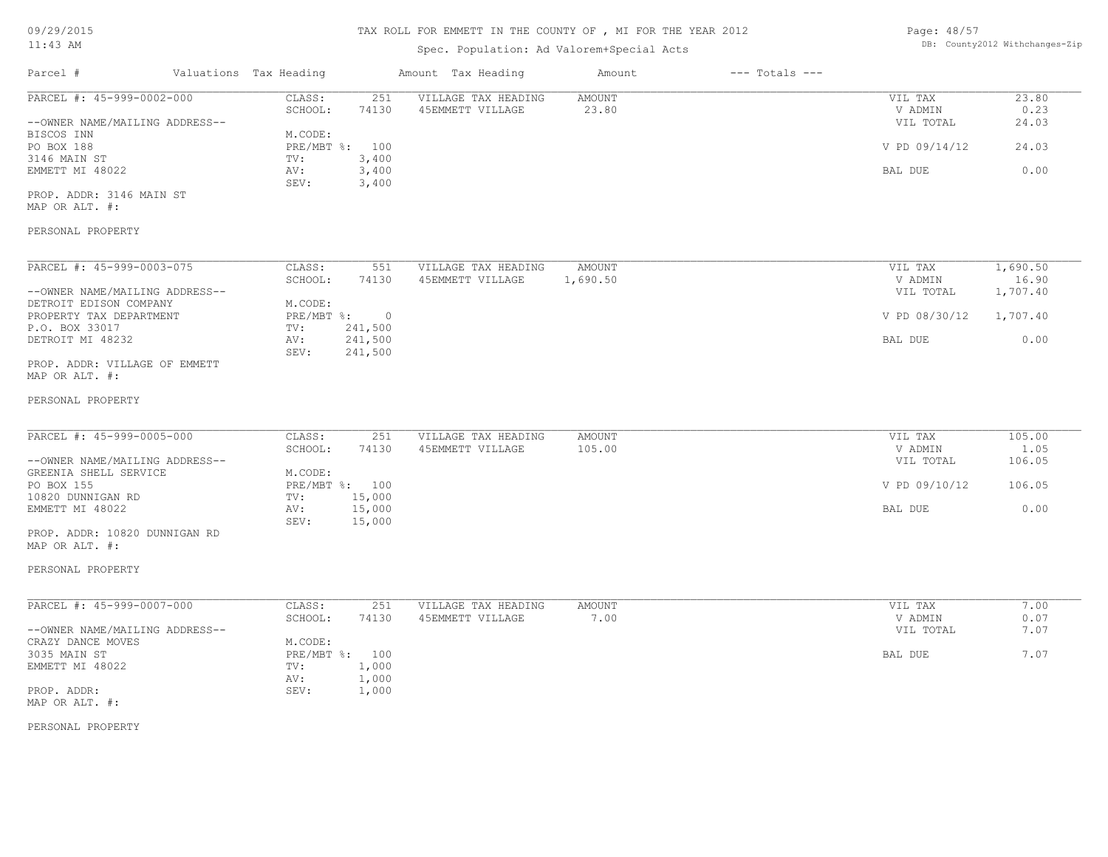### 11:43 AM

### TAX ROLL FOR EMMETT IN THE COUNTY OF , MI FOR THE YEAR 2012

## Spec. Population: Ad Valorem+Special Acts

| Page: 48/57 |                                |
|-------------|--------------------------------|
|             | DB: County2012 Withchanges-Zip |

| Parcel #                       | Valuations Tax Heading |       | Amount Tax Heading  | Amount | $---$ Totals $---$ |               |       |
|--------------------------------|------------------------|-------|---------------------|--------|--------------------|---------------|-------|
| PARCEL #: 45-999-0002-000      | CLASS:                 | 251   | VILLAGE TAX HEADING | AMOUNT |                    | VIL TAX       | 23.80 |
|                                | SCHOOL:                | 74130 | 45EMMETT VILLAGE    | 23.80  |                    | V ADMIN       | 0.23  |
| --OWNER NAME/MAILING ADDRESS-- |                        |       |                     |        |                    | VIL TOTAL     | 24.03 |
| BISCOS INN                     | M.CODE:                |       |                     |        |                    |               |       |
| PO BOX 188                     | $PRE/MBT$ %:           | 100   |                     |        |                    | V PD 09/14/12 | 24.03 |
| 3146 MAIN ST                   | TV:                    | 3,400 |                     |        |                    |               |       |
| EMMETT MI 48022                | AV:                    | 3,400 |                     |        |                    | BAL DUE       | 0.00  |
|                                | SEV:                   | 3,400 |                     |        |                    |               |       |
|                                |                        |       |                     |        |                    |               |       |

MAP OR ALT. #: PROP. ADDR: 3146 MAIN ST

### PERSONAL PROPERTY

| PARCEL #: 45-999-0003-075      | CLASS:     | 551     | VILLAGE TAX HEADING | AMOUNT   | VIL TAX                | 1,690.50 |
|--------------------------------|------------|---------|---------------------|----------|------------------------|----------|
|                                | SCHOOL:    | 74130   | 45EMMETT VILLAGE    | 1,690.50 | V ADMIN                | 16.90    |
| --OWNER NAME/MAILING ADDRESS-- |            |         |                     |          | VIL TOTAL              | 1,707.40 |
| DETROIT EDISON COMPANY         | M.CODE:    |         |                     |          |                        |          |
| PROPERTY TAX DEPARTMENT        | PRE/MBT %: | $\Box$  |                     |          | V PD 08/30/12 1,707.40 |          |
| P.O. BOX 33017                 | TV:        | 241,500 |                     |          |                        |          |
| DETROIT MI 48232               | AV:        | 241,500 |                     |          | BAL DUE                | 0.00     |
|                                | SEV:       | 241,500 |                     |          |                        |          |
| PROP. ADDR: VILLAGE OF EMMETT  |            |         |                     |          |                        |          |

MAP OR ALT. #:

#### PERSONAL PROPERTY

| PARCEL #: 45-999-0005-000      | CLASS:  | 251            | VILLAGE TAX HEADING | AMOUNT | VIL TAX       | 105.00 |
|--------------------------------|---------|----------------|---------------------|--------|---------------|--------|
|                                | SCHOOL: | 74130          | 45EMMETT VILLAGE    | 105.00 | V ADMIN       | 1.05   |
| --OWNER NAME/MAILING ADDRESS-- |         |                |                     |        | VIL TOTAL     | 106.05 |
| GREENIA SHELL SERVICE          | M.CODE: |                |                     |        |               |        |
| PO BOX 155                     |         | PRE/MBT %: 100 |                     |        | V PD 09/10/12 | 106.05 |
| 10820 DUNNIGAN RD              | TV:     | 15,000         |                     |        |               |        |
| EMMETT MI 48022                | AV:     | 15,000         |                     |        | BAL DUE       | 0.00   |
|                                | SEV:    | 15,000         |                     |        |               |        |

MAP OR ALT. #: PROP. ADDR: 10820 DUNNIGAN RD

PERSONAL PROPERTY

| PARCEL #: 45-999-0007-000      | CLASS:       | 251   | VILLAGE TAX HEADING | AMOUNT | VIL TAX   | 7.00 |
|--------------------------------|--------------|-------|---------------------|--------|-----------|------|
|                                | SCHOOL:      | 74130 | 45EMMETT VILLAGE    | 7.00   | V ADMIN   | 0.07 |
| --OWNER NAME/MAILING ADDRESS-- |              |       |                     |        | VIL TOTAL | 7.07 |
| CRAZY DANCE MOVES              | M.CODE:      |       |                     |        |           |      |
| 3035 MAIN ST                   | $PRE/MBT$ %: | 100   |                     |        | BAL DUE   | 7.07 |
| EMMETT MI 48022                | TV:          | .000  |                     |        |           |      |
|                                | AV:          | 1,000 |                     |        |           |      |
| PROP. ADDR:                    | SEV:         | 1,000 |                     |        |           |      |
| $\cdots$ $\cdots$ $\cdots$     |              |       |                     |        |           |      |

 $\mathcal{L}_\mathcal{L} = \mathcal{L}_\mathcal{L} = \mathcal{L}_\mathcal{L} = \mathcal{L}_\mathcal{L} = \mathcal{L}_\mathcal{L} = \mathcal{L}_\mathcal{L} = \mathcal{L}_\mathcal{L} = \mathcal{L}_\mathcal{L} = \mathcal{L}_\mathcal{L} = \mathcal{L}_\mathcal{L} = \mathcal{L}_\mathcal{L} = \mathcal{L}_\mathcal{L} = \mathcal{L}_\mathcal{L} = \mathcal{L}_\mathcal{L} = \mathcal{L}_\mathcal{L} = \mathcal{L}_\mathcal{L} = \mathcal{L}_\mathcal{L}$ 

MAP OR ALT. #:

PERSONAL PROPERTY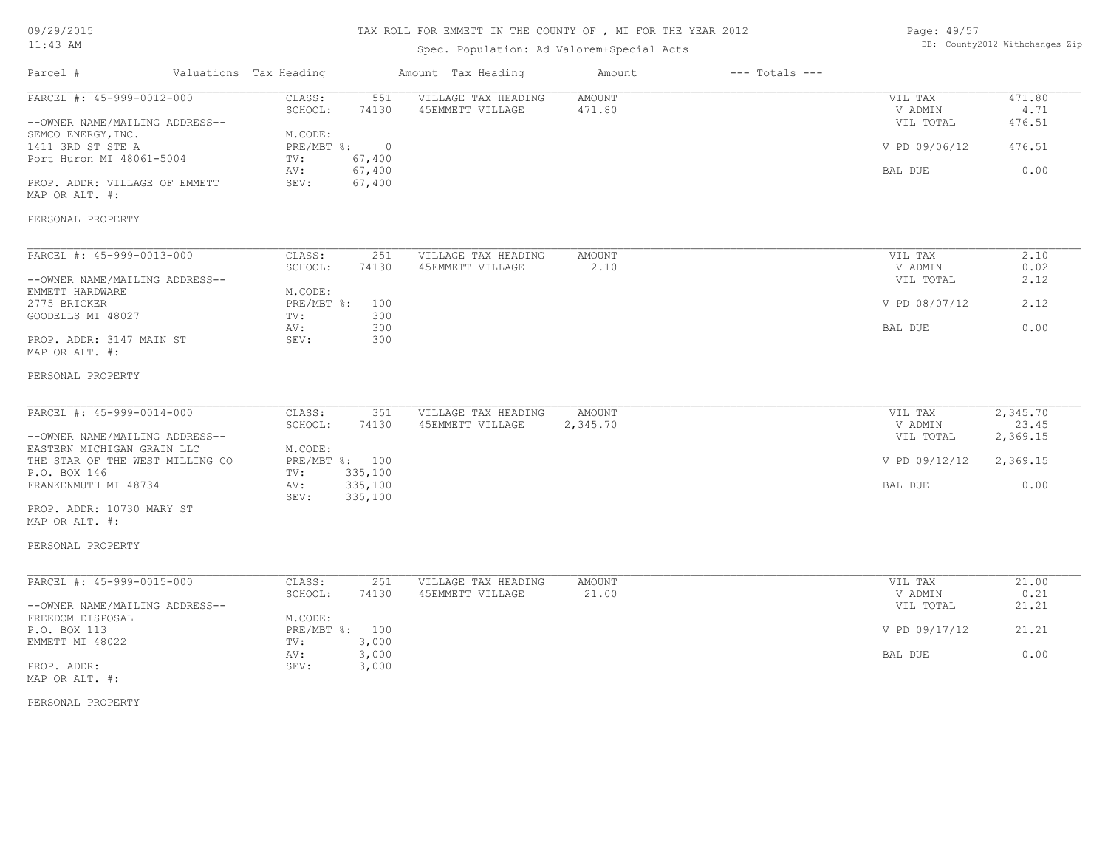### 11:43 AM

### TAX ROLL FOR EMMETT IN THE COUNTY OF , MI FOR THE YEAR 2012

# Spec. Population: Ad Valorem+Special Acts

Page: 49/57 DB: County2012 Withchanges-Zip

| Parcel #                                                                | Valuations Tax Heading |                                                       | Amount Tax Heading                      | Amount             | $---$ Totals $---$ |                          |                   |
|-------------------------------------------------------------------------|------------------------|-------------------------------------------------------|-----------------------------------------|--------------------|--------------------|--------------------------|-------------------|
| PARCEL #: 45-999-0012-000                                               | CLASS:                 | 551<br>SCHOOL:<br>74130                               | VILLAGE TAX HEADING<br>45EMMETT VILLAGE | AMOUNT<br>471.80   |                    | VIL TAX<br>V ADMIN       | 471.80<br>4.71    |
| --OWNER NAME/MAILING ADDRESS--<br>SEMCO ENERGY, INC.                    |                        | M.CODE:                                               |                                         |                    |                    | VIL TOTAL                | 476.51            |
| 1411 3RD ST STE A<br>Port Huron MI 48061-5004                           | TV:                    | $PRE/MBT$ $\frac{1}{6}$ :<br>$\overline{0}$<br>67,400 |                                         |                    |                    | V PD 09/06/12            | 476.51            |
| PROP. ADDR: VILLAGE OF EMMETT<br>MAP OR ALT. #:                         | AV:<br>SEV:            | 67,400<br>67,400                                      |                                         |                    |                    | BAL DUE                  | 0.00              |
| PERSONAL PROPERTY                                                       |                        |                                                       |                                         |                    |                    |                          |                   |
| PARCEL #: 45-999-0013-000                                               | CLASS:                 | 251                                                   | VILLAGE TAX HEADING                     | AMOUNT             |                    | VIL TAX                  | 2.10              |
| --OWNER NAME/MAILING ADDRESS--                                          |                        | 74130<br>SCHOOL:                                      | 45EMMETT VILLAGE                        | 2.10               |                    | V ADMIN<br>VIL TOTAL     | 0.02<br>2.12      |
| EMMETT HARDWARE<br>2775 BRICKER                                         |                        | M.CODE:<br>$PRE/MBT$ %:<br>100                        |                                         |                    |                    | V PD 08/07/12            | 2.12              |
| GOODELLS MI 48027<br>PROP. ADDR: 3147 MAIN ST                           | TV:<br>AV:<br>SEV:     | 300<br>300<br>300                                     |                                         |                    |                    | BAL DUE                  | 0.00              |
| MAP OR ALT. #:                                                          |                        |                                                       |                                         |                    |                    |                          |                   |
| PERSONAL PROPERTY                                                       |                        |                                                       |                                         |                    |                    |                          |                   |
| PARCEL #: 45-999-0014-000                                               | CLASS:                 | 351<br>SCHOOL:<br>74130                               | VILLAGE TAX HEADING<br>45EMMETT VILLAGE | AMOUNT<br>2,345.70 |                    | VIL TAX<br>V ADMIN       | 2,345.70<br>23.45 |
| --OWNER NAME/MAILING ADDRESS--<br>EASTERN MICHIGAN GRAIN LLC            |                        | M.CODE:                                               |                                         |                    |                    | VIL TOTAL                | 2,369.15          |
| THE STAR OF THE WEST MILLING CO<br>P.O. BOX 146<br>FRANKENMUTH MI 48734 | TV:<br>AV:             | PRE/MBT %: 100<br>335,100<br>335,100                  |                                         |                    |                    | V PD 09/12/12<br>BAL DUE | 2,369.15<br>0.00  |
| PROP. ADDR: 10730 MARY ST                                               | SEV:                   | 335,100                                               |                                         |                    |                    |                          |                   |
| MAP OR ALT. #:                                                          |                        |                                                       |                                         |                    |                    |                          |                   |
| PERSONAL PROPERTY                                                       |                        |                                                       |                                         |                    |                    |                          |                   |
| PARCEL #: 45-999-0015-000                                               | CLASS:                 | 251                                                   | VILLAGE TAX HEADING                     | AMOUNT             |                    | VIL TAX                  | 21.00             |
| --OWNER NAME/MAILING ADDRESS--                                          |                        | 74130<br>SCHOOL:<br>M.CODE:                           | 45EMMETT VILLAGE                        | 21.00              |                    | V ADMIN<br>VIL TOTAL     | 0.21<br>21.21     |
| FREEDOM DISPOSAL<br>P.O. BOX 113<br>EMMETT MI 48022                     | TV:                    | PRE/MBT %: 100<br>3,000                               |                                         |                    |                    | V PD 09/17/12            | 21.21             |
| PROP. ADDR:                                                             | AV:<br>SEV:            | 3,000<br>3,000                                        |                                         |                    |                    | <b>BAL DUE</b>           | 0.00              |
| MAP OR ALT. #:                                                          |                        |                                                       |                                         |                    |                    |                          |                   |
| PERSONAL PROPERTY                                                       |                        |                                                       |                                         |                    |                    |                          |                   |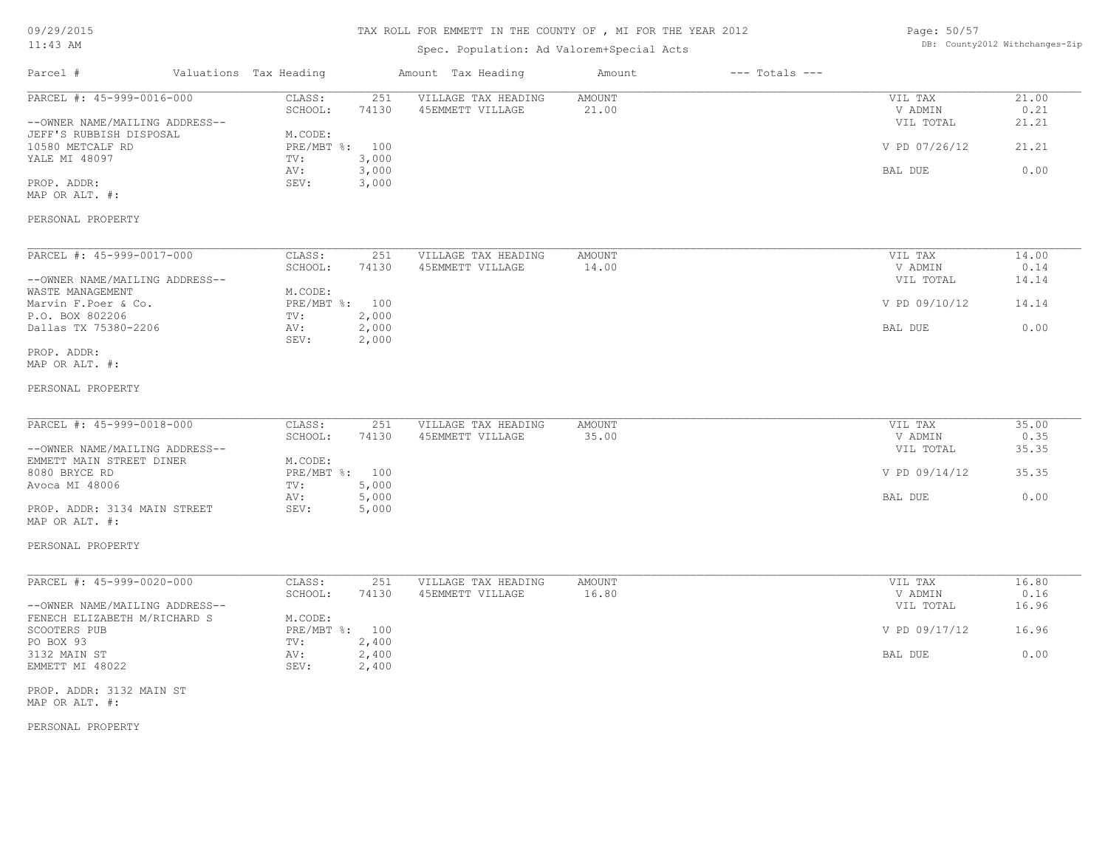### 11:43 AM

### TAX ROLL FOR EMMETT IN THE COUNTY OF , MI FOR THE YEAR 2012

# Spec. Population: Ad Valorem+Special Acts

Page: 50/57 DB: County2012 Withchanges-Zip

| Parcel #<br>Valuations Tax Heading                             |                                   | Amount Tax Heading                      | $---$ Totals $---$<br>Amount |                      |               |
|----------------------------------------------------------------|-----------------------------------|-----------------------------------------|------------------------------|----------------------|---------------|
| PARCEL #: 45-999-0016-000                                      | CLASS:<br>251<br>SCHOOL:<br>74130 | VILLAGE TAX HEADING<br>45EMMETT VILLAGE | <b>AMOUNT</b><br>21.00       | VIL TAX<br>V ADMIN   | 21.00<br>0.21 |
| --OWNER NAME/MAILING ADDRESS--                                 |                                   |                                         |                              | VIL TOTAL            | 21.21         |
| JEFF'S RUBBISH DISPOSAL                                        | M.CODE:                           |                                         |                              |                      |               |
| 10580 METCALF RD                                               | PRE/MBT %: 100                    |                                         |                              | V PD 07/26/12        | 21.21         |
| YALE MI 48097                                                  | 3,000<br>TV:<br>3,000<br>AV:      |                                         |                              | BAL DUE              | 0.00          |
| PROP. ADDR:                                                    | 3,000<br>SEV:                     |                                         |                              |                      |               |
| MAP OR ALT. #:                                                 |                                   |                                         |                              |                      |               |
|                                                                |                                   |                                         |                              |                      |               |
| PERSONAL PROPERTY                                              |                                   |                                         |                              |                      |               |
| PARCEL #: 45-999-0017-000                                      | CLASS:<br>251                     | VILLAGE TAX HEADING                     | <b>AMOUNT</b>                | VIL TAX              | 14.00         |
|                                                                | SCHOOL:<br>74130                  | 45EMMETT VILLAGE                        | 14.00                        | V ADMIN              | 0.14          |
| --OWNER NAME/MAILING ADDRESS--                                 |                                   |                                         |                              | VIL TOTAL            | 14.14         |
| WASTE MANAGEMENT                                               | M.CODE:                           |                                         |                              |                      |               |
| Marvin F. Poer & Co.<br>P.O. BOX 802206                        | PRE/MBT %: 100<br>TV:<br>2,000    |                                         |                              | V PD 09/10/12        | 14.14         |
| Dallas TX 75380-2206                                           | 2,000<br>AV:                      |                                         |                              | BAL DUE              | 0.00          |
|                                                                | 2,000<br>SEV:                     |                                         |                              |                      |               |
| PROP. ADDR:                                                    |                                   |                                         |                              |                      |               |
| MAP OR ALT. #:                                                 |                                   |                                         |                              |                      |               |
|                                                                |                                   |                                         |                              |                      |               |
| PERSONAL PROPERTY                                              |                                   |                                         |                              |                      |               |
|                                                                |                                   |                                         |                              |                      |               |
| PARCEL #: 45-999-0018-000                                      | CLASS:<br>251                     | VILLAGE TAX HEADING                     | AMOUNT                       | VIL TAX              | 35.00         |
| --OWNER NAME/MAILING ADDRESS--                                 | SCHOOL:<br>74130                  | 45EMMETT VILLAGE                        | 35.00                        | V ADMIN<br>VIL TOTAL | 0.35<br>35.35 |
| EMMETT MAIN STREET DINER                                       | M.CODE:                           |                                         |                              |                      |               |
| 8080 BRYCE RD                                                  | PRE/MBT %: 100                    |                                         |                              | V PD 09/14/12        | 35.35         |
| Avoca MI 48006                                                 | 5,000<br>TV:                      |                                         |                              |                      |               |
|                                                                | 5,000<br>AV:                      |                                         |                              | BAL DUE              | 0.00          |
| PROP. ADDR: 3134 MAIN STREET                                   | SEV:<br>5,000                     |                                         |                              |                      |               |
| MAP OR ALT. #:                                                 |                                   |                                         |                              |                      |               |
| PERSONAL PROPERTY                                              |                                   |                                         |                              |                      |               |
|                                                                |                                   |                                         |                              |                      |               |
| PARCEL #: 45-999-0020-000                                      | CLASS:<br>251                     | VILLAGE TAX HEADING                     | <b>AMOUNT</b>                | VIL TAX              | 16.80         |
|                                                                | SCHOOL:<br>74130                  | 45EMMETT VILLAGE                        | 16.80                        | V ADMIN              | 0.16<br>16.96 |
| --OWNER NAME/MAILING ADDRESS--<br>FENECH ELIZABETH M/RICHARD S | M.CODE:                           |                                         |                              | VIL TOTAL            |               |
| SCOOTERS PUB                                                   | PRE/MBT %: 100                    |                                         |                              | V PD 09/17/12        | 16.96         |
| PO BOX 93                                                      | 2,400<br>TV:                      |                                         |                              |                      |               |
| 3132 MAIN ST                                                   | 2,400<br>AV:                      |                                         |                              | BAL DUE              | 0.00          |
| EMMETT MI 48022                                                | SEV:<br>2,400                     |                                         |                              |                      |               |
|                                                                |                                   |                                         |                              |                      |               |
| PROP. ADDR: 3132 MAIN ST<br>MAP OR ALT. #:                     |                                   |                                         |                              |                      |               |
|                                                                |                                   |                                         |                              |                      |               |
|                                                                |                                   |                                         |                              |                      |               |

PERSONAL PROPERTY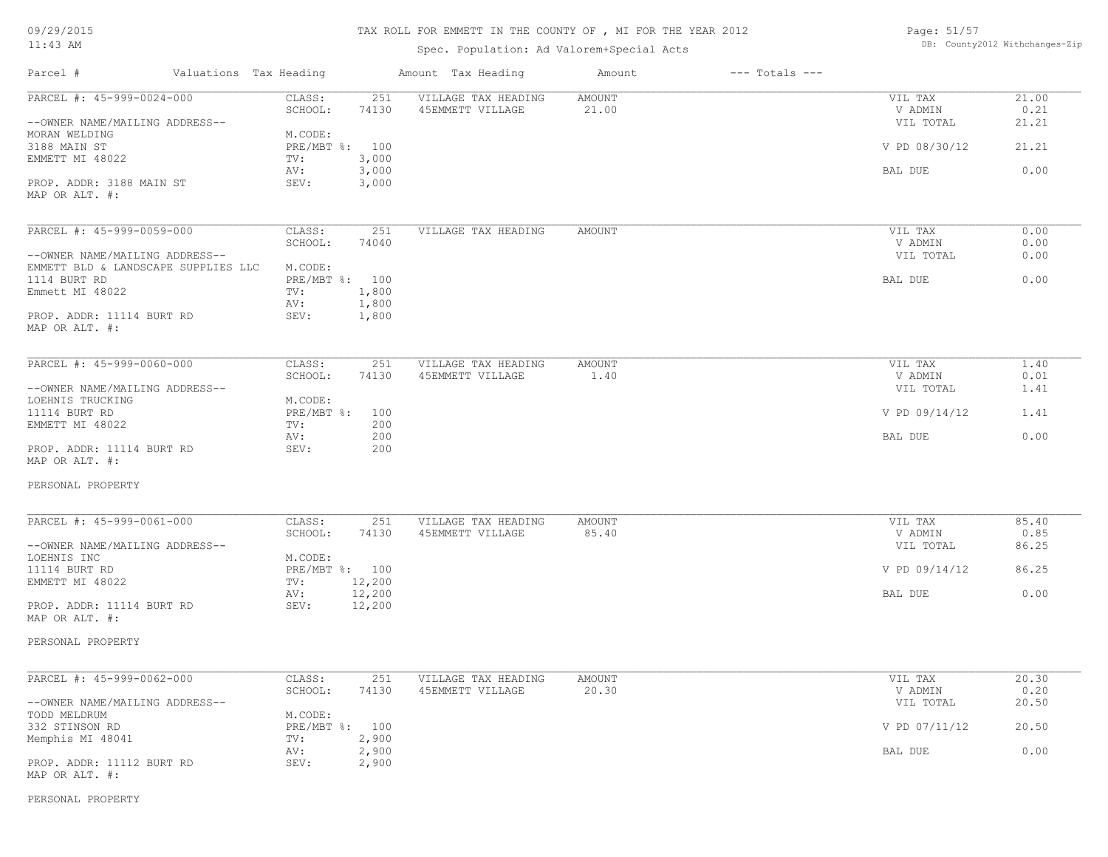# TAX ROLL FOR EMMETT IN THE COUNTY OF , MI FOR THE YEAR 2012

Spec. Population: Ad Valorem+Special Acts

Page: 51/57 DB: County2012 Withchanges-Zip

| Parcel #                                                              | Valuations Tax Heading                         | Amount Tax Heading                             | Amount          | $---$ Totals $---$ |                                 |                        |
|-----------------------------------------------------------------------|------------------------------------------------|------------------------------------------------|-----------------|--------------------|---------------------------------|------------------------|
| PARCEL #: 45-999-0024-000<br>--OWNER NAME/MAILING ADDRESS--           | CLASS:<br>74130<br>SCHOOL:                     | 251<br>VILLAGE TAX HEADING<br>45EMMETT VILLAGE | AMOUNT<br>21.00 |                    | VIL TAX<br>V ADMIN<br>VIL TOTAL | 21.00<br>0.21<br>21.21 |
| MORAN WELDING<br>3188 MAIN ST                                         | M.CODE:<br>PRE/MBT %: 100                      |                                                |                 |                    | V PD 08/30/12                   | 21.21                  |
| EMMETT MI 48022                                                       | TV:<br>3,000<br>3,000<br>AV:                   |                                                |                 |                    | BAL DUE                         | 0.00                   |
| PROP. ADDR: 3188 MAIN ST<br>MAP OR ALT. #:                            | SEV:<br>3,000                                  |                                                |                 |                    |                                 |                        |
| PARCEL #: 45-999-0059-000                                             | CLASS:<br>SCHOOL:<br>74040                     | 251<br>VILLAGE TAX HEADING                     | <b>AMOUNT</b>   |                    | VIL TAX<br>V ADMIN              | 0.00<br>0.00           |
| --OWNER NAME/MAILING ADDRESS--<br>EMMETT BLD & LANDSCAPE SUPPLIES LLC | M.CODE:                                        |                                                |                 |                    | VIL TOTAL                       | 0.00                   |
| 1114 BURT RD<br>Emmett MI 48022                                       | PRE/MBT %: 100<br>1,800<br>TV:<br>1,800<br>AV: |                                                |                 |                    | BAL DUE                         | 0.00                   |
| PROP. ADDR: 11114 BURT RD<br>MAP OR ALT. #:                           | 1,800<br>SEV:                                  |                                                |                 |                    |                                 |                        |
| PARCEL #: 45-999-0060-000                                             | CLASS:                                         | 251<br>VILLAGE TAX HEADING                     | <b>AMOUNT</b>   |                    | VIL TAX                         | 1.40                   |
| --OWNER NAME/MAILING ADDRESS--<br>LOEHNIS TRUCKING                    | SCHOOL:<br>74130<br>M.CODE:                    | 45EMMETT VILLAGE                               | 1.40            |                    | V ADMIN<br>VIL TOTAL            | 0.01<br>1.41           |
| 11114 BURT RD<br>EMMETT MI 48022                                      | PRE/MBT %:<br>TV:                              | 100<br>200                                     |                 |                    | V PD 09/14/12                   | 1.41                   |
| PROP. ADDR: 11114 BURT RD<br>MAP OR ALT. #:                           | AV:<br>SEV:                                    | 200<br>200                                     |                 |                    | BAL DUE                         | 0.00                   |
| PERSONAL PROPERTY                                                     |                                                |                                                |                 |                    |                                 |                        |
| PARCEL #: 45-999-0061-000                                             | CLASS:                                         | VILLAGE TAX HEADING<br>251                     | <b>AMOUNT</b>   |                    | VIL TAX                         | 85.40                  |
| --OWNER NAME/MAILING ADDRESS--                                        | SCHOOL:<br>74130                               | 45EMMETT VILLAGE                               | 85.40           |                    | V ADMIN<br>VIL TOTAL            | 0.85<br>86.25          |
| LOEHNIS INC<br>11114 BURT RD<br>EMMETT MI 48022                       | M.CODE:<br>PRE/MBT %: 100<br>12,200<br>TV:     |                                                |                 |                    | V PD 09/14/12                   | 86.25                  |
| PROP. ADDR: 11114 BURT RD<br>MAP OR ALT. #:                           | 12,200<br>AV:<br>12,200<br>SEV:                |                                                |                 |                    | BAL DUE                         | 0.00                   |
| PERSONAL PROPERTY                                                     |                                                |                                                |                 |                    |                                 |                        |
| PARCEL #: 45-999-0062-000                                             | CLASS:                                         | 251<br>VILLAGE TAX HEADING                     | <b>AMOUNT</b>   |                    | VIL TAX                         | 20.30                  |
| --OWNER NAME/MAILING ADDRESS--                                        | SCHOOL:<br>74130                               | 45EMMETT VILLAGE                               | 20.30           |                    | V ADMIN<br>VIL TOTAL            | 0.20<br>20.50          |
| TODD MELDRUM<br>332 STINSON RD<br>Memphis MI 48041                    | M.CODE:<br>PRE/MBT %: 100<br>2,900<br>TV:      |                                                |                 |                    | V PD 07/11/12                   | 20.50                  |
| PROP. ADDR: 11112 BURT RD<br>MAP OR ALT. #:                           | AV:<br>2,900<br>2,900<br>SEV:                  |                                                |                 |                    | BAL DUE                         | 0.00                   |

PERSONAL PROPERTY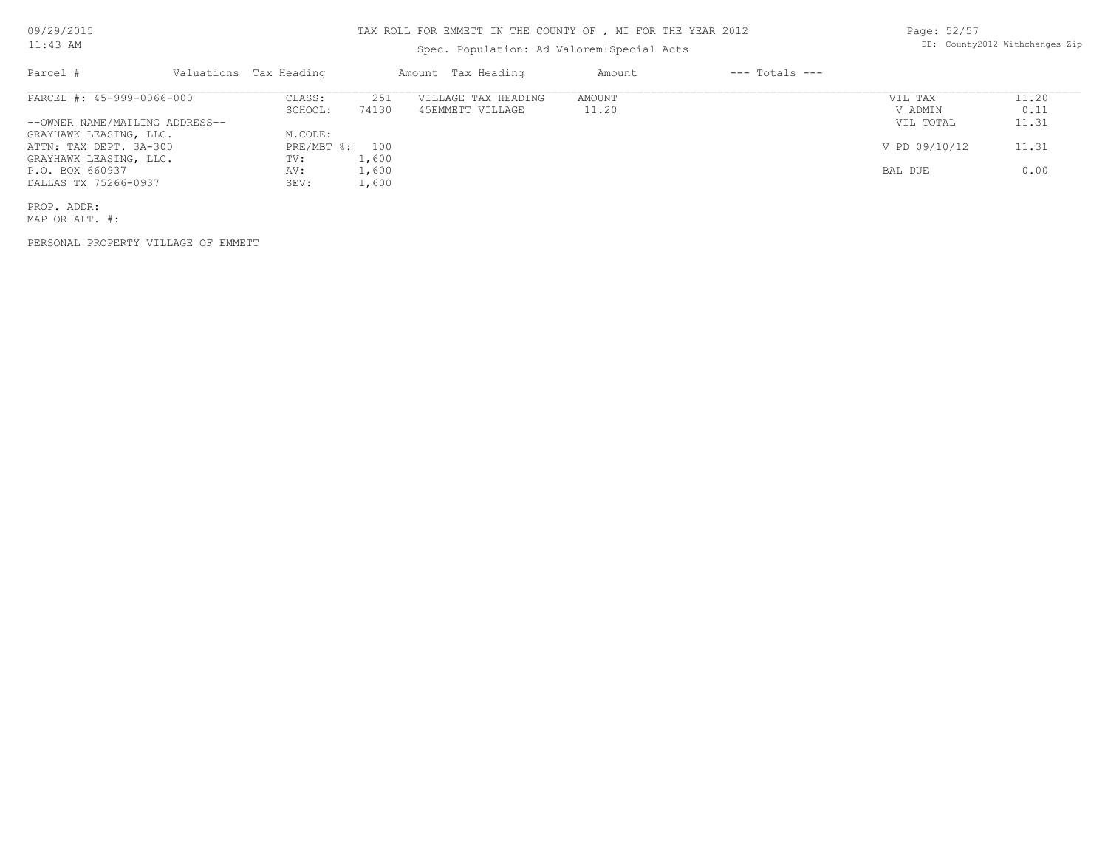## Spec. Population: Ad Valorem+Special Acts

Page: 52/57 DB: County2012 Withchanges-Zip

| Parcel #                       | Valuations Tax Heading |       | Amount Tax Heading  | Amount | $---$ Totals $---$ |               |       |
|--------------------------------|------------------------|-------|---------------------|--------|--------------------|---------------|-------|
| PARCEL #: 45-999-0066-000      | CLASS:                 | 251   | VILLAGE TAX HEADING | AMOUNT |                    | VIL TAX       | 11.20 |
|                                | SCHOOL:                | 74130 | 45EMMETT VILLAGE    | 11.20  |                    | V ADMIN       | 0.11  |
| --OWNER NAME/MAILING ADDRESS-- |                        |       |                     |        |                    | VIL TOTAL     | 11.31 |
| GRAYHAWK LEASING, LLC.         | M.CODE:                |       |                     |        |                    |               |       |
| ATTN: TAX DEPT. 3A-300         | PRE/MBT %: 100         |       |                     |        |                    | V PD 09/10/12 | 11.31 |
| GRAYHAWK LEASING, LLC.         | TV:                    | 1,600 |                     |        |                    |               |       |
| P.O. BOX 660937                | AV:                    | 1,600 |                     |        |                    | BAL DUE       | 0.00  |
| DALLAS TX 75266-0937           | SEV:                   | 1,600 |                     |        |                    |               |       |
| PROP. ADDR:                    |                        |       |                     |        |                    |               |       |

MAP OR ALT. #:

PERSONAL PROPERTY VILLAGE OF EMMETT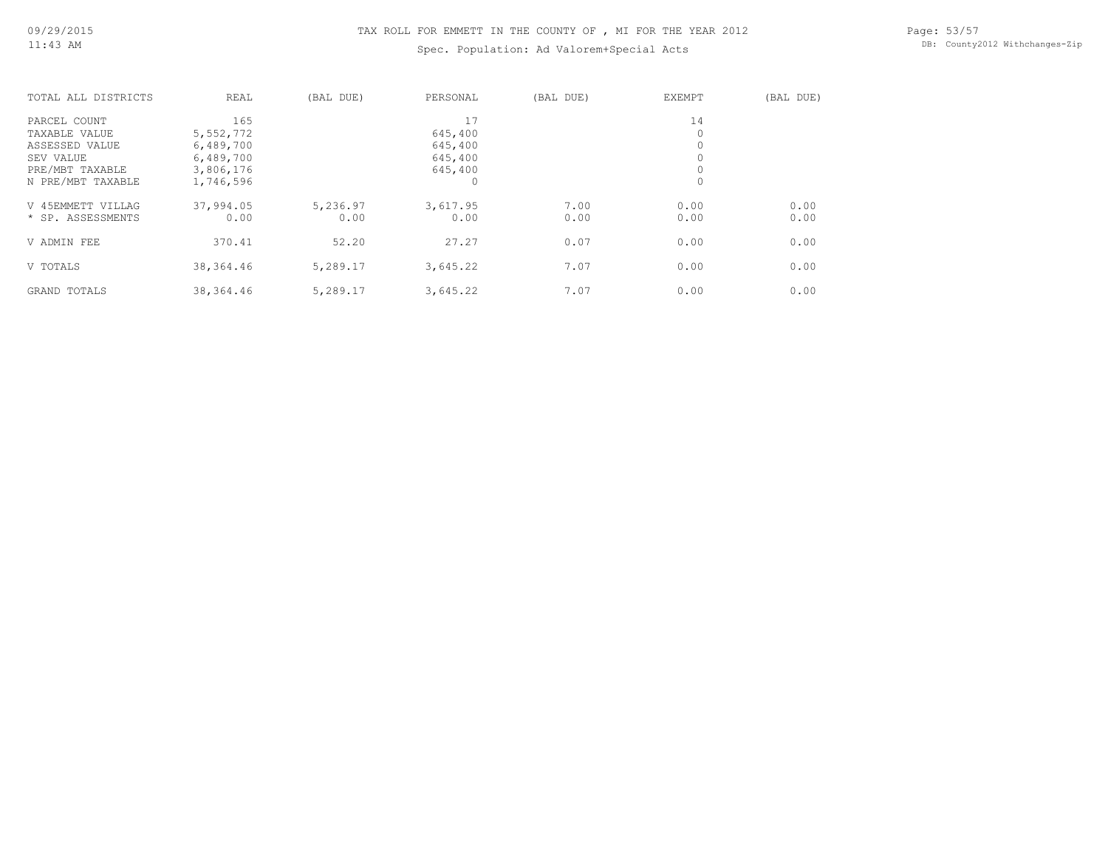Spec. Population: Ad Valorem+Special Acts

Page: 53/57 DB: County2012 Withchanges-Zip

| TOTAL ALL DISTRICTS | REAL       | (BAL DUE) | PERSONAL | (BAL DUE) | <b>EXEMPT</b> | (BAL DUE) |
|---------------------|------------|-----------|----------|-----------|---------------|-----------|
| PARCEL COUNT        | 165        |           | 17       |           | 14            |           |
| TAXABLE VALUE       | 5,552,772  |           | 645,400  |           |               |           |
| ASSESSED VALUE      | 6,489,700  |           | 645,400  |           |               |           |
| SEV VALUE           | 6,489,700  |           | 645,400  |           |               |           |
| PRE/MBT TAXABLE     | 3,806,176  |           | 645,400  |           |               |           |
| N PRE/MBT TAXABLE   | 1,746,596  |           | 0        |           | 0             |           |
| V 45EMMETT VILLAG   | 37,994.05  | 5,236.97  | 3,617.95 | 7.00      | 0.00          | 0.00      |
| * SP. ASSESSMENTS   | 0.00       | 0.00      | 0.00     | 0.00      | 0.00          | 0.00      |
| V ADMIN FEE         | 370.41     | 52.20     | 27.27    | 0.07      | 0.00          | 0.00      |
| V TOTALS            | 38,364.46  | 5,289.17  | 3,645.22 | 7.07      | 0.00          | 0.00      |
| GRAND TOTALS        | 38, 364.46 | 5,289.17  | 3,645.22 | 7.07      | 0.00          | 0.00      |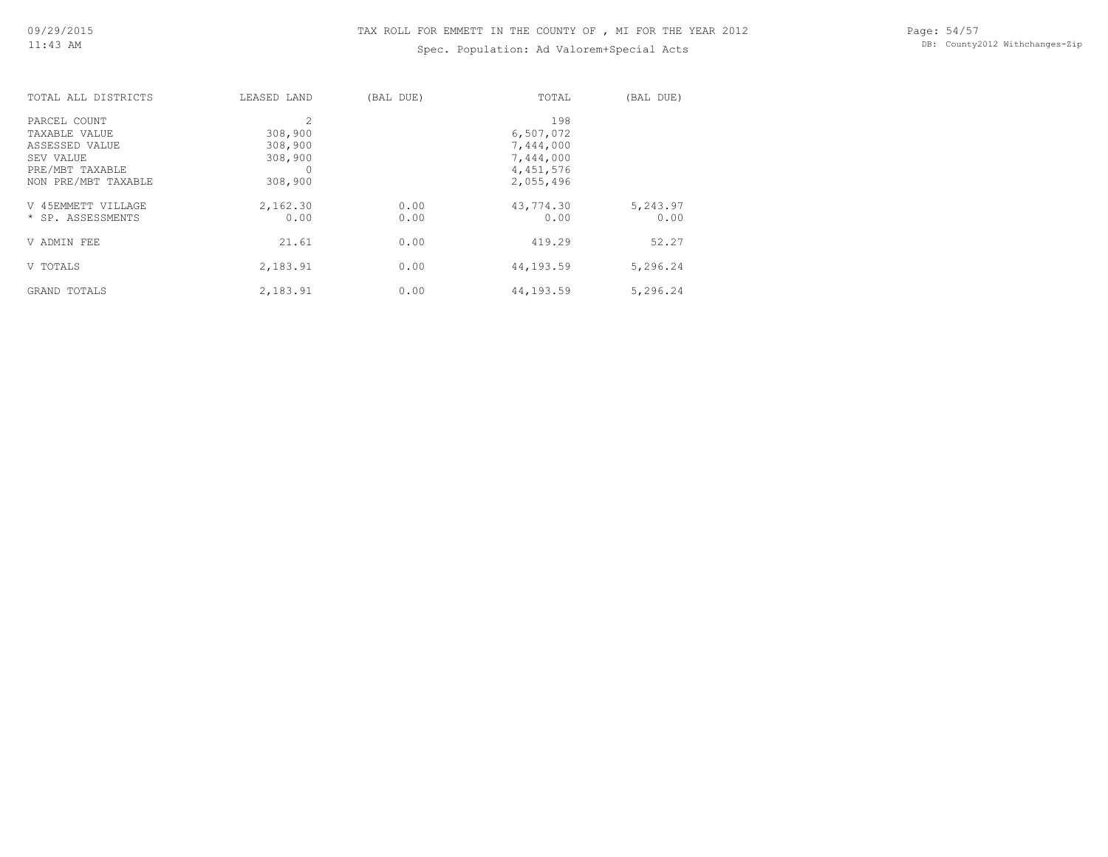### Spec. Population: Ad Valorem+Special Acts

| TOTAL ALL DISTRICTS | LEASED LAND | (BAL DUE) | TOTAL     | (BAL DUE) |
|---------------------|-------------|-----------|-----------|-----------|
| PARCEL COUNT        | 2           |           | 198       |           |
| TAXABLE VALUE       | 308,900     |           | 6,507,072 |           |
| ASSESSED VALUE      | 308,900     |           | 7,444,000 |           |
| SEV VALUE           | 308,900     |           | 7,444,000 |           |
| PRE/MBT TAXABLE     | 0           |           | 4,451,576 |           |
| NON PRE/MBT TAXABLE | 308,900     |           | 2,055,496 |           |
| V 45EMMETT VILLAGE  | 2,162.30    | 0.00      | 43,774.30 | 5,243.97  |
| * SP. ASSESSMENTS   | 0.00        | 0.00      | 0.00      | 0.00      |
| V ADMIN FEE         | 21.61       | 0.00      | 419.29    | 52.27     |
| V TOTALS            | 2,183.91    | 0.00      | 44,193.59 | 5,296.24  |
| GRAND TOTALS        | 2,183.91    | 0.00      | 44,193.59 | 5,296.24  |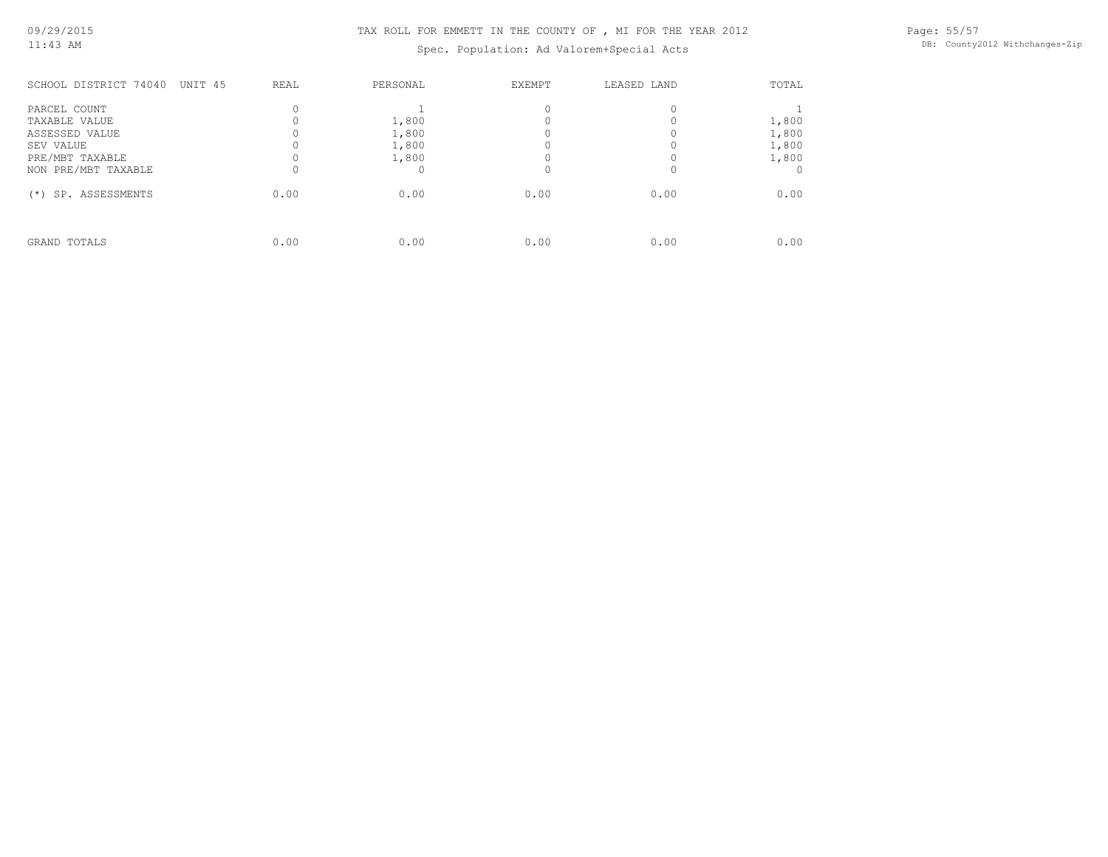Spec. Population: Ad Valorem+Special Acts

Page: 55/57 DB: County2012 Withchanges-Zip

| SCHOOL DISTRICT 74040                                                           | UNIT <sub>45</sub> | <b>REAL</b> | PERSONAL                         | <b>EXEMPT</b> | LEASED LAND | TOTAL                            |
|---------------------------------------------------------------------------------|--------------------|-------------|----------------------------------|---------------|-------------|----------------------------------|
| PARCEL COUNT<br>TAXABLE VALUE<br>ASSESSED VALUE<br>SEV VALUE<br>PRE/MBT TAXABLE |                    |             | 1,800<br>1,800<br>1,800<br>1,800 |               |             | 1,800<br>1,800<br>1,800<br>1,800 |
| NON PRE/MBT TAXABLE<br>SP. ASSESSMENTS<br>$^{(*)}$                              |                    | 0.00        | 0.00                             | 0.00          | 0.00        | 0.00                             |
| GRAND TOTALS                                                                    |                    | 0.00        | 0.00                             | 0.00          | 0.00        | 0.00                             |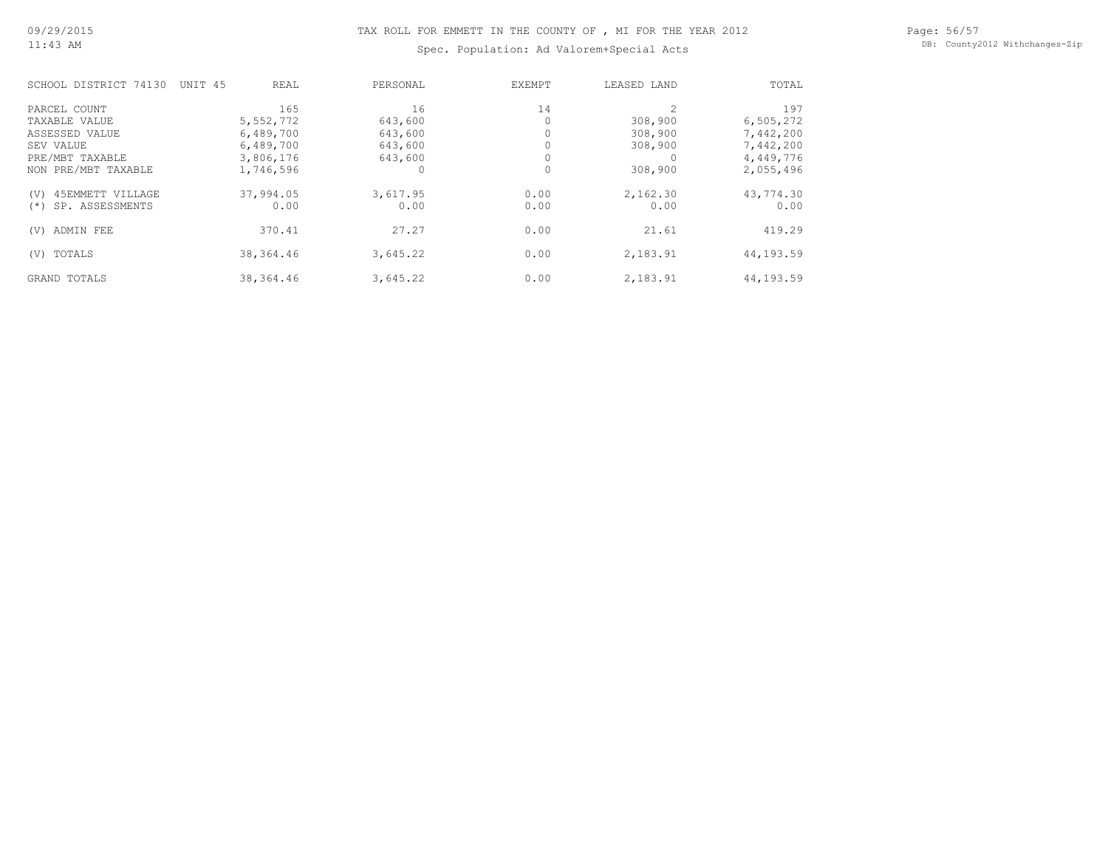Spec. Population: Ad Valorem+Special Acts

Page: 56/57 DB: County2012 Withchanges-Zip

| SCHOOL DISTRICT 74130    | UNIT <sub>45</sub> | <b>REAL</b> | PERSONAL | <b>EXEMPT</b> | LEASED LAND | TOTAL     |
|--------------------------|--------------------|-------------|----------|---------------|-------------|-----------|
| PARCEL COUNT             |                    | 165         | 16       | 14            |             | 197       |
| TAXABLE VALUE            |                    | 5,552,772   | 643,600  |               | 308,900     | 6,505,272 |
| ASSESSED VALUE           |                    | 6,489,700   | 643,600  |               | 308,900     | 7,442,200 |
| SEV VALUE                |                    | 6,489,700   | 643,600  |               | 308,900     | 7,442,200 |
| PRE/MBT TAXABLE          |                    | 3,806,176   | 643,600  |               |             | 4,449,776 |
| NON PRE/MBT TAXABLE      |                    | 1,746,596   | 0        | $\Omega$      | 308,900     | 2,055,496 |
| 45EMMETT VILLAGE<br>(V)  |                    | 37,994.05   | 3,617.95 | 0.00          | 2,162.30    | 43,774.30 |
| SP. ASSESSMENTS<br>$(*)$ |                    | 0.00        | 0.00     | 0.00          | 0.00        | 0.00      |
| ADMIN FEE<br>(V)         |                    | 370.41      | 27.27    | 0.00          | 21.61       | 419.29    |
| TOTALS<br>(V)            |                    | 38,364.46   | 3,645.22 | 0.00          | 2,183.91    | 44,193.59 |
| <b>GRAND TOTALS</b>      |                    | 38,364.46   | 3,645.22 | 0.00          | 2,183.91    | 44,193.59 |